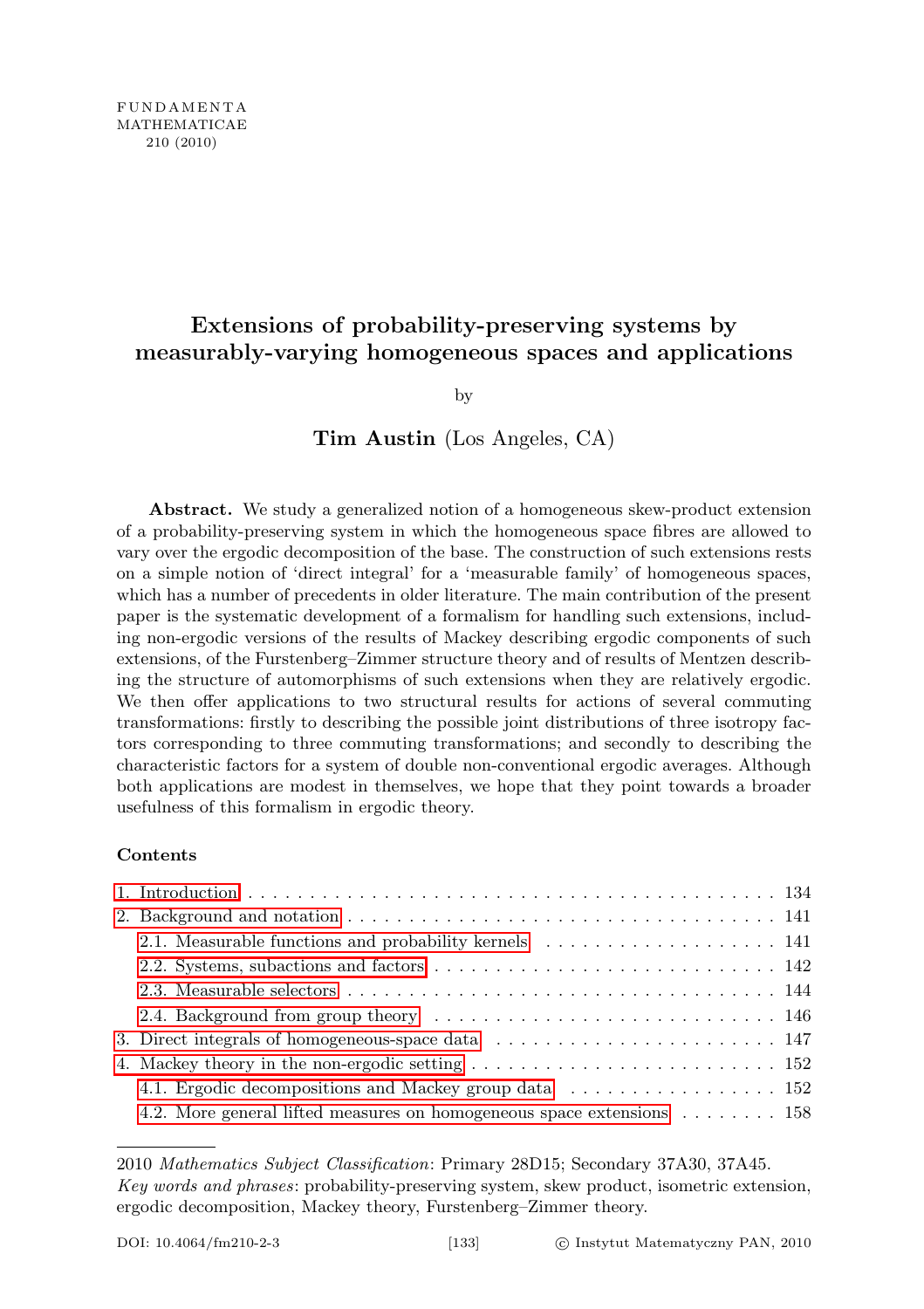# Extensions of probability-preserving systems by measurably-varying homogeneous spaces and applications

by

## Tim Austin (Los Angeles, CA)

Abstract. We study a generalized notion of a homogeneous skew-product extension of a probability-preserving system in which the homogeneous space fibres are allowed to vary over the ergodic decomposition of the base. The construction of such extensions rests on a simple notion of 'direct integral' for a 'measurable family' of homogeneous spaces, which has a number of precedents in older literature. The main contribution of the present paper is the systematic development of a formalism for handling such extensions, including non-ergodic versions of the results of Mackey describing ergodic components of such extensions, of the Furstenberg–Zimmer structure theory and of results of Mentzen describing the structure of automorphisms of such extensions when they are relatively ergodic. We then offer applications to two structural results for actions of several commuting transformations: firstly to describing the possible joint distributions of three isotropy factors corresponding to three commuting transformations; and secondly to describing the characteristic factors for a system of double non-conventional ergodic averages. Although both applications are modest in themselves, we hope that they point towards a broader usefulness of this formalism in ergodic theory.

#### Contents

| 2.4. Background from group theory example $146$                                                             |
|-------------------------------------------------------------------------------------------------------------|
| 3. Direct integrals of homogeneous-space data $\ldots \ldots \ldots \ldots \ldots \ldots \ldots \ldots 147$ |
|                                                                                                             |
| 4.1. Ergodic decompositions and Mackey group data  152                                                      |
| 4.2. More general lifted measures on homogeneous space extensions $\dots \dots \dots$ 158                   |

<sup>2010</sup> Mathematics Subject Classification: Primary 28D15; Secondary 37A30, 37A45. Key words and phrases: probability-preserving system, skew product, isometric extension, ergodic decomposition, Mackey theory, Furstenberg–Zimmer theory.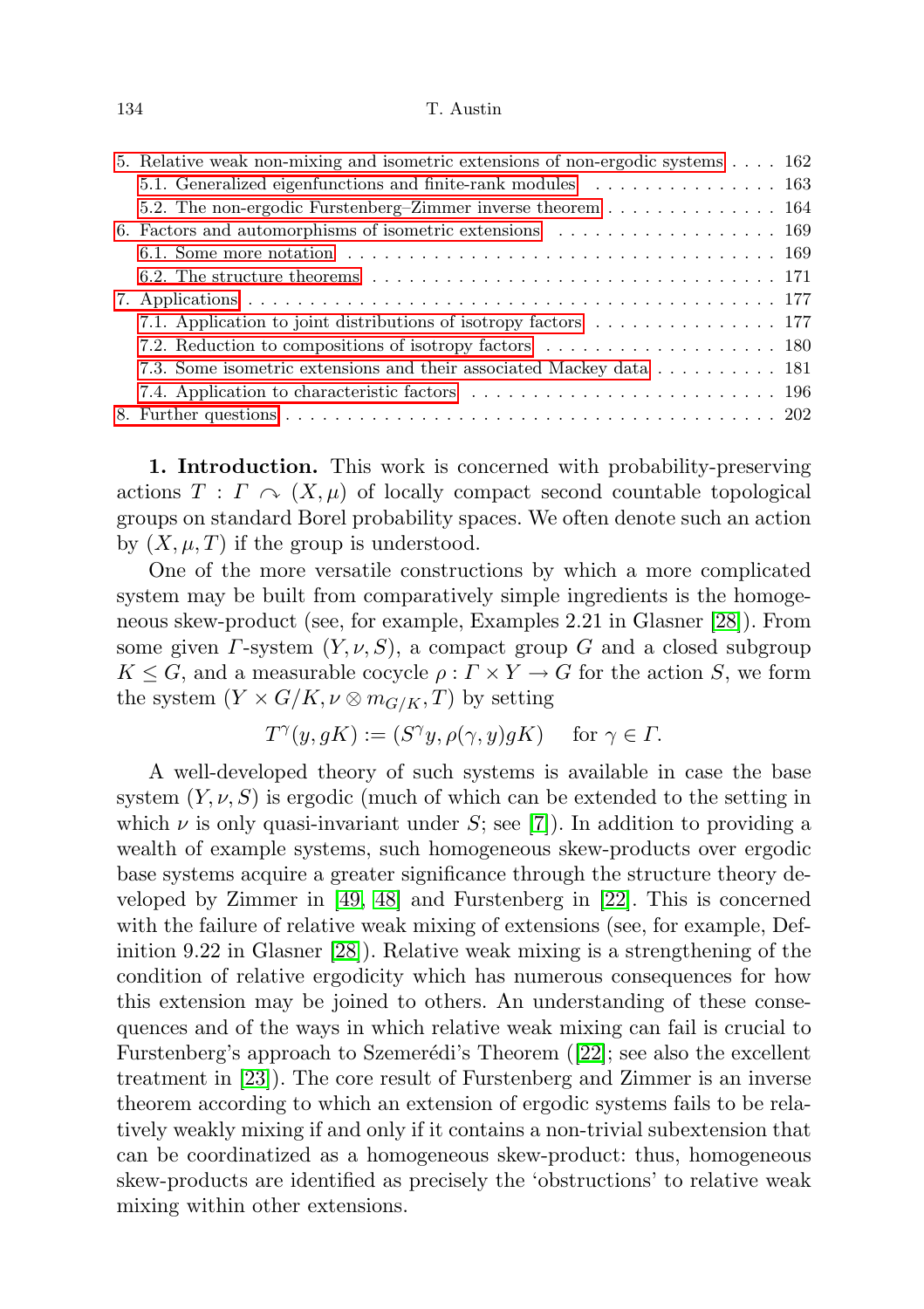#### 134 T. Austin

| 5. Relative weak non-mixing and isometric extensions of non-ergodic systems 162 |  |
|---------------------------------------------------------------------------------|--|
|                                                                                 |  |
| 5.2. The non-ergodic Furstenberg–Zimmer inverse theorem 164                     |  |
| 6. Factors and automorphisms of isometric extensions 169                        |  |
|                                                                                 |  |
|                                                                                 |  |
|                                                                                 |  |
|                                                                                 |  |
|                                                                                 |  |
| 7.3. Some isometric extensions and their associated Mackey data 181             |  |
|                                                                                 |  |
|                                                                                 |  |

<span id="page-1-0"></span>1. Introduction. This work is concerned with probability-preserving actions  $T : \Gamma \curvearrowright (X, \mu)$  of locally compact second countable topological groups on standard Borel probability spaces. We often denote such an action by  $(X, \mu, T)$  if the group is understood.

One of the more versatile constructions by which a more complicated system may be built from comparatively simple ingredients is the homogeneous skew-product (see, for example, Examples 2.21 in Glasner [\[28\]](#page-72-0)). From some given  $\Gamma$ -system  $(Y, \nu, S)$ , a compact group G and a closed subgroup  $K \leq G$ , and a measurable cocycle  $\rho : \Gamma \times Y \to G$  for the action S, we form the system  $(Y \times G/K, \nu \otimes m_{G/K}, T)$  by setting

$$
T^{\gamma}(y, gK) := (S^{\gamma}y, \rho(\gamma, y)gK) \quad \text{ for } \gamma \in \Gamma.
$$

A well-developed theory of such systems is available in case the base system  $(Y, \nu, S)$  is ergodic (much of which can be extended to the setting in which  $\nu$  is only quasi-invariant under S; see [\[7\]](#page-71-0)). In addition to providing a wealth of example systems, such homogeneous skew-products over ergodic base systems acquire a greater significance through the structure theory developed by Zimmer in [\[49,](#page-73-0) [48\]](#page-73-1) and Furstenberg in [\[22\]](#page-72-1). This is concerned with the failure of relative weak mixing of extensions (see, for example, Definition 9.22 in Glasner [\[28\]](#page-72-0)). Relative weak mixing is a strengthening of the condition of relative ergodicity which has numerous consequences for how this extension may be joined to others. An understanding of these consequences and of the ways in which relative weak mixing can fail is crucial to Furstenberg's approach to Szemerédi's Theorem  $(22)$ ; see also the excellent treatment in [\[23\]](#page-72-2)). The core result of Furstenberg and Zimmer is an inverse theorem according to which an extension of ergodic systems fails to be relatively weakly mixing if and only if it contains a non-trivial subextension that can be coordinatized as a homogeneous skew-product: thus, homogeneous skew-products are identified as precisely the 'obstructions' to relative weak mixing within other extensions.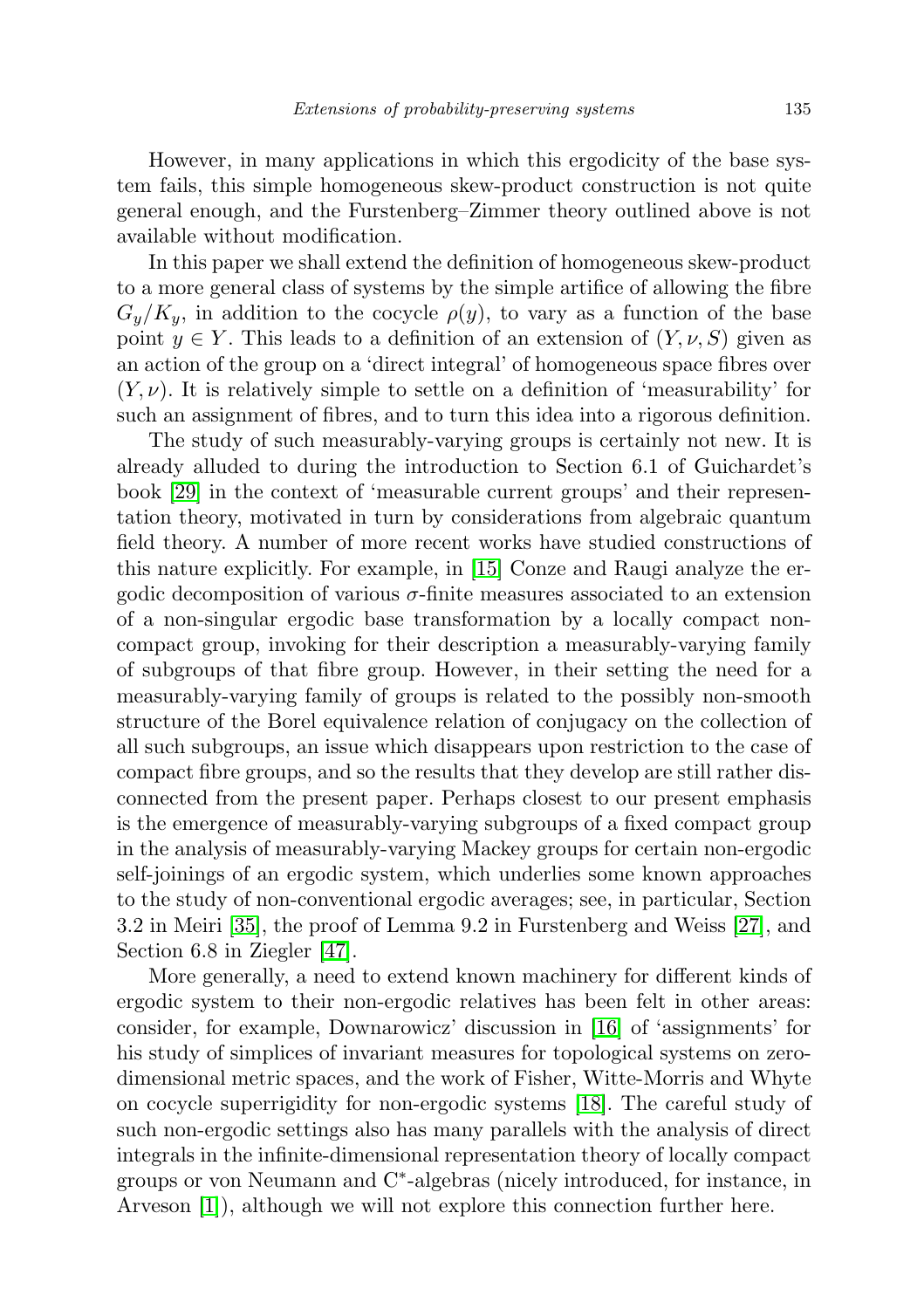However, in many applications in which this ergodicity of the base system fails, this simple homogeneous skew-product construction is not quite general enough, and the Furstenberg–Zimmer theory outlined above is not available without modification.

In this paper we shall extend the definition of homogeneous skew-product to a more general class of systems by the simple artifice of allowing the fibre  $G_y/K_y$ , in addition to the cocycle  $\rho(y)$ , to vary as a function of the base point  $y \in Y$ . This leads to a definition of an extension of  $(Y, \nu, S)$  given as an action of the group on a 'direct integral' of homogeneous space fibres over  $(Y, \nu)$ . It is relatively simple to settle on a definition of 'measurability' for such an assignment of fibres, and to turn this idea into a rigorous definition.

The study of such measurably-varying groups is certainly not new. It is already alluded to during the introduction to Section 6.1 of Guichardet's book [\[29\]](#page-72-3) in the context of 'measurable current groups' and their representation theory, motivated in turn by considerations from algebraic quantum field theory. A number of more recent works have studied constructions of this nature explicitly. For example, in [\[15\]](#page-71-1) Conze and Raugi analyze the ergodic decomposition of various  $\sigma$ -finite measures associated to an extension of a non-singular ergodic base transformation by a locally compact noncompact group, invoking for their description a measurably-varying family of subgroups of that fibre group. However, in their setting the need for a measurably-varying family of groups is related to the possibly non-smooth structure of the Borel equivalence relation of conjugacy on the collection of all such subgroups, an issue which disappears upon restriction to the case of compact fibre groups, and so the results that they develop are still rather disconnected from the present paper. Perhaps closest to our present emphasis is the emergence of measurably-varying subgroups of a fixed compact group in the analysis of measurably-varying Mackey groups for certain non-ergodic self-joinings of an ergodic system, which underlies some known approaches to the study of non-conventional ergodic averages; see, in particular, Section 3.2 in Meiri [\[35\]](#page-72-4), the proof of Lemma 9.2 in Furstenberg and Weiss [\[27\]](#page-72-5), and Section 6.8 in Ziegler [\[47\]](#page-73-2).

More generally, a need to extend known machinery for different kinds of ergodic system to their non-ergodic relatives has been felt in other areas: consider, for example, Downarowicz' discussion in [\[16\]](#page-72-6) of 'assignments' for his study of simplices of invariant measures for topological systems on zerodimensional metric spaces, and the work of Fisher, Witte-Morris and Whyte on cocycle superrigidity for non-ergodic systems [\[18\]](#page-72-7). The careful study of such non-ergodic settings also has many parallels with the analysis of direct integrals in the infinite-dimensional representation theory of locally compact groups or von Neumann and C<sup>∗</sup> -algebras (nicely introduced, for instance, in Arveson [\[1\]](#page-71-2)), although we will not explore this connection further here.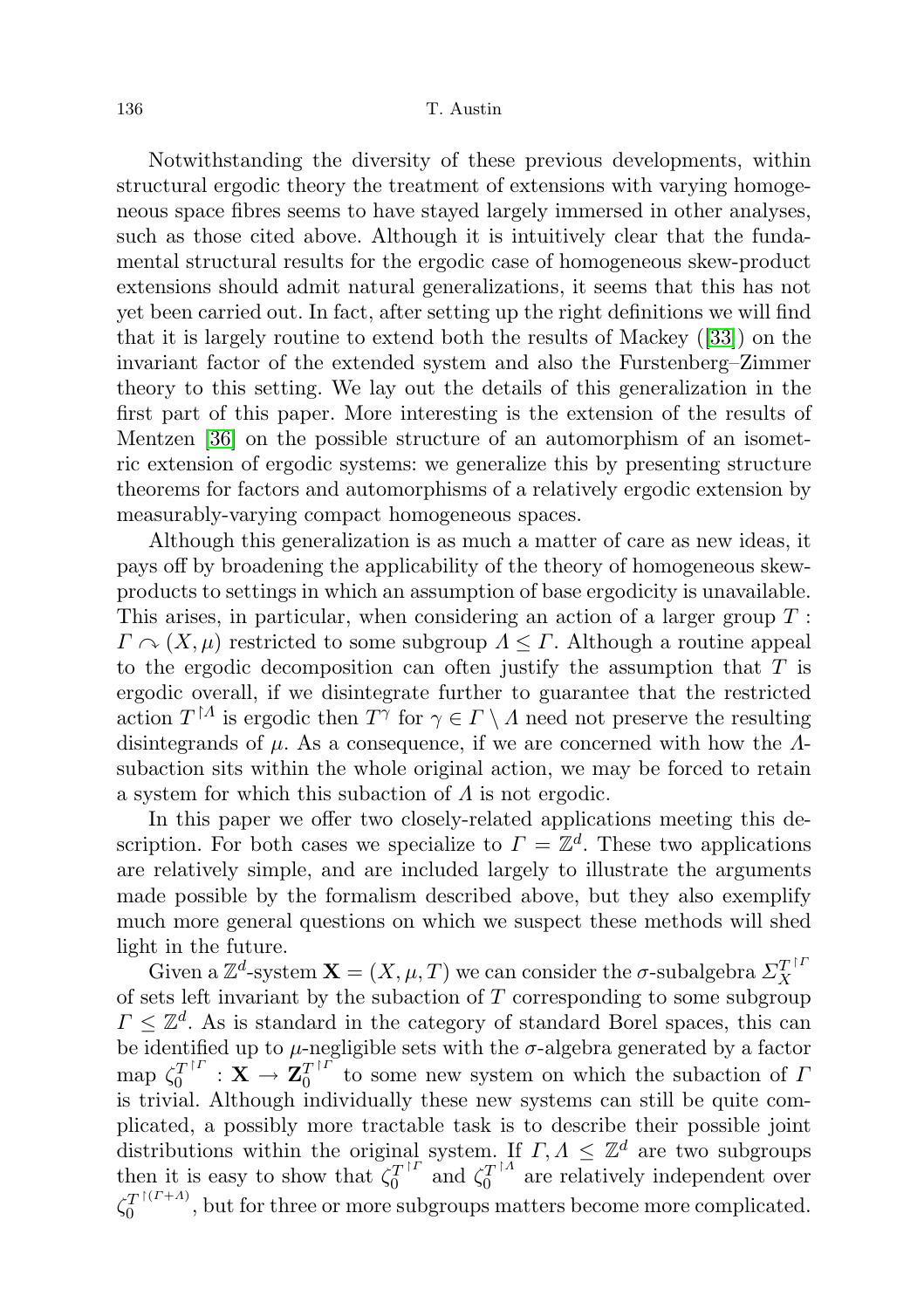Notwithstanding the diversity of these previous developments, within structural ergodic theory the treatment of extensions with varying homogeneous space fibres seems to have stayed largely immersed in other analyses, such as those cited above. Although it is intuitively clear that the fundamental structural results for the ergodic case of homogeneous skew-product extensions should admit natural generalizations, it seems that this has not yet been carried out. In fact, after setting up the right definitions we will find that it is largely routine to extend both the results of Mackey ([\[33\]](#page-72-8)) on the invariant factor of the extended system and also the Furstenberg–Zimmer theory to this setting. We lay out the details of this generalization in the first part of this paper. More interesting is the extension of the results of Mentzen [\[36\]](#page-72-9) on the possible structure of an automorphism of an isometric extension of ergodic systems: we generalize this by presenting structure theorems for factors and automorphisms of a relatively ergodic extension by measurably-varying compact homogeneous spaces.

Although this generalization is as much a matter of care as new ideas, it pays off by broadening the applicability of the theory of homogeneous skewproducts to settings in which an assumption of base ergodicity is unavailable. This arises, in particular, when considering an action of a larger group T :  $\Gamma \cap (X, \mu)$  restricted to some subgroup  $\Lambda \leq \Gamma$ . Although a routine appeal to the ergodic decomposition can often justify the assumption that  $T$  is ergodic overall, if we disintegrate further to guarantee that the restricted action  $T^{\dagger A}$  is ergodic then  $T^{\gamma}$  for  $\gamma \in \Gamma \setminus A$  need not preserve the resulting disintegrands of  $\mu$ . As a consequence, if we are concerned with how the  $\Lambda$ subaction sits within the whole original action, we may be forced to retain a system for which this subaction of  $\Lambda$  is not ergodic.

In this paper we offer two closely-related applications meeting this description. For both cases we specialize to  $\Gamma = \mathbb{Z}^d$ . These two applications are relatively simple, and are included largely to illustrate the arguments made possible by the formalism described above, but they also exemplify much more general questions on which we suspect these methods will shed light in the future.

Given a  $\mathbb{Z}^d$ -system  $\mathbf{X} = (X, \mu, T)$  we can consider the  $\sigma$ -subalgebra  $\Sigma_X^{T^{\dagger I}}$ X of sets left invariant by the subaction of  $T$  corresponding to some subgroup  $\Gamma \leq \mathbb{Z}^d$ . As is standard in the category of standard Borel spaces, this can be identified up to  $\mu$ -negligible sets with the  $\sigma$ -algebra generated by a factor map  $\zeta_0^{T^{\dagger I}}$  $\mathbf{Z}_0^{T^{\dagger\varGamma}}\,:\,\mathbf{X}\,\to\,\mathbf{Z}_0^{T^{\dagger\varGamma}}$  $\frac{T}{0}$  to some new system on which the subaction of I is trivial. Although individually these new systems can still be quite complicated, a possibly more tractable task is to describe their possible joint distributions within the original system. If  $\Gamma, \Lambda \leq \mathbb{Z}^d$  are two subgroups then it is easy to show that  $\check{\zeta}_0^{T}$ <sup>[I]</sup>  $\zeta_0^{T^{\dagger\Gamma}}$  and  $\zeta_0^{T^{\dagger\Lambda}}$  $a_0^{T^{1/4}}$  are relatively independent over  $\zeta_0^{T}$ <sup>[(T+A)</sup>  $\frac{d}{d}$ , but for three or more subgroups matters become more complicated.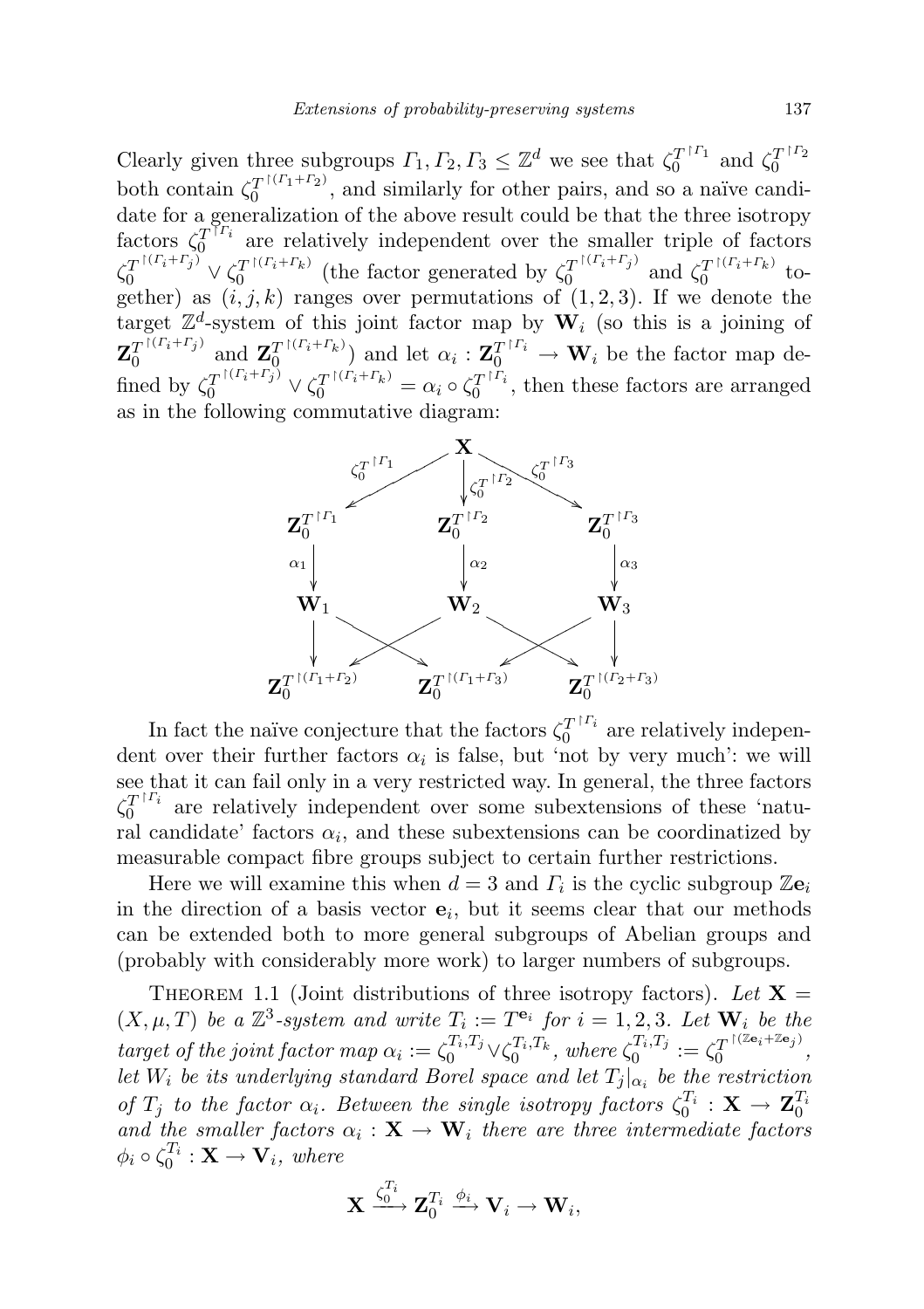Clearly given three subgroups  $\Gamma_1, \Gamma_2, \Gamma_3 \leq \mathbb{Z}^d$  we see that  $\zeta_0^{T^{\dagger} \Gamma_1}$  $\zeta_0^{T^{\dagger \Gamma_1}}$  and  $\zeta_0^{T^{\dagger \Gamma_2}}$  $\theta$ both contain  $\zeta_0^{T}$ <sup> $\upharpoonright$ </sup> $\zeta_1^{T+T_2}$  $\frac{1}{0}$ , and similarly for other pairs, and so a naïve candidate for a generalization of the above result could be that the three isotropy factors  $\zeta_0^{T^{\gamma}r_i}$  $0^{T^{12}}$  are relatively independent over the smaller triple of factors  $\zeta_0^{T^{[(\Gamma_i+\Gamma_j)]}} \vee \zeta_0^{T^{[(\Gamma_i+\Gamma_k)]}}$  $T^{[(\Gamma_i+\Gamma_k)]}$  (the factor generated by  $\zeta_0^{T^{[(\Gamma_i+\Gamma_j)]}}$  $T^{\dagger(\Gamma_i+\Gamma_j)}$  and  $\zeta_0^T^{\dagger(\Gamma_i+\Gamma_k)}$  $0$ <sup>t</sup> together) as  $(i, j, k)$  ranges over permutations of  $(1, 2, 3)$ . If we denote the target  $\mathbb{Z}^d$ -system of this joint factor map by  $\mathbf{W}_i$  (so this is a joining of  ${\bf Z}_0^{T\,| \,( \Gamma_i+\Gamma_j)}$  $T^{\dagger (\Gamma_i+\Gamma_j)}$  and  $\mathbf{Z}_0^T^{\dagger (\Gamma_i+\Gamma_k)}$  $\mathcal{I}_0^{\text{I}(r_i+r_k)}$  and let  $\alpha_i: \mathbf{Z}_0^{T^{\dagger}r_i} \to \mathbf{W}_i$  be the factor map defined by  $\zeta_0^T$ <sup> $\Gamma(\Gamma_i+\Gamma_j)$ </sup>  $\vee \zeta_0^T$  $\Gamma(\Gamma_i+\Gamma_k) = \alpha_i \circ \zeta_0^T$  $\int_0^{T^{1+i}}$ , then these factors are arranged as in the following commutative diagram:



In fact the naïve conjecture that the factors  $\zeta_0^{T^{\dagger}T_i}$  $0^{T+1}$  are relatively independent over their further factors  $\alpha_i$  is false, but 'not by very much': we will see that it can fail only in a very restricted way. In general, the three factors  $\zeta_0^{T}$ <sup>[ $\Gamma_i$ </sup>  $0^{T^{12}}$  are relatively independent over some subextensions of these 'natural candidate' factors  $\alpha_i$ , and these subextensions can be coordinatized by measurable compact fibre groups subject to certain further restrictions.

Here we will examine this when  $d=3$  and  $\Gamma_i$  is the cyclic subgroup  $\mathbb{Z}e_i$ in the direction of a basis vector  $e_i$ , but it seems clear that our methods can be extended both to more general subgroups of Abelian groups and (probably with considerably more work) to larger numbers of subgroups.

THEOREM 1.1 (Joint distributions of three isotropy factors). Let  $X =$  $(X, \mu, T)$  be a  $\mathbb{Z}^3$ -system and write  $T_i := T^{e_i}$  for  $i = 1, 2, 3$ . Let  $\mathbf{W}_i$  be the target of the joint factor map  $\alpha_i := \zeta_0^{T_i, T_j} \vee \zeta_0^{T_i, T_k}$ , where  $\zeta_0^{T_i, T_j}$  $\zeta_0^{T_i,T_j}:=\zeta_0^{T^{\restriction (\mathbb{Z}\mathbf{e}_i+\mathbb{Z}\mathbf{e}_j)}}$  $\frac{1}{0}$  ,  $\frac{1}{0}$  ,  $\frac{1}{0}$  ,  $\frac{1}{0}$  ,  $\frac{1}{0}$  ,  $\frac{1}{0}$  ,  $\frac{1}{0}$  ,  $\frac{1}{0}$  ,  $\frac{1}{0}$  ,  $\frac{1}{0}$  ,  $\frac{1}{0}$  ,  $\frac{1}{0}$  ,  $\frac{1}{0}$  ,  $\frac{1}{0}$  ,  $\frac{1}{0}$  ,  $\frac{1}{0}$  ,  $\frac{1}{0}$  ,  $\frac{1}{0}$  ,  $\frac{1$ let  $W_i$  be its underlying standard Borel space and let  $T_j|_{\alpha_i}$  be the restriction of  $T_j$  to the factor  $\alpha_i$ . Between the single isotropy factors  $\zeta_0^{T_i}$  :  $\mathbf{X} \to \mathbf{Z}_0^{T_i}$ and the smaller factors  $\alpha_i : \mathbf{X} \to \mathbf{W}_i$  there are three intermediate factors  $\phi_i \circ \zeta_0^{T_i} : \mathbf{X} \to \mathbf{V}_i$ , where

$$
\mathbf{X} \xrightarrow{\zeta_0^{T_i}} \mathbf{Z}_0^{T_i} \xrightarrow{\phi_i} \mathbf{V}_i \to \mathbf{W}_i,
$$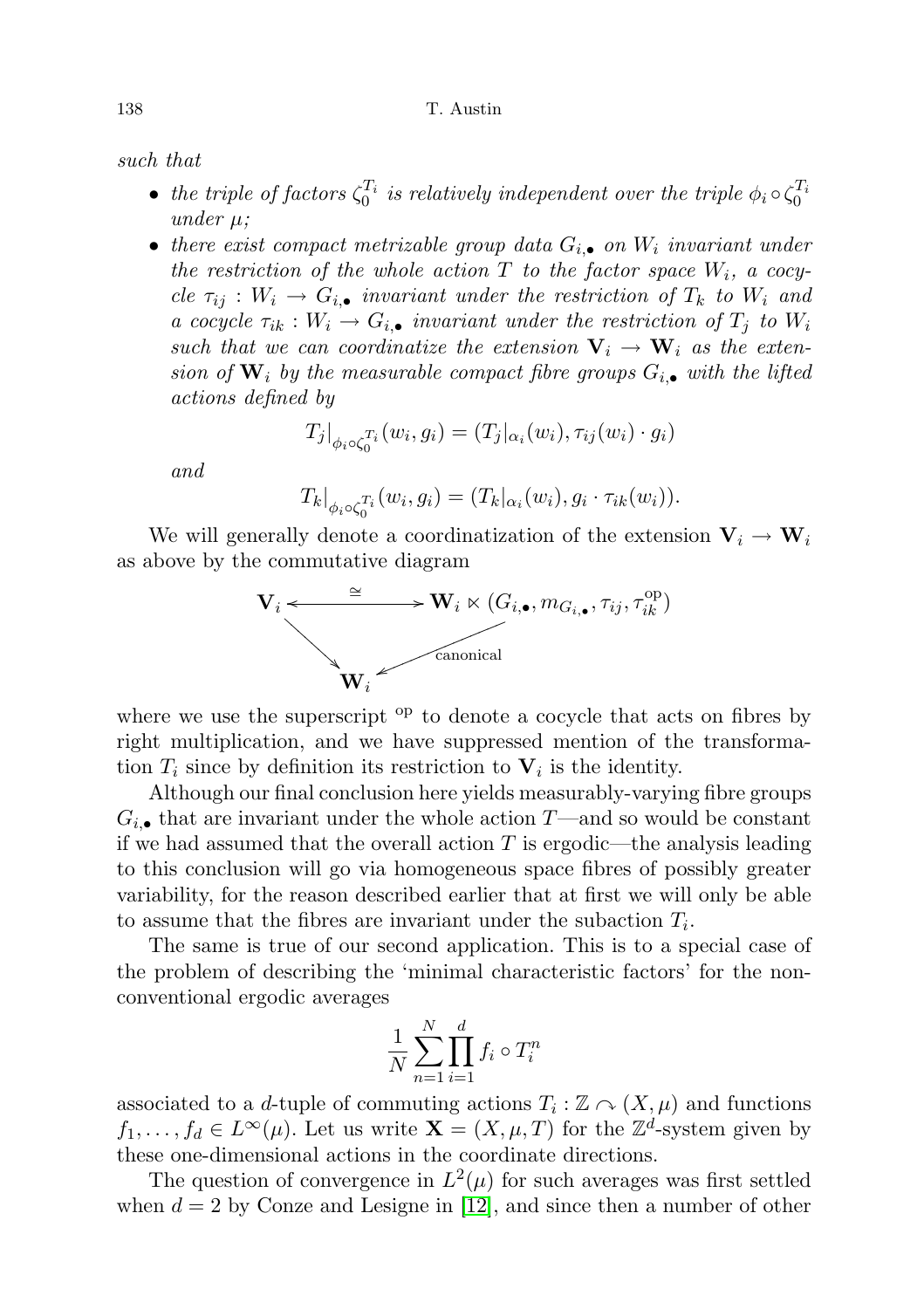#### 138 T. Austin

such that

- the triple of factors  $\zeta_0^{T_i}$  is relatively independent over the triple  $\phi_i \circ \zeta_0^{T_i}$ under  $\mu$ :
- there exist compact metrizable group data  $G_{i,\bullet}$  on  $W_i$  invariant under the restriction of the whole action  $T$  to the factor space  $W_i$ , a cocycle  $\tau_{ij}: W_i \to G_{i,\bullet}$  invariant under the restriction of  $T_k$  to  $W_i$  and a cocycle  $\tau_{ik}: W_i \to G_{i,\bullet}$  invariant under the restriction of  $T_j$  to  $W_i$ such that we can coordinatize the extension  $V_i \rightarrow W_i$  as the extension of  $\mathbf{W}_i$  by the measurable compact fibre groups  $G_{i,\bullet}$  with the lifted actions defined by

$$
T_j|_{\phi_i \circ \zeta_0^{T_i}}(w_i, g_i) = (T_j|_{\alpha_i}(w_i), \tau_{ij}(w_i) \cdot g_i)
$$

and

$$
T_k|_{\phi_i \circ \zeta_0^{T_i}}(w_i, g_i) = (T_k|_{\alpha_i}(w_i), g_i \cdot \tau_{ik}(w_i)).
$$

We will generally denote a coordinatization of the extension  $V_i \rightarrow W_i$ as above by the commutative diagram



where we use the superscript  $_{\text{op}}$  to denote a cocycle that acts on fibres by right multiplication, and we have suppressed mention of the transformation  $T_i$  since by definition its restriction to  $V_i$  is the identity.

Although our final conclusion here yields measurably-varying fibre groups  $G_{i,\bullet}$  that are invariant under the whole action T—and so would be constant if we had assumed that the overall action  $T$  is ergodic—the analysis leading to this conclusion will go via homogeneous space fibres of possibly greater variability, for the reason described earlier that at first we will only be able to assume that the fibres are invariant under the subaction  $T_i$ .

The same is true of our second application. This is to a special case of the problem of describing the 'minimal characteristic factors' for the nonconventional ergodic averages

$$
\frac{1}{N} \sum_{n=1}^{N} \prod_{i=1}^{d} f_i \circ T_i^n
$$

associated to a d-tuple of commuting actions  $T_i : \mathbb{Z} \cap (X, \mu)$  and functions  $f_1, \ldots, f_d \in L^{\infty}(\mu)$ . Let us write  $\mathbf{X} = (X, \mu, T)$  for the  $\mathbb{Z}^d$ -system given by these one-dimensional actions in the coordinate directions.

The question of convergence in  $L^2(\mu)$  for such averages was first settled when  $d = 2$  by Conze and Lesigne in [\[12\]](#page-71-3), and since then a number of other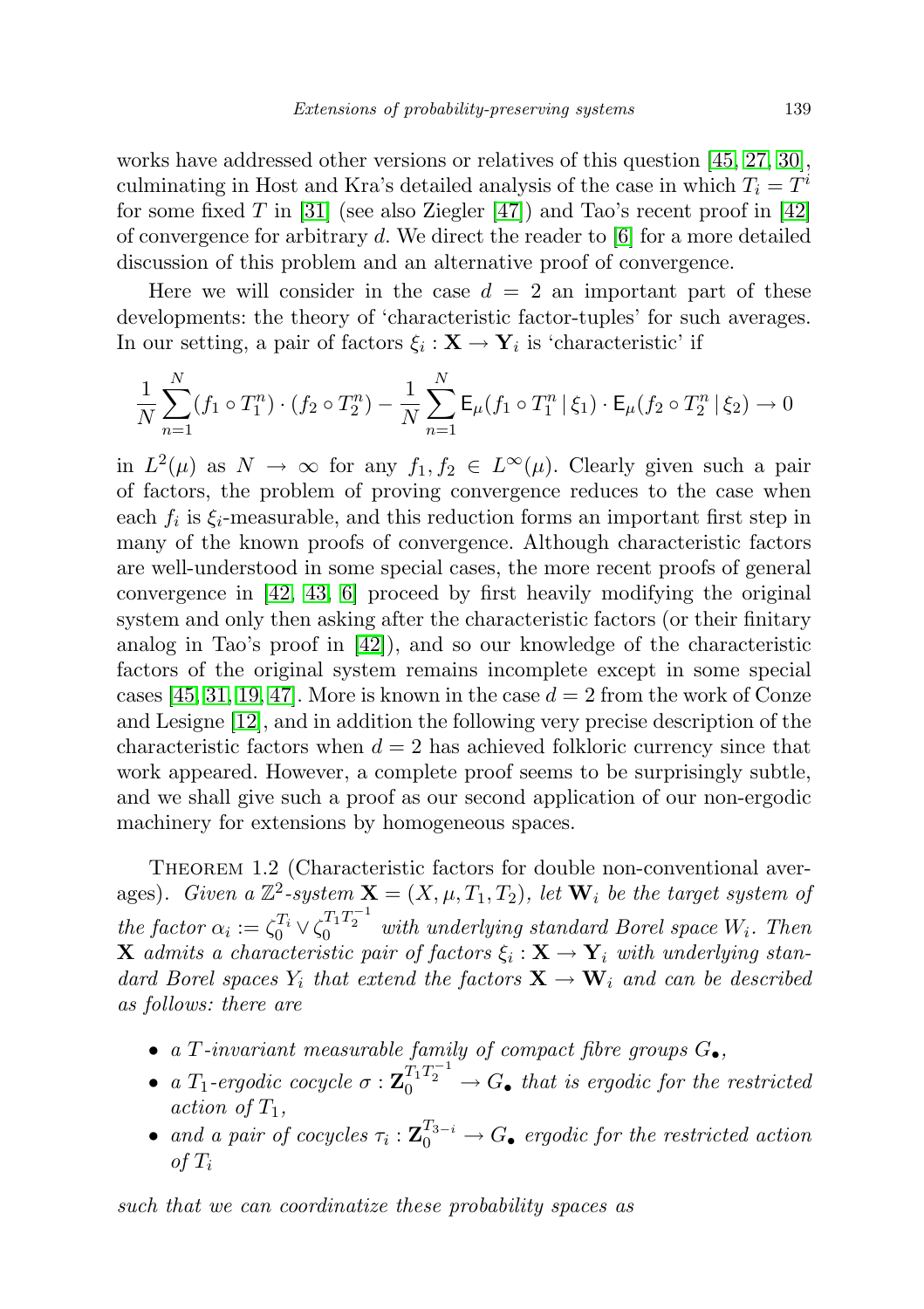works have addressed other versions or relatives of this question [\[45,](#page-73-3) [27,](#page-72-5) [30\]](#page-72-10), culminating in Host and Kra's detailed analysis of the case in which  $T_i = T^i$ for some fixed T in [\[31\]](#page-72-11) (see also Ziegler  $[47]$ ) and Tao's recent proof in [\[42\]](#page-73-4) of convergence for arbitrary d. We direct the reader to  $[6]$  for a more detailed discussion of this problem and an alternative proof of convergence.

Here we will consider in the case  $d = 2$  an important part of these developments: the theory of 'characteristic factor-tuples' for such averages. In our setting, a pair of factors  $\xi_i : \mathbf{X} \to \mathbf{Y}_i$  is 'characteristic' if

$$
\frac{1}{N} \sum_{n=1}^{N} (f_1 \circ T_1^n) \cdot (f_2 \circ T_2^n) - \frac{1}{N} \sum_{n=1}^{N} \mathsf{E}_{\mu}(f_1 \circ T_1^n \, | \, \xi_1) \cdot \mathsf{E}_{\mu}(f_2 \circ T_2^n \, | \, \xi_2) \to 0
$$

in  $L^2(\mu)$  as  $N \to \infty$  for any  $f_1, f_2 \in L^{\infty}(\mu)$ . Clearly given such a pair of factors, the problem of proving convergence reduces to the case when each  $f_i$  is  $\xi_i$ -measurable, and this reduction forms an important first step in many of the known proofs of convergence. Although characteristic factors are well-understood in some special cases, the more recent proofs of general convergence in [\[42,](#page-73-4) [43,](#page-73-5) [6\]](#page-71-4) proceed by first heavily modifying the original system and only then asking after the characteristic factors (or their finitary analog in Tao's proof in [\[42\]](#page-73-4)), and so our knowledge of the characteristic factors of the original system remains incomplete except in some special cases [\[45,](#page-73-3) [31,](#page-72-11) [19,](#page-72-12) [47\]](#page-73-2). More is known in the case  $d = 2$  from the work of Conze and Lesigne [\[12\]](#page-71-3), and in addition the following very precise description of the characteristic factors when  $d = 2$  has achieved folkloric currency since that work appeared. However, a complete proof seems to be surprisingly subtle, and we shall give such a proof as our second application of our non-ergodic machinery for extensions by homogeneous spaces.

THEOREM 1.2 (Characteristic factors for double non-conventional averages). Given a  $\mathbb{Z}^2$ -system  $\mathbf{X} = (X, \mu, T_1, T_2)$ , let  $\mathbf{W}_i$  be the target system of the factor  $\alpha_i := \zeta_0^{T_i} \vee \zeta_0^{T_1 T_2^{-1}}$  with underlying standard Borel space  $W_i$ . Then **X** admits a characteristic pair of factors  $\xi_i : \mathbf{X} \to \mathbf{Y}_i$  with underlying standard Borel spaces  $Y_i$  that extend the factors  $X \to W_i$  and can be described as follows: there are

- a T-invariant measurable family of compact fibre groups  $G_{\bullet}$ ,
- a  $T_1$ -ergodic cocycle  $\sigma : \mathbf{Z}_0^{T_1T_2^{-1}} \to G$  that is ergodic for the restricted action of  $T_1$ ,
- and a pair of cocycles  $\tau_i: \mathbf{Z}_0^{T_{3-i}} \to G_{\bullet}$  ergodic for the restricted action of  $T_i$

such that we can coordinatize these probability spaces as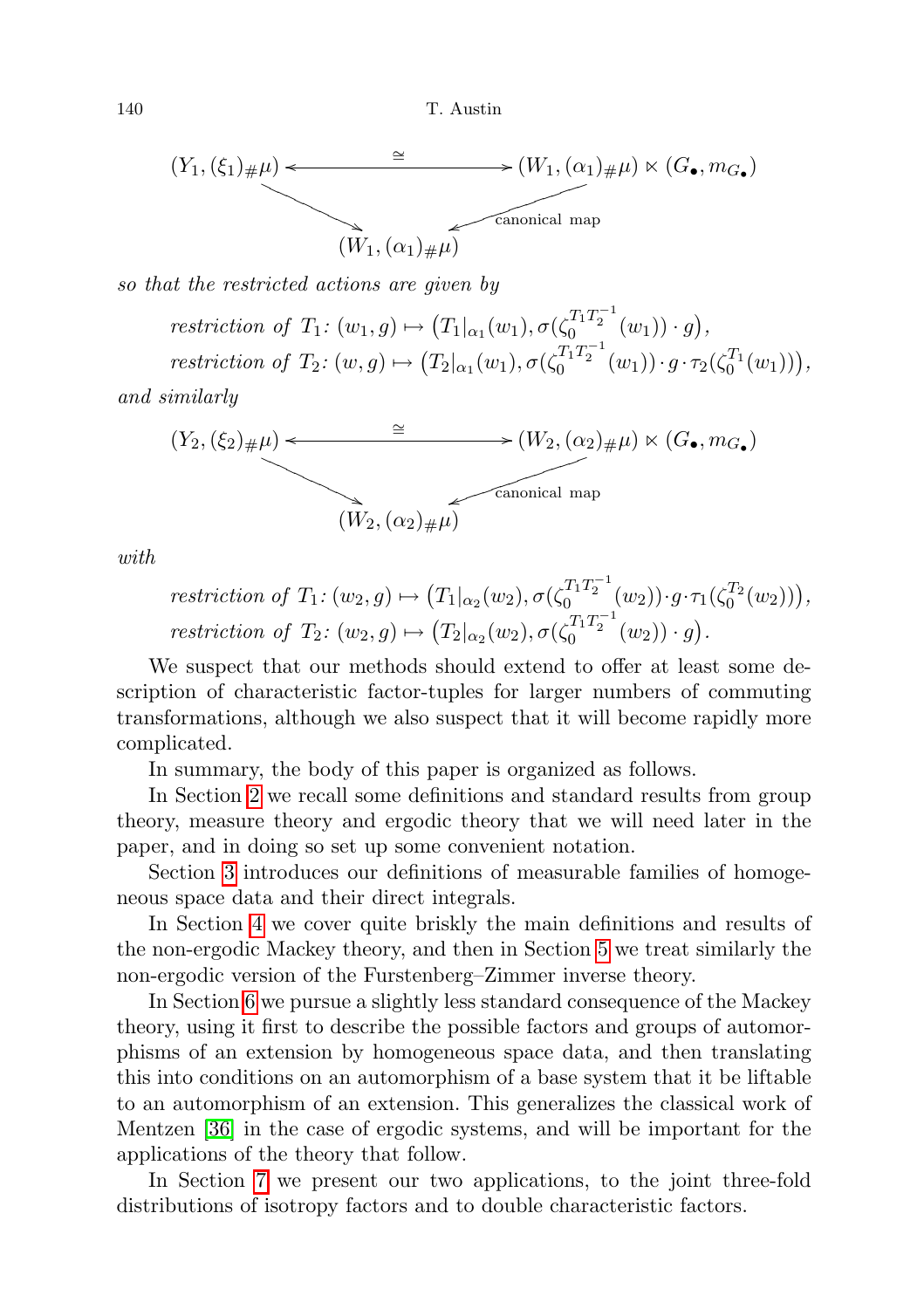

so that the restricted actions are given by

restriction of  $T_1$ :  $(w_1, g) \mapsto (T_1|_{\alpha_1}(w_1), \sigma(\zeta_0^{T_1 T_2^{-1}}(w_1)) \cdot g),$ restriction of  $T_2$ :  $(w, g) \mapsto (T_2|_{\alpha_1}(w_1), \sigma(\zeta_0^{T_1 T_2^{-1}}(w_1)) \cdot g \cdot \tau_2(\zeta_0^{T_1}(w_1))),$ 

and similarly

$$
(Y_2, (\xi_2)_{\#}\mu) \leftarrow \longrightarrow (W_2, (\alpha_2)_{\#}\mu) \ltimes (G_{\bullet}, m_{G_{\bullet}})
$$
  
\n
$$
(W_2, (\alpha_2)_{\#}\mu) \longrightarrow
$$
 canonical map

with

$$
restriction\ of\ T_1: (w_2, g) \mapsto (T_1|_{\alpha_2}(w_2), \sigma(\zeta_0^{T_1T_2^{-1}}(w_2)) \cdot g \cdot \tau_1(\zeta_0^{T_2}(w_2))),
$$
  
*restriction of* 
$$
T_2: (w_2, g) \mapsto (T_2|_{\alpha_2}(w_2), \sigma(\zeta_0^{T_1T_2^{-1}}(w_2)) \cdot g).
$$

We suspect that our methods should extend to offer at least some description of characteristic factor-tuples for larger numbers of commuting transformations, although we also suspect that it will become rapidly more complicated.

In summary, the body of this paper is organized as follows.

In Section [2](#page-8-0) we recall some definitions and standard results from group theory, measure theory and ergodic theory that we will need later in the paper, and in doing so set up some convenient notation.

Section [3](#page-14-0) introduces our definitions of measurable families of homogeneous space data and their direct integrals.

In Section [4](#page-19-0) we cover quite briskly the main definitions and results of the non-ergodic Mackey theory, and then in Section [5](#page-29-0) we treat similarly the non-ergodic version of the Furstenberg–Zimmer inverse theory.

In Section [6](#page-36-0) we pursue a slightly less standard consequence of the Mackey theory, using it first to describe the possible factors and groups of automorphisms of an extension by homogeneous space data, and then translating this into conditions on an automorphism of a base system that it be liftable to an automorphism of an extension. This generalizes the classical work of Mentzen [\[36\]](#page-72-9) in the case of ergodic systems, and will be important for the applications of the theory that follow.

In Section [7](#page-44-0) we present our two applications, to the joint three-fold distributions of isotropy factors and to double characteristic factors.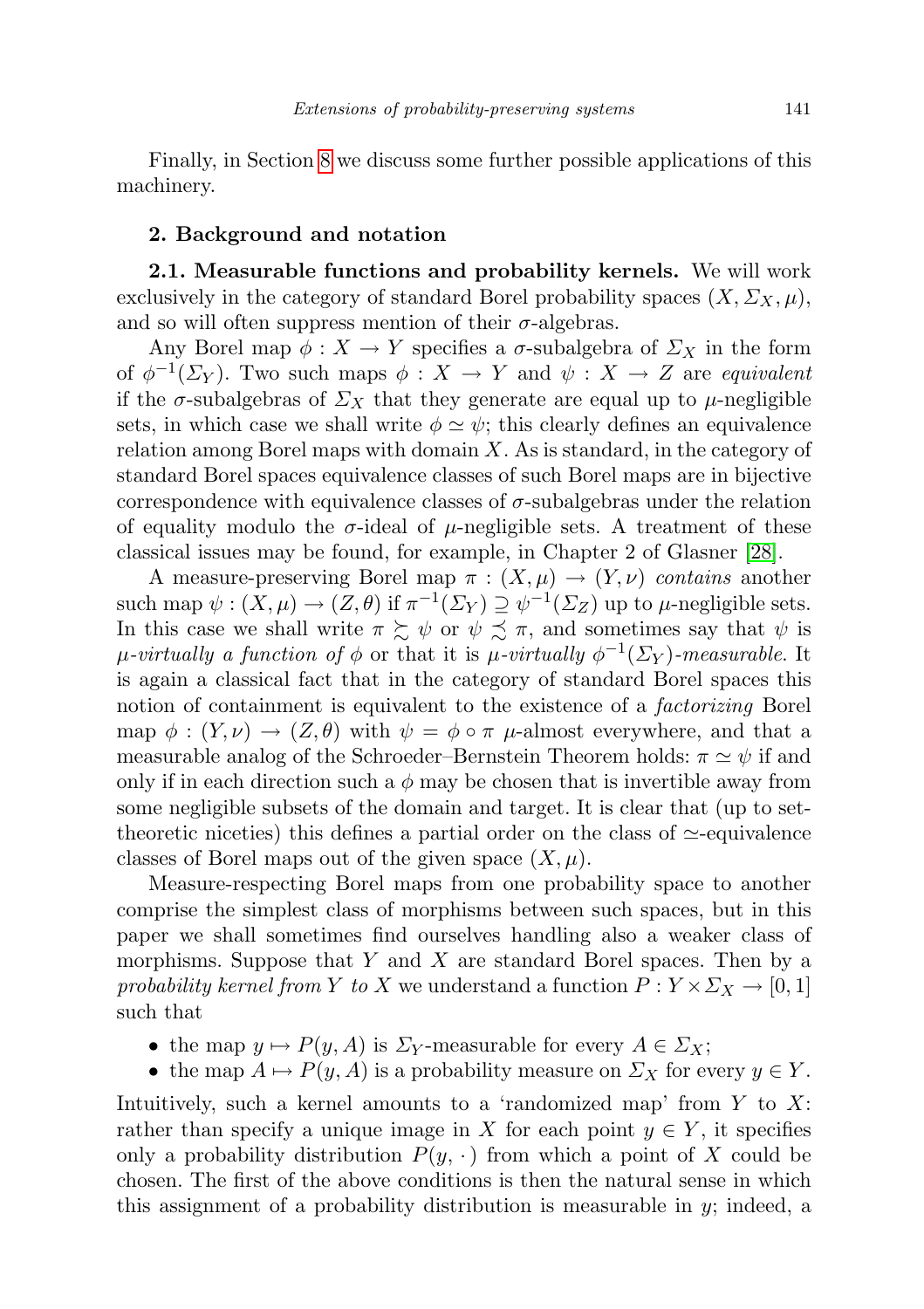Finally, in Section [8](#page-69-0) we discuss some further possible applications of this machinery.

### <span id="page-8-0"></span>2. Background and notation

<span id="page-8-1"></span>2.1. Measurable functions and probability kernels. We will work exclusively in the category of standard Borel probability spaces  $(X, \Sigma_X, \mu)$ , and so will often suppress mention of their  $\sigma$ -algebras.

Any Borel map  $\phi: X \to Y$  specifies a  $\sigma$ -subalgebra of  $\Sigma_X$  in the form of  $\phi^{-1}(\Sigma_Y)$ . Two such maps  $\phi: X \to Y$  and  $\psi: X \to Z$  are equivalent if the  $\sigma$ -subalgebras of  $\Sigma_X$  that they generate are equal up to  $\mu$ -negligible sets, in which case we shall write  $\phi \simeq \psi$ ; this clearly defines an equivalence relation among Borel maps with domain X. As is standard, in the category of standard Borel spaces equivalence classes of such Borel maps are in bijective correspondence with equivalence classes of  $\sigma$ -subalgebras under the relation of equality modulo the  $\sigma$ -ideal of  $\mu$ -negligible sets. A treatment of these classical issues may be found, for example, in Chapter 2 of Glasner [\[28\]](#page-72-0).

A measure-preserving Borel map  $\pi : (X, \mu) \to (Y, \nu)$  contains another such map  $\psi: (X, \mu) \to (Z, \theta)$  if  $\pi^{-1}(\Sigma_Y) \supseteq \psi^{-1}(\Sigma_Z)$  up to  $\mu$ -negligible sets. In this case we shall write  $\pi \succeq \psi$  or  $\psi \preceq \pi$ , and sometimes say that  $\psi$  is μ-virtually a function of φ or that it is μ-virtually  $\phi^{-1}(\Sigma_Y)$ -measurable. It is again a classical fact that in the category of standard Borel spaces this notion of containment is equivalent to the existence of a *factorizing* Borel map  $\phi : (Y, \nu) \to (Z, \theta)$  with  $\psi = \phi \circ \pi \mu$ -almost everywhere, and that a measurable analog of the Schroeder–Bernstein Theorem holds:  $\pi \simeq \psi$  if and only if in each direction such a  $\phi$  may be chosen that is invertible away from some negligible subsets of the domain and target. It is clear that (up to settheoretic niceties) this defines a partial order on the class of  $\simeq$ -equivalence classes of Borel maps out of the given space  $(X, \mu)$ .

Measure-respecting Borel maps from one probability space to another comprise the simplest class of morphisms between such spaces, but in this paper we shall sometimes find ourselves handling also a weaker class of morphisms. Suppose that  $Y$  and  $X$  are standard Borel spaces. Then by a probability kernel from Y to X we understand a function  $P: Y \times \Sigma_X \to [0,1]$ such that

- the map  $y \mapsto P(y, A)$  is  $\Sigma_Y$ -measurable for every  $A \in \Sigma_X$ ;
- the map  $A \mapsto P(y, A)$  is a probability measure on  $\Sigma_X$  for every  $y \in Y$ .

Intuitively, such a kernel amounts to a 'randomized map' from  $Y$  to  $X$ : rather than specify a unique image in X for each point  $y \in Y$ , it specifies only a probability distribution  $P(y, \cdot)$  from which a point of X could be chosen. The first of the above conditions is then the natural sense in which this assignment of a probability distribution is measurable in  $y$ ; indeed, a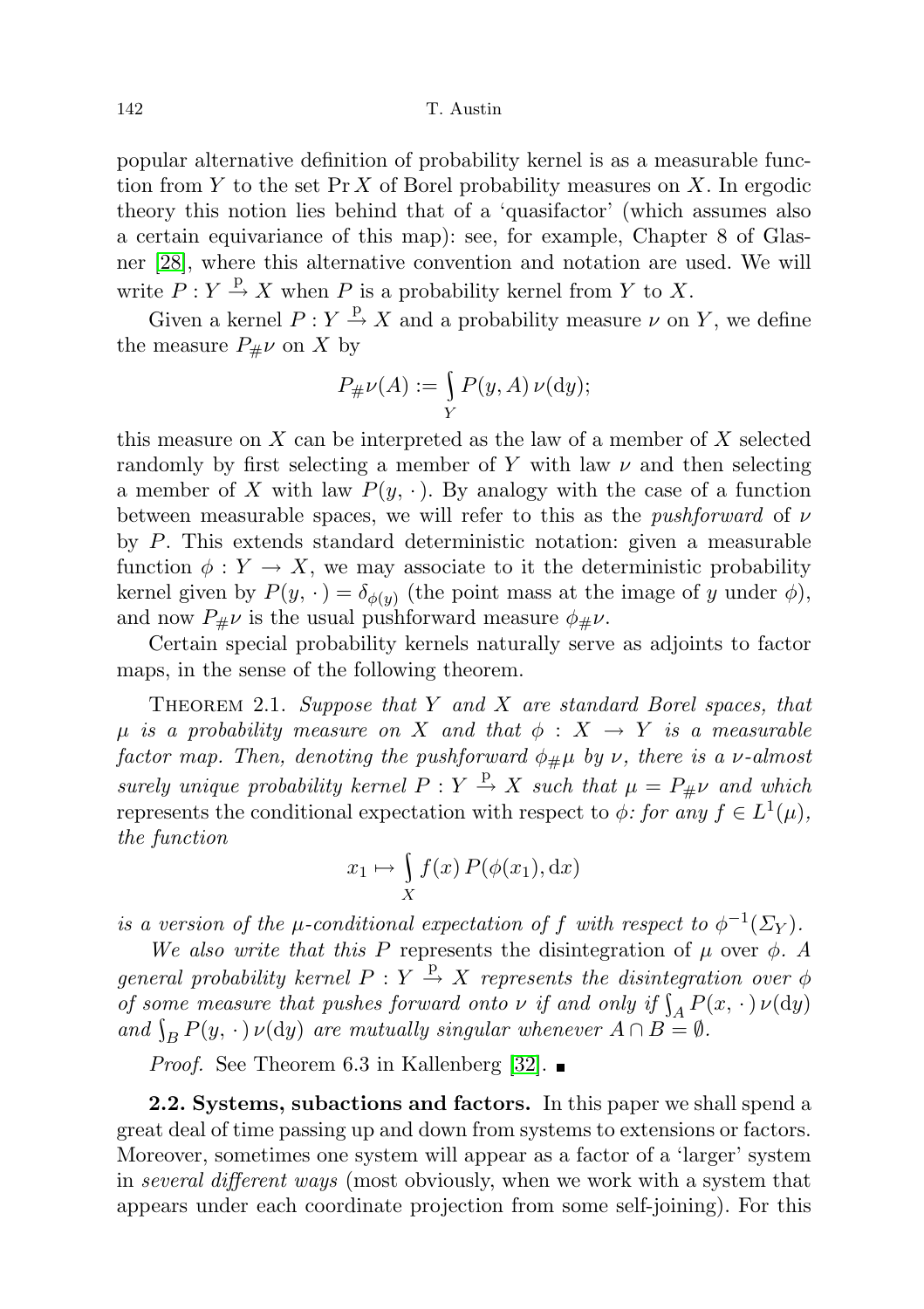popular alternative definition of probability kernel is as a measurable function from Y to the set  $\Pr X$  of Borel probability measures on X. In ergodic theory this notion lies behind that of a 'quasifactor' (which assumes also a certain equivariance of this map): see, for example, Chapter 8 of Glasner [\[28\]](#page-72-0), where this alternative convention and notation are used. We will write  $P: Y \stackrel{\text{p}}{\rightarrow} X$  when P is a probability kernel from Y to X.

Given a kernel  $P: Y \stackrel{p}{\rightarrow} X$  and a probability measure  $\nu$  on Y, we define the measure  $P_{\#}\nu$  on X by

$$
P_{\#}\nu(A) := \int\limits_Y P(y, A)\,\nu(\mathrm{d}y);
$$

this measure on  $X$  can be interpreted as the law of a member of  $X$  selected randomly by first selecting a member of Y with law  $\nu$  and then selecting a member of X with law  $P(y, \cdot)$ . By analogy with the case of a function between measurable spaces, we will refer to this as the *pushforward* of  $\nu$ by P. This extends standard deterministic notation: given a measurable function  $\phi: Y \to X$ , we may associate to it the deterministic probability kernel given by  $P(y, \cdot) = \delta_{\phi(y)}$  (the point mass at the image of y under  $\phi$ ), and now  $P_{\mu\nu}$  is the usual pushforward measure  $\phi_{\mu\nu}$ .

Certain special probability kernels naturally serve as adjoints to factor maps, in the sense of the following theorem.

THEOREM 2.1. Suppose that Y and X are standard Borel spaces, that  $\mu$  is a probability measure on X and that  $\phi : X \to Y$  is a measurable factor map. Then, denoting the pushforward  $\phi_{\#}\mu$  by  $\nu$ , there is a  $\nu$ -almost surely unique probability kernel  $P: Y \stackrel{p}{\rightarrow} X$  such that  $\mu = P_{\#}\nu$  and which represents the conditional expectation with respect to  $\phi$ : for any  $f \in L^1(\mu)$ , the function

$$
x_1 \mapsto \int\limits_X f(x) \, P(\phi(x_1), \mathrm{d}x)
$$

is a version of the  $\mu$ -conditional expectation of f with respect to  $\phi^{-1}(\Sigma_Y)$ .

We also write that this P represents the disintegration of  $\mu$  over  $\phi$ . A general probability kernel  $P: Y \stackrel{\text{p}}{\rightarrow} X$  represents the disintegration over  $\phi$ of some measure that pushes forward onto  $\nu$  if and only if  $\int_A P(x, \cdot) \nu(\mathrm{d}y)$ and  $\int_B P(y, \cdot) \nu(\mathrm{d}y)$  are mutually singular whenever  $A \cap B = \emptyset$ .

*Proof.* See Theorem 6.3 in Kallenberg [\[32\]](#page-72-13).  $\blacksquare$ 

<span id="page-9-0"></span>2.2. Systems, subactions and factors. In this paper we shall spend a great deal of time passing up and down from systems to extensions or factors. Moreover, sometimes one system will appear as a factor of a 'larger' system in several different ways (most obviously, when we work with a system that appears under each coordinate projection from some self-joining). For this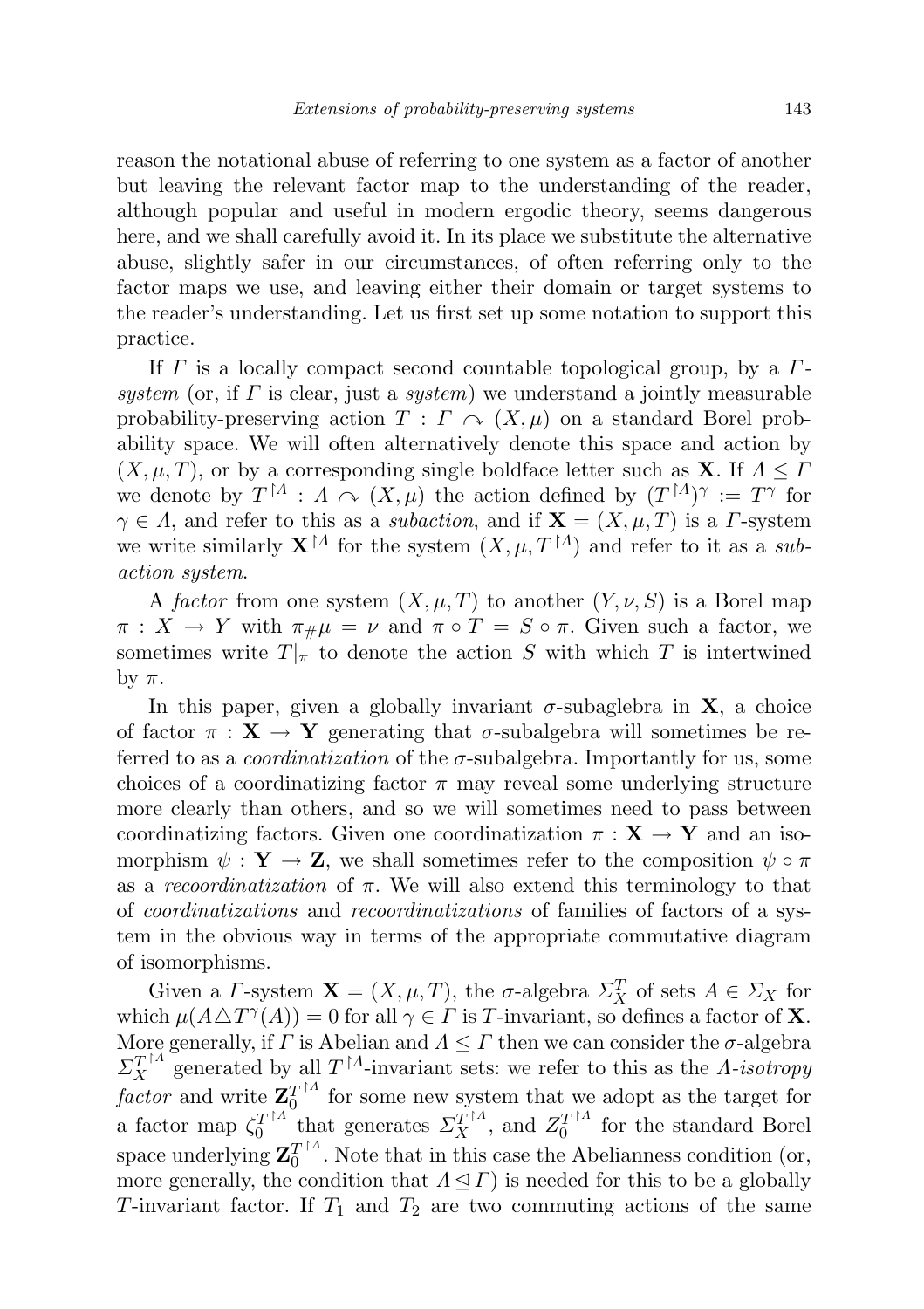reason the notational abuse of referring to one system as a factor of another but leaving the relevant factor map to the understanding of the reader, although popular and useful in modern ergodic theory, seems dangerous here, and we shall carefully avoid it. In its place we substitute the alternative abuse, slightly safer in our circumstances, of often referring only to the factor maps we use, and leaving either their domain or target systems to the reader's understanding. Let us first set up some notation to support this practice.

If  $\Gamma$  is a locally compact second countable topological group, by a  $\Gamma$ system (or, if  $\Gamma$  is clear, just a system) we understand a jointly measurable probability-preserving action  $T : \Gamma \curvearrowright (X, \mu)$  on a standard Borel probability space. We will often alternatively denote this space and action by  $(X, \mu, T)$ , or by a corresponding single boldface letter such as **X**. If  $\Lambda \leq \Gamma$ we denote by  $T^{\upharpoonright A}$ :  $A \cap (X, \mu)$  the action defined by  $(T^{\upharpoonright A})^{\gamma} := T^{\gamma}$  for  $\gamma \in \Lambda$ , and refer to this as a *subaction*, and if  $X = (X, \mu, T)$  is a *Γ*-system we write similarly  $\mathbf{X}^{\dagger A}$  for the system  $(X, \mu, T^{\dagger A})$  and refer to it as a subaction system.

A factor from one system  $(X, \mu, T)$  to another  $(Y, \nu, S)$  is a Borel map  $\pi: X \to Y$  with  $\pi_{\#}\mu = \nu$  and  $\pi \circ T = S \circ \pi$ . Given such a factor, we sometimes write  $T|_{\pi}$  to denote the action S with which T is intertwined by  $\pi$ .

In this paper, given a globally invariant  $\sigma$ -subaglebra in  $X$ , a choice of factor  $\pi : X \to Y$  generating that  $\sigma$ -subalgebra will sometimes be referred to as a *coordinatization* of the  $\sigma$ -subalgebra. Importantly for us, some choices of a coordinatizing factor  $\pi$  may reveal some underlying structure more clearly than others, and so we will sometimes need to pass between coordinatizing factors. Given one coordinatization  $\pi : X \to Y$  and an isomorphism  $\psi : \mathbf{Y} \to \mathbf{Z}$ , we shall sometimes refer to the composition  $\psi \circ \pi$ as a recoordinatization of  $\pi$ . We will also extend this terminology to that of coordinatizations and recoordinatizations of families of factors of a system in the obvious way in terms of the appropriate commutative diagram of isomorphisms.

Given a *Γ*-system **X** =  $(X, \mu, T)$ , the  $\sigma$ -algebra  $\Sigma_X^T$  of sets  $A \in \Sigma_X$  for which  $\mu(A \triangle T^{\gamma}(A)) = 0$  for all  $\gamma \in \Gamma$  is T-invariant, so defines a factor of **X**. More generally, if  $\Gamma$  is Abelian and  $\Lambda \leq \Gamma$  then we can consider the  $\sigma$ -algebra  $\Sigma_X^{T^{\uparrow A}}$  generated by all  $T^{\uparrow A}$ -invariant sets: we refer to this as the *Λ*-*isotropy* factor and write  $\mathbf{Z}_0^{T\restriction A}$  $\frac{T}{0}$  for some new system that we adopt as the target for a factor map  $\zeta_0^{T^{\dagger\Lambda}}$  $T_0^{T^{\uparrow A}}$  that generates  $\Sigma_X^{T^{\uparrow A}}$ , and  $Z_0^{T^{\uparrow A}}$  $_0^{T^{1A}}$  for the standard Borel space underlying  $\mathbf{Z}_0^{T^{\dagger A}}$  $\int_0^{T/\Lambda}$ . Note that in this case the Abelianness condition (or, more generally, the condition that  $\Lambda \leq \Gamma$ ) is needed for this to be a globally T-invariant factor. If  $T_1$  and  $T_2$  are two commuting actions of the same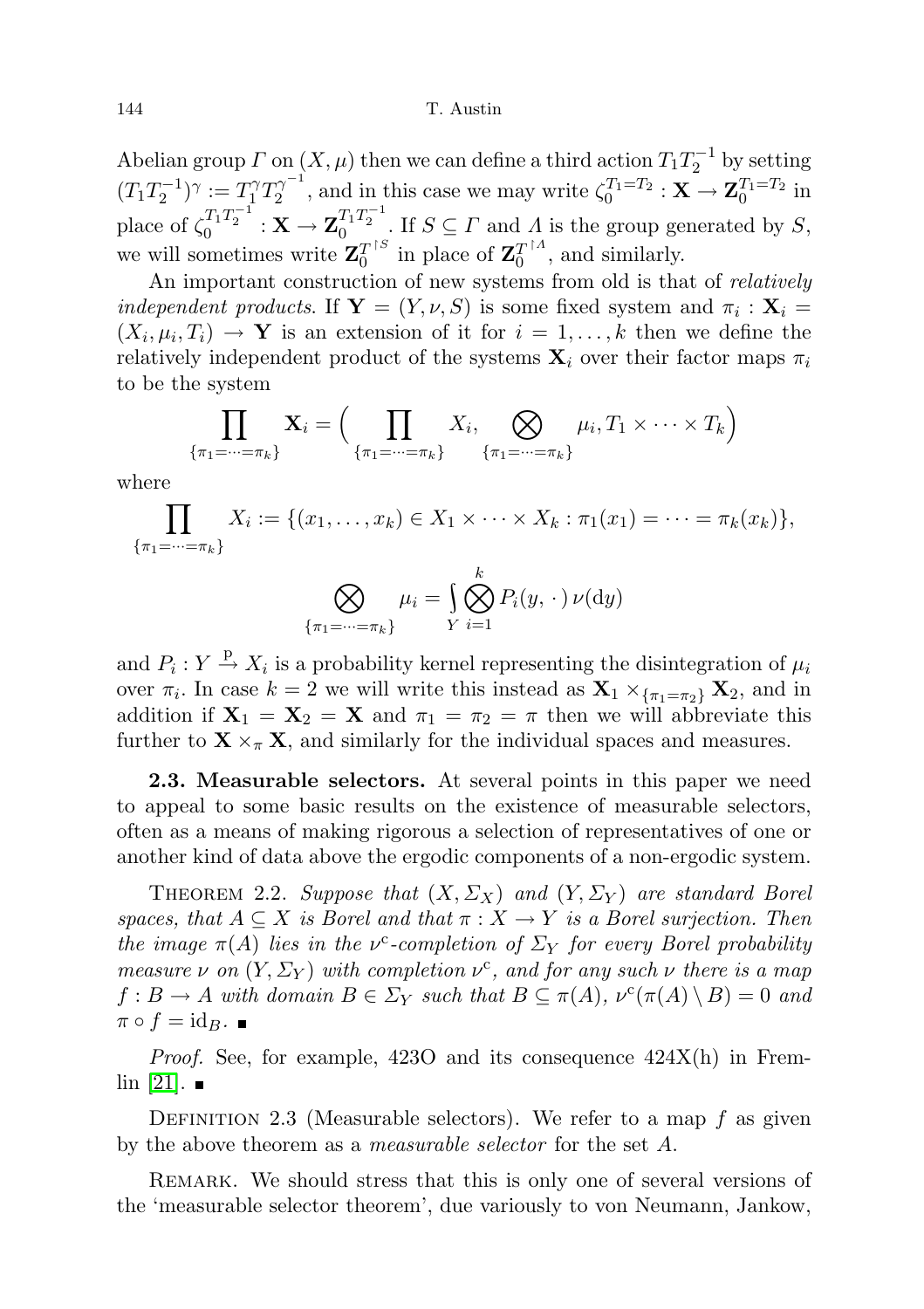144 T. Austin

Abelian group  $\Gamma$  on  $(X, \mu)$  then we can define a third action  $T_1 T_2^{-1}$  by setting  $(T_1T_2^{-1})^\gamma:=T_1^\gamma T_2^{\gamma^{-1}}$  $\zeta_2^{\gamma^{-1}}$ , and in this case we may write  $\zeta_0^{T_1=T_2} : \mathbf{X} \to \mathbf{Z}_0^{T_1=T_2}$  in place of  $\zeta_0^{T_1 T_2^{-1}} : \mathbf{X} \to \mathbf{Z}_0^{T_1 T_2^{-1}}$ . If  $S \subseteq \Gamma$  and  $\Lambda$  is the group generated by S, we will sometimes write  $\mathbf{Z}_0^{T^{\dagger S}}$  $T^{\dagger S}$  in place of  $\mathbf{Z}_{0}^{T^{\dagger A}}$  $\frac{T}{0}^{T}$ , and similarly.

An important construction of new systems from old is that of relatively *independent products.* If  $Y = (Y, \nu, S)$  is some fixed system and  $\pi_i : X_i =$  $(X_i, \mu_i, T_i) \to \mathbf{Y}$  is an extension of it for  $i = 1, \ldots, k$  then we define the relatively independent product of the systems  $\mathbf{X}_i$  over their factor maps  $\pi_i$ to be the system

$$
\prod_{\{\pi_1=\dots=\pi_k\}} \mathbf{X}_i = \Big(\prod_{\{\pi_1=\dots=\pi_k\}} X_i, \bigotimes_{\{\pi_1=\dots=\pi_k\}} \mu_i, T_1 \times \dots \times T_k\Big)
$$

where

$$
\prod_{\{\pi_1=\dots=\pi_k\}} X_i := \{(x_1,\dots,x_k) \in X_1 \times \dots \times X_k : \pi_1(x_1) = \dots = \pi_k(x_k)\},
$$

$$
\bigotimes_{\{\pi_1=\dots=\pi_k\}} \mu_i = \bigcup_{Y}^k \bigotimes_{i=1}^k P_i(y, \cdot) \nu(\mathrm{d}y)
$$

and  $P_i: Y \stackrel{\text{p}}{\rightarrow} X_i$  is a probability kernel representing the disintegration of  $\mu_i$ over  $\pi_i$ . In case  $k = 2$  we will write this instead as  $\mathbf{X}_1 \times_{\{\pi_1 = \pi_2\}} \mathbf{X}_2$ , and in addition if  $X_1 = X_2 = X$  and  $\pi_1 = \pi_2 = \pi$  then we will abbreviate this further to  $\mathbf{X} \times_{\pi} \mathbf{X}$ , and similarly for the individual spaces and measures.

<span id="page-11-0"></span>2.3. Measurable selectors. At several points in this paper we need to appeal to some basic results on the existence of measurable selectors, often as a means of making rigorous a selection of representatives of one or another kind of data above the ergodic components of a non-ergodic system.

<span id="page-11-1"></span>THEOREM 2.2. Suppose that  $(X, \Sigma_X)$  and  $(Y, \Sigma_Y)$  are standard Borel spaces, that  $A \subseteq X$  is Borel and that  $\pi : X \to Y$  is a Borel surjection. Then the image  $\pi(A)$  lies in the v<sup>c</sup>-completion of  $\Sigma_Y$  for every Borel probability measure  $\nu$  on  $(Y, \Sigma_Y)$  with completion  $\nu^c$ , and for any such  $\nu$  there is a map  $f: B \to A$  with domain  $B \in \Sigma_Y$  such that  $B \subseteq \pi(A)$ ,  $\nu^c(\pi(A) \setminus B) = 0$  and  $\pi \circ f = id_B$ .

Proof. See, for example, 423O and its consequence 424X(h) in Frem- $\ln$  [\[21\]](#page-72-14).  $\blacksquare$ 

DEFINITION 2.3 (Measurable selectors). We refer to a map  $f$  as given by the above theorem as a *measurable selector* for the set A.

Remark. We should stress that this is only one of several versions of the 'measurable selector theorem', due variously to von Neumann, Jankow,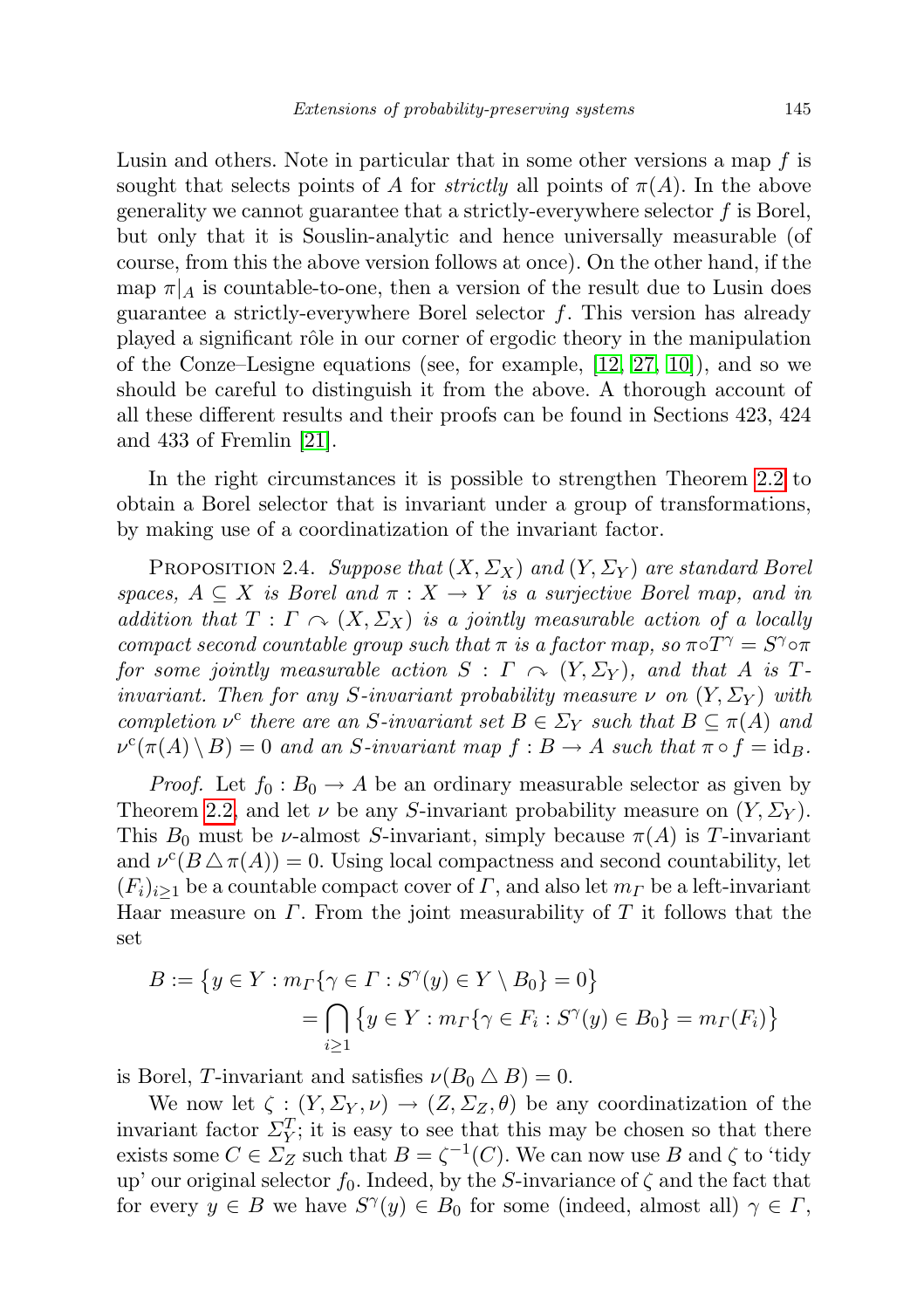Lusin and others. Note in particular that in some other versions a map  $f$  is sought that selects points of A for *strictly* all points of  $\pi(A)$ . In the above generality we cannot guarantee that a strictly-everywhere selector  $f$  is Borel, but only that it is Souslin-analytic and hence universally measurable (of course, from this the above version follows at once). On the other hand, if the map  $\pi|_A$  is countable-to-one, then a version of the result due to Lusin does guarantee a strictly-everywhere Borel selector  $f$ . This version has already played a significant rôle in our corner of ergodic theory in the manipulation of the Conze–Lesigne equations (see, for example, [\[12,](#page-71-3) [27,](#page-72-5) [10\]](#page-71-5)), and so we should be careful to distinguish it from the above. A thorough account of all these different results and their proofs can be found in Sections 423, 424 and 433 of Fremlin [\[21\]](#page-72-14).

In the right circumstances it is possible to strengthen Theorem [2.2](#page-11-1) to obtain a Borel selector that is invariant under a group of transformations, by making use of a coordinatization of the invariant factor.

PROPOSITION 2.4. Suppose that  $(X, \Sigma_X)$  and  $(Y, \Sigma_Y)$  are standard Borel spaces,  $A \subseteq X$  is Borel and  $\pi : X \to Y$  is a surjective Borel map, and in addition that  $T : \Gamma \curvearrowright (X, \Sigma_X)$  is a jointly measurable action of a locally compact second countable group such that  $\pi$  is a factor map, so  $\pi \circ T^{\gamma} = S^{\gamma} \circ \pi$ for some jointly measurable action  $S : \Gamma \curvearrowright (Y, \Sigma_Y)$ , and that A is Tinvariant. Then for any S-invariant probability measure  $\nu$  on  $(Y, \Sigma_Y)$  with completion  $\nu^c$  there are an S-invariant set  $B \in \Sigma_Y$  such that  $B \subseteq \pi(A)$  and  $\nu^c(\pi(A) \setminus B) = 0$  and an S-invariant map  $f : B \to A$  such that  $\pi \circ f = id_B$ .

*Proof.* Let  $f_0 : B_0 \to A$  be an ordinary measurable selector as given by Theorem [2.2,](#page-11-1) and let  $\nu$  be any S-invariant probability measure on  $(Y, \Sigma_Y)$ . This  $B_0$  must be *ν*-almost *S*-invariant, simply because  $\pi(A)$  is *T*-invariant and  $\nu^{c}(B \triangle \pi(A)) = 0$ . Using local compactness and second countability, let  $(F_i)_{i\geq 1}$  be a countable compact cover of  $\Gamma$ , and also let  $m_{\Gamma}$  be a left-invariant Haar measure on  $\Gamma$ . From the joint measurability of  $T$  it follows that the set

$$
B := \left\{ y \in Y : m_{\Gamma} \{ \gamma \in \Gamma : S^{\gamma}(y) \in Y \setminus B_0 \} = 0 \right\}
$$
  
= 
$$
\bigcap_{i \geq 1} \left\{ y \in Y : m_{\Gamma} \{ \gamma \in F_i : S^{\gamma}(y) \in B_0 \} = m_{\Gamma}(F_i) \right\}
$$

is Borel, T-invariant and satisfies  $\nu(B_0 \triangle B) = 0$ .

We now let  $\zeta : (Y, \Sigma_Y, \nu) \to (Z, \Sigma_Z, \theta)$  be any coordinatization of the invariant factor  $\Sigma_Y^T$ ; it is easy to see that this may be chosen so that there exists some  $C \in \Sigma_Z$  such that  $B = \zeta^{-1}(C)$ . We can now use B and  $\zeta$  to 'tidy up' our original selector  $f_0$ . Indeed, by the S-invariance of  $\zeta$  and the fact that for every  $y \in B$  we have  $S^{\gamma}(y) \in B_0$  for some (indeed, almost all)  $\gamma \in \Gamma$ ,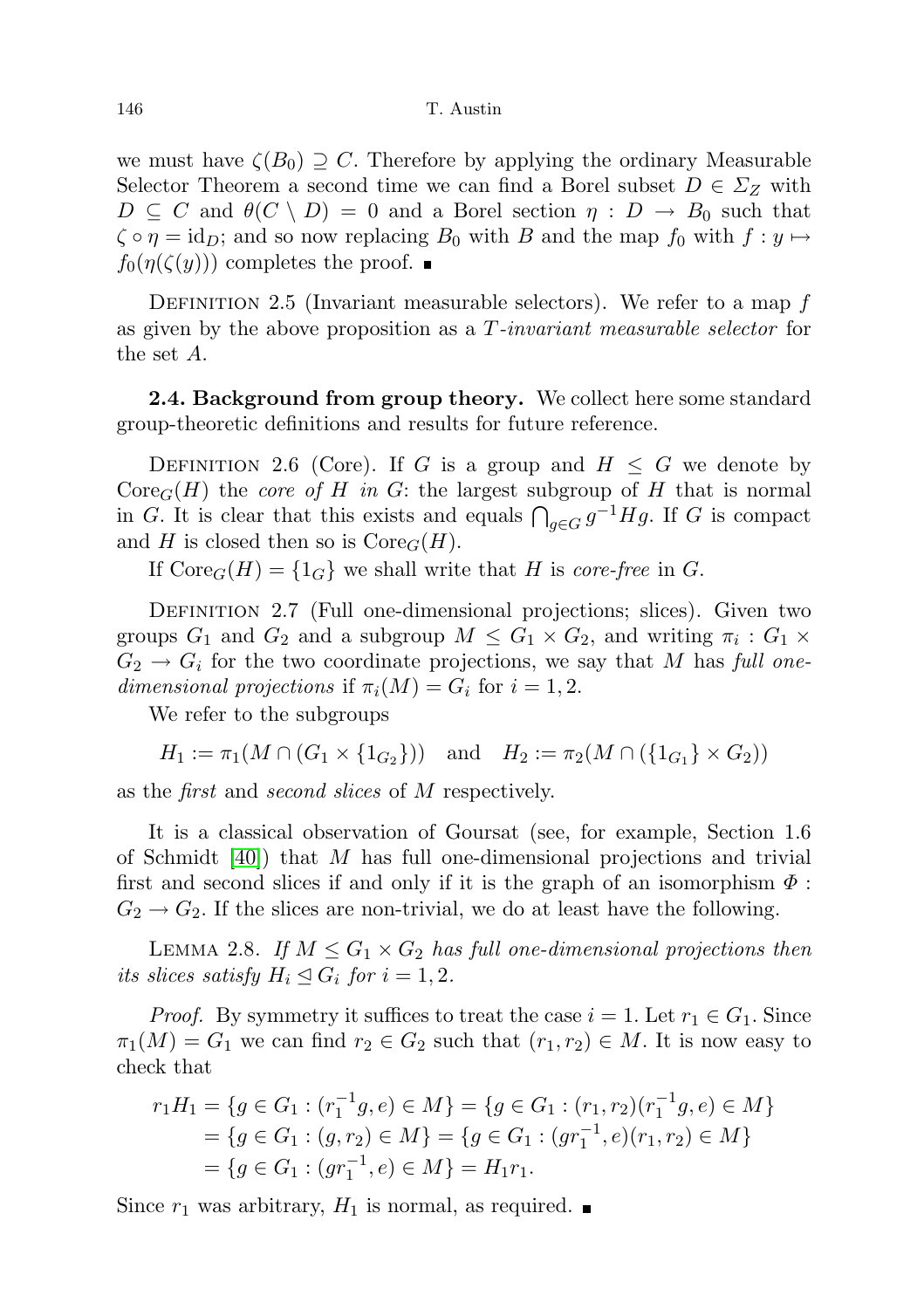we must have  $\zeta(B_0) \supseteq C$ . Therefore by applying the ordinary Measurable Selector Theorem a second time we can find a Borel subset  $D \in \Sigma_Z$  with  $D \subseteq C$  and  $\theta(C \setminus D) = 0$  and a Borel section  $\eta : D \to B_0$  such that  $\zeta \circ \eta = \text{id}_D$ ; and so now replacing  $B_0$  with B and the map  $f_0$  with  $f: y \mapsto$  $f_0(\eta(\zeta(y)))$  completes the proof.  $\blacksquare$ 

DEFINITION 2.5 (Invariant measurable selectors). We refer to a map  $f$ as given by the above proposition as a T-invariant measurable selector for the set A.

<span id="page-13-0"></span>2.4. Background from group theory. We collect here some standard group-theoretic definitions and results for future reference.

DEFINITION 2.6 (Core). If G is a group and  $H \leq G$  we denote by  $\text{Core}_G(H)$  the *core of H in G*: the largest subgroup of H that is normal in G. It is clear that this exists and equals  $\bigcap_{g\in G} g^{-1}Hg$ . If G is compact and H is closed then so is  $\text{Core}_G(H)$ .

If  $\text{Core}_G(H) = \{1_G\}$  we shall write that H is core-free in G.

DEFINITION 2.7 (Full one-dimensional projections; slices). Given two groups  $G_1$  and  $G_2$  and a subgroup  $M \leq G_1 \times G_2$ , and writing  $\pi_i : G_1 \times G_2$  $G_2 \rightarrow G_i$  for the two coordinate projections, we say that M has full onedimensional projections if  $\pi_i(M) = G_i$  for  $i = 1, 2$ .

We refer to the subgroups

 $H_1 := \pi_1(M \cap (G_1 \times \{1_{G_2}\}))$  and  $H_2 := \pi_2(M \cap (\{1_{G_1}\} \times G_2))$ 

as the first and second slices of M respectively.

It is a classical observation of Goursat (see, for example, Section 1.6 of Schmidt  $[40]$ ) that M has full one-dimensional projections and trivial first and second slices if and only if it is the graph of an isomorphism  $\Phi$ :  $G_2 \rightarrow G_2$ . If the slices are non-trivial, we do at least have the following.

LEMMA 2.8. If  $M \leq G_1 \times G_2$  has full one-dimensional projections then its slices satisfy  $H_i \trianglelefteq G_i$  for  $i = 1, 2$ .

*Proof.* By symmetry it suffices to treat the case  $i = 1$ . Let  $r_1 \in G_1$ . Since  $\pi_1(M) = G_1$  we can find  $r_2 \in G_2$  such that  $(r_1, r_2) \in M$ . It is now easy to check that

$$
r_1H_1 = \{ g \in G_1 : (r_1^{-1}g, e) \in M \} = \{ g \in G_1 : (r_1, r_2)(r_1^{-1}g, e) \in M \}
$$
  
=  $\{ g \in G_1 : (g, r_2) \in M \} = \{ g \in G_1 : (gr_1^{-1}, e)(r_1, r_2) \in M \}$   
=  $\{ g \in G_1 : (gr_1^{-1}, e) \in M \} = H_1r_1.$ 

Since  $r_1$  was arbitrary,  $H_1$  is normal, as required.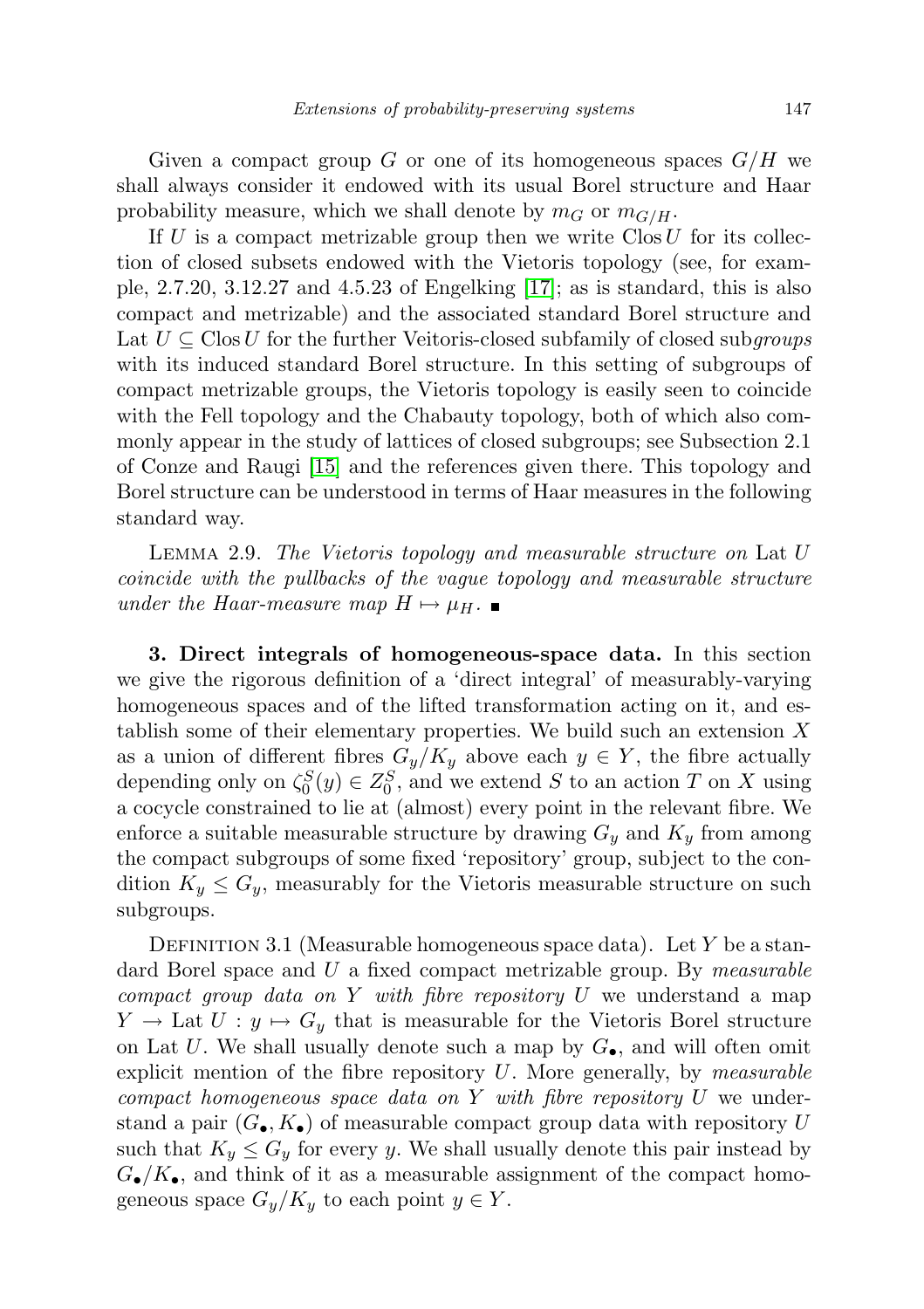Given a compact group G or one of its homogeneous spaces  $G/H$  we shall always consider it endowed with its usual Borel structure and Haar probability measure, which we shall denote by  $m_G$  or  $m_{G/H}$ .

If U is a compact metrizable group then we write  $\text{Clos } U$  for its collection of closed subsets endowed with the Vietoris topology (see, for example,  $2.7.20$ ,  $3.12.27$  and  $4.5.23$  of Engelking [\[17\]](#page-72-16); as is standard, this is also compact and metrizable) and the associated standard Borel structure and Lat  $U \subseteq \text{Clos } U$  for the further Veitoris-closed subfamily of closed subgroups with its induced standard Borel structure. In this setting of subgroups of compact metrizable groups, the Vietoris topology is easily seen to coincide with the Fell topology and the Chabauty topology, both of which also commonly appear in the study of lattices of closed subgroups; see Subsection 2.1 of Conze and Raugi [\[15\]](#page-71-1) and the references given there. This topology and Borel structure can be understood in terms of Haar measures in the following standard way.

Lemma 2.9. The Vietoris topology and measurable structure on Lat U coincide with the pullbacks of the vague topology and measurable structure under the Haar-measure map  $H \mapsto \mu_H$ .

<span id="page-14-0"></span>3. Direct integrals of homogeneous-space data. In this section we give the rigorous definition of a 'direct integral' of measurably-varying homogeneous spaces and of the lifted transformation acting on it, and establish some of their elementary properties. We build such an extension  $X$ as a union of different fibres  $G_y/K_y$  above each  $y \in Y$ , the fibre actually depending only on  $\zeta_0^S(y) \in Z_0^S$ , and we extend S to an action T on X using a cocycle constrained to lie at (almost) every point in the relevant fibre. We enforce a suitable measurable structure by drawing  $G_y$  and  $K_y$  from among the compact subgroups of some fixed 'repository' group, subject to the condition  $K_y \leq G_y$ , measurably for the Vietoris measurable structure on such subgroups.

DEFINITION 3.1 (Measurable homogeneous space data). Let Y be a standard Borel space and  $U$  a fixed compact metrizable group. By *measurable* compact group data on Y with fibre repository  $U$  we understand a map  $Y \to \text{Lat } U : y \mapsto G_y$  that is measurable for the Vietoris Borel structure on Lat U. We shall usually denote such a map by  $G_{\bullet}$ , and will often omit explicit mention of the fibre repository  $U$ . More generally, by *measurable* compact homogeneous space data on  $Y$  with fibre repository  $U$  we understand a pair  $(G_{\bullet}, K_{\bullet})$  of measurable compact group data with repository U such that  $K_y \leq G_y$  for every y. We shall usually denote this pair instead by  $G_{\bullet}/K_{\bullet}$ , and think of it as a measurable assignment of the compact homogeneous space  $G_y/K_y$  to each point  $y \in Y$ .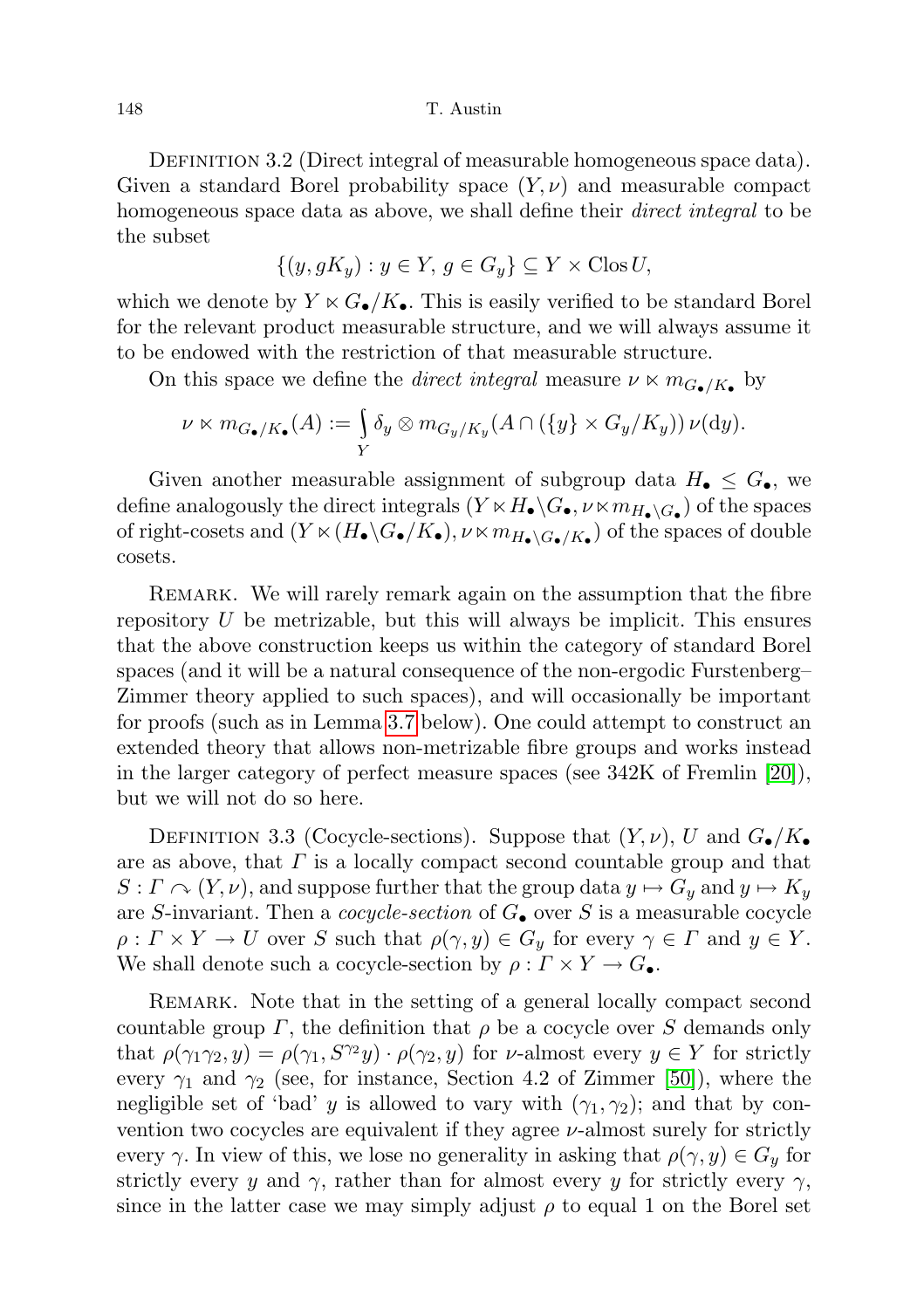DEFINITION 3.2 (Direct integral of measurable homogeneous space data). Given a standard Borel probability space  $(Y, \nu)$  and measurable compact homogeneous space data as above, we shall define their *direct integral* to be the subset

$$
\{(y, gK_y) : y \in Y, g \in G_y\} \subseteq Y \times \text{Clos } U,
$$

which we denote by  $Y \ltimes G_{\bullet}/K_{\bullet}$ . This is easily verified to be standard Borel for the relevant product measurable structure, and we will always assume it to be endowed with the restriction of that measurable structure.

On this space we define the *direct integral* measure  $\nu \ltimes m_{G_{\bullet}/K_{\bullet}}$  by

$$
\nu \ltimes m_{G_{\bullet}/K_{\bullet}}(A) := \int_{Y} \delta_{y} \otimes m_{G_{y}/K_{y}}(A \cap (\{y\} \times G_{y}/K_{y})) \nu(\mathrm{d}y).
$$

Given another measurable assignment of subgroup data  $H_{\bullet} \leq G_{\bullet}$ , we define analogously the direct integrals  $(Y \ltimes H_{\bullet} \backslash G_{\bullet}, \nu \ltimes m_{H_{\bullet} \backslash G_{\bullet}})$  of the spaces of right-cosets and  $(Y \ltimes (H_{\bullet} \backslash G_{\bullet}/K_{\bullet}), \nu \ltimes m_{H_{\bullet} \backslash G_{\bullet}/K_{\bullet}})$  of the spaces of double cosets.

Remark. We will rarely remark again on the assumption that the fibre repository  $U$  be metrizable, but this will always be implicit. This ensures that the above construction keeps us within the category of standard Borel spaces (and it will be a natural consequence of the non-ergodic Furstenberg– Zimmer theory applied to such spaces), and will occasionally be important for proofs (such as in Lemma [3.7](#page-17-0) below). One could attempt to construct an extended theory that allows non-metrizable fibre groups and works instead in the larger category of perfect measure spaces (see 342K of Fremlin [\[20\]](#page-72-17)), but we will not do so here.

DEFINITION 3.3 (Cocycle-sections). Suppose that  $(Y, \nu)$ , U and  $G_{\bullet}/K_{\bullet}$ are as above, that  $\Gamma$  is a locally compact second countable group and that  $S: \Gamma \curvearrowright (Y, \nu)$ , and suppose further that the group data  $y \mapsto G_y$  and  $y \mapsto K_y$ are S-invariant. Then a cocycle-section of  $G_{\bullet}$  over S is a measurable cocycle  $\rho: \Gamma \times Y \to U$  over S such that  $\rho(\gamma, y) \in G_y$  for every  $\gamma \in \Gamma$  and  $y \in Y$ . We shall denote such a cocycle-section by  $\rho: \Gamma \times Y \to G_{\bullet}$ .

REMARK. Note that in the setting of a general locally compact second countable group  $\Gamma$ , the definition that  $\rho$  be a cocycle over S demands only that  $\rho(\gamma_1\gamma_2, y) = \rho(\gamma_1, S^{\gamma_2}y) \cdot \rho(\gamma_2, y)$  for  $\nu$ -almost every  $y \in Y$  for strictly every  $\gamma_1$  and  $\gamma_2$  (see, for instance, Section 4.2 of Zimmer [\[50\]](#page-73-6)), where the negligible set of 'bad' y is allowed to vary with  $(\gamma_1, \gamma_2)$ ; and that by convention two cocycles are equivalent if they agree  $\nu$ -almost surely for strictly every  $\gamma$ . In view of this, we lose no generality in asking that  $\rho(\gamma, y) \in G_y$  for strictly every y and  $\gamma$ , rather than for almost every y for strictly every  $\gamma$ , since in the latter case we may simply adjust  $\rho$  to equal 1 on the Borel set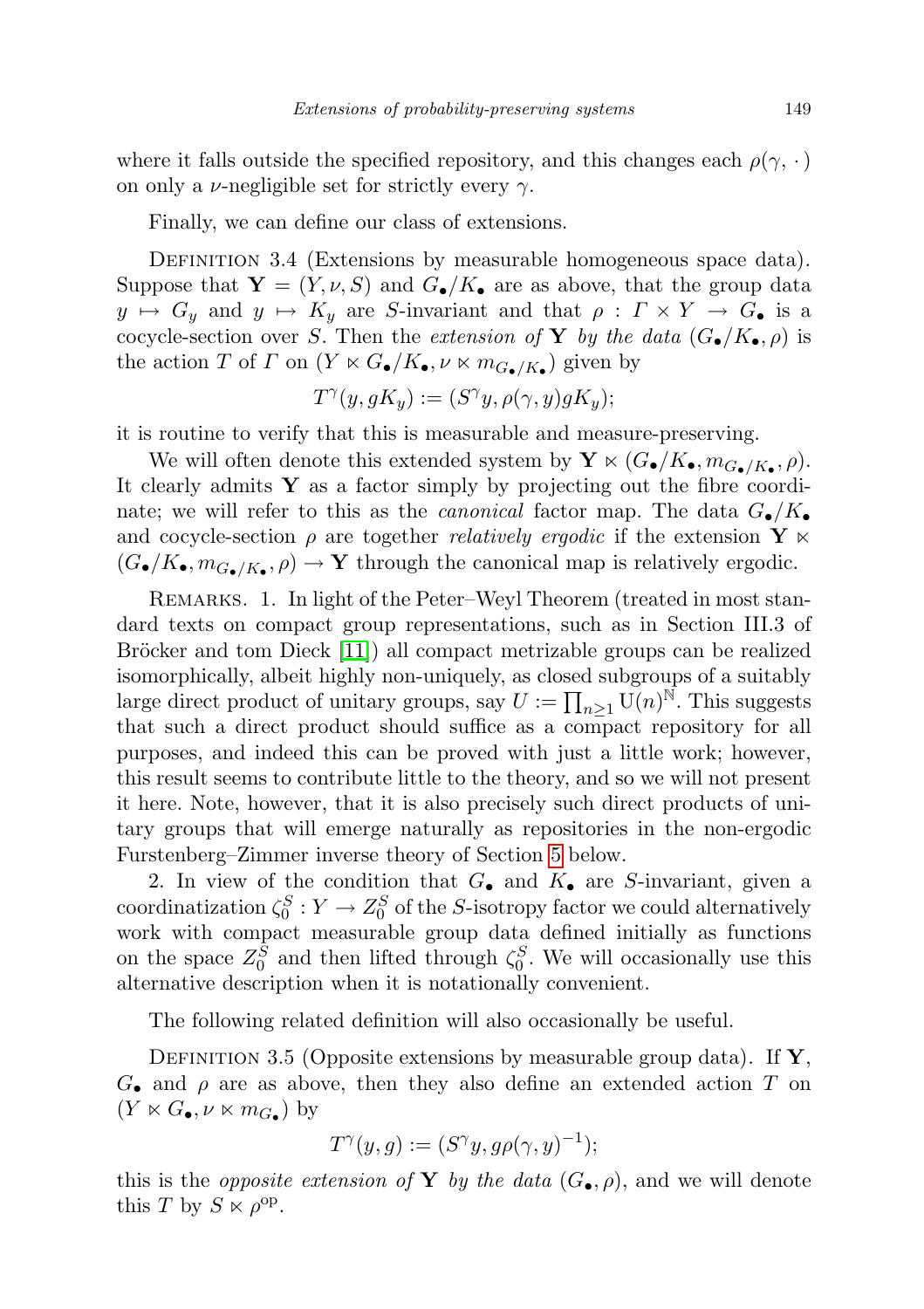where it falls outside the specified repository, and this changes each  $\rho(\gamma, \cdot)$ on only a  $\nu$ -negligible set for strictly every  $\gamma$ .

Finally, we can define our class of extensions.

DEFINITION 3.4 (Extensions by measurable homogeneous space data). Suppose that  $\mathbf{Y} = (Y, \nu, S)$  and  $G_{\bullet}/K_{\bullet}$  are as above, that the group data  $y \mapsto G_y$  and  $y \mapsto K_y$  are S-invariant and that  $\rho : \Gamma \times Y \to G_{\bullet}$  is a cocycle-section over S. Then the extension of Y by the data  $(G_{\bullet}/K_{\bullet}, \rho)$  is the action T of  $\Gamma$  on  $(Y \ltimes G_{\bullet}/K_{\bullet}, \nu \ltimes m_{G_{\bullet}/K_{\bullet}})$  given by

$$
T^{\gamma}(y, gK_y) := (S^{\gamma}y, \rho(\gamma, y)gK_y);
$$

it is routine to verify that this is measurable and measure-preserving.

We will often denote this extended system by  $\mathbf{Y} \ltimes (G_{\bullet}/K_{\bullet}, m_{G_{\bullet}/K_{\bullet}}, \rho)$ . It clearly admits  $\mathbf Y$  as a factor simply by projecting out the fibre coordinate; we will refer to this as the *canonical* factor map. The data  $G_{\bullet}/K_{\bullet}$ and cocycle-section  $\rho$  are together *relatively ergodic* if the extension Y  $\times$  $(G_{\bullet}/K_{\bullet}, m_{G_{\bullet}/K_{\bullet}}, \rho) \to Y$  through the canonical map is relatively ergodic.

REMARKS. 1. In light of the Peter–Weyl Theorem (treated in most standard texts on compact group representations, such as in Section III.3 of Bröcker and tom Dieck  $[11]$  all compact metrizable groups can be realized isomorphically, albeit highly non-uniquely, as closed subgroups of a suitably large direct product of unitary groups, say  $U := \prod_{n\geq 1} U(n)^{\tilde{N}}$ . This suggests that such a direct product should suffice as a compact repository for all purposes, and indeed this can be proved with just a little work; however, this result seems to contribute little to the theory, and so we will not present it here. Note, however, that it is also precisely such direct products of unitary groups that will emerge naturally as repositories in the non-ergodic Furstenberg–Zimmer inverse theory of Section [5](#page-29-0) below.

2. In view of the condition that  $G_{\bullet}$  and  $K_{\bullet}$  are S-invariant, given a coordinatization  $\zeta_0^S: Y \to Z_0^S$  of the S-isotropy factor we could alternatively work with compact measurable group data defined initially as functions on the space  $Z_0^S$  and then lifted through  $\zeta_0^S$ . We will occasionally use this alternative description when it is notationally convenient.

The following related definition will also occasionally be useful.

DEFINITION 3.5 (Opposite extensions by measurable group data). If  $\mathbf{Y}$ ,  $G_{\bullet}$  and  $\rho$  are as above, then they also define an extended action T on  $(Y \ltimes G_{\bullet}, \nu \ltimes m_{G_{\bullet}})$  by

$$
T^{\gamma}(y,g) := (S^{\gamma}y, g\rho(\gamma, y)^{-1});
$$

this is the *opposite extension of* Y by the data  $(G_{\bullet}, \rho)$ , and we will denote this T by  $S \ltimes \rho^{\text{op}}$ .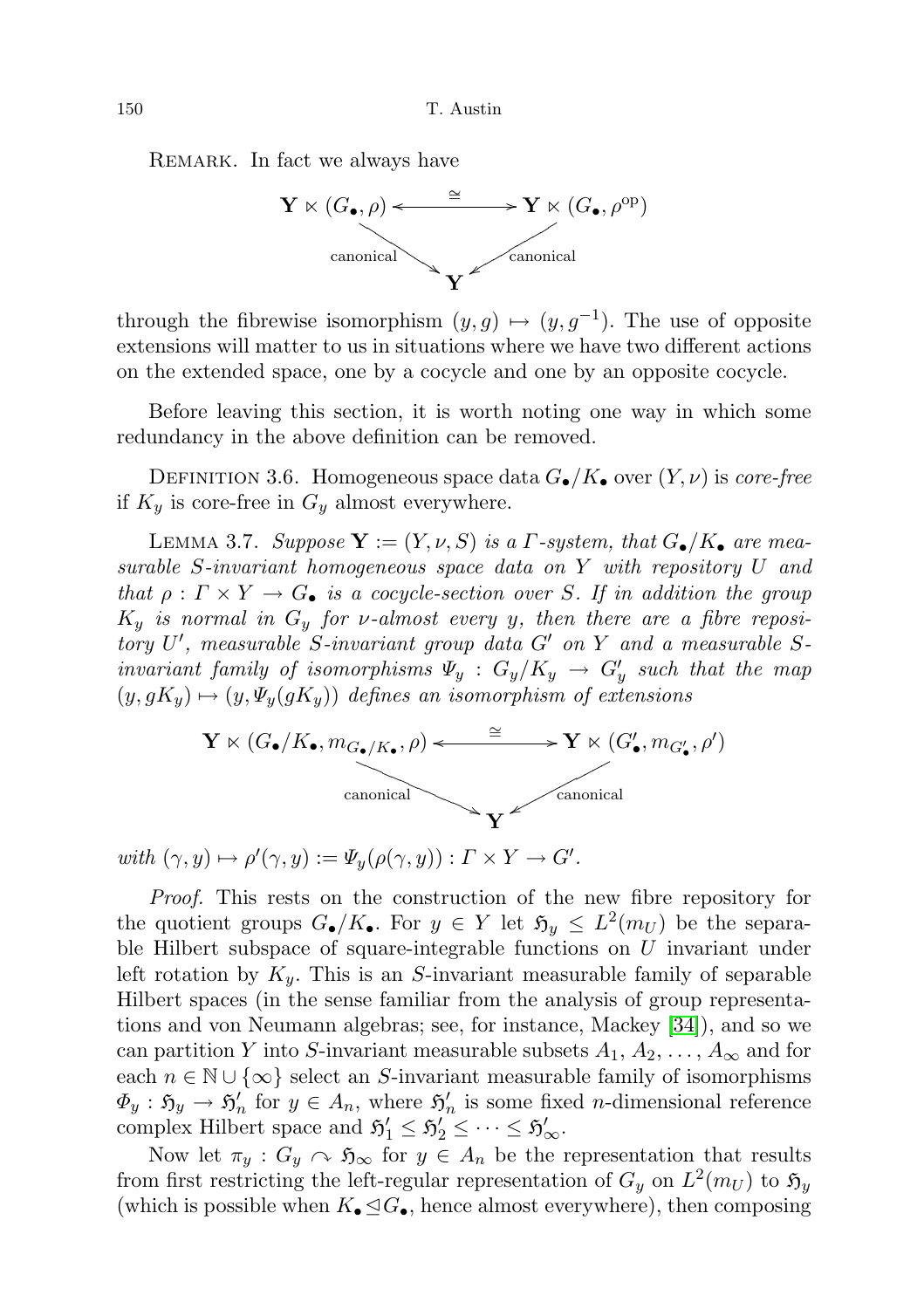150 T. Austin

REMARK. In fact we always have



through the fibrewise isomorphism  $(y, g) \mapsto (y, g^{-1})$ . The use of opposite extensions will matter to us in situations where we have two different actions on the extended space, one by a cocycle and one by an opposite cocycle.

Before leaving this section, it is worth noting one way in which some redundancy in the above definition can be removed.

DEFINITION 3.6. Homogeneous space data  $G_{\bullet}/K_{\bullet}$  over  $(Y, \nu)$  is core-free if  $K_y$  is core-free in  $G_y$  almost everywhere.

<span id="page-17-0"></span>LEMMA 3.7. Suppose  $\mathbf{Y} := (Y, \nu, S)$  is a *Γ*-system, that  $G_{\bullet}/K_{\bullet}$  are measurable S-invariant homogeneous space data on Y with repository U and that  $\rho: \Gamma \times Y \to G_{\bullet}$  is a cocycle-section over S. If in addition the group  $K_y$  is normal in  $G_y$  for v-almost every y, then there are a fibre repository  $U'$ , measurable S-invariant group data  $G'$  on  $Y$  and a measurable Sinvariant family of isomorphisms  $\Psi_y$  :  $G_y/K_y \rightarrow G'_y$  such that the map  $(y, gK_y) \mapsto (y, \Psi_y(gK_y))$  defines an isomorphism of extensions



with  $(\gamma, y) \mapsto \rho'(\gamma, y) := \Psi_y(\rho(\gamma, y)) : \Gamma \times Y \to G'.$ 

Proof. This rests on the construction of the new fibre repository for the quotient groups  $G_{\bullet}/K_{\bullet}$ . For  $y \in Y$  let  $\mathfrak{H}_y \leq L^2(m_U)$  be the separable Hilbert subspace of square-integrable functions on U invariant under left rotation by  $K_y$ . This is an S-invariant measurable family of separable Hilbert spaces (in the sense familiar from the analysis of group representations and von Neumann algebras; see, for instance, Mackey [\[34\]](#page-72-18)), and so we can partition Y into S-invariant measurable subsets  $A_1, A_2, \ldots, A_{\infty}$  and for each  $n \in \mathbb{N} \cup \{\infty\}$  select an S-invariant measurable family of isomorphisms  $\Phi_y : \mathfrak{H}_y \to \mathfrak{H}'_n$  for  $y \in A_n$ , where  $\mathfrak{H}'_n$  is some fixed *n*-dimensional reference complex Hilbert space and  $\mathfrak{H}'_1 \leq \mathfrak{H}'_2 \leq \cdots \leq \mathfrak{H}'_{\infty}$ .

Now let  $\pi_y$ :  $G_y \curvearrowright \mathfrak{H}_{\infty}$  for  $y \in A_n$  be the representation that results from first restricting the left-regular representation of  $G_y$  on  $L^2(m_U)$  to  $\mathfrak{H}_y$ (which is possible when  $K_{\bullet} \trianglelefteq G_{\bullet}$ , hence almost everywhere), then composing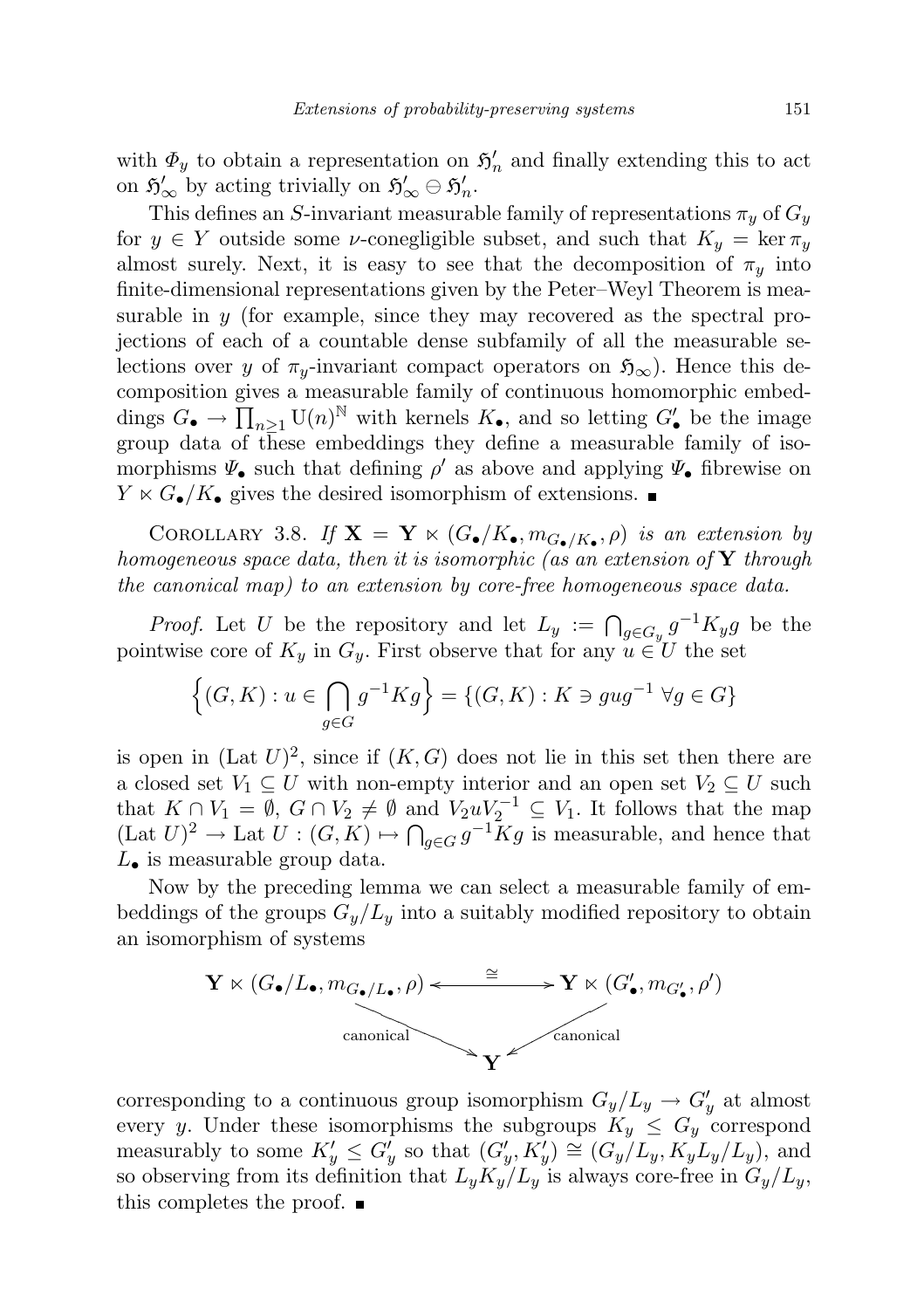with  $\Phi_y$  to obtain a representation on  $\mathfrak{H}'_n$  and finally extending this to act on  $\mathfrak{H}'_{\infty}$  by acting trivially on  $\mathfrak{H}'_{\infty} \ominus \mathfrak{H}'_n$ .

This defines an S-invariant measurable family of representations  $\pi_y$  of  $G_y$ for  $y \in Y$  outside some *v*-conegligible subset, and such that  $K_y = \ker \pi_y$ almost surely. Next, it is easy to see that the decomposition of  $\pi_y$  into finite-dimensional representations given by the Peter–Weyl Theorem is measurable in y (for example, since they may recovered as the spectral projections of each of a countable dense subfamily of all the measurable selections over y of  $\pi_{y}$ -invariant compact operators on  $\mathfrak{H}_{\infty}$ ). Hence this decomposition gives a measurable family of continuous homomorphic embeddings  $G_{\bullet} \to \prod_{n\geq 1} \mathrm{U}(n)^{\mathbb{N}}$  with kernels  $K_{\bullet}$ , and so letting  $G'_{\bullet}$  be the image group data of these embeddings they define a measurable family of isomorphisms  $\Psi_{\bullet}$  such that defining  $\rho'$  as above and applying  $\Psi_{\bullet}$  fibrewise on  $Y \ltimes G_{\bullet}/K_{\bullet}$  gives the desired isomorphism of extensions.

COROLLARY 3.8. If  $\mathbf{X} = \mathbf{Y} \ltimes (G_{\bullet}/K_{\bullet}, m_{G_{\bullet}/K_{\bullet}}, \rho)$  is an extension by homogeneous space data, then it is isomorphic (as an extension of  $Y$  through the canonical map) to an extension by core-free homogeneous space data.

*Proof.* Let U be the repository and let  $L_y := \bigcap_{g \in G_y} g^{-1} K_y g$  be the pointwise core of  $K_y$  in  $G_y$ . First observe that for any  $u \in U$  the set

$$
\left\{ (G,K) : u \in \bigcap_{g \in G} g^{-1}Kg \right\} = \left\{ (G,K) : K \ni gug^{-1} \,\,\forall g \in G \right\}
$$

is open in  $(\text{Lat } U)^2$ , since if  $(K, G)$  does not lie in this set then there are a closed set  $V_1 \subseteq U$  with non-empty interior and an open set  $V_2 \subseteq U$  such that  $K \cap V_1 = \emptyset$ ,  $G \cap V_2 \neq \emptyset$  and  $V_2 u V_2^{-1} \subseteq V_1$ . It follows that the map  $(\text{Lat } U)^2 \to \text{Lat } U : (G, K) \mapsto \bigcap_{g \in G} g^{-1} \overline{K} g$  is measurable, and hence that  $L_{\bullet}$  is measurable group data.

Now by the preceding lemma we can select a measurable family of embeddings of the groups  $G_y/L_y$  into a suitably modified repository to obtain an isomorphism of systems



corresponding to a continuous group isomorphism  $G_y/L_y \rightarrow G'_y$  at almost every y. Under these isomorphisms the subgroups  $K_y \leq G_y$  correspond measurably to some  $K'_y \leq G'_y$  so that  $(G'_y, K'_y) \cong (G_y/L_y, K_y^J L_y/L_y)$ , and so observing from its definition that  $L_y K_y/L_y$  is always core-free in  $G_y/L_y$ , this completes the proof.  $\blacksquare$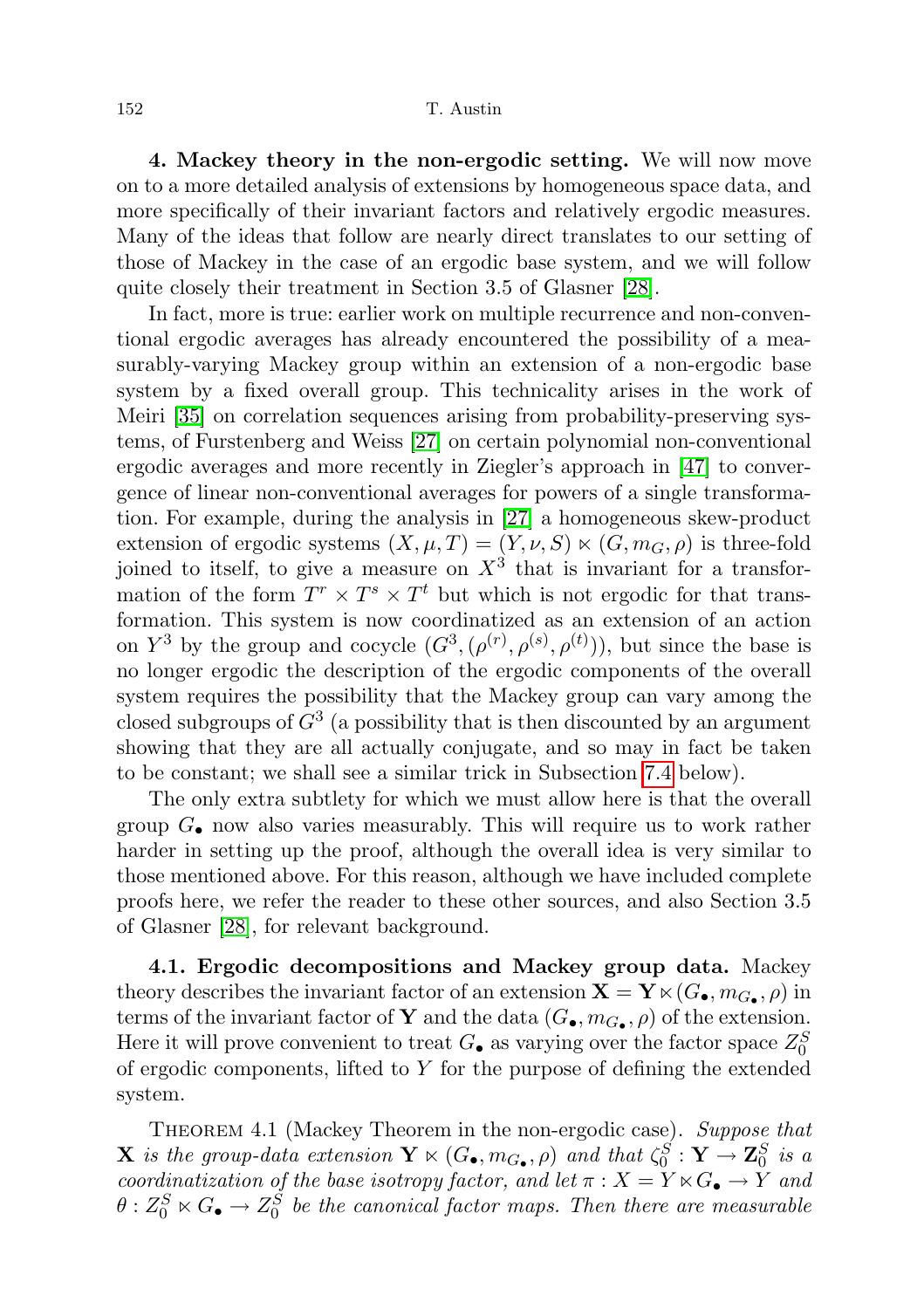<span id="page-19-0"></span>4. Mackey theory in the non-ergodic setting. We will now move on to a more detailed analysis of extensions by homogeneous space data, and more specifically of their invariant factors and relatively ergodic measures. Many of the ideas that follow are nearly direct translates to our setting of those of Mackey in the case of an ergodic base system, and we will follow quite closely their treatment in Section 3.5 of Glasner [\[28\]](#page-72-0).

In fact, more is true: earlier work on multiple recurrence and non-conventional ergodic averages has already encountered the possibility of a measurably-varying Mackey group within an extension of a non-ergodic base system by a fixed overall group. This technicality arises in the work of Meiri [\[35\]](#page-72-4) on correlation sequences arising from probability-preserving systems, of Furstenberg and Weiss [\[27\]](#page-72-5) on certain polynomial non-conventional ergodic averages and more recently in Ziegler's approach in [\[47\]](#page-73-2) to convergence of linear non-conventional averages for powers of a single transformation. For example, during the analysis in [\[27\]](#page-72-5) a homogeneous skew-product extension of ergodic systems  $(X, \mu, T) = (Y, \nu, S) \times (G, m_G, \rho)$  is three-fold joined to itself, to give a measure on  $X<sup>3</sup>$  that is invariant for a transformation of the form  $T^r \times T^s \times T^t$  but which is not ergodic for that transformation. This system is now coordinatized as an extension of an action on  $Y^3$  by the group and cocycle  $(G^3, (\rho^{(r)}, \rho^{(s)}, \rho^{(t)}))$ , but since the base is no longer ergodic the description of the ergodic components of the overall system requires the possibility that the Mackey group can vary among the closed subgroups of  $G^3$  (a possibility that is then discounted by an argument showing that they are all actually conjugate, and so may in fact be taken to be constant; we shall see a similar trick in Subsection [7.4](#page-63-0) below).

The only extra subtlety for which we must allow here is that the overall group  $G_{\bullet}$  now also varies measurably. This will require us to work rather harder in setting up the proof, although the overall idea is very similar to those mentioned above. For this reason, although we have included complete proofs here, we refer the reader to these other sources, and also Section 3.5 of Glasner [\[28\]](#page-72-0), for relevant background.

<span id="page-19-1"></span>4.1. Ergodic decompositions and Mackey group data. Mackey theory describes the invariant factor of an extension  $\mathbf{X} = \mathbf{Y} \ltimes (G_{\bullet}, m_{G_{\bullet}}, \rho)$  in terms of the invariant factor of **Y** and the data  $(G_{\bullet}, m_{G_{\bullet}}, \rho)$  of the extension. Here it will prove convenient to treat  $G_{\bullet}$  as varying over the factor space  $Z_0^S$ of ergodic components, lifted to  $Y$  for the purpose of defining the extended system.

<span id="page-19-2"></span>THEOREM 4.1 (Mackey Theorem in the non-ergodic case). Suppose that **X** is the group-data extension  $\mathbf{Y} \ltimes (G_{\bullet}, m_{G_{\bullet}}, \rho)$  and that  $\zeta_0^S : \mathbf{Y} \to \mathbf{Z}_0^S$  is a coordinatization of the base isotropy factor, and let  $\pi: X = Y \ltimes G_{\bullet} \to Y$  and  $\theta: Z_0^S \ltimes G_\bullet \to Z_0^{\hat{S}}$  be the canonical factor maps. Then there are measurable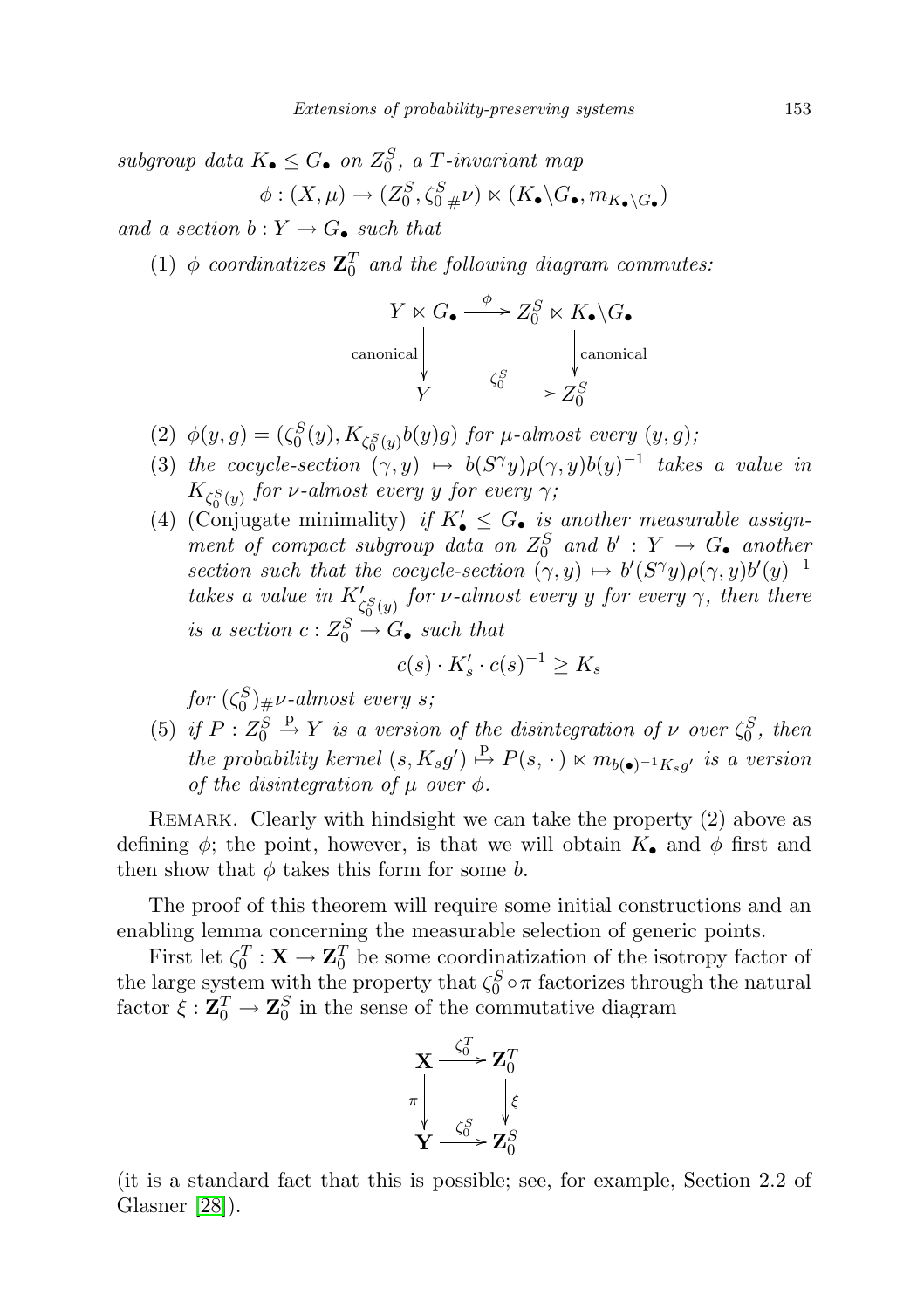subgroup data  $K_{\bullet} \leq G_{\bullet}$  on  $Z_0^S$ , a T-invariant map  $\phi: (X,\mu) \to (Z_0^S, \zeta_{0\;\#}^S \nu) \ltimes (K_{\bullet} \backslash G_{\bullet}, m_{K_{\bullet} \backslash G_{\bullet}})$ 

and a section  $b: Y \to G_{\bullet}$  such that

(1)  $\phi$  coordinatizes  $\mathbf{Z}_{0}^{T}$  and the following diagram commutes:

$$
Y \ltimes G_{\bullet} \xrightarrow{\phi} Z_0^S \ltimes K_{\bullet} \backslash G_{\bullet}
$$
  
canonical  

$$
Y \xrightarrow{\zeta_0^S} Z_0^S
$$
  
(canonical  

$$
Z_0^S
$$

- (2)  $\phi(y,g) = (\zeta_0^S(y), K_{\zeta_0^S(y)}b(y)g)$  for  $\mu$ -almost every  $(y,g)$ ;
- (3) the cocycle-section  $(\gamma, y) \mapsto b(S^{\gamma}y)\rho(\gamma, y)b(y)^{-1}$  takes a value in  $K_{\zeta_{0}^{S}\left(y\right)}$  for v-almost every y for every  $\gamma;$
- (4) (Conjugate minimality) if  $K'_\bullet \leq G_\bullet$  is another measurable assignment of compact subgroup data on  $Z_0^S$  and  $b' : Y \to G_{\bullet}$  another section such that the cocycle-section  $(\gamma, y) \mapsto b'(S^{\gamma}y)\rho(\gamma, y)b'(y)^{-1}$ takes a value in  $K'_{\zeta_0^S(y)}$  for v-almost every y for every  $\gamma$ , then there is a section  $c: Z_0^S \to G_{\bullet}$  such that

$$
c(s) \cdot K_s' \cdot c(s)^{-1} \ge K_s
$$

for  $(\zeta^S_0)_\#\nu\text{-almost every }s;$ 

(5) if  $P: Z_0^S \stackrel{\text{p}}{\rightarrow} Y$  is a version of the disintegration of  $\nu$  over  $\zeta_0^S$ , then the probability kernel  $(s, K_s g') \stackrel{\text{p}}{\mapsto} P(s, \cdot) \ltimes m_{b(\bullet)^{-1} K_s g'}$  is a version of the disintegration of  $\mu$  over  $\phi$ .

REMARK. Clearly with hindsight we can take the property (2) above as defining  $\phi$ ; the point, however, is that we will obtain  $K_{\bullet}$  and  $\phi$  first and then show that  $\phi$  takes this form for some b.

The proof of this theorem will require some initial constructions and an enabling lemma concerning the measurable selection of generic points.

First let  $\zeta_0^T : \mathbf{X} \to \mathbf{Z}_0^T$  be some coordinatization of the isotropy factor of the large system with the property that  $\zeta_0^S \circ \pi$  factorizes through the natural factor  $\xi : \mathbf{Z}_0^T \to \mathbf{Z}_0^S$  in the sense of the commutative diagram



(it is a standard fact that this is possible; see, for example, Section 2.2 of Glasner [\[28\]](#page-72-0)).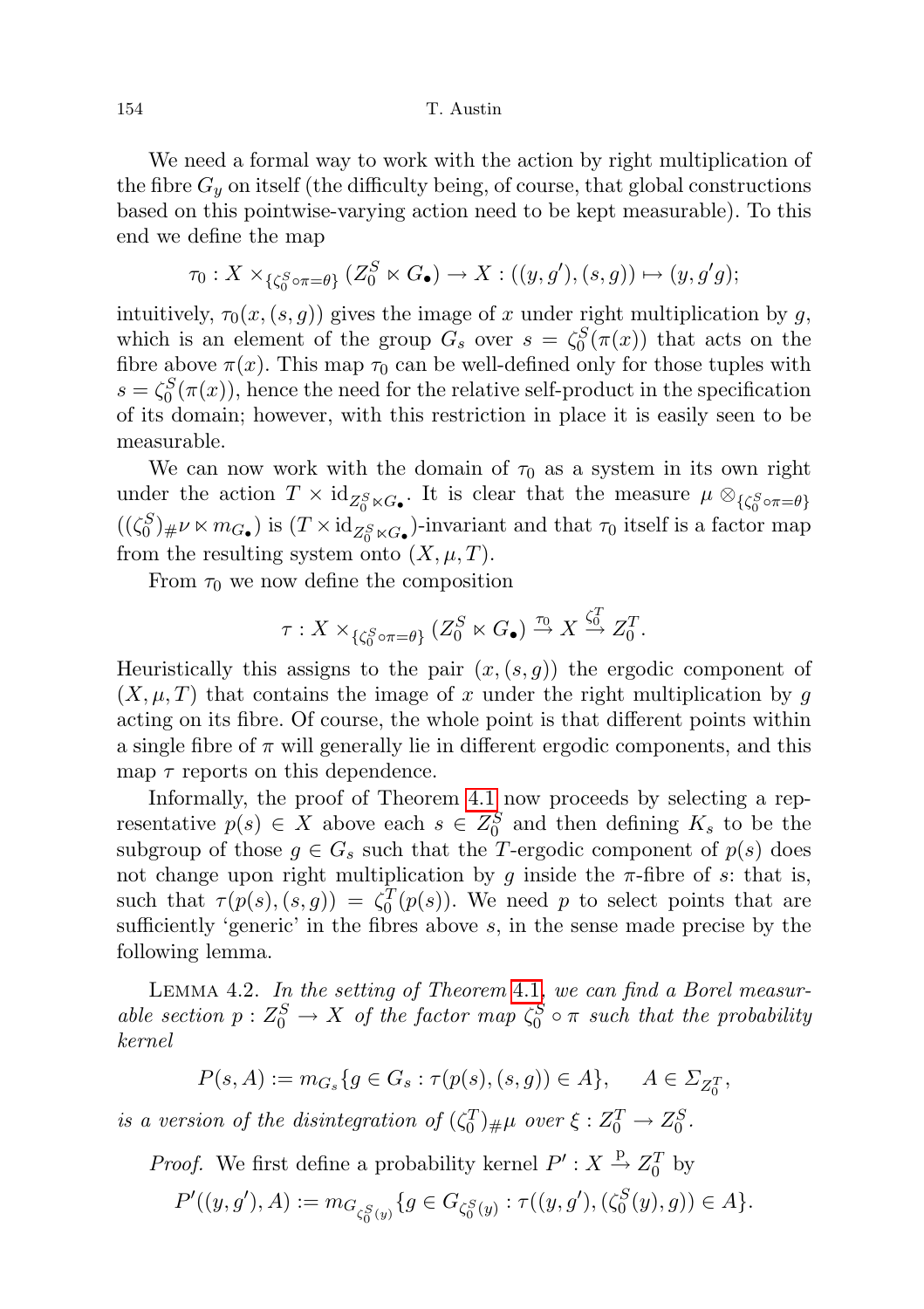We need a formal way to work with the action by right multiplication of the fibre  $G_y$  on itself (the difficulty being, of course, that global constructions based on this pointwise-varying action need to be kept measurable). To this end we define the map

$$
\tau_0: X \times_{\{\zeta_0^S \circ \pi = \theta\}} (Z_0^S \ltimes G_{\bullet}) \to X: ((y, g'), (s, g)) \mapsto (y, g'g);
$$

intuitively,  $\tau_0(x,(s,g))$  gives the image of x under right multiplication by g, which is an element of the group  $G_s$  over  $s = \zeta_0^S(\pi(x))$  that acts on the fibre above  $\pi(x)$ . This map  $\tau_0$  can be well-defined only for those tuples with  $s = \zeta_0^S(\pi(x))$ , hence the need for the relative self-product in the specification of its domain; however, with this restriction in place it is easily seen to be measurable.

We can now work with the domain of  $\tau_0$  as a system in its own right under the action  $T \times \mathrm{id}_{Z_0^S \ltimes G_{\bullet}}$ . It is clear that the measure  $\mu \otimes_{\{\zeta_0^S \circ \pi = \theta\}}$  $((\zeta_0^S)_{\#}\nu \ltimes m_{G_{\bullet}})$  is  $(T \times id_{Z_0^S \ltimes G_{\bullet}})$ -invariant and that  $\tau_0$  itself is a factor map from the resulting system onto  $(X, \mu, T)$ .

From  $\tau_0$  we now define the composition

$$
\tau: X \times_{\{\zeta_0^S \circ \pi = \theta\}} (Z_0^S \ltimes G_\bullet) \xrightarrow{\tau_0} X \xrightarrow{\zeta_0^T} Z_0^T.
$$

Heuristically this assigns to the pair  $(x,(s,g))$  the ergodic component of  $(X, \mu, T)$  that contains the image of x under the right multiplication by g acting on its fibre. Of course, the whole point is that different points within a single fibre of  $\pi$  will generally lie in different ergodic components, and this map  $\tau$  reports on this dependence.

Informally, the proof of Theorem [4.1](#page-19-2) now proceeds by selecting a representative  $p(s) \in X$  above each  $s \in Z_0^S$  and then defining  $K_s$  to be the subgroup of those  $g \in G_s$  such that the T-ergodic component of  $p(s)$  does not change upon right multiplication by g inside the  $\pi$ -fibre of s: that is, such that  $\tau(p(s), (s, g)) = \zeta_0^T(p(s))$ . We need p to select points that are sufficiently 'generic' in the fibres above  $s$ , in the sense made precise by the following lemma.

Lemma 4.2. In the setting of Theorem [4.1](#page-19-2), we can find a Borel measurable section  $p: Z_0^S \to X$  of the factor map  $\zeta_0^S \circ \pi$  such that the probability kernel

$$
P(s, A) := m_{G_s} \{ g \in G_s : \tau(p(s), (s, g)) \in A \}, \quad A \in \Sigma_{Z_0^T},
$$

is a version of the disintegration of  $(\zeta_0^T)_{\#}\mu$  over  $\xi: Z_0^T \to Z_0^S$ .

*Proof.* We first define a probability kernel  $P' : X \stackrel{p}{\rightarrow} Z_0^T$  by

$$
P'((y,g'), A) := m_{G_{\zeta_0^S(y)}}\{g \in G_{\zeta_0^S(y)} : \tau((y,g'), (\zeta_0^S(y),g)) \in A\}.
$$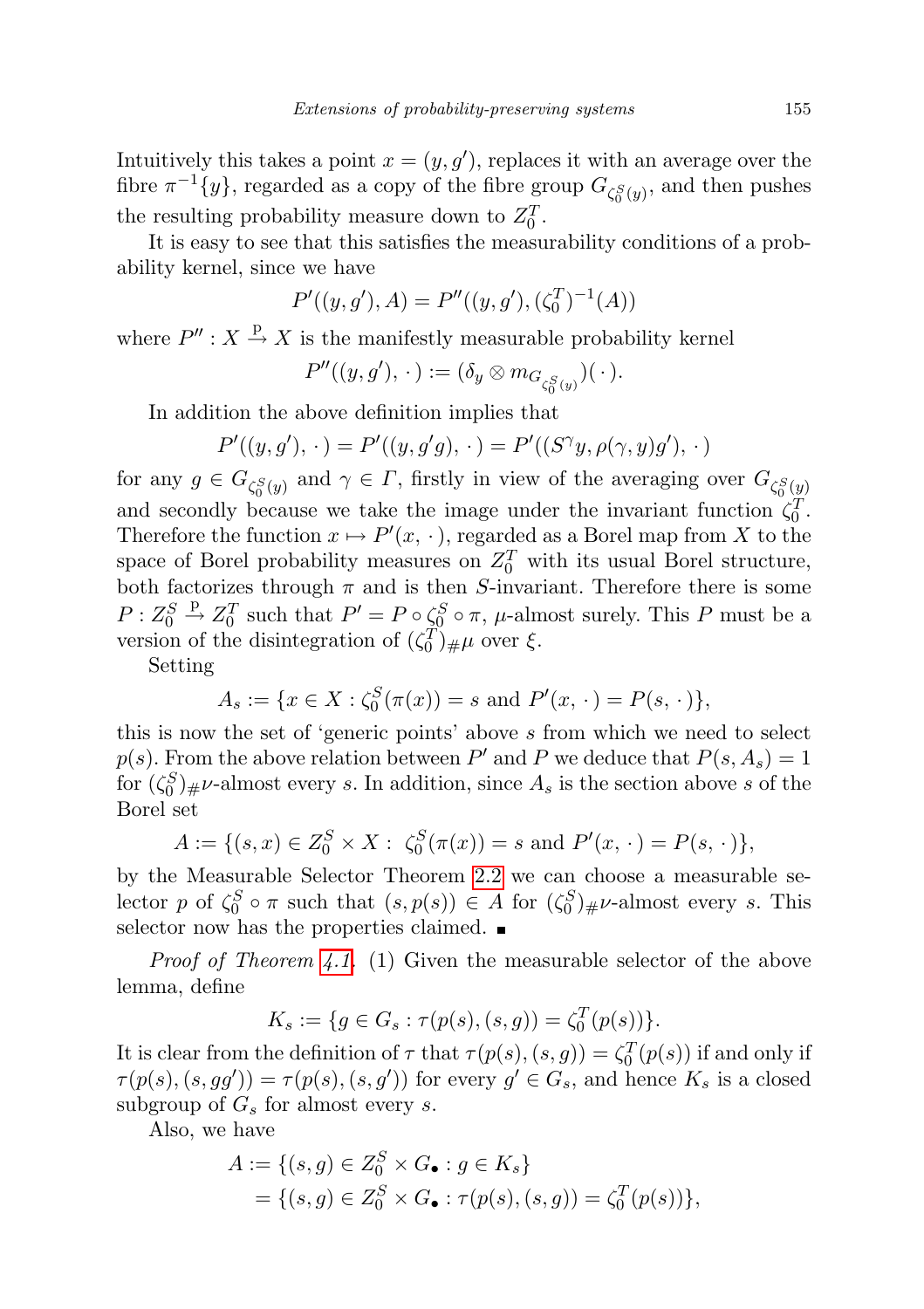Intuitively this takes a point  $x = (y, g')$ , replaces it with an average over the fibre  $\pi^{-1}\lbrace y \rbrace$ , regarded as a copy of the fibre group  $G_{\zeta_0^S(y)}$ , and then pushes the resulting probability measure down to  $Z_0^T$ .

It is easy to see that this satisfies the measurability conditions of a probability kernel, since we have

$$
P'((y, g'), A) = P''((y, g'), (\zeta_0^T)^{-1}(A))
$$

where  $P''$ :  $X \stackrel{\text{p}}{\rightarrow} X$  is the manifestly measurable probability kernel

$$
P''((y,g'),\,\cdot\,):=(\delta_y\otimes m_{G_{\zeta_0^S(y)}})(\,\cdot\,).
$$

In addition the above definition implies that

$$
P'((y,g'), \cdot) = P'((y,g'g), \cdot) = P'((S^{\gamma}y, \rho(\gamma, y)g'), \cdot)
$$

for any  $g \in G_{\zeta_0^S(y)}$  and  $\gamma \in \Gamma$ , firstly in view of the averaging over  $G_{\zeta_0^S(y)}$ and secondly because we take the image under the invariant function  $\zeta_0^T$ . Therefore the function  $x \mapsto P'(x, \cdot)$ , regarded as a Borel map from X to the space of Borel probability measures on  $Z_0^T$  with its usual Borel structure, both factorizes through  $\pi$  and is then S-invariant. Therefore there is some  $P: Z_0^S \stackrel{\text{p}}{\rightarrow} Z_0^T$  such that  $P' = P \circ \zeta_0^S \circ \pi$ ,  $\mu$ -almost surely. This P must be a version of the disintegration of  $(\zeta_0^T)_{\#}\mu$  over  $\xi$ .

Setting

$$
A_s := \{ x \in X : \zeta_0^S(\pi(x)) = s \text{ and } P'(x, \cdot) = P(s, \cdot) \},
$$

this is now the set of 'generic points' above s from which we need to select  $p(s)$ . From the above relation between P' and P we deduce that  $P(s, A_s) = 1$ for  $(\zeta_0^S)_{\#}\nu$ -almost every s. In addition, since  $A_s$  is the section above s of the Borel set

$$
A := \{ (s, x) \in Z_0^S \times X : \zeta_0^S(\pi(x)) = s \text{ and } P'(x, \cdot) = P(s, \cdot) \},
$$

by the Measurable Selector Theorem [2.2](#page-11-1) we can choose a measurable selector p of  $\zeta_0^S \circ \pi$  such that  $(s, p(s)) \in A$  for  $(\zeta_0^S)_{\#} \nu$ -almost every s. This selector now has the properties claimed.  $\blacksquare$ 

Proof of Theorem [4.1.](#page-19-2) (1) Given the measurable selector of the above lemma, define

$$
K_s := \{ g \in G_s : \tau(p(s), (s, g)) = \zeta_0^T(p(s)) \}.
$$

It is clear from the definition of  $\tau$  that  $\tau(p(s), (s, g)) = \zeta_0^T(p(s))$  if and only if  $\tau(p(s), (s, gg')) = \tau(p(s), (s, g'))$  for every  $g' \in G_s$ , and hence  $K_s$  is a closed subgroup of  $G_s$  for almost every s.

Also, we have

$$
A := \{(s, g) \in Z_0^S \times G_{\bullet} : g \in K_s\}
$$
  
=  $\{(s, g) \in Z_0^S \times G_{\bullet} : \tau(p(s), (s, g)) = \zeta_0^T(p(s))\},\$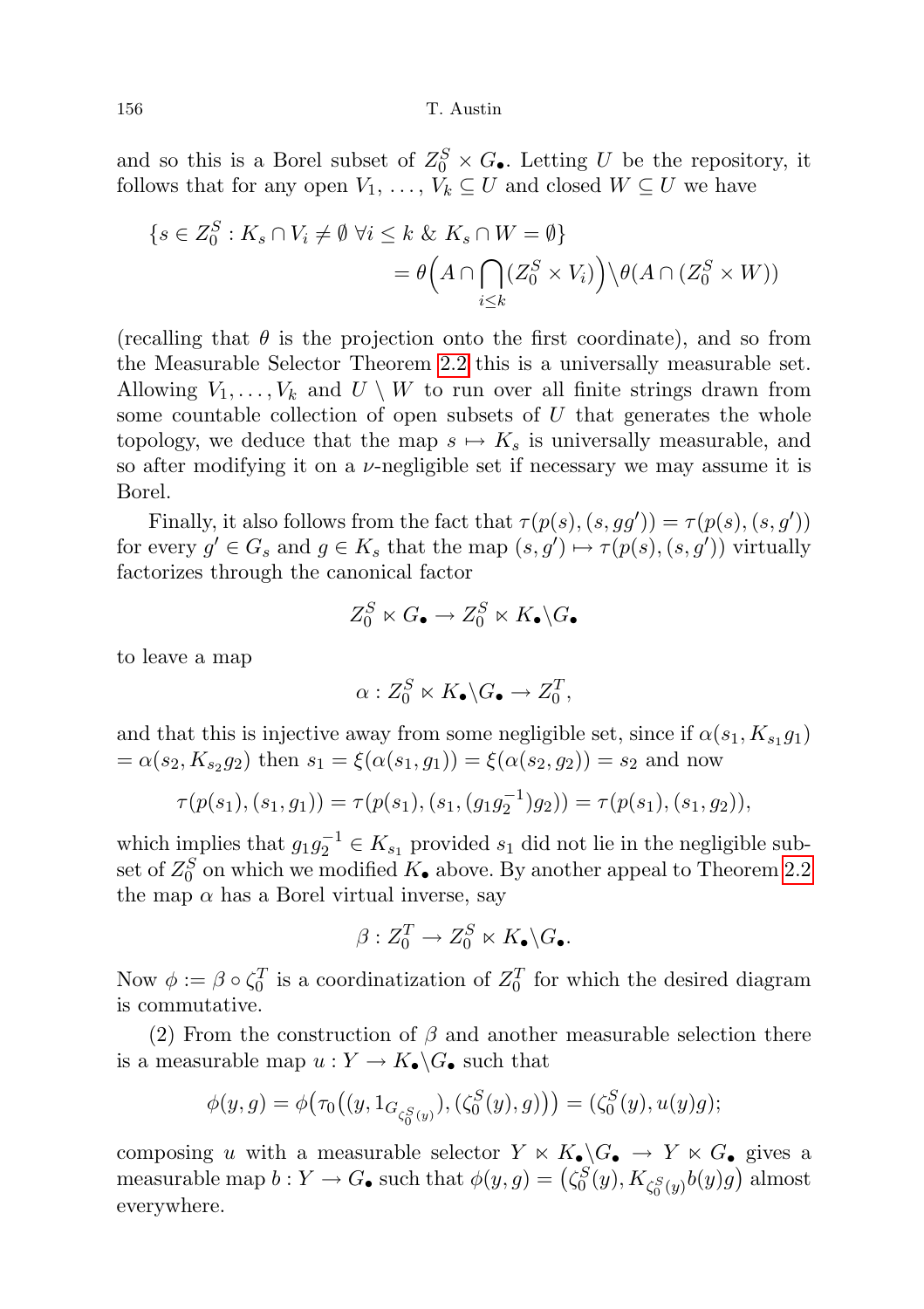and so this is a Borel subset of  $Z_0^S \times G_{\bullet}$ . Letting U be the repository, it follows that for any open  $V_1, \ldots, V_k \subseteq U$  and closed  $W \subseteq U$  we have

$$
\{s \in Z_0^S : K_s \cap V_i \neq \emptyset \; \forall i \le k \; \& \; K_s \cap W = \emptyset\}
$$
  
=  $\theta \Big(A \cap \bigcap_{i \le k} (Z_0^S \times V_i)\Big) \setminus \theta(A \cap (Z_0^S \times W))$ 

(recalling that  $\theta$  is the projection onto the first coordinate), and so from the Measurable Selector Theorem [2.2](#page-11-1) this is a universally measurable set. Allowing  $V_1, \ldots, V_k$  and  $U \setminus W$  to run over all finite strings drawn from some countable collection of open subsets of  $U$  that generates the whole topology, we deduce that the map  $s \mapsto K_s$  is universally measurable, and so after modifying it on a  $\nu$ -negligible set if necessary we may assume it is Borel.

Finally, it also follows from the fact that  $\tau(p(s), (s, gg')) = \tau(p(s), (s, g'))$ for every  $g' \in G_s$  and  $g \in K_s$  that the map  $(s, g') \mapsto \tau(p(s), (s, g'))$  virtually factorizes through the canonical factor

$$
Z_0^S \ltimes G_{\bullet} \to Z_0^S \ltimes K_{\bullet} \backslash G_{\bullet}
$$

to leave a map

$$
\alpha: Z_0^S \ltimes K_\bullet \backslash G_\bullet \to Z_0^T,
$$

and that this is injective away from some negligible set, since if  $\alpha(s_1, K_{s_1}g_1)$  $= \alpha(s_2, K_{s_2}g_2)$  then  $s_1 = \xi(\alpha(s_1, g_1)) = \xi(\alpha(s_2, g_2)) = s_2$  and now

$$
\tau(p(s_1), (s_1, g_1)) = \tau(p(s_1), (s_1, (g_1g_2^{-1})g_2)) = \tau(p(s_1), (s_1, g_2)),
$$

which implies that  $g_1g_2^{-1} \in K_{s_1}$  provided  $s_1$  did not lie in the negligible subset of  $Z_0^S$  on which we modified  $K_{\bullet}$  above. By another appeal to Theorem [2.2](#page-11-1) the map  $\alpha$  has a Borel virtual inverse, say

$$
\beta: Z_0^T \to Z_0^S \ltimes K_\bullet \backslash G_\bullet.
$$

Now  $\phi := \beta \circ \zeta_0^T$  is a coordinatization of  $Z_0^T$  for which the desired diagram is commutative.

(2) From the construction of  $\beta$  and another measurable selection there is a measurable map  $u: Y \to K_{\bullet} \backslash G_{\bullet}$  such that

$$
\phi(y,g) = \phi(\tau_0((y,1_{G_{\zeta_0^S(y)}}),(\zeta_0^S(y),g))) = (\zeta_0^S(y),u(y)g);
$$

composing u with a measurable selector  $Y \ltimes K_{\bullet} \backslash G_{\bullet} \to Y \ltimes G_{\bullet}$  gives a measurable map  $b: Y \to G_{\bullet}$  such that  $\phi(y, g) = (\zeta_0^S(y), K_{\zeta_0^S(y)}b(y)g)$  almost everywhere.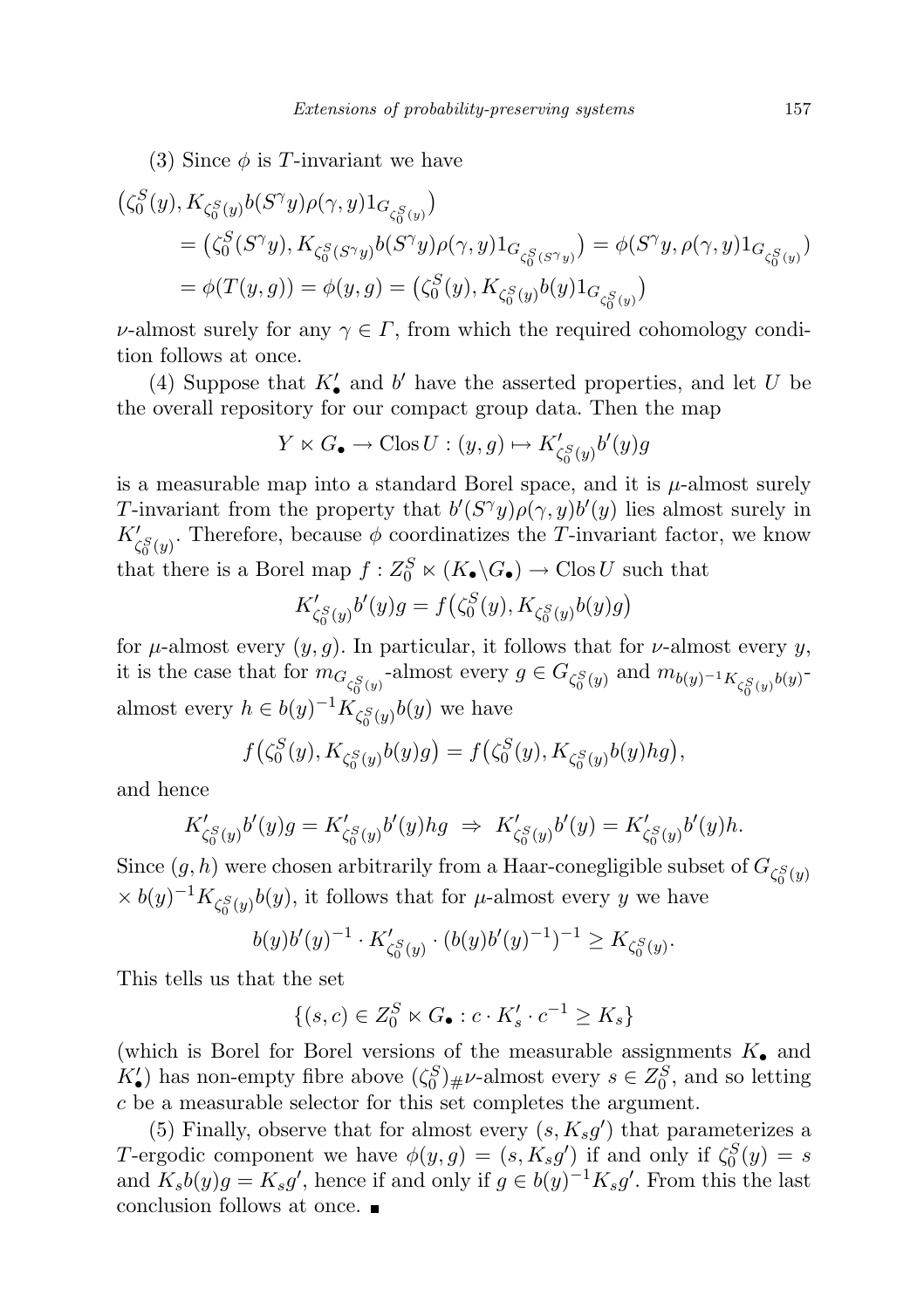(3) Since  $\phi$  is T-invariant we have

$$
\begin{aligned} &\left(\zeta_0^S(y), K_{\zeta_0^S(y)} b(S^\gamma y)\rho(\gamma,y)1_{G_{\zeta_0^S(y)}}\right)\\ &=\left(\zeta_0^S(S^\gamma y), K_{\zeta_0^S(S^\gamma y)} b(S^\gamma y)\rho(\gamma,y)1_{G_{\zeta_0^S(S^\gamma y)}}\right) = \phi(S^\gamma y, \rho(\gamma,y)1_{G_{\zeta_0^S(y)}})\\ &=\phi(T(y,g)) = \phi(y,g) = \left(\zeta_0^S(y), K_{\zeta_0^S(y)} b(y)1_{G_{\zeta_0^S(y)}}\right) \end{aligned}
$$

v-almost surely for any  $\gamma \in \Gamma$ , from which the required cohomology condition follows at once.

(4) Suppose that  $K'_{\bullet}$  and  $b'$  have the asserted properties, and let  $U$  be the overall repository for our compact group data. Then the map

$$
Y \ltimes G_{\bullet} \to \text{Clos } U : (y, g) \mapsto K'_{\zeta_0^S(y)} b'(y)g
$$

is a measurable map into a standard Borel space, and it is  $\mu$ -almost surely T-invariant from the property that  $b'(S^{\gamma}y)\rho(\gamma, y)b'(y)$  lies almost surely in  $K'_{\zeta_0^S(y)}$ . Therefore, because  $\phi$  coordinatizes the T-invariant factor, we know that there is a Borel map  $f: Z_0^S \ltimes (K_{\bullet} \backslash G_{\bullet}) \to \text{Clos } U$  such that

$$
K'_{\zeta_0^S(y)}b'(y)g = f(\zeta_0^S(y), K_{\zeta_0^S(y)}b(y)g)
$$

for  $\mu$ -almost every  $(y, g)$ . In particular, it follows that for  $\nu$ -almost every y, it is the case that for  $m_{G_{\zeta_0^S(y)}}$ -almost every  $g \in G_{\zeta_0^S(y)}$  and  $m_{b(y)^{-1}K_{\zeta_0^S(y)}b(y)^{-1}}$ almost every  $h \in b(y)^{-1} K_{\zeta_0^S(y)} b(y)$  we have

$$
f(\zeta_0^S(y), K_{\zeta_0^S(y)}b(y)g) = f(\zeta_0^S(y), K_{\zeta_0^S(y)}b(y)hg),
$$

and hence

$$
K'_{\zeta_0^S(y)}b'(y)g = K'_{\zeta_0^S(y)}b'(y)hg \Rightarrow K'_{\zeta_0^S(y)}b'(y) = K'_{\zeta_0^S(y)}b'(y)h.
$$

Since  $(g, h)$  were chosen arbitrarily from a Haar-conegligible subset of  $G_{\zeta_0^S(y)}$  $\times b(y)^{-1} K_{\zeta_0^S(y)} b(y)$ , it follows that for  $\mu$ -almost every y we have

$$
b(y)b'(y)^{-1}\cdot K_{\zeta_0^S(y)}' \cdot (b(y)b'(y)^{-1})^{-1} \geq K_{\zeta_0^S(y)}.
$$

This tells us that the set

$$
\{(s,c) \in Z_0^S \ltimes G_{\bullet} : c \cdot K_s' \cdot c^{-1} \ge K_s\}
$$

(which is Borel for Borel versions of the measurable assignments  $K_{\bullet}$  and  $K'_{\bullet}$ ) has non-empty fibre above  $(\zeta_0^S)_{\#} \nu$ -almost every  $s \in Z_0^S$ , and so letting c be a measurable selector for this set completes the argument.

(5) Finally, observe that for almost every  $(s, K_s g')$  that parameterizes a T-ergodic component we have  $\phi(y,g) = (s, K_s g')$  if and only if  $\zeta_0^S(y) = s$ and  $K_s b(y)g = K_s g'$ , hence if and only if  $g \in b(y)^{-1} K_s g'$ . From this the last conclusion follows at once.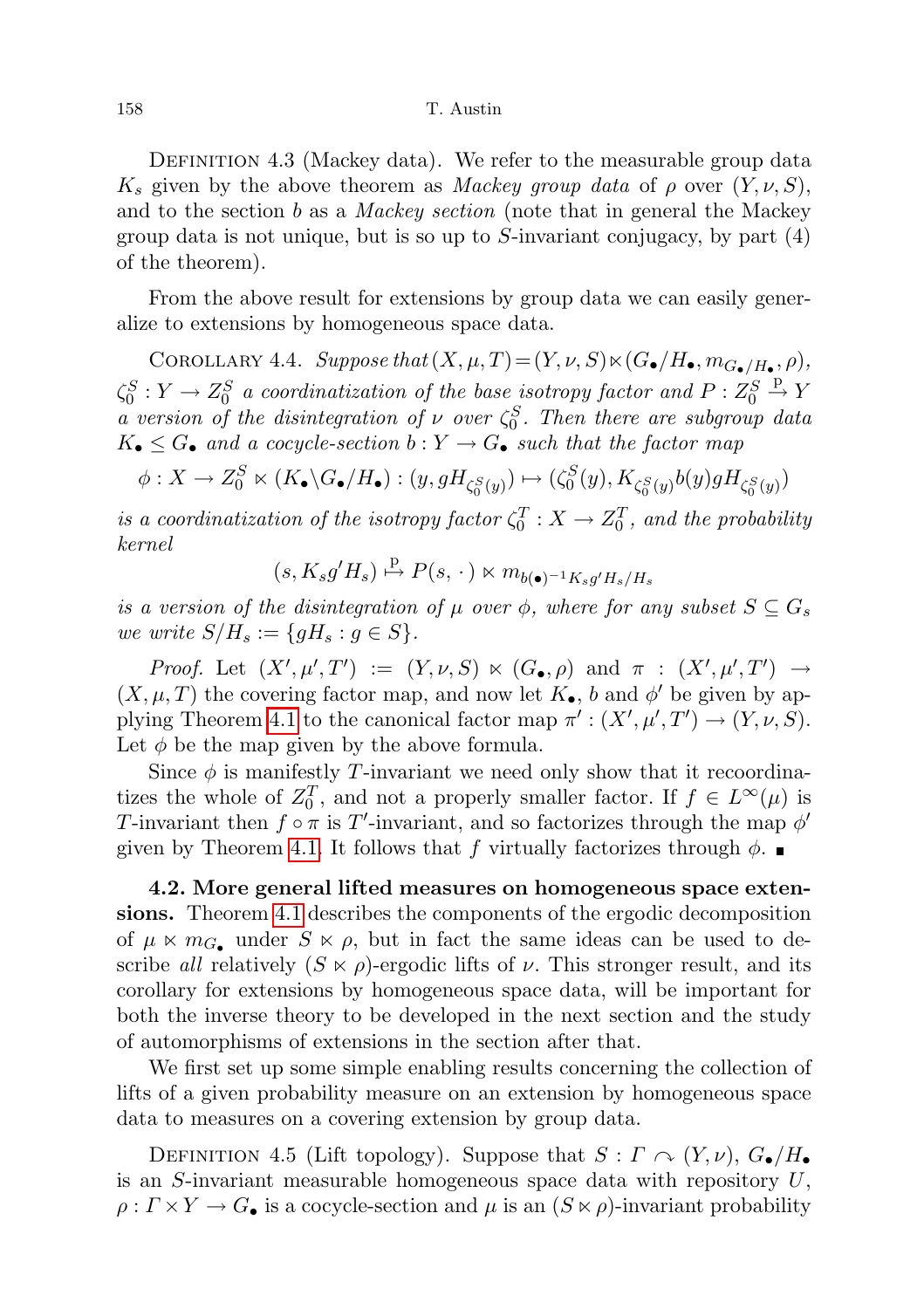DEFINITION 4.3 (Mackey data). We refer to the measurable group data  $K_s$  given by the above theorem as *Mackey group data* of  $\rho$  over  $(Y, \nu, S)$ , and to the section b as a *Mackey section* (note that in general the Mackey group data is not unique, but is so up to  $S$ -invariant conjugacy, by part  $(4)$ of the theorem).

From the above result for extensions by group data we can easily generalize to extensions by homogeneous space data.

<span id="page-25-1"></span>COROLLARY 4.4. Suppose that  $(X, \mu, T) = (Y, \nu, S) \ltimes (G_{\bullet}/H_{\bullet}, m_{G_{\bullet}/H_{\bullet}}, \rho),$  $\zeta_0^S: Y \to Z_0^S$  a coordinatization of the base isotropy factor and  $P: Z_0^S \stackrel{p}{\to} Y$ a version of the disintegration of  $\nu$  over  $\zeta_0^S$ . Then there are subgroup data  $K_{\bullet} \leq G_{\bullet}$  and a cocycle-section  $b: Y \to G_{\bullet}$  such that the factor map

$$
\phi: X \to Z_0^S \ltimes (K_{\bullet} \backslash G_{\bullet} / H_{\bullet}): (y, gH_{\zeta_0^S(y)}) \mapsto (\zeta_0^S(y), K_{\zeta_0^S(y)} b(y)gH_{\zeta_0^S(y)})
$$

is a coordinatization of the isotropy factor  $\zeta_0^T : X \to Z_0^T$ , and the probability kernel

 $(s, K_s g'H_s) \stackrel{\text{p}}{\mapsto} P(s, \cdot) \ltimes m_{b(\bullet)^{-1}K_s g'H_s/H_s}$ 

is a version of the disintegration of  $\mu$  over  $\phi$ , where for any subset  $S \subseteq G_s$ we write  $S/H_s := \{gH_s : g \in S\}.$ 

Proof. Let  $(X', \mu', T') := (Y, \nu, S) \ltimes (G_{\bullet}, \rho)$  and  $\pi : (X', \mu', T') \rightarrow$  $(X, \mu, T)$  the covering factor map, and now let  $K_{\bullet}$ , b and  $\phi'$  be given by ap-plying Theorem [4.1](#page-19-2) to the canonical factor map  $\pi': (X', \mu', T') \to (Y, \nu, S)$ . Let  $\phi$  be the map given by the above formula.

Since  $\phi$  is manifestly T-invariant we need only show that it recoordinatizes the whole of  $Z_0^T$ , and not a properly smaller factor. If  $f \in L^{\infty}(\mu)$  is T-invariant then  $f \circ \pi$  is T'-invariant, and so factorizes through the map  $\phi'$ given by Theorem [4.1.](#page-19-2) It follows that f virtually factorizes through  $\phi$ .

<span id="page-25-0"></span>4.2. More general lifted measures on homogeneous space extensions. Theorem [4.1](#page-19-2) describes the components of the ergodic decomposition of  $\mu \ltimes m_G$  under  $S \ltimes \rho$ , but in fact the same ideas can be used to describe all relatively  $(S \ltimes \rho)$ -ergodic lifts of  $\nu$ . This stronger result, and its corollary for extensions by homogeneous space data, will be important for both the inverse theory to be developed in the next section and the study of automorphisms of extensions in the section after that.

We first set up some simple enabling results concerning the collection of lifts of a given probability measure on an extension by homogeneous space data to measures on a covering extension by group data.

DEFINITION 4.5 (Lift topology). Suppose that  $S: \Gamma \curvearrowright (Y, \nu)$ ,  $G_{\bullet}/H_{\bullet}$ is an S-invariant measurable homogeneous space data with repository  $U$ ,  $\rho: \Gamma \times Y \to G_{\bullet}$  is a cocycle-section and  $\mu$  is an  $(S \ltimes \rho)$ -invariant probability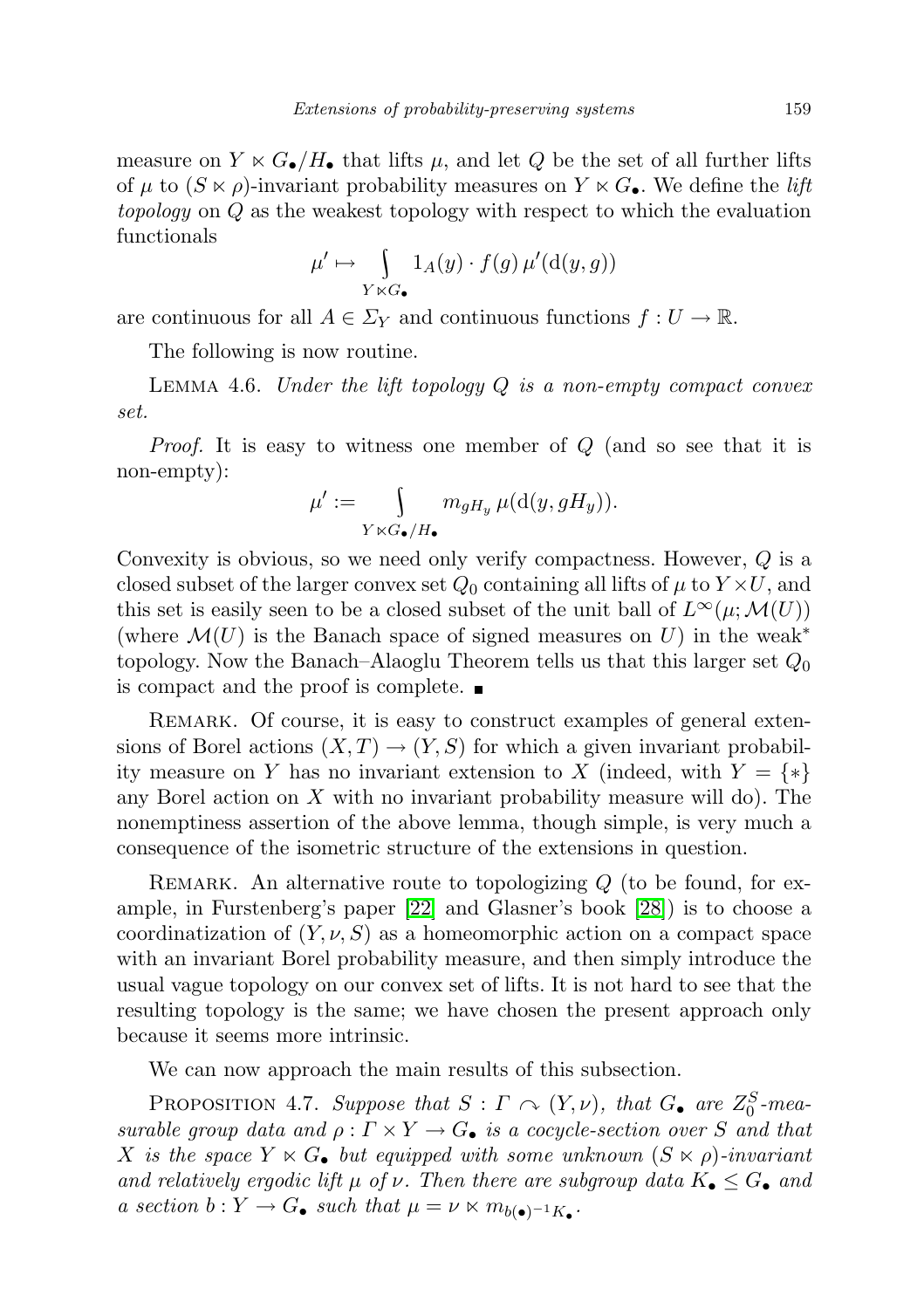measure on  $Y \ltimes G_{\bullet}/H_{\bullet}$  that lifts  $\mu$ , and let Q be the set of all further lifts of  $\mu$  to  $(S \ltimes \rho)$ -invariant probability measures on  $Y \ltimes G_{\bullet}$ . We define the *lift* topology on Q as the weakest topology with respect to which the evaluation functionals

$$
\mu' \mapsto \int_{Y \ltimes G_{\bullet}} 1_A(y) \cdot f(g) \,\mu'(\mathrm{d}(y,g))
$$

are continuous for all  $A \in \Sigma_Y$  and continuous functions  $f: U \to \mathbb{R}$ .

The following is now routine.

LEMMA 4.6. Under the lift topology  $Q$  is a non-empty compact convex set.

Proof. It is easy to witness one member of Q (and so see that it is non-empty):

$$
\mu':=\int\limits_{Y\ltimes G_\bullet/H_\bullet}m_{gH_y}\,\mu(\mathrm{d}(y,gH_y)).
$$

Convexity is obvious, so we need only verify compactness. However, Q is a closed subset of the larger convex set  $Q_0$  containing all lifts of  $\mu$  to  $Y \times U$ , and this set is easily seen to be a closed subset of the unit ball of  $L^{\infty}(\mu; \mathcal{M}(U))$ (where  $\mathcal{M}(U)$  is the Banach space of signed measures on U) in the weak<sup>\*</sup> topology. Now the Banach–Alaoglu Theorem tells us that this larger set  $Q_0$ is compact and the proof is complete.

REMARK. Of course, it is easy to construct examples of general extensions of Borel actions  $(X, T) \rightarrow (Y, S)$  for which a given invariant probability measure on Y has no invariant extension to X (indeed, with  $Y = \{*\}$ any Borel action on  $X$  with no invariant probability measure will do). The nonemptiness assertion of the above lemma, though simple, is very much a consequence of the isometric structure of the extensions in question.

REMARK. An alternative route to topologizing  $Q$  (to be found, for example, in Furstenberg's paper [\[22\]](#page-72-1) and Glasner's book [\[28\]](#page-72-0)) is to choose a coordinatization of  $(Y, \nu, S)$  as a homeomorphic action on a compact space with an invariant Borel probability measure, and then simply introduce the usual vague topology on our convex set of lifts. It is not hard to see that the resulting topology is the same; we have chosen the present approach only because it seems more intrinsic.

We can now approach the main results of this subsection.

PROPOSITION 4.7. Suppose that  $S : \Gamma \cap (Y, \nu)$ , that  $G_{\bullet}$  are  $Z_0^S$ -measurable group data and  $\rho : \Gamma \times Y \to G_{\bullet}$  is a cocycle-section over S and that X is the space  $Y \ltimes G_{\bullet}$  but equipped with some unknown  $(S \ltimes \rho)$ -invariant and relatively ergodic lift  $\mu$  of  $\nu$ . Then there are subgroup data  $K_{\bullet} \leq G_{\bullet}$  and a section  $b: Y \to G_{\bullet}$  such that  $\mu = \nu \ltimes m_{b(\bullet)^{-1}K_{\bullet}}$ .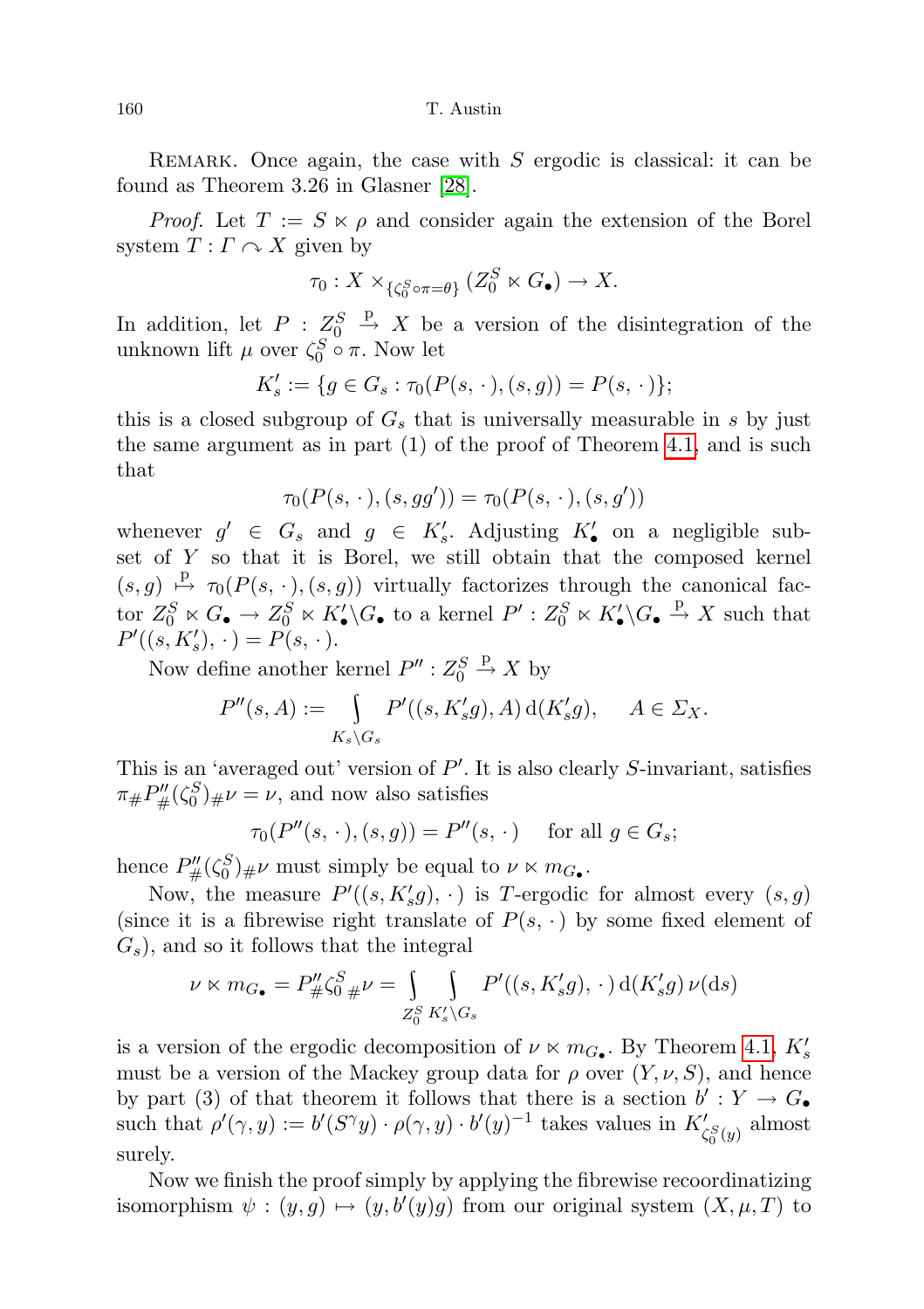160 T. Austin

REMARK. Once again, the case with  $S$  ergodic is classical: it can be found as Theorem 3.26 in Glasner [\[28\]](#page-72-0).

*Proof.* Let  $T := S \times \rho$  and consider again the extension of the Borel system  $T: \Gamma \curvearrowright X$  given by

$$
\tau_0: X \times_{\{\zeta_0^S \circ \pi = \theta\}} (Z_0^S \ltimes G_\bullet) \to X.
$$

In addition, let  $P: Z_0^S \stackrel{p}{\rightarrow} X$  be a version of the disintegration of the unknown lift  $\mu$  over  $\zeta_0^S \circ \pi$ . Now let

$$
K'_{s} := \{ g \in G_{s} : \tau_{0}(P(s, \cdot), (s, g)) = P(s, \cdot) \};
$$

this is a closed subgroup of  $G_s$  that is universally measurable in s by just the same argument as in part (1) of the proof of Theorem [4.1,](#page-19-2) and is such that

$$
\tau_0(P(s,\,\cdot\,), (s,gg')) = \tau_0(P(s,\,\cdot\,), (s,g'))
$$

whenever  $g' \in G_s$  and  $g \in K'_s$ . Adjusting  $K'_\bullet$  on a negligible subset of Y so that it is Borel, we still obtain that the composed kernel  $(s, g) \stackrel{\text{p}}{\mapsto} \tau_0(P(s, \cdot), (s, g))$  virtually factorizes through the canonical factor  $Z_0^S \ltimes G_\bullet \to Z_0^S \ltimes K'_\bullet \backslash G_\bullet$  to a kernel  $P' : Z_0^S \ltimes K'_\bullet \backslash G_\bullet \xrightarrow{p} X$  such that  $P'((s, K'_{s}), \cdot) = P(s, \cdot).$ 

Now define another kernel  $P'' : Z_0^S \stackrel{\text{p}}{\rightarrow} X$  by

$$
P''(s, A) := \int_{K_s \backslash G_s} P'((s, K'_s g), A) d(K'_s g), \quad A \in \Sigma_X.
$$

This is an 'averaged out' version of  $P'$ . It is also clearly S-invariant, satisfies  $\pi_{\#}P''_{\#}(\zeta_0^S)_{\#}\nu=\nu$ , and now also satisfies

$$
\tau_0(P''(s,\cdot), (s,g)) = P''(s,\cdot) \quad \text{ for all } g \in G_s;
$$

hence  $P''_{\#}(\zeta_0^S)_{\#}\nu$  must simply be equal to  $\nu \ltimes m_{G_{\bullet}}$ .

Now, the measure  $P'((s, K'_s g), \cdot)$  is T-ergodic for almost every  $(s, g)$ (since it is a fibrewise right translate of  $P(s, \cdot)$  by some fixed element of  $(G_s)$ , and so it follows that the integral

$$
\nu \ltimes m_{G_{\bullet}} = P''_{\#} \zeta_0^S_{\#} \nu = \int_{Z_0^S} \int_{K'_s \backslash G_s} P'((s, K'_s g), \, \cdot \,) \, d(K'_s g) \, \nu(\mathrm{d}s)
$$

is a version of the ergodic decomposition of  $\nu \ltimes m_{G_{\bullet}}$ . By Theorem [4.1,](#page-19-2)  $K'_{s}$ must be a version of the Mackey group data for  $\rho$  over  $(Y, \nu, S)$ , and hence by part (3) of that theorem it follows that there is a section  $b': Y \to G_{\bullet}$ such that  $\rho'(\gamma, y) := b'(S^{\gamma}y) \cdot \rho(\gamma, y) \cdot b'(y)^{-1}$  takes values in  $K'_{\zeta_0^S(y)}$  almost surely.

Now we finish the proof simply by applying the fibrewise recoordinatizing isomorphism  $\psi : (y, g) \mapsto (y, b'(y)g)$  from our original system  $(X, \mu, T)$  to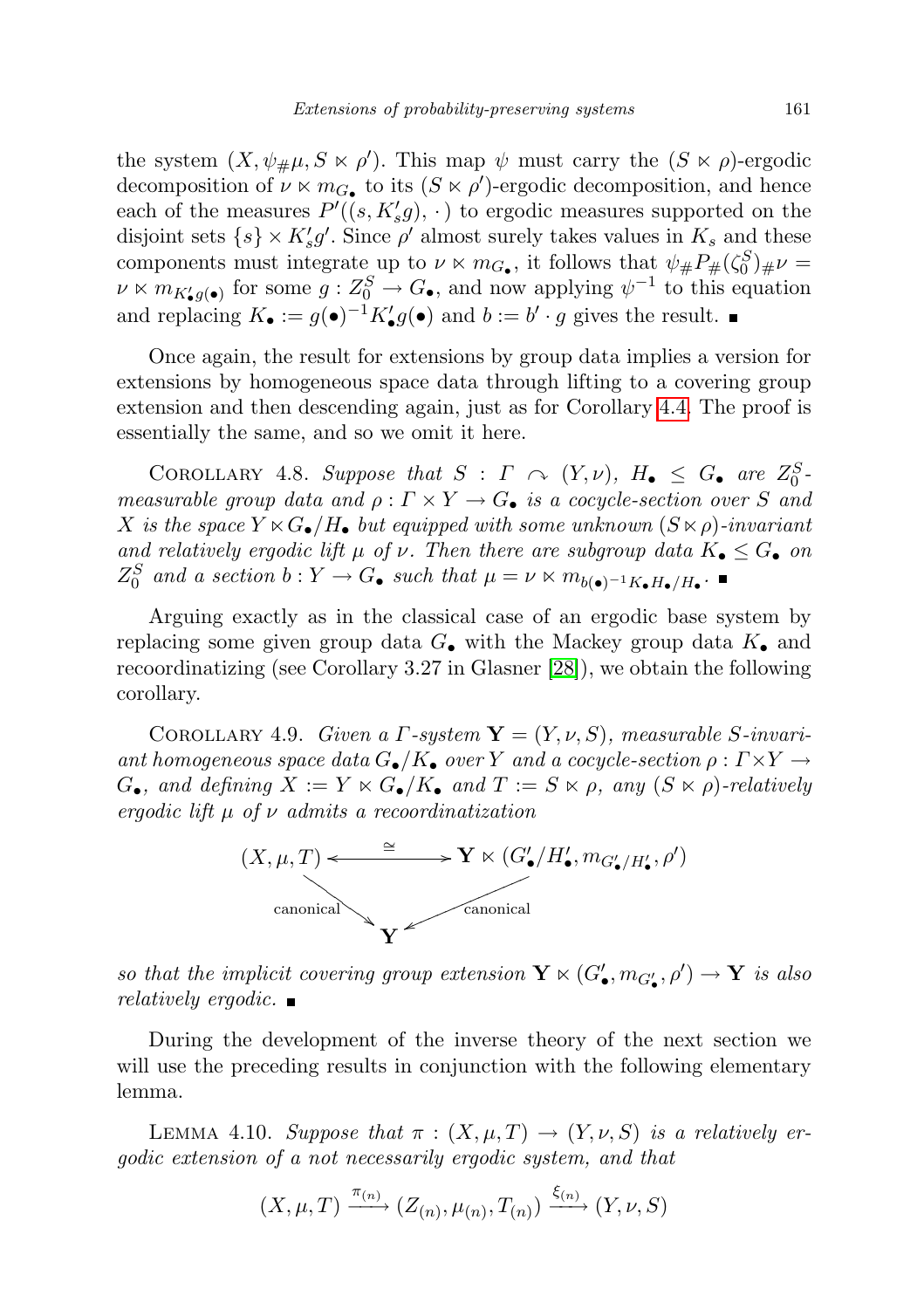the system  $(X, \psi_{\#}\mu, S \ltimes \rho')$ . This map  $\psi$  must carry the  $(S \ltimes \rho)$ -ergodic decomposition of  $\nu \ltimes m_{G_{\bullet}}$  to its  $(S \ltimes \rho')$ -ergodic decomposition, and hence each of the measures  $P'((s, K'_s g), \cdot)$  to ergodic measures supported on the disjoint sets  $\{s\} \times K_s' g'$ . Since  $\rho'$  almost surely takes values in  $K_s$  and these components must integrate up to  $\nu \ltimes m_{G_{\bullet}}$ , it follows that  $\psi_{\#} P_{\#}(\zeta_0^S)_{\#} \nu =$  $\nu \ltimes m_{K'_{\bullet}g(\bullet)}$  for some  $g: Z_0^S \to G_{\bullet}$ , and now applying  $\psi^{-1}$  to this equation and replacing  $K_{\bullet} := g(\bullet)^{-1} K'_{\bullet} g(\bullet)$  and  $b := b' \cdot g$  gives the result.

Once again, the result for extensions by group data implies a version for extensions by homogeneous space data through lifting to a covering group extension and then descending again, just as for Corollary [4.4.](#page-25-1) The proof is essentially the same, and so we omit it here.

COROLLARY 4.8. Suppose that  $S : \Gamma \curvearrowright (Y, \nu)$ ,  $H_{\bullet} \leq G_{\bullet}$  are  $Z_0^S$ . measurable group data and  $\rho : \Gamma \times Y \to G_{\bullet}$  is a cocycle-section over S and X is the space  $Y \ltimes G_{\bullet}/H_{\bullet}$  but equipped with some unknown  $(S \ltimes \rho)$ -invariant and relatively ergodic lift  $\mu$  of  $\nu$ . Then there are subgroup data  $K_{\bullet} \leq G_{\bullet}$  on  $Z_0^S$  and a section  $b: Y \to G_{\bullet}$  such that  $\mu = \nu \ltimes m_{b(\bullet)^{-1}K_{\bullet}H_{\bullet}/H_{\bullet}}$ .

Arguing exactly as in the classical case of an ergodic base system by replacing some given group data  $G_{\bullet}$  with the Mackey group data  $K_{\bullet}$  and recoordinatizing (see Corollary 3.27 in Glasner [\[28\]](#page-72-0)), we obtain the following corollary.

<span id="page-28-0"></span>COROLLARY 4.9. Given a  $\Gamma$ -system  $\mathbf{Y} = (Y, \nu, S)$ , measurable S-invariant homogeneous space data  $G_{\bullet}/K_{\bullet}$  over Y and a cocycle-section  $\rho : \Gamma \times Y \to$  $G_{\bullet}$ , and defining  $X := Y \ltimes G_{\bullet}/K_{\bullet}$  and  $T := S \ltimes \rho$ , any  $(S \ltimes \rho)$ -relatively ergodic lift  $\mu$  of  $\nu$  admits a recoordinatization



so that the implicit covering group extension  $\mathbf{Y} \ltimes (G'_{\bullet}, m_{G'_{\bullet}}, \rho') \to \mathbf{Y}$  is also relatively ergodic.  $\blacksquare$ 

During the development of the inverse theory of the next section we will use the preceding results in conjunction with the following elementary lemma.

<span id="page-28-1"></span>LEMMA 4.10. Suppose that  $\pi : (X, \mu, T) \to (Y, \nu, S)$  is a relatively ergodic extension of a not necessarily ergodic system, and that

$$
(X, \mu, T) \xrightarrow{\pi_{(n)}} (Z_{(n)}, \mu_{(n)}, T_{(n)}) \xrightarrow{\xi_{(n)}} (Y, \nu, S)
$$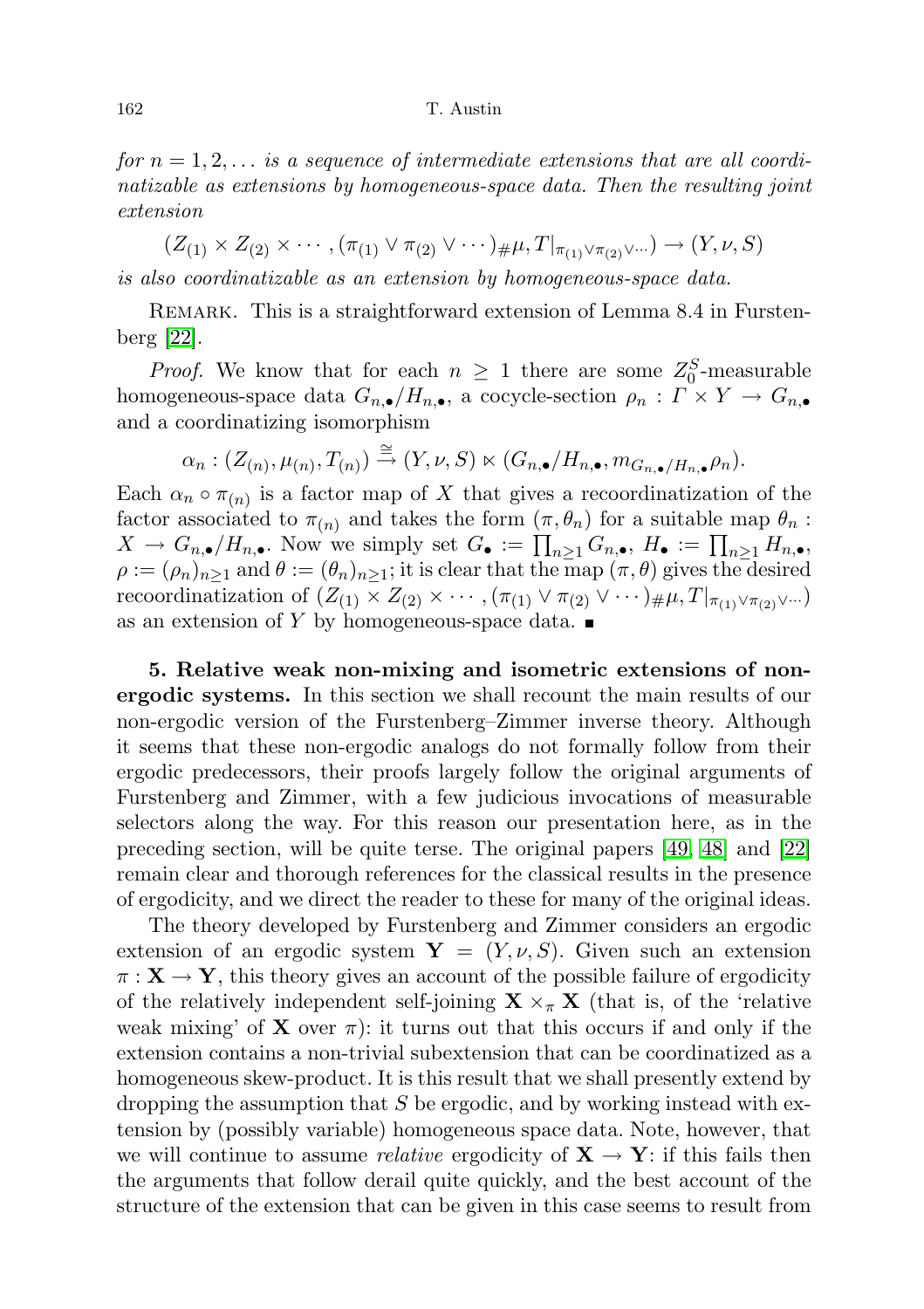#### 162 T. Austin

for  $n = 1, 2, \ldots$  is a sequence of intermediate extensions that are all coordinatizable as extensions by homogeneous-space data. Then the resulting joint extension

 $(Z_{(1)} \times Z_{(2)} \times \cdots, (\pi_{(1)} \vee \pi_{(2)} \vee \cdots)_{\#} \mu, T|_{\pi_{(1)} \vee \pi_{(2)} \vee \cdots}) \rightarrow (Y, \nu, S)$ is also coordinatizable as an extension by homogeneous-space data.

REMARK. This is a straightforward extension of Lemma 8.4 in Furstenberg [\[22\]](#page-72-1).

*Proof.* We know that for each  $n \geq 1$  there are some  $Z_0^S$ -measurable homogeneous-space data  $G_{n,\bullet}/H_{n,\bullet}$ , a cocycle-section  $\rho_n: \Gamma \times Y \to G_{n,\bullet}$ and a coordinatizing isomorphism

$$
\alpha_n: (Z_{(n)}, \mu_{(n)}, T_{(n)}) \stackrel{\cong}{\to} (Y, \nu, S) \ltimes (G_{n,\bullet}/H_{n,\bullet}, m_{G_{n,\bullet}/H_{n,\bullet}}\rho_n).
$$

Each  $\alpha_n \circ \pi_{(n)}$  is a factor map of X that gives a recoordinatization of the factor associated to  $\pi_{(n)}$  and takes the form  $(\pi, \theta_n)$  for a suitable map  $\theta_n$ :  $X \to G_{n,\bullet}/H_{n,\bullet}$ . Now we simply set  $G_{\bullet} := \prod_{n\geq 1} G_{n,\bullet}, H_{\bullet} := \prod_{n\geq 1} H_{n,\bullet}$ ,  $\rho := (\rho_n)_{n \geq 1}$  and  $\theta := (\theta_n)_{n \geq 1}$ ; it is clear that the map  $(\pi, \theta)$  gives the desired recoordinatization of  $(Z_{(1)} \times Z_{(2)} \times \cdots, (\pi_{(1)} \vee \pi_{(2)} \vee \cdots)_{\#} \mu, T|_{\pi_{(1)} \vee \pi_{(2)} \vee \cdots})$ as an extension of Y by homogeneous-space data.  $\blacksquare$ 

<span id="page-29-0"></span>5. Relative weak non-mixing and isometric extensions of nonergodic systems. In this section we shall recount the main results of our non-ergodic version of the Furstenberg–Zimmer inverse theory. Although it seems that these non-ergodic analogs do not formally follow from their ergodic predecessors, their proofs largely follow the original arguments of Furstenberg and Zimmer, with a few judicious invocations of measurable selectors along the way. For this reason our presentation here, as in the preceding section, will be quite terse. The original papers [\[49,](#page-73-0) [48\]](#page-73-1) and [\[22\]](#page-72-1) remain clear and thorough references for the classical results in the presence of ergodicity, and we direct the reader to these for many of the original ideas.

The theory developed by Furstenberg and Zimmer considers an ergodic extension of an ergodic system  $\mathbf{Y} = (Y, \nu, S)$ . Given such an extension  $\pi: \mathbf{X} \to \mathbf{Y}$ , this theory gives an account of the possible failure of ergodicity of the relatively independent self-joining  $\mathbf{X} \times_{\pi} \mathbf{X}$  (that is, of the 'relative weak mixing' of **X** over  $\pi$ ): it turns out that this occurs if and only if the extension contains a non-trivial subextension that can be coordinatized as a homogeneous skew-product. It is this result that we shall presently extend by dropping the assumption that  $S$  be ergodic, and by working instead with extension by (possibly variable) homogeneous space data. Note, however, that we will continue to assume *relative* ergodicity of  $X \rightarrow Y$ : if this fails then the arguments that follow derail quite quickly, and the best account of the structure of the extension that can be given in this case seems to result from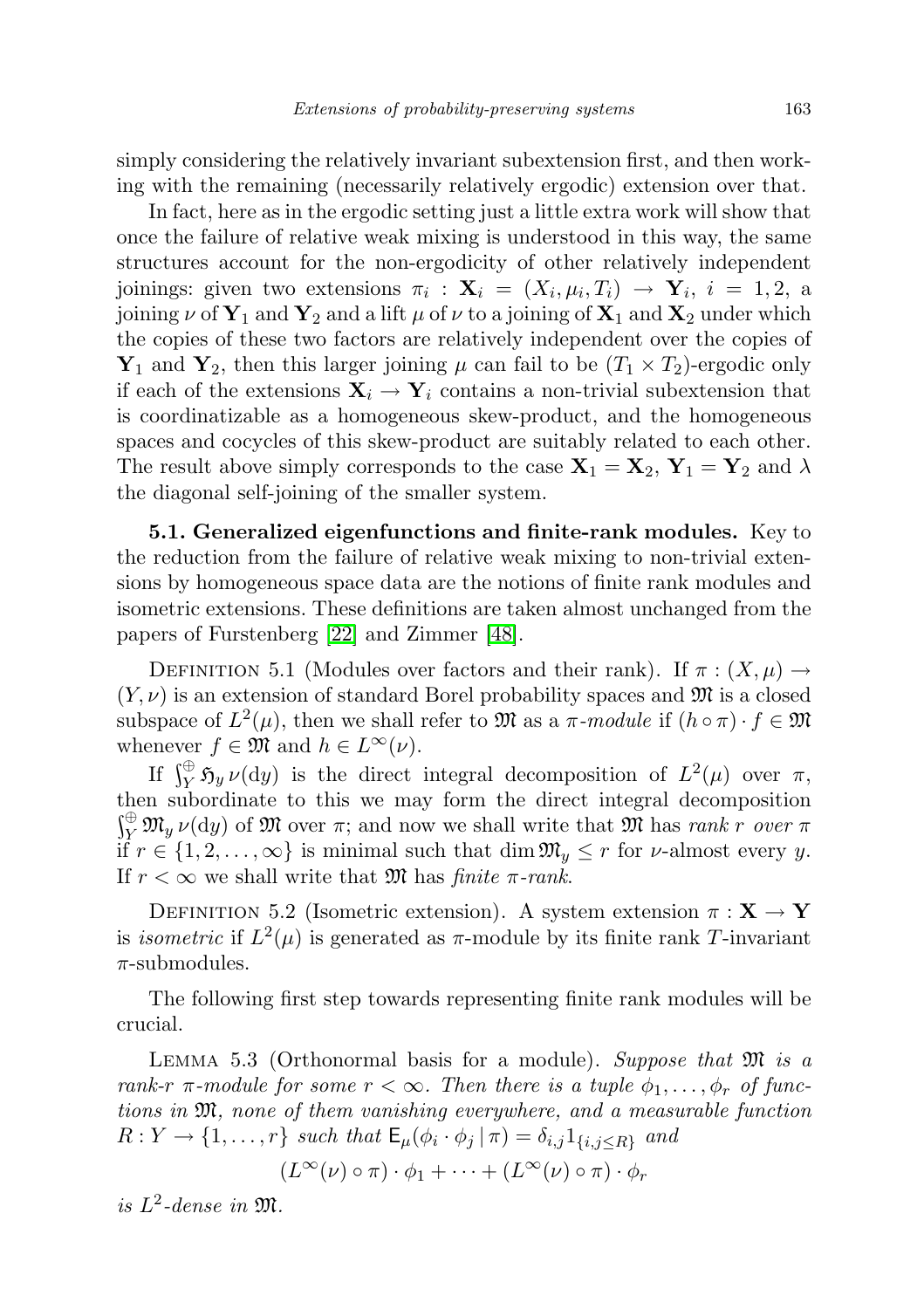simply considering the relatively invariant subextension first, and then working with the remaining (necessarily relatively ergodic) extension over that.

In fact, here as in the ergodic setting just a little extra work will show that once the failure of relative weak mixing is understood in this way, the same structures account for the non-ergodicity of other relatively independent joinings: given two extensions  $\pi_i$ :  $\mathbf{X}_i = (X_i, \mu_i, T_i) \rightarrow \mathbf{Y}_i, i = 1, 2, a$ joining  $\nu$  of  $Y_1$  and  $Y_2$  and a lift  $\mu$  of  $\nu$  to a joining of  $X_1$  and  $X_2$  under which the copies of these two factors are relatively independent over the copies of  $\mathbf{Y}_1$  and  $\mathbf{Y}_2$ , then this larger joining  $\mu$  can fail to be  $(T_1 \times T_2)$ -ergodic only if each of the extensions  $X_i \rightarrow Y_i$  contains a non-trivial subextension that is coordinatizable as a homogeneous skew-product, and the homogeneous spaces and cocycles of this skew-product are suitably related to each other. The result above simply corresponds to the case  $X_1 = X_2$ ,  $Y_1 = Y_2$  and  $\lambda$ the diagonal self-joining of the smaller system.

<span id="page-30-0"></span>5.1. Generalized eigenfunctions and finite-rank modules. Key to the reduction from the failure of relative weak mixing to non-trivial extensions by homogeneous space data are the notions of finite rank modules and isometric extensions. These definitions are taken almost unchanged from the papers of Furstenberg [\[22\]](#page-72-1) and Zimmer [\[48\]](#page-73-1).

DEFINITION 5.1 (Modules over factors and their rank). If  $\pi : (X, \mu) \to$  $(Y, \nu)$  is an extension of standard Borel probability spaces and  $\mathfrak{M}$  is a closed subspace of  $L^2(\mu)$ , then we shall refer to  $\mathfrak{M}$  as a  $\pi$ -module if  $(h \circ \pi) \cdot f \in \mathfrak{M}$ whenever  $f \in \mathfrak{M}$  and  $h \in L^{\infty}(\nu)$ .

If  $\int_Y^{\oplus} \mathfrak{H}_y \nu(dy)$  is the direct integral decomposition of  $L^2(\mu)$  over  $\pi$ , then subordinate to this we may form the direct integral decomposition  $\int_Y^{\oplus} \mathfrak{M}_y \nu(\mathrm{d}y)$  of  $\mathfrak{M}$  over  $\pi$ ; and now we shall write that  $\mathfrak{M}$  has *rank r* over  $\pi$ if  $r \in \{1, 2, \ldots, \infty\}$  is minimal such that  $\dim \mathfrak{M}_y \leq r$  for  $\nu$ -almost every y. If  $r < \infty$  we shall write that M has finite  $\pi$ -rank.

DEFINITION 5.2 (Isometric extension). A system extension  $\pi : X \to Y$ is *isometric* if  $L^2(\mu)$  is generated as  $\pi$ -module by its finite rank T-invariant  $\pi$ -submodules.

The following first step towards representing finite rank modules will be crucial.

<span id="page-30-1"></span>LEMMA 5.3 (Orthonormal basis for a module). Suppose that  $\mathfrak{M}$  is a rank-r  $\pi$ -module for some  $r < \infty$ . Then there is a tuple  $\phi_1, \ldots, \phi_r$  of functions in M, none of them vanishing everywhere, and a measurable function  $R: Y \to \{1, \ldots, r\}$  such that  $\mathsf{E}_{\mu}(\phi_i \cdot \phi_j | \pi) = \delta_{i,j} 1_{\{i,j \leq R\}}$  and

 $(L^{\infty}(\nu) \circ \pi) \cdot \phi_1 + \cdots + (L^{\infty}(\nu) \circ \pi) \cdot \phi_r$ 

is  $L^2$ -dense in  $\mathfrak{M}$ .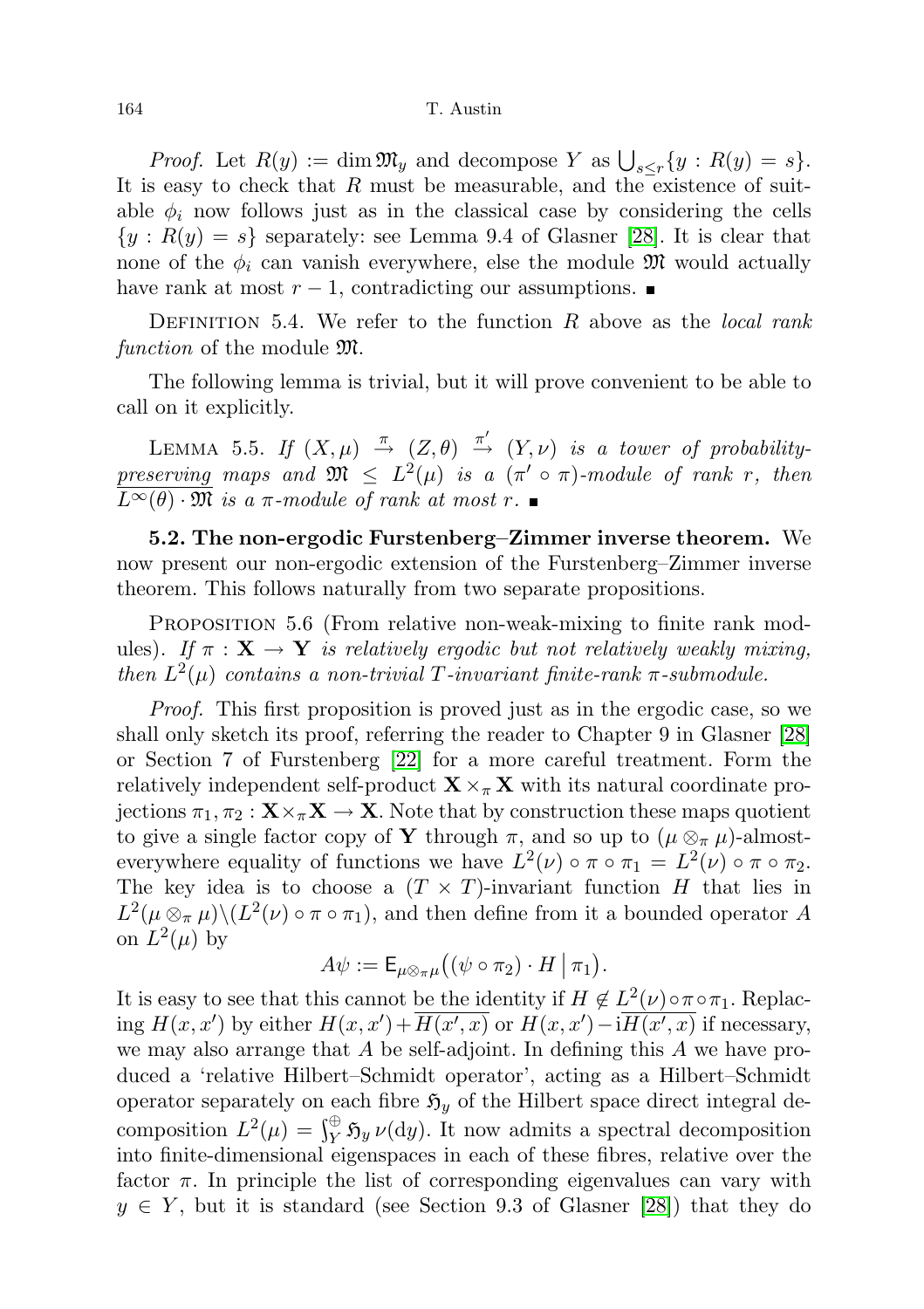#### 164 T. Austin

*Proof.* Let  $R(y) := \dim \mathfrak{M}_y$  and decompose Y as  $\bigcup_{s \leq r} \{y : R(y) = s\}.$ It is easy to check that  $R$  must be measurable, and the existence of suitable  $\phi_i$  now follows just as in the classical case by considering the cells  ${y: R(y) = s}$  separately: see Lemma 9.4 of Glasner [\[28\]](#page-72-0). It is clear that none of the  $\phi_i$  can vanish everywhere, else the module M would actually have rank at most  $r-1$ , contradicting our assumptions.  $\blacksquare$ 

DEFINITION 5.4. We refer to the function  $R$  above as the *local rank* function of the module  $\mathfrak{M}$ .

The following lemma is trivial, but it will prove convenient to be able to call on it explicitly.

LEMMA 5.5. If  $(X, \mu) \stackrel{\pi}{\rightarrow} (Z, \theta) \stackrel{\pi'}{\rightarrow} (Y, \nu)$  is a tower of probabilitypreserving maps and  $\mathfrak{M} \leq L^2(\mu)$  is a  $(\pi' \circ \pi)$ -module of rank r, then  $L^{\infty}(\theta) \cdot \mathfrak{M}$  is a  $\pi$ -module of rank at most r.

<span id="page-31-0"></span>5.2. The non-ergodic Furstenberg–Zimmer inverse theorem. We now present our non-ergodic extension of the Furstenberg–Zimmer inverse theorem. This follows naturally from two separate propositions.

<span id="page-31-1"></span>PROPOSITION 5.6 (From relative non-weak-mixing to finite rank modules). If  $\pi : \mathbf{X} \to \mathbf{Y}$  is relatively ergodic but not relatively weakly mixing, then  $L^2(\mu)$  contains a non-trivial T-invariant finite-rank  $\pi$ -submodule.

Proof. This first proposition is proved just as in the ergodic case, so we shall only sketch its proof, referring the reader to Chapter 9 in Glasner [\[28\]](#page-72-0) or Section 7 of Furstenberg [\[22\]](#page-72-1) for a more careful treatment. Form the relatively independent self-product  $\mathbf{X} \times_{\pi} \mathbf{X}$  with its natural coordinate projections  $\pi_1, \pi_2 : \mathbf{X} \times_{\pi} \mathbf{X} \to \mathbf{X}$ . Note that by construction these maps quotient to give a single factor copy of Y through  $\pi$ , and so up to  $(\mu \otimes_{\pi} \mu)$ -almosteverywhere equality of functions we have  $L^2(\nu) \circ \pi \circ \pi_1 = L^2(\nu) \circ \pi \circ \pi_2$ . The key idea is to choose a  $(T \times T)$ -invariant function H that lies in  $L^2(\mu \otimes_{\pi} \mu) \backslash (L^2(\nu) \circ \pi \circ \pi_1)$ , and then define from it a bounded operator A on  $L^2(\mu)$  by

$$
A\psi := \mathsf{E}_{\mu\otimes_{\pi}\mu}((\psi\circ\pi_2)\cdot H\,|\,\pi_1).
$$

It is easy to see that this cannot be the identity if  $H \notin L^2(\nu) \circ \pi \circ \pi_1$ . Replacing  $H(x, x')$  by either  $H(x, x') + \overline{H(x', x)}$  or  $H(x, x') - i\overline{H(x', x)}$  if necessary, we may also arrange that  $A$  be self-adjoint. In defining this  $A$  we have produced a 'relative Hilbert–Schmidt operator', acting as a Hilbert–Schmidt operator separately on each fibre  $\mathfrak{H}_y$  of the Hilbert space direct integral decomposition  $L^2(\mu) = \int_Y^{\oplus} \mathfrak{H}_y \nu(\mathrm{d}y)$ . It now admits a spectral decomposition into finite-dimensional eigenspaces in each of these fibres, relative over the factor  $\pi$ . In principle the list of corresponding eigenvalues can vary with  $y \in Y$ , but it is standard (see Section 9.3 of Glasner [\[28\]](#page-72-0)) that they do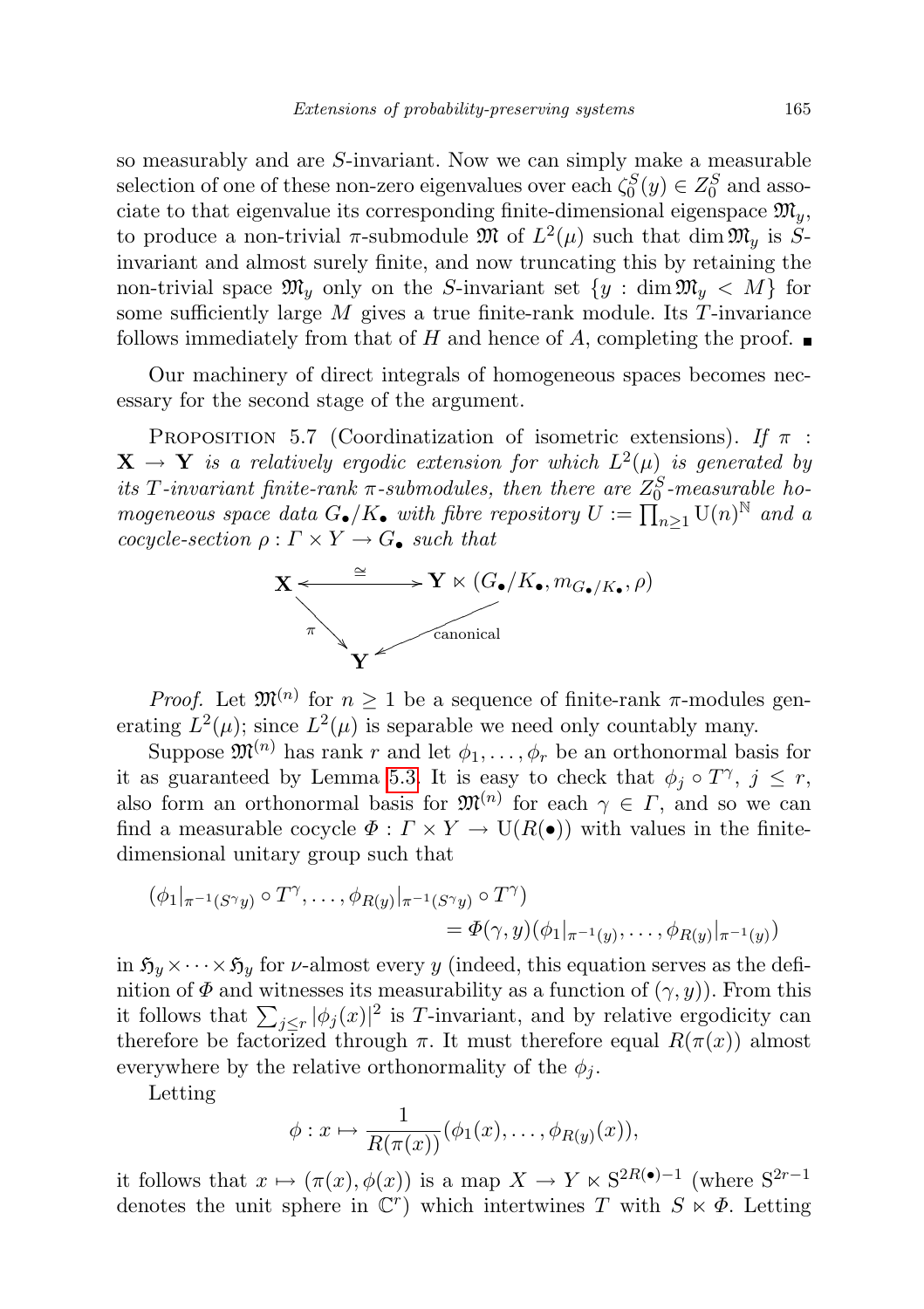so measurably and are S-invariant. Now we can simply make a measurable selection of one of these non-zero eigenvalues over each  $\zeta_0^S(y) \in Z_0^S$  and associate to that eigenvalue its corresponding finite-dimensional eigenspace  $\mathfrak{M}_y$ , to produce a non-trivial  $\pi$ -submodule  $\mathfrak{M}$  of  $L^2(\mu)$  such that dim  $\mathfrak{M}_y$  is  $S$ invariant and almost surely finite, and now truncating this by retaining the non-trivial space  $\mathfrak{M}_y$  only on the S-invariant set  $\{y : \dim \mathfrak{M}_y \langle M \}$  for some sufficiently large  $M$  gives a true finite-rank module. Its  $T$ -invariance follows immediately from that of H and hence of A, completing the proof.  $\blacksquare$ 

Our machinery of direct integrals of homogeneous spaces becomes necessary for the second stage of the argument.

<span id="page-32-0"></span>PROPOSITION 5.7 (Coordinatization of isometric extensions). If  $\pi$ :  $\mathbf{X} \rightarrow \mathbf{Y}$  is a relatively ergodic extension for which  $L^2(\mu)$  is generated by its T-invariant finite-rank  $\pi$ -submodules, then there are  $Z_0^S$ -measurable homogeneous space data  $G_{\bullet}/K_{\bullet}$  with fibre repository  $U := \prod_{n=1}^{\infty} U(n)^{\mathbb{N}}$  and a cocycle-section  $\rho : \Gamma \times Y \to G_{\bullet}$  such that



*Proof.* Let  $\mathfrak{M}^{(n)}$  for  $n \geq 1$  be a sequence of finite-rank  $\pi$ -modules generating  $L^2(\mu)$ ; since  $L^2(\mu)$  is separable we need only countably many.

Suppose  $\mathfrak{M}^{(n)}$  has rank r and let  $\phi_1, \ldots, \phi_r$  be an orthonormal basis for it as guaranteed by Lemma [5.3.](#page-30-1) It is easy to check that  $\phi_j \circ T^{\gamma}, j \leq r$ , also form an orthonormal basis for  $\mathfrak{M}^{(n)}$  for each  $\gamma \in \Gamma$ , and so we can find a measurable cocycle  $\Phi: \Gamma \times Y \to U(R(\bullet))$  with values in the finitedimensional unitary group such that

$$
(\phi_1|_{\pi^{-1}(S^{\gamma}y)} \circ T^{\gamma}, \dots, \phi_{R(y)}|_{\pi^{-1}(S^{\gamma}y)} \circ T^{\gamma})
$$
  
=  $\Phi(\gamma, y)(\phi_1|_{\pi^{-1}(y)}, \dots, \phi_{R(y)}|_{\pi^{-1}(y)})$ 

in  $\mathfrak{H}_y \times \cdots \times \mathfrak{H}_y$  for *v*-almost every y (indeed, this equation serves as the definition of  $\Phi$  and witnesses its measurability as a function of  $(\gamma, y)$ ). From this it follows that  $\sum_{j\leq r} |\phi_j(x)|^2$  is T-invariant, and by relative ergodicity can therefore be factorized through  $\pi$ . It must therefore equal  $R(\pi(x))$  almost everywhere by the relative orthonormality of the  $\phi_i$ .

Letting

$$
\phi: x \mapsto \frac{1}{R(\pi(x))}(\phi_1(x), \dots, \phi_{R(y)}(x)),
$$

it follows that  $x \mapsto (\pi(x), \phi(x))$  is a map  $X \to Y \ltimes S^{2R(\bullet)-1}$  (where  $S^{2r-1}$ denotes the unit sphere in  $\mathbb{C}^r$  which intertwines T with  $S \times \Phi$ . Letting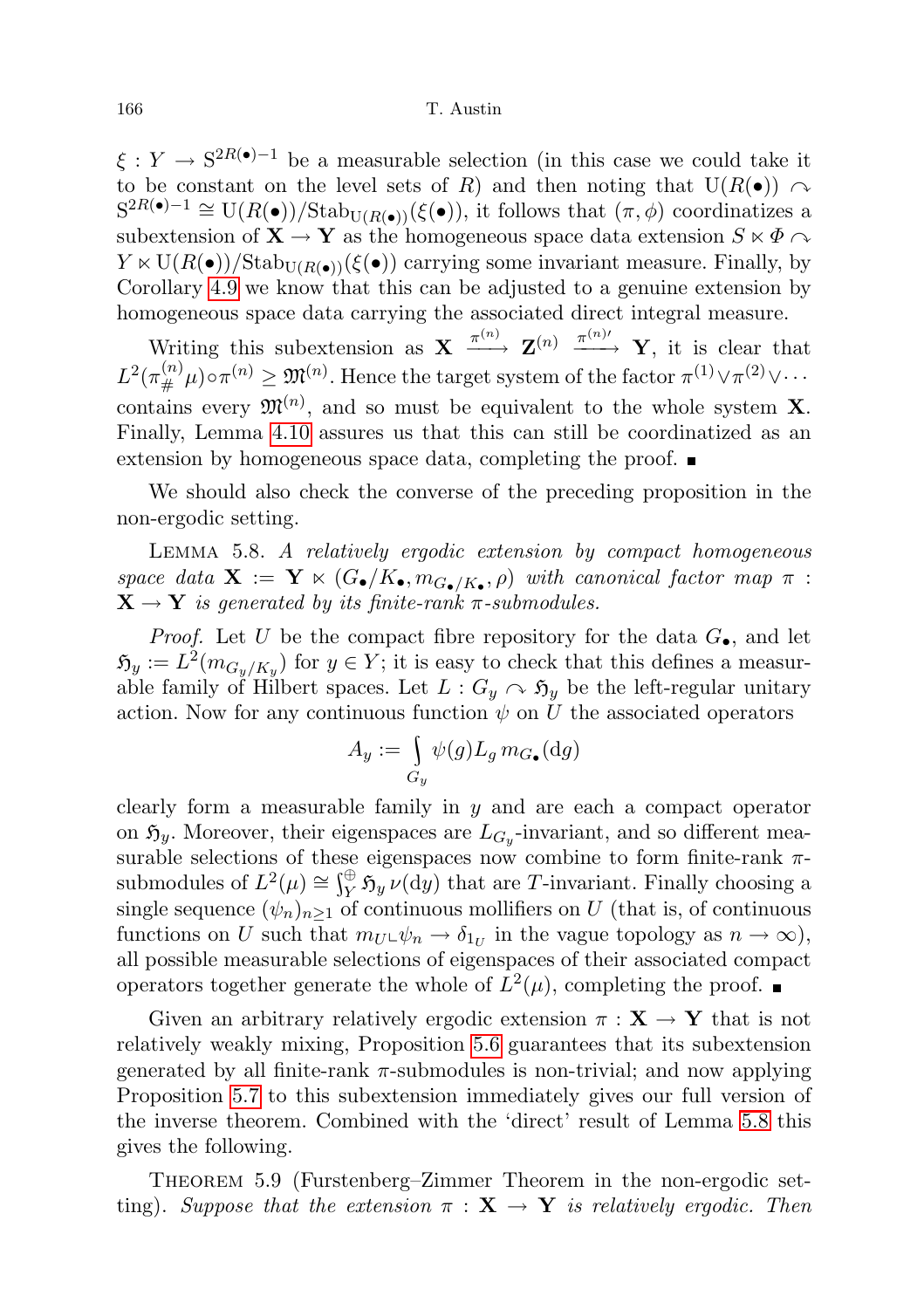$\xi: Y \to \mathbb{S}^{2R(\bullet)-1}$  be a measurable selection (in this case we could take it to be constant on the level sets of R) and then noting that  $U(R(\bullet)) \cap$  $S^{2R(\bullet)-1} \cong U(R(\bullet))/\text{Stab}_{U(R(\bullet))}(\xi(\bullet)),$  it follows that  $(\pi, \phi)$  coordinatizes a subextension of  $X \to Y$  as the homogeneous space data extension  $S \ltimes \Phi$  $Y \ltimes \mathrm{U}(R(\bullet))/\mathrm{Stab}_{\mathrm{U}(R(\bullet))}(\xi(\bullet))$  carrying some invariant measure. Finally, by Corollary [4.9](#page-28-0) we know that this can be adjusted to a genuine extension by homogeneous space data carrying the associated direct integral measure.

Writing this subextension as  $X \xrightarrow{\pi^{(n)}} Z^{(n)} \xrightarrow{\pi^{(n)}} Y$ , it is clear that  $L^2(\pi^{(n)}_{\#}\mu) \circ \pi^{(n)} \geq \mathfrak{M}^{(n)}$ . Hence the target system of the factor  $\pi^{(1)} \vee \pi^{(2)} \vee \cdots$ contains every  $\mathfrak{M}^{(n)}$ , and so must be equivalent to the whole system **X**. Finally, Lemma [4.10](#page-28-1) assures us that this can still be coordinatized as an extension by homogeneous space data, completing the proof.

We should also check the converse of the preceding proposition in the non-ergodic setting.

<span id="page-33-0"></span>Lemma 5.8. A relatively ergodic extension by compact homogeneous space data  $\mathbf{X} := \mathbf{Y} \ltimes (G_{\bullet}/K_{\bullet}, m_{G_{\bullet}/K_{\bullet}}, \rho)$  with canonical factor map  $\pi$ :  $X \rightarrow Y$  is generated by its finite-rank  $\pi$ -submodules.

*Proof.* Let U be the compact fibre repository for the data  $G_{\bullet}$ , and let  $\mathfrak{H}_y := L^2(m_{G_y/K_y})$  for  $y \in Y$ ; it is easy to check that this defines a measurable family of Hilbert spaces. Let  $L : G_y \curvearrowright \mathfrak{H}_y$  be the left-regular unitary action. Now for any continuous function  $\psi$  on U the associated operators

$$
A_y := \int_{G_y} \psi(g) L_g \, m_{G_{\bullet}}(\mathrm{d}g)
$$

clearly form a measurable family in  $y$  and are each a compact operator on  $\mathfrak{H}_y$ . Moreover, their eigenspaces are  $L_{G_y}$ -invariant, and so different measurable selections of these eigenspaces now combine to form finite-rank  $\pi$ submodules of  $L^2(\mu) \cong \int_Y^{\oplus} \mathfrak{H}_y \nu(\mathrm{d}y)$  that are T-invariant. Finally choosing a single sequence  $(\psi_n)_{n\geq 1}$  of continuous mollifiers on U (that is, of continuous functions on U such that  $m_U \psi_n \to \delta_{1_U}$  in the vague topology as  $n \to \infty$ ), all possible measurable selections of eigenspaces of their associated compact operators together generate the whole of  $L^2(\mu)$ , completing the proof.

Given an arbitrary relatively ergodic extension  $\pi : \mathbf{X} \to \mathbf{Y}$  that is not relatively weakly mixing, Proposition [5.6](#page-31-1) guarantees that its subextension generated by all finite-rank  $\pi$ -submodules is non-trivial; and now applying Proposition [5.7](#page-32-0) to this subextension immediately gives our full version of the inverse theorem. Combined with the 'direct' result of Lemma [5.8](#page-33-0) this gives the following.

Theorem 5.9 (Furstenberg–Zimmer Theorem in the non-ergodic setting). Suppose that the extension  $\pi : X \to Y$  is relatively ergodic. Then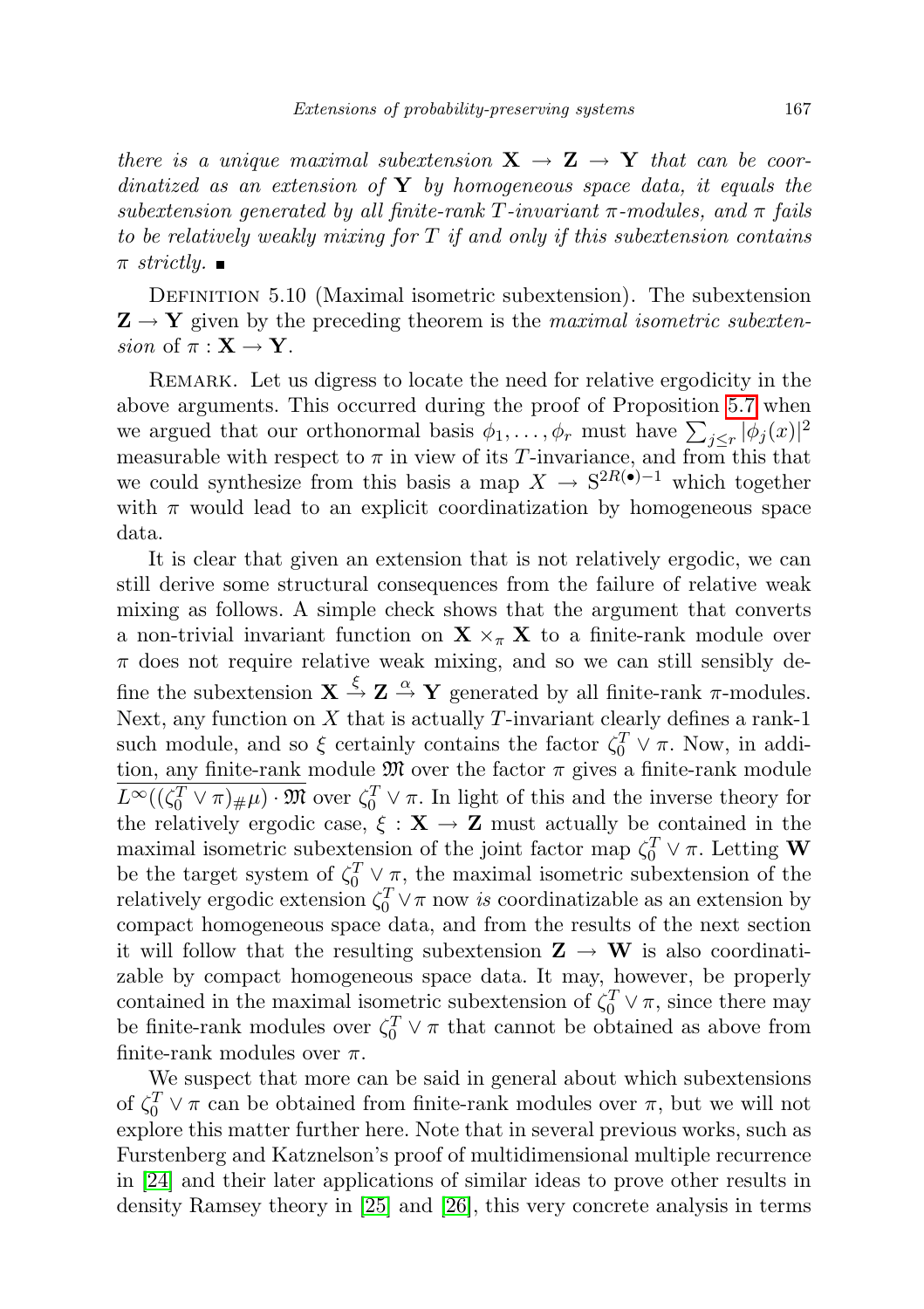there is a unique maximal subextension  $X \to Z \to Y$  that can be coordinatized as an extension of  $\bf{Y}$  by homogeneous space data, it equals the subextension generated by all finite-rank T-invariant  $\pi$ -modules, and  $\pi$  fails to be relatively weakly mixing for  $T$  if and only if this subextension contains  $\pi$  strictly.

DEFINITION 5.10 (Maximal isometric subextension). The subextension  $\mathbf{Z} \rightarrow \mathbf{Y}$  given by the preceding theorem is the maximal isometric subextension of  $\pi : \mathbf{X} \to \mathbf{Y}$ .

Remark. Let us digress to locate the need for relative ergodicity in the above arguments. This occurred during the proof of Proposition [5.7](#page-32-0) when we argued that our orthonormal basis  $\phi_1, \ldots, \phi_r$  must have  $\sum_{j \leq r} |\phi_j(x)|^2$ measurable with respect to  $\pi$  in view of its T-invariance, and from this that we could synthesize from this basis a map  $X \to S^{2R}(\bullet)^{-1}$  which together with  $\pi$  would lead to an explicit coordinatization by homogeneous space data.

It is clear that given an extension that is not relatively ergodic, we can still derive some structural consequences from the failure of relative weak mixing as follows. A simple check shows that the argument that converts a non-trivial invariant function on  $\mathbf{X} \times_{\pi} \mathbf{X}$  to a finite-rank module over  $\pi$  does not require relative weak mixing, and so we can still sensibly define the subextension  $X \stackrel{\xi}{\rightarrow} Z \stackrel{\alpha}{\rightarrow} Y$  generated by all finite-rank  $\pi$ -modules. Next, any function on  $X$  that is actually  $T$ -invariant clearly defines a rank-1 such module, and so  $\xi$  certainly contains the factor  $\zeta_0^T \vee \pi$ . Now, in addition, any finite-rank module  $\mathfrak M$  over the factor  $\pi$  gives a finite-rank module  $L^{\infty}((\zeta_0^T \vee \pi)_{\#}\mu) \cdot \mathfrak{M}$  over  $\zeta_0^T \vee \pi$ . In light of this and the inverse theory for the relatively ergodic case,  $\xi : \mathbf{X} \to \mathbf{Z}$  must actually be contained in the maximal isometric subextension of the joint factor map  $\zeta_0^T \vee \pi$ . Letting W be the target system of  $\zeta_0^T \vee \pi$ , the maximal isometric subextension of the relatively ergodic extension  $\zeta_0^T \vee \pi$  now is coordinatizable as an extension by compact homogeneous space data, and from the results of the next section it will follow that the resulting subextension  $\mathbf{Z} \to \mathbf{W}$  is also coordinatizable by compact homogeneous space data. It may, however, be properly contained in the maximal isometric subextension of  $\zeta_0^T \vee \pi$ , since there may be finite-rank modules over  $\zeta_0^T \vee \pi$  that cannot be obtained as above from finite-rank modules over  $\pi$ .

We suspect that more can be said in general about which subextensions of  $\zeta_0^T \vee \pi$  can be obtained from finite-rank modules over  $\pi$ , but we will not explore this matter further here. Note that in several previous works, such as Furstenberg and Katznelson's proof of multidimensional multiple recurrence in [\[24\]](#page-72-19) and their later applications of similar ideas to prove other results in density Ramsey theory in [\[25\]](#page-72-20) and [\[26\]](#page-72-21), this very concrete analysis in terms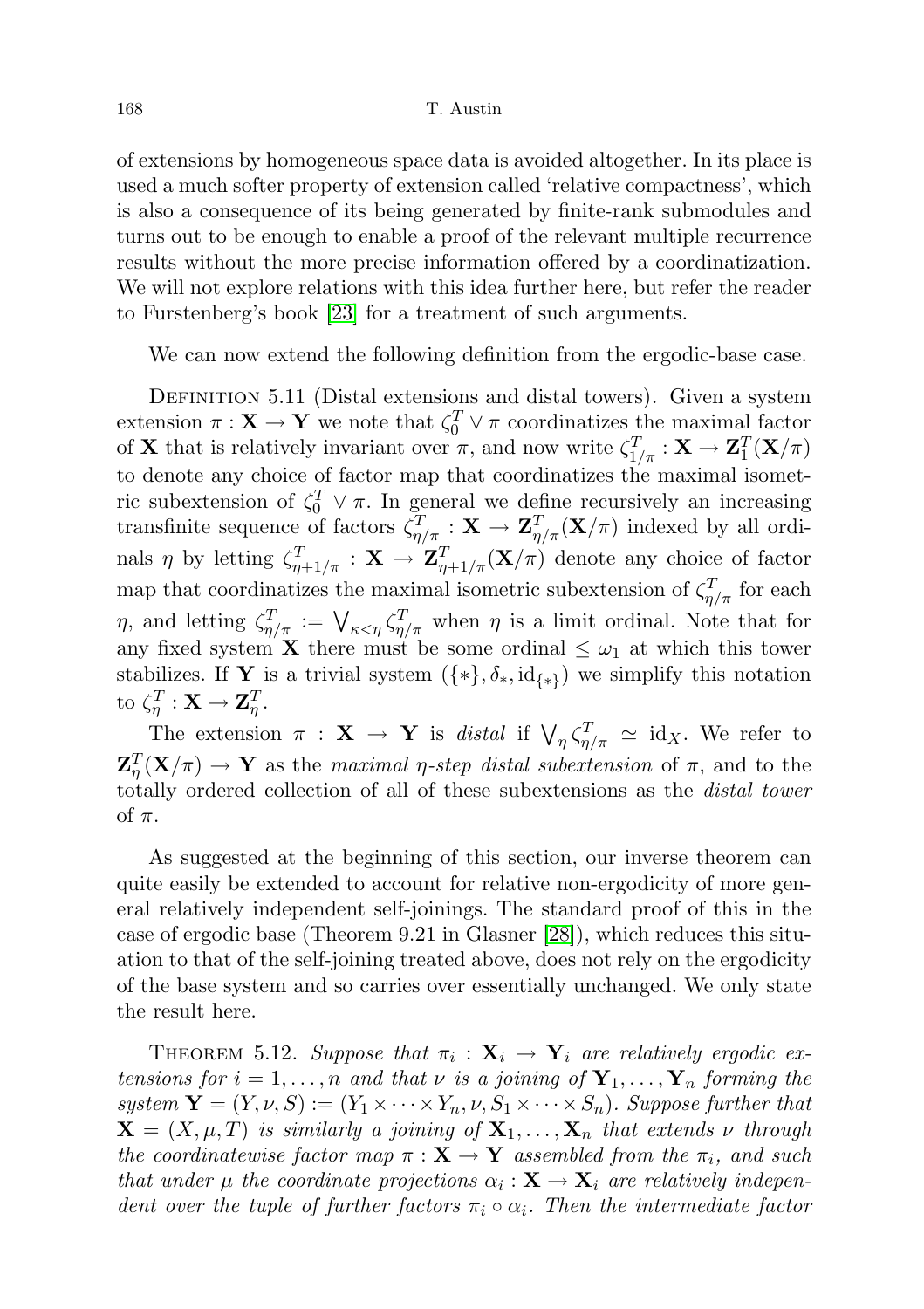of extensions by homogeneous space data is avoided altogether. In its place is used a much softer property of extension called 'relative compactness', which is also a consequence of its being generated by finite-rank submodules and turns out to be enough to enable a proof of the relevant multiple recurrence results without the more precise information offered by a coordinatization. We will not explore relations with this idea further here, but refer the reader to Furstenberg's book [\[23\]](#page-72-2) for a treatment of such arguments.

We can now extend the following definition from the ergodic-base case.

DEFINITION 5.11 (Distal extensions and distal towers). Given a system extension  $\pi : \mathbf{X} \to \mathbf{Y}$  we note that  $\zeta_0^T \vee \pi$  coordinatizes the maximal factor of **X** that is relatively invariant over  $\pi$ , and now write  $\zeta_{1/\pi}^T : \mathbf{X} \to \mathbf{Z}_1^T(\mathbf{X}/\pi)$ to denote any choice of factor map that coordinatizes the maximal isometric subextension of  $\zeta_0^T \vee \pi$ . In general we define recursively an increasing transfinite sequence of factors  $\zeta_{\eta/\pi}^T : \mathbf{X} \to \mathbf{Z}_{\eta/\pi}^T(\mathbf{X}/\pi)$  indexed by all ordinals  $\eta$  by letting  $\zeta_{\eta+1/\pi}^T : \mathbf{X} \to \mathbf{Z}_{\eta+1/\pi}^T(\mathbf{X}/\pi)$  denote any choice of factor map that coordinatizes the maximal isometric subextension of  $\zeta_{\eta/\pi}^T$  for each  $\eta$ , and letting  $\zeta_{\eta/\pi}^T := \bigvee_{\kappa \leq \eta} \zeta_{\eta/\pi}^T$  when  $\eta$  is a limit ordinal. Note that for any fixed system **X** there must be some ordinal  $\leq \omega_1$  at which this tower stabilizes. If Y is a trivial system  $({*}, \delta_*, \mathrm{id}_{\{*\}})$  we simplify this notation to  $\zeta_{\eta}^T : \mathbf{X} \to \mathbf{Z}_{\eta}^T$ .

The extension  $\pi$  :  $\mathbf{X} \to \mathbf{Y}$  is distal if  $\bigvee_{\eta} \zeta_{\eta/\pi}^T \simeq id_X$ . We refer to  $\mathbf{Z}_{\eta}^T(\mathbf{X}/\pi) \to \mathbf{Y}$  as the maximal  $\eta$ -step distal subextension of  $\pi$ , and to the totally ordered collection of all of these subextensions as the distal tower of  $\pi$ .

As suggested at the beginning of this section, our inverse theorem can quite easily be extended to account for relative non-ergodicity of more general relatively independent self-joinings. The standard proof of this in the case of ergodic base (Theorem 9.21 in Glasner [\[28\]](#page-72-0)), which reduces this situation to that of the self-joining treated above, does not rely on the ergodicity of the base system and so carries over essentially unchanged. We only state the result here.

THEOREM 5.12. Suppose that  $\pi_i : \mathbf{X}_i \to \mathbf{Y}_i$  are relatively ergodic extensions for  $i = 1, ..., n$  and that  $\nu$  is a joining of  $\mathbf{Y}_1, ..., \mathbf{Y}_n$  forming the system  $\mathbf{Y} = (Y, \nu, S) := (Y_1 \times \cdots \times Y_n, \nu, S_1 \times \cdots \times S_n)$ . Suppose further that  $\mathbf{X} = (X, \mu, T)$  is similarly a joining of  $\mathbf{X}_1, \ldots, \mathbf{X}_n$  that extends  $\nu$  through the coordinatewise factor map  $\pi : \mathbf{X} \to \mathbf{Y}$  assembled from the  $\pi_i$ , and such that under  $\mu$  the coordinate projections  $\alpha_i : \mathbf{X} \to \mathbf{X}_i$  are relatively independent over the tuple of further factors  $\pi_i \circ \alpha_i$ . Then the intermediate factor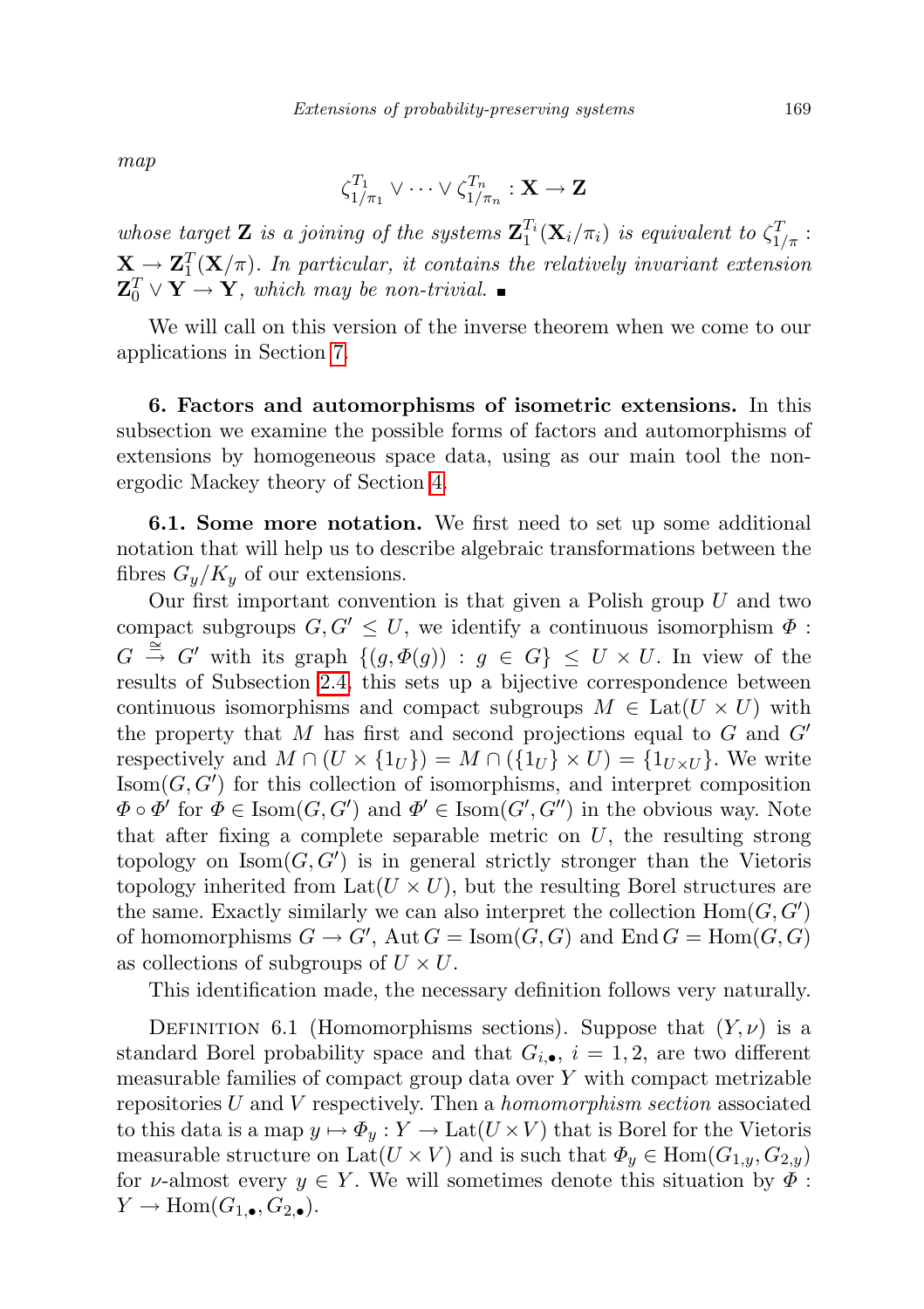map

$$
\zeta^{T_1}_{1/\pi_1}\vee\cdots\vee\zeta^{T_n}_{1/\pi_n}:\mathbf{X}\to\mathbf{Z}
$$

whose target **Z** is a joining of the systems  $\mathbf{Z}_1^{T_i}(\mathbf{X}_i/\pi_i)$  is equivalent to  $\zeta_{1/\pi}^T$ :  $\mathbf{X} \to \mathbf{Z}_{1}^{T}(\mathbf{X}/\pi)$ . In particular, it contains the relatively invariant extension  $\mathbf{Z}_0^T \vee \mathbf{Y} \rightarrow \mathbf{Y}$ , which may be non-trivial.

We will call on this version of the inverse theorem when we come to our applications in Section [7.](#page-44-0)

6. Factors and automorphisms of isometric extensions. In this subsection we examine the possible forms of factors and automorphisms of extensions by homogeneous space data, using as our main tool the nonergodic Mackey theory of Section [4.](#page-19-0)

6.1. Some more notation. We first need to set up some additional notation that will help us to describe algebraic transformations between the fibres  $G_y/K_y$  of our extensions.

Our first important convention is that given a Polish group  $U$  and two compact subgroups  $G, G' \leq U$ , we identify a continuous isomorphism  $\Phi$ :  $G \stackrel{\cong}{\to} G'$  with its graph  $\{(g, \Phi(g)) : g \in G\} \leq U \times U$ . In view of the results of Subsection [2.4,](#page-13-0) this sets up a bijective correspondence between continuous isomorphisms and compact subgroups  $M \in \text{Lat}(U \times U)$  with the property that M has first and second projections equal to G and  $G'$ respectively and  $M \cap (U \times \{1_U\}) = M \cap (\{1_U\} \times U) = \{1_{U \times U}\}\.$  We write  $\text{Isom}(G, G')$  for this collection of isomorphisms, and interpret composition  $\Phi \circ \Phi'$  for  $\Phi \in \text{Isom}(G, G')$  and  $\Phi' \in \text{Isom}(G', G'')$  in the obvious way. Note that after fixing a complete separable metric on  $U$ , the resulting strong topology on  $\text{Isom}(G, G')$  is in general strictly stronger than the Vietoris topology inherited from  $Lat(U \times U)$ , but the resulting Borel structures are the same. Exactly similarly we can also interpret the collection  $Hom(G, G')$ of homomorphisms  $G \to G'$ , Aut  $G = \text{Isom}(G, G)$  and End  $G = \text{Hom}(G, G)$ as collections of subgroups of  $U \times U$ .

This identification made, the necessary definition follows very naturally.

DEFINITION 6.1 (Homomorphisms sections). Suppose that  $(Y, \nu)$  is a standard Borel probability space and that  $G_{i,\bullet}$ ,  $i=1,2$ , are two different measurable families of compact group data over Y with compact metrizable repositories  $U$  and  $V$  respectively. Then a *homomorphism section* associated to this data is a map  $y \mapsto \Phi_y : Y \to \text{Lat}(U \times V)$  that is Borel for the Vietoris measurable structure on Lat $(U \times V)$  and is such that  $\Phi_y \in \text{Hom}(G_{1,y}, G_{2,y})$ for v-almost every  $y \in Y$ . We will sometimes denote this situation by  $\Phi$ :  $Y \to \text{Hom}(G_{1,\bullet}, G_{2,\bullet}).$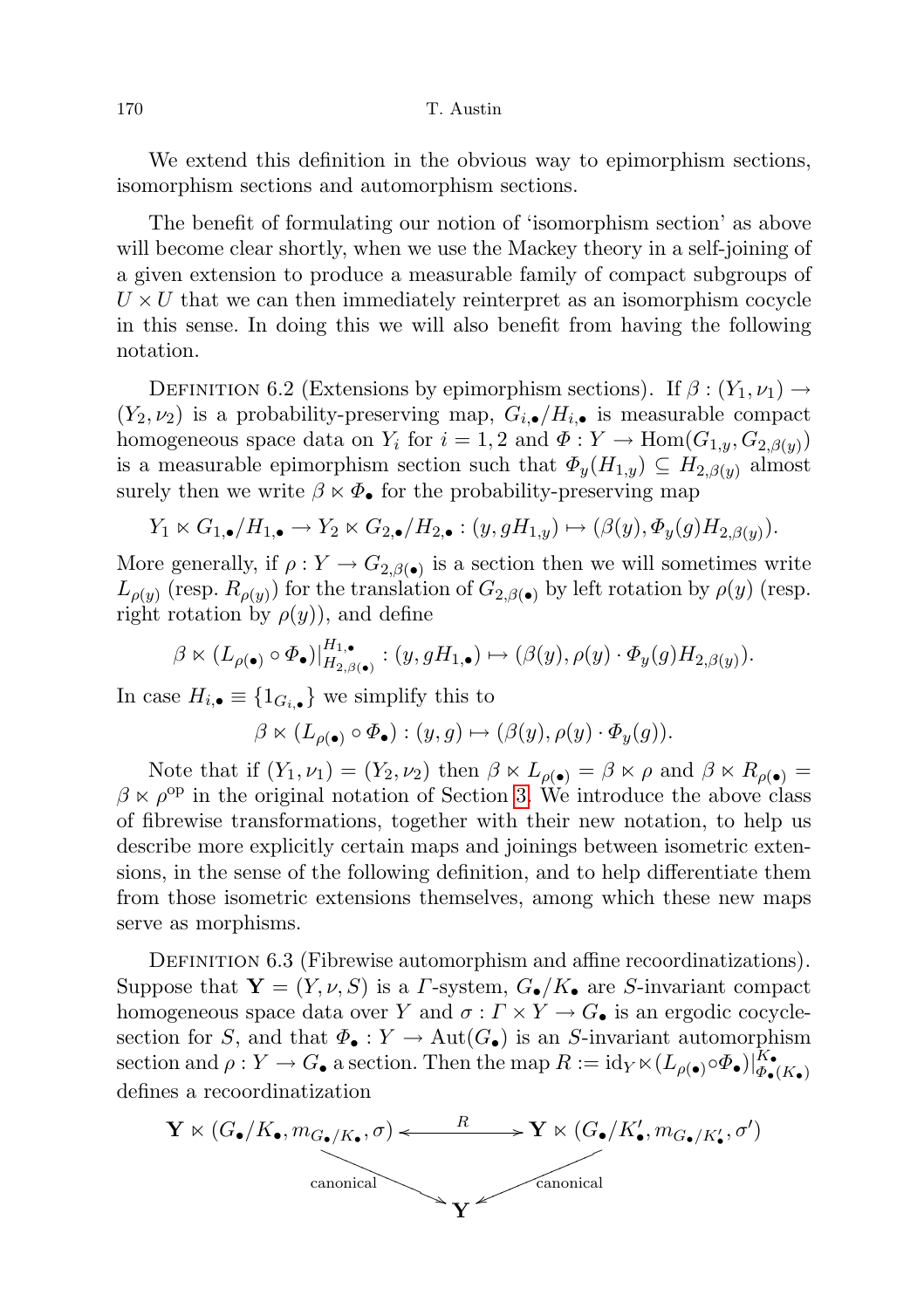We extend this definition in the obvious way to epimorphism sections, isomorphism sections and automorphism sections.

The benefit of formulating our notion of 'isomorphism section' as above will become clear shortly, when we use the Mackey theory in a self-joining of a given extension to produce a measurable family of compact subgroups of  $U \times U$  that we can then immediately reinterpret as an isomorphism cocycle in this sense. In doing this we will also benefit from having the following notation.

DEFINITION 6.2 (Extensions by epimorphism sections). If  $\beta$  :  $(Y_1, \nu_1) \rightarrow$  $(Y_2, \nu_2)$  is a probability-preserving map,  $G_{i,\bullet}/H_{i,\bullet}$  is measurable compact homogeneous space data on  $Y_i$  for  $i = 1, 2$  and  $\Phi: Y \to \text{Hom}(G_{1,y}, G_{2,\beta(y)})$ is a measurable epimorphism section such that  $\Phi_y(H_{1,y}) \subseteq H_{2,\beta(y)}$  almost surely then we write  $\beta \times \Phi_{\bullet}$  for the probability-preserving map

$$
Y_1 \ltimes G_{1,\bullet}/H_{1,\bullet} \to Y_2 \ltimes G_{2,\bullet}/H_{2,\bullet}: (y, gH_{1,y}) \mapsto (\beta(y), \Phi_y(g)H_{2,\beta(y)}).
$$

More generally, if  $\rho: Y \to G_{2,\beta(\bullet)}$  is a section then we will sometimes write  $L_{\rho(y)}$  (resp.  $R_{\rho(y)}$ ) for the translation of  $G_{2,\beta(\bullet)}$  by left rotation by  $\rho(y)$  (resp. right rotation by  $\rho(y)$ , and define

$$
\beta \ltimes (L_{\rho(\bullet)} \circ \Phi_{\bullet})|_{H_{2,\beta(\bullet)}}^{H_{1,\bullet}} : (y, gH_{1,\bullet}) \mapsto (\beta(y), \rho(y) \cdot \Phi_{y}(g)H_{2,\beta(y)}).
$$

In case  $H_{i,\bullet} \equiv \{1_{G_{i,\bullet}}\}$  we simplify this to

$$
\beta \ltimes (L_{\rho(\bullet)} \circ \Phi_{\bullet}) : (y, g) \mapsto (\beta(y), \rho(y) \cdot \Phi_y(g)).
$$

Note that if  $(Y_1, \nu_1) = (Y_2, \nu_2)$  then  $\beta \ltimes L_{\rho(\bullet)} = \beta \ltimes \rho$  and  $\beta \ltimes R_{\rho(\bullet)} =$  $\beta \times \rho^{\rm op}$  in the original notation of Section [3.](#page-14-0) We introduce the above class of fibrewise transformations, together with their new notation, to help us describe more explicitly certain maps and joinings between isometric extensions, in the sense of the following definition, and to help differentiate them from those isometric extensions themselves, among which these new maps serve as morphisms.

DEFINITION 6.3 (Fibrewise automorphism and affine recoordinatizations). Suppose that  $Y = (Y, \nu, S)$  is a *Γ*-system,  $G_{\bullet}/K_{\bullet}$  are *S*-invariant compact homogeneous space data over Y and  $\sigma: \Gamma \times Y \to G_{\bullet}$  is an ergodic cocyclesection for S, and that  $\Phi_{\bullet}: Y \to \text{Aut}(G_{\bullet})$  is an S-invariant automorphism section and  $\rho: Y \to G_{\bullet}$  a section. Then the map  $R := \mathrm{id}_Y \ltimes (L_{\rho(\bullet)} \circ \Phi_{\bullet})|_{\Phi_{\bullet}}^{K_{\bullet}}$  $\Phi_\bullet(K_\bullet)$ defines a recoordinatization

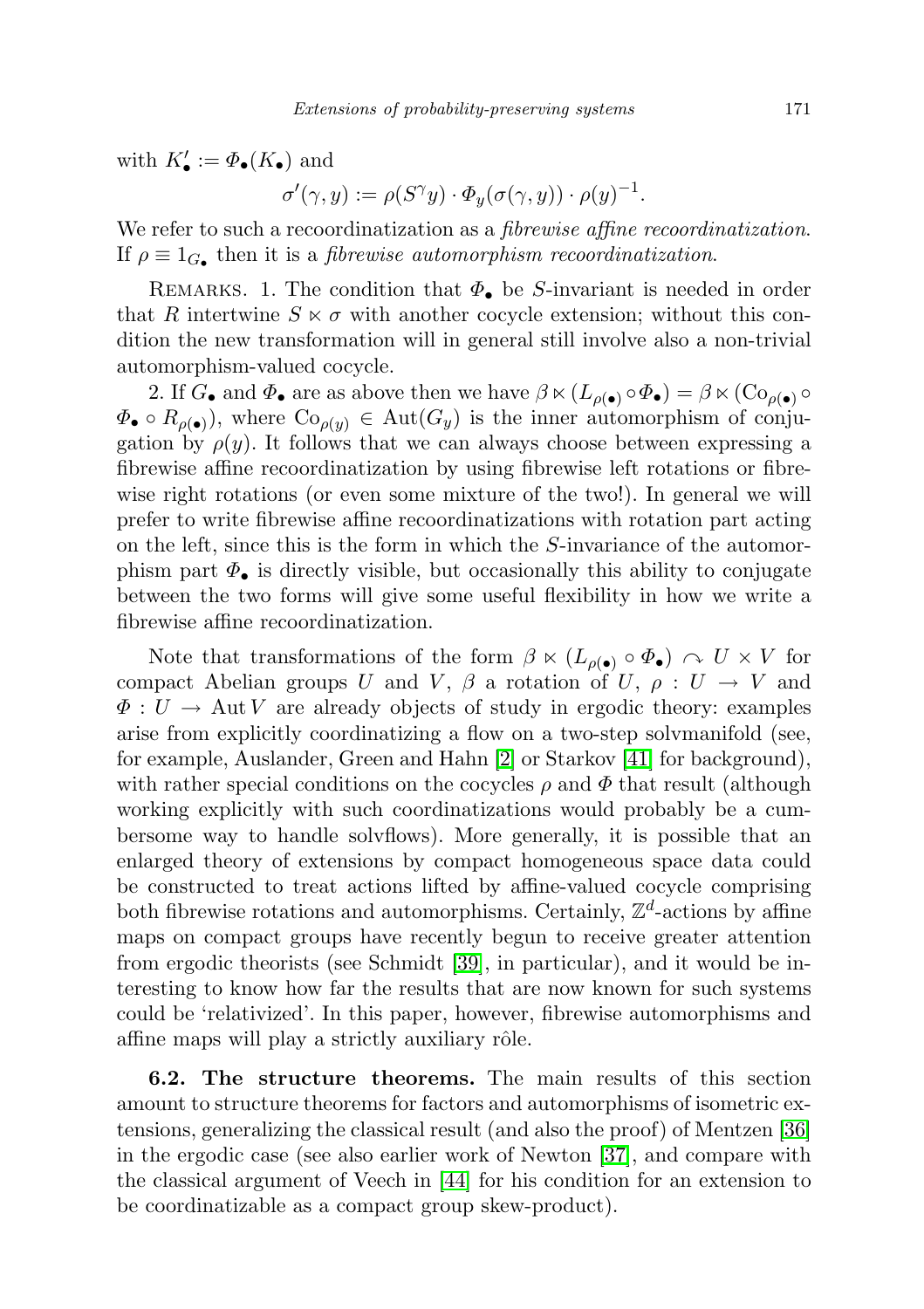with  $K'_{\bullet} := \Phi_{\bullet}(K_{\bullet})$  and

$$
\sigma'(\gamma, y) := \rho(S^{\gamma}y) \cdot \Phi_y(\sigma(\gamma, y)) \cdot \rho(y)^{-1}.
$$

We refer to such a recoordinatization as a *fibrewise affine recoordinatization*. If  $\rho \equiv 1_G$ , then it is a *fibrewise automorphism recoordinatization*.

REMARKS. 1. The condition that  $\Phi_{\bullet}$  be S-invariant is needed in order that R intertwine  $S \times \sigma$  with another cocycle extension; without this condition the new transformation will in general still involve also a non-trivial automorphism-valued cocycle.

2. If  $G_{\bullet}$  and  $\Phi_{\bullet}$  are as above then we have  $\beta \ltimes (L_{\rho(\bullet)} \circ \Phi_{\bullet}) = \beta \ltimes (\text{Co}_{\rho(\bullet)} \circ$  $\Phi_{\bullet} \circ R_{\rho(\bullet)}$ , where  $Co_{\rho(y)} \in \text{Aut}(G_y)$  is the inner automorphism of conjugation by  $\rho(y)$ . It follows that we can always choose between expressing a fibrewise affine recoordinatization by using fibrewise left rotations or fibrewise right rotations (or even some mixture of the two!). In general we will prefer to write fibrewise affine recoordinatizations with rotation part acting on the left, since this is the form in which the S-invariance of the automorphism part  $\Phi_{\bullet}$  is directly visible, but occasionally this ability to conjugate between the two forms will give some useful flexibility in how we write a fibrewise affine recoordinatization.

Note that transformations of the form  $\beta \lt (L_{\rho(\bullet)} \circ \Phi_{\bullet}) \sim U \times V$  for compact Abelian groups U and V,  $\beta$  a rotation of U,  $\rho: U \to V$  and  $\Phi: U \to \text{Aut } V$  are already objects of study in ergodic theory: examples arise from explicitly coordinatizing a flow on a two-step solvmanifold (see, for example, Auslander, Green and Hahn [\[2\]](#page-71-0) or Starkov [\[41\]](#page-73-0) for background), with rather special conditions on the cocycles  $\rho$  and  $\Phi$  that result (although working explicitly with such coordinatizations would probably be a cumbersome way to handle solvflows). More generally, it is possible that an enlarged theory of extensions by compact homogeneous space data could be constructed to treat actions lifted by affine-valued cocycle comprising both fibrewise rotations and automorphisms. Certainly,  $\mathbb{Z}^d$ -actions by affine maps on compact groups have recently begun to receive greater attention from ergodic theorists (see Schmidt [\[39\]](#page-72-0), in particular), and it would be interesting to know how far the results that are now known for such systems could be 'relativized'. In this paper, however, fibrewise automorphisms and affine maps will play a strictly auxiliary rôle.

<span id="page-38-0"></span>6.2. The structure theorems. The main results of this section amount to structure theorems for factors and automorphisms of isometric extensions, generalizing the classical result (and also the proof) of Mentzen [\[36\]](#page-72-1) in the ergodic case (see also earlier work of Newton [\[37\]](#page-72-2), and compare with the classical argument of Veech in [\[44\]](#page-73-1) for his condition for an extension to be coordinatizable as a compact group skew-product).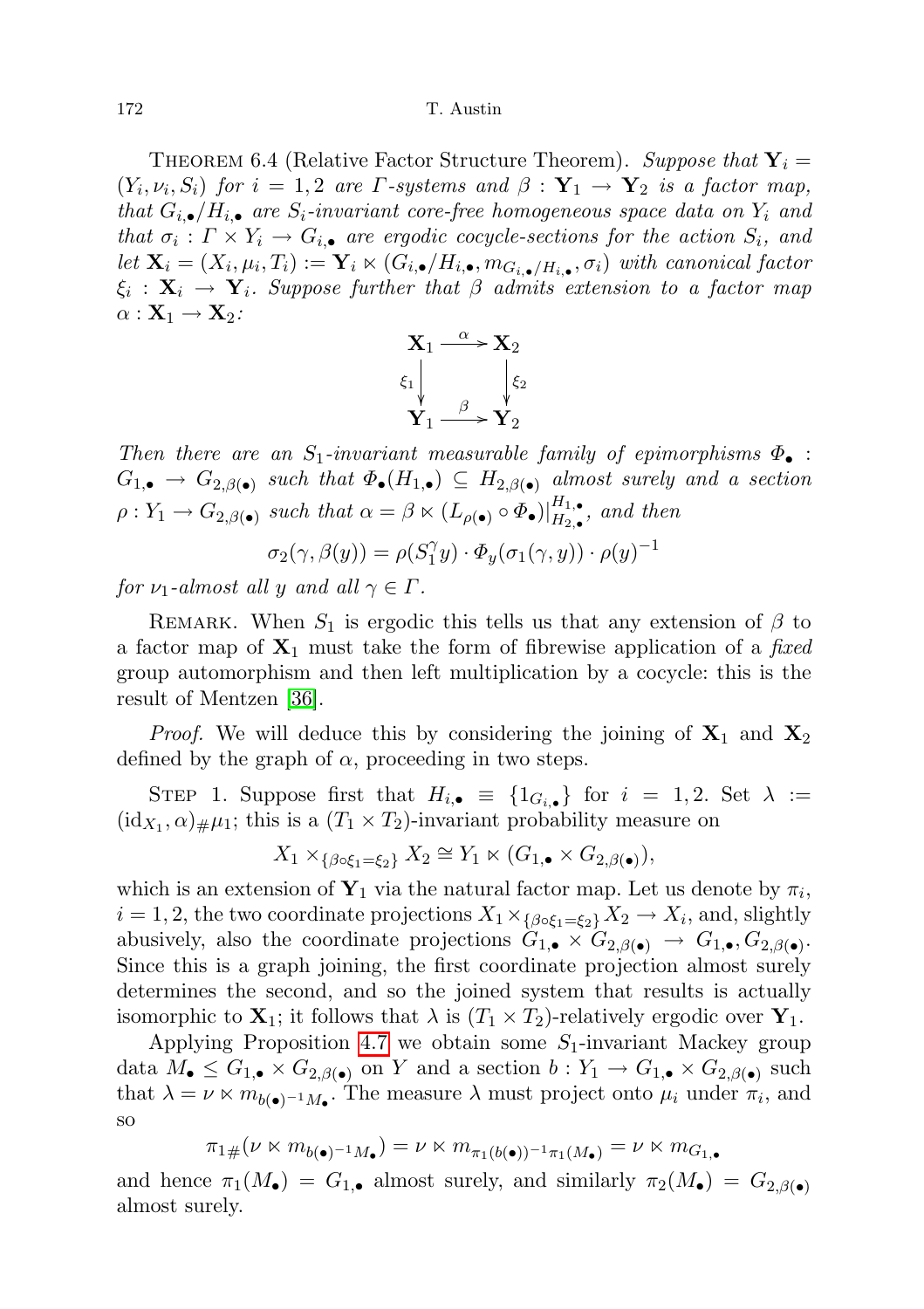THEOREM 6.4 (Relative Factor Structure Theorem). Suppose that  $Y_i =$  $(Y_i, \nu_i, S_i)$  for  $i = 1, 2$  are  $\Gamma$ -systems and  $\beta : \mathbf{Y}_1 \to \mathbf{Y}_2$  is a factor map, that  $G_{i,\bullet}/H_{i,\bullet}$  are  $S_i$ -invariant core-free homogeneous space data on  $Y_i$  and that  $\sigma_i: \Gamma \times Y_i \to G_{i,\bullet}$  are ergodic cocycle-sections for the action  $S_i$ , and let  $\mathbf{X}_i = (X_i, \mu_i, T_i) := \mathbf{Y}_i \ltimes (G_{i,\bullet}/H_{i,\bullet}, m_{G_{i,\bullet}/H_{i,\bullet}}, \sigma_i)$  with canonical factor  $\xi_i\,:\, \mathbf{X}_i\,\to\,\mathbf{Y}_i.$  Suppose further that  $\beta$  admits extension to a factor map  $\alpha : \mathbf{X}_1 \to \mathbf{X}_2$ :



Then there are an  $S_1$ -invariant measurable family of epimorphisms  $\Phi_{\bullet}$  :  $G_{1,\bullet} \to G_{2,\beta(\bullet)}$  such that  $\Phi_{\bullet}(H_{1,\bullet}) \subseteq H_{2,\beta(\bullet)}$  almost surely and a section  $\rho: Y_1 \to G_{2,\beta(\bullet)}$  such that  $\alpha = \beta \ltimes (L_{\rho(\bullet)} \circ \Phi_{\bullet})|_{H_2}^{H_1,\bullet}$  $\prod_{H_2,\bullet}^{H_1,\bullet}$ , and then

$$
\sigma_2(\gamma,\beta(y)) = \rho(S_1^{\gamma}y) \cdot \Phi_y(\sigma_1(\gamma,y)) \cdot \rho(y)^{-1}
$$

for  $\nu_1$ -almost all y and all  $\gamma \in \Gamma$ .

REMARK. When  $S_1$  is ergodic this tells us that any extension of  $\beta$  to a factor map of  $X_1$  must take the form of fibrewise application of a fixed group automorphism and then left multiplication by a cocycle: this is the result of Mentzen [\[36\]](#page-72-1).

*Proof.* We will deduce this by considering the joining of  $X_1$  and  $X_2$ defined by the graph of  $\alpha$ , proceeding in two steps.

STEP 1. Suppose first that  $H_{i,\bullet} \equiv \{1_{G_{i,\bullet}}\}$  for  $i = 1, 2$ . Set  $\lambda :=$  $(id_{X_1}, \alpha)_{\#}\mu_1$ ; this is a  $(T_1 \times T_2)$ -invariant probability measure on

$$
X_1 \times_{\{\beta \circ \xi_1 = \xi_2\}} X_2 \cong Y_1 \ltimes (G_{1,\bullet} \times G_{2,\beta(\bullet)}),
$$

which is an extension of  $\mathbf{Y}_1$  via the natural factor map. Let us denote by  $\pi_i$ ,  $i = 1, 2$ , the two coordinate projections  $X_1 \times_{\{\beta \circ \xi_1 = \xi_2\}} X_2 \to X_i$ , and, slightly abusively, also the coordinate projections  $G_{1,\bullet} \times G_{2,\beta(\bullet)} \to G_{1,\bullet}, G_{2,\beta(\bullet)}$ . Since this is a graph joining, the first coordinate projection almost surely determines the second, and so the joined system that results is actually isomorphic to  $X_1$ ; it follows that  $\lambda$  is  $(T_1 \times T_2)$ -relatively ergodic over  $Y_1$ .

Applying Proposition [4.7](#page-26-0) we obtain some  $S_1$ -invariant Mackey group data  $M_{\bullet} \leq G_{1,\bullet} \times G_{2,\beta(\bullet)}$  on Y and a section  $b: Y_1 \to G_{1,\bullet} \times G_{2,\beta(\bullet)}$  such that  $\lambda = \nu \ltimes m_{b(\bullet)^{-1}M_{\bullet}}$ . The measure  $\lambda$  must project onto  $\mu_i$  under  $\pi_i$ , and so

$$
\pi_1{}_\#(\nu \ltimes m_{b(\bullet)^{-1}M_\bullet}) = \nu \ltimes m_{\pi_1(b(\bullet))^{-1}\pi_1(M_\bullet)} = \nu \ltimes m_{G_1,\bullet}
$$

and hence  $\pi_1(M_{\bullet}) = G_{1,\bullet}$  almost surely, and similarly  $\pi_2(M_{\bullet}) = G_{2,\beta(\bullet)}$ almost surely.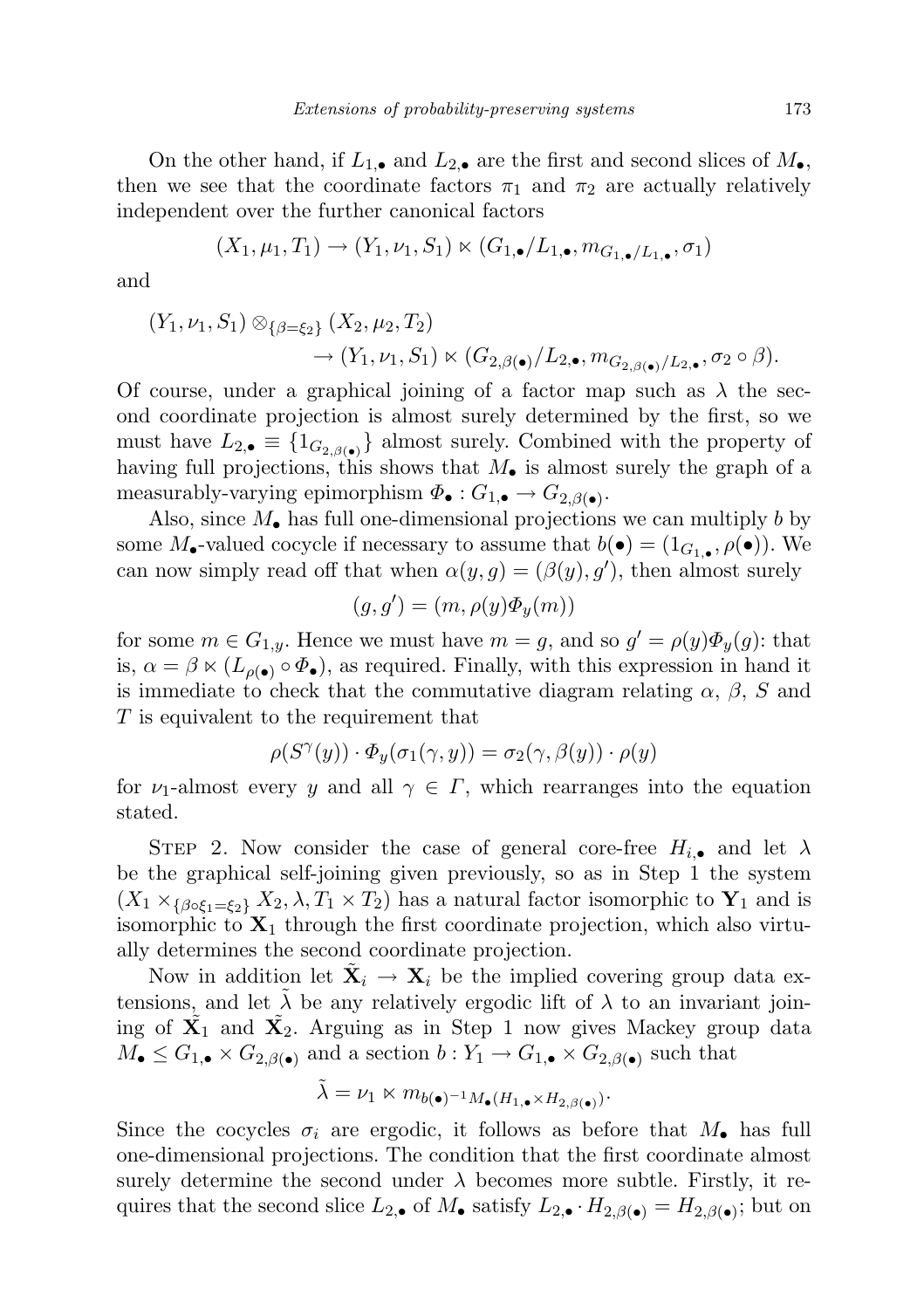On the other hand, if  $L_{1,\bullet}$  and  $L_{2,\bullet}$  are the first and second slices of  $M_{\bullet}$ , then we see that the coordinate factors  $\pi_1$  and  $\pi_2$  are actually relatively independent over the further canonical factors

$$
(X_1, \mu_1, T_1) \rightarrow (Y_1, \nu_1, S_1) \ltimes (G_{1,\bullet}/L_{1,\bullet}, m_{G_{1,\bullet}/L_{1,\bullet}}, \sigma_1)
$$

and

$$
(Y_1, \nu_1, S_1) \otimes_{\{\beta=\xi_2\}} (X_2, \mu_2, T_2) \rightarrow (Y_1, \nu_1, S_1) \ltimes (G_{2,\beta(\bullet)}/L_{2,\bullet}, m_{G_{2,\beta(\bullet)}/L_{2,\bullet}}, \sigma_2 \circ \beta).
$$

Of course, under a graphical joining of a factor map such as  $\lambda$  the second coordinate projection is almost surely determined by the first, so we must have  $L_{2,\bullet} \equiv \{1_{G_{2,\beta(\bullet)}}\}$  almost surely. Combined with the property of having full projections, this shows that  $M_{\bullet}$  is almost surely the graph of a measurably-varying epimorphism  $\Phi_{\bullet}: G_{1,\bullet} \to G_{2,\beta(\bullet)}$ .

Also, since  $M_{\bullet}$  has full one-dimensional projections we can multiply b by some  $M_{\bullet}$ -valued cocycle if necessary to assume that  $b(\bullet) = (1_{G_{1,\bullet}}, \rho(\bullet))$ . We can now simply read off that when  $\alpha(y, g) = (\beta(y), g')$ , then almost surely

$$
(g, g') = (m, \rho(y)\Phi_y(m))
$$

for some  $m \in G_{1,y}$ . Hence we must have  $m = g$ , and so  $g' = \rho(y)\Phi_y(g)$ : that is,  $\alpha = \beta \ltimes (L_{\rho(\bullet)} \circ \Phi_{\bullet})$ , as required. Finally, with this expression in hand it is immediate to check that the commutative diagram relating  $\alpha$ ,  $\beta$ , S and T is equivalent to the requirement that

$$
\rho(S^{\gamma}(y)) \cdot \Phi_y(\sigma_1(\gamma, y)) = \sigma_2(\gamma, \beta(y)) \cdot \rho(y)
$$

for  $\nu_1$ -almost every y and all  $\gamma \in \Gamma$ , which rearranges into the equation stated.

STEP 2. Now consider the case of general core-free  $H_{i,\bullet}$  and let  $\lambda$ be the graphical self-joining given previously, so as in Step 1 the system  $(X_1 \times_{\{\beta \circ \xi_1 = \xi_2\}} X_2, \lambda, T_1 \times T_2)$  has a natural factor isomorphic to  $\mathbf{Y}_1$  and is isomorphic to  $X_1$  through the first coordinate projection, which also virtually determines the second coordinate projection.

Now in addition let  $\tilde{\mathbf{X}}_i \to \mathbf{X}_i$  be the implied covering group data extensions, and let  $\lambda$  be any relatively ergodic lift of  $\lambda$  to an invariant joining of  $\tilde{X_1}$  and  $\tilde{X_2}$ . Arguing as in Step 1 now gives Mackey group data  $M_{\bullet} \leq G_{1,\bullet} \times G_{2,\beta(\bullet)}$  and a section  $b: Y_1 \to G_{1,\bullet} \times G_{2,\beta(\bullet)}$  such that

$$
\tilde{\lambda} = \nu_1 \ltimes m_{b(\bullet)^{-1}M_{\bullet}(H_{1,\bullet} \times H_{2,\beta(\bullet)})}.
$$

Since the cocycles  $\sigma_i$  are ergodic, it follows as before that  $M_{\bullet}$  has full one-dimensional projections. The condition that the first coordinate almost surely determine the second under  $\lambda$  becomes more subtle. Firstly, it requires that the second slice  $L_{2,\bullet}$  of  $M_{\bullet}$  satisfy  $L_{2,\bullet} \cdot H_{2,\beta(\bullet)} = H_{2,\beta(\bullet)}$ ; but on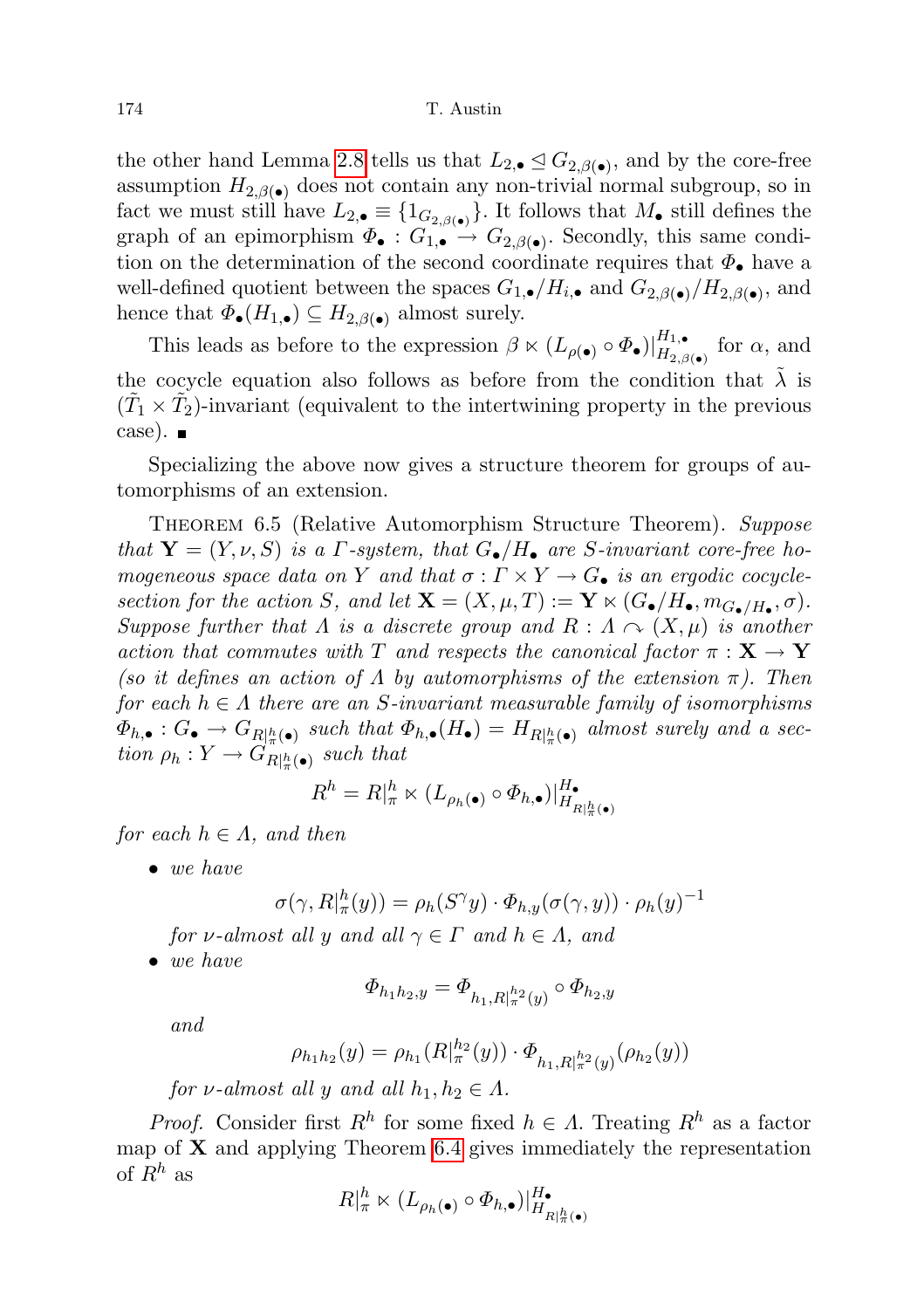the other hand Lemma [2.8](#page-13-1) tells us that  $L_{2,\bullet} \leq G_{2,\beta(\bullet)}$ , and by the core-free assumption  $H_{2,\beta(\bullet)}$  does not contain any non-trivial normal subgroup, so in fact we must still have  $L_{2,\bullet} \equiv \{1_{G_{2,\beta(\bullet)}}\}\.$  It follows that  $M_{\bullet}$  still defines the graph of an epimorphism  $\Phi_{\bullet}: G_{1,\bullet} \to G_{2,\beta(\bullet)}$ . Secondly, this same condition on the determination of the second coordinate requires that  $\Phi_{\bullet}$  have a well-defined quotient between the spaces  $G_{1,\bullet}/H_{i,\bullet}$  and  $G_{2,\beta(\bullet)}/H_{2,\beta(\bullet)}$ , and hence that  $\Phi_{\bullet}(H_{1,\bullet}) \subseteq H_{2,\beta(\bullet)}$  almost surely.

This leads as before to the expression  $\beta \ltimes (L_{\rho(\bullet)} \circ \Phi_{\bullet})|_{H_{2,\rho}}^{H_{1,\bullet}}$  $H_{2,\beta(\bullet)}^{11,\bullet}$  for  $\alpha$ , and the cocycle equation also follows as before from the condition that  $\lambda$  is  $(\tilde{T}_1 \times \tilde{T}_2)$ -invariant (equivalent to the intertwining property in the previous case).

Specializing the above now gives a structure theorem for groups of automorphisms of an extension.

<span id="page-41-0"></span>THEOREM 6.5 (Relative Automorphism Structure Theorem). Suppose that  $\mathbf{Y} = (Y, \nu, S)$  is a *Γ*-system, that  $G_{\bullet}/H_{\bullet}$  are *S*-invariant core-free homogeneous space data on Y and that  $\sigma : \Gamma \times Y \to G_{\bullet}$  is an ergodic cocyclesection for the action S, and let  $\mathbf{X} = (X, \mu, T) := \mathbf{Y} \ltimes (G_{\bullet}/H_{\bullet}, m_{G_{\bullet}/H_{\bullet}}, \sigma)$ . Suppose further that  $\Lambda$  is a discrete group and  $R : \Lambda \curvearrowright (X, \mu)$  is another action that commutes with T and respects the canonical factor  $\pi : X \to Y$ (so it defines an action of  $\Lambda$  by automorphisms of the extension  $\pi$ ). Then for each  $h \in \Lambda$  there are an S-invariant measurable family of isomorphisms  $\Phi_{h,\bullet}: G_{\bullet} \to G_{R|h(\bullet)}$  such that  $\Phi_{h,\bullet}(H_{\bullet}) = H_{R|h(\bullet)}$  almost surely and a section  $\rho_h: Y \to G_{R|h(\bullet)}^n$  such that

$$
R^h = R|_{\pi}^h \ltimes (L_{\rho_h(\bullet)} \circ \Phi_{h,\bullet})|_{H_{R|_{\pi}^h(\bullet)}}^{H_{\bullet}}
$$

for each  $h \in \Lambda$ , and then

• we have

$$
\sigma(\gamma, R|_{\pi}^{h}(y)) = \rho_{h}(S^{\gamma}y) \cdot \Phi_{h,y}(\sigma(\gamma, y)) \cdot \rho_{h}(y)^{-1}
$$

for v-almost all y and all  $\gamma \in \Gamma$  and  $h \in \Lambda$ , and

• we have

$$
\varPhi_{h_1h_2,y} = \varPhi_{h_1,R|_\pi^{h_2}(y)} \circ \varPhi_{h_2,y}
$$

and

$$
\rho_{h_1h_2}(y) = \rho_{h_1}(R_{\pi}^{h_2}(y)) \cdot \Phi_{h_1, R_{\pi}^{h_2}(y)}(\rho_{h_2}(y))
$$

for v-almost all y and all  $h_1, h_2 \in \Lambda$ .

*Proof.* Consider first  $R^h$  for some fixed  $h \in \Lambda$ . Treating  $R^h$  as a factor map of  $X$  and applying Theorem [6.4](#page-38-0) gives immediately the representation of  $R^h$  as

$$
R|_\pi^h \ltimes (L_{\rho_h(\bullet)} \circ \Phi_{h,\bullet})|_{H_{R|\pi(\bullet)}}^{H_{\bullet}}
$$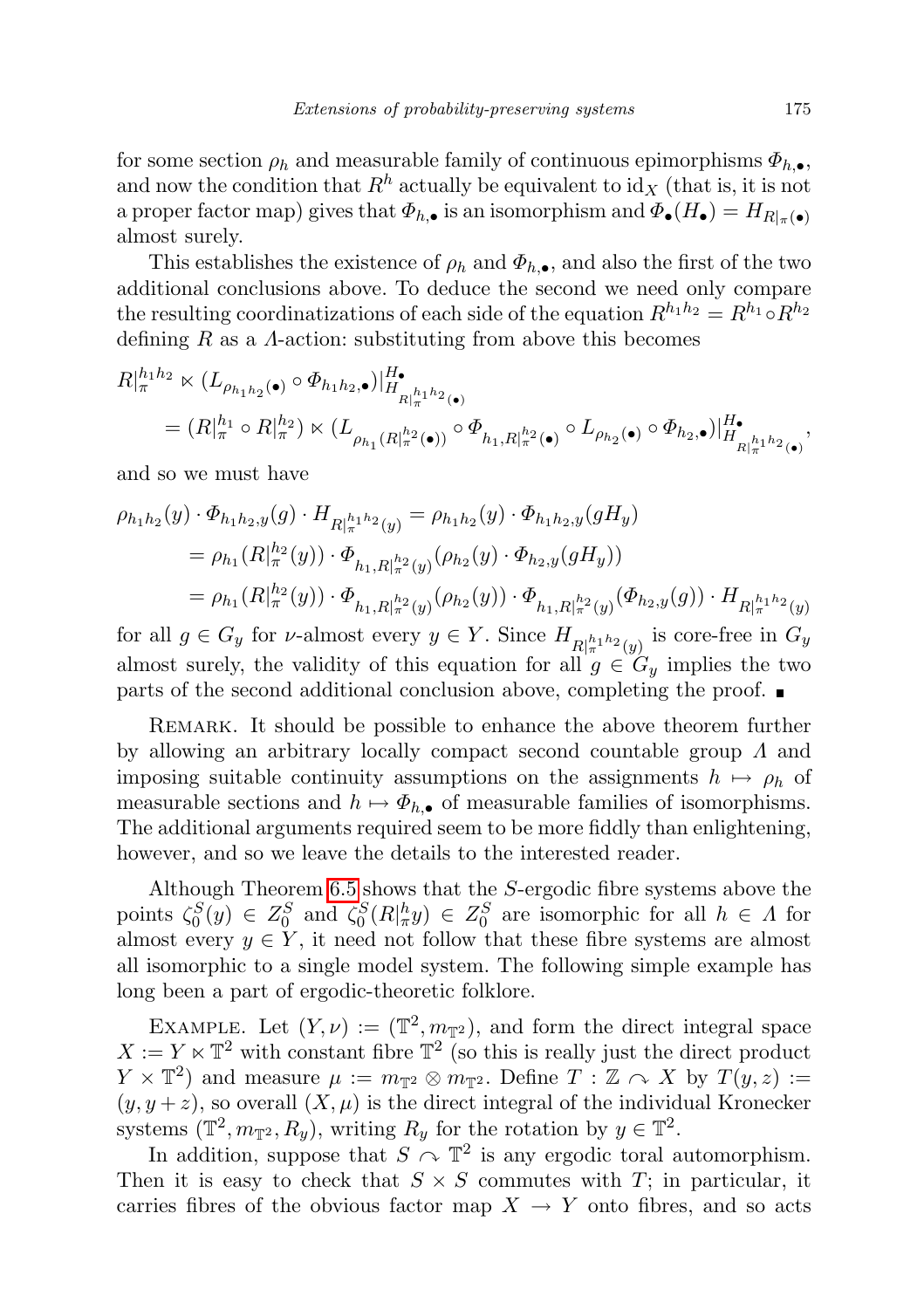for some section  $\rho_h$  and measurable family of continuous epimorphisms  $\Phi_{h,\bullet}$ , and now the condition that  $R<sup>h</sup>$  actually be equivalent to id<sub>X</sub> (that is, it is not a proper factor map) gives that  $\Phi_{h,\bullet}$  is an isomorphism and  $\Phi_{\bullet}(H_{\bullet}) = H_{R|_{\pi}(\bullet)}$ almost surely.

This establishes the existence of  $\rho_h$  and  $\Phi_{h,\bullet}$ , and also the first of the two additional conclusions above. To deduce the second we need only compare the resulting coordinatizations of each side of the equation  $R^{h_1h_2} = R^{h_1} \circ R^{h_2}$ defining  $R$  as a  $\Lambda$ -action: substituting from above this becomes

$$
R|_{\pi}^{h_1 h_2} \times (L_{\rho_{h_1 h_2}(\bullet)} \circ \Phi_{h_1 h_2, \bullet})|_{H_{R|\pi}^{h_1 h_2}(\bullet)}^{H_{\bullet}}
$$
  
=  $(R|_{\pi}^{h_1} \circ R|_{\pi}^{h_2}) \times (L_{\rho_{h_1}(R|\pi^2(\bullet))} \circ \Phi_{h_1, R|\pi^2(\bullet)} \circ L_{\rho_{h_2}(\bullet)} \circ \Phi_{h_2, \bullet})|_{H_{R|\pi^{h_1 h_2}(\bullet)}}^{H_{\bullet}}$ 

and so we must have

$$
\rho_{h_1h_2}(y) \cdot \Phi_{h_1h_2,y}(g) \cdot H_{R|_{\pi}^{h_1h_2}(y)} = \rho_{h_1h_2}(y) \cdot \Phi_{h_1h_2,y}(gH_y)
$$
  
=  $\rho_{h_1}(R|_{\pi}^{h_2}(y)) \cdot \Phi_{h_1,R|_{\pi}^{h_2}(y)}(\rho_{h_2}(y) \cdot \Phi_{h_2,y}(gH_y))$   
=  $\rho_{h_1}(R|_{\pi}^{h_2}(y)) \cdot \Phi_{h_1,R|_{\pi}^{h_2}(y)}(\rho_{h_2}(y)) \cdot \Phi_{h_1,R|_{\pi}^{h_2}(y)}(\Phi_{h_2,y}(g)) \cdot H_{R|_{\pi}^{h_1h_2}(y)}$ 

for all  $g \in G_y$  for *v*-almost every  $y \in Y$ . Since  $H_{R|\pi|^{h_1 h_2}(y)}$  is core-free in  $G_y$ almost surely, the validity of this equation for all  $g \in G_y$  implies the two parts of the second additional conclusion above, completing the proof.

Remark. It should be possible to enhance the above theorem further by allowing an arbitrary locally compact second countable group  $\Lambda$  and imposing suitable continuity assumptions on the assignments  $h \mapsto \rho_h$  of measurable sections and  $h \mapsto \Phi_{h,\bullet}$  of measurable families of isomorphisms. The additional arguments required seem to be more fiddly than enlightening, however, and so we leave the details to the interested reader.

Although Theorem [6.5](#page-41-0) shows that the S-ergodic fibre systems above the points  $\zeta_0^S(y) \in Z_0^S$  and  $\zeta_0^S(R|\pi^h y) \in Z_0^S$  are isomorphic for all  $h \in \Lambda$  for almost every  $y \in Y$ , it need not follow that these fibre systems are almost all isomorphic to a single model system. The following simple example has long been a part of ergodic-theoretic folklore.

EXAMPLE. Let  $(Y, \nu) := (\mathbb{T}^2, m_{\mathbb{T}^2})$ , and form the direct integral space  $X := Y \times \mathbb{T}^2$  with constant fibre  $\mathbb{T}^2$  (so this is really just the direct product  $Y \times \mathbb{T}^2$  and measure  $\mu := m_{\mathbb{T}^2} \otimes m_{\mathbb{T}^2}$ . Define  $T : \mathbb{Z} \curvearrowright X$  by  $T(y, z) :=$  $(y, y + z)$ , so overall  $(X, \mu)$  is the direct integral of the individual Kronecker systems  $(\mathbb{T}^2, m_{\mathbb{T}^2}, R_y)$ , writing  $R_y$  for the rotation by  $y \in \mathbb{T}^2$ .

In addition, suppose that  $S \cap \mathbb{T}^2$  is any ergodic toral automorphism. Then it is easy to check that  $S \times S$  commutes with T; in particular, it carries fibres of the obvious factor map  $X \to Y$  onto fibres, and so acts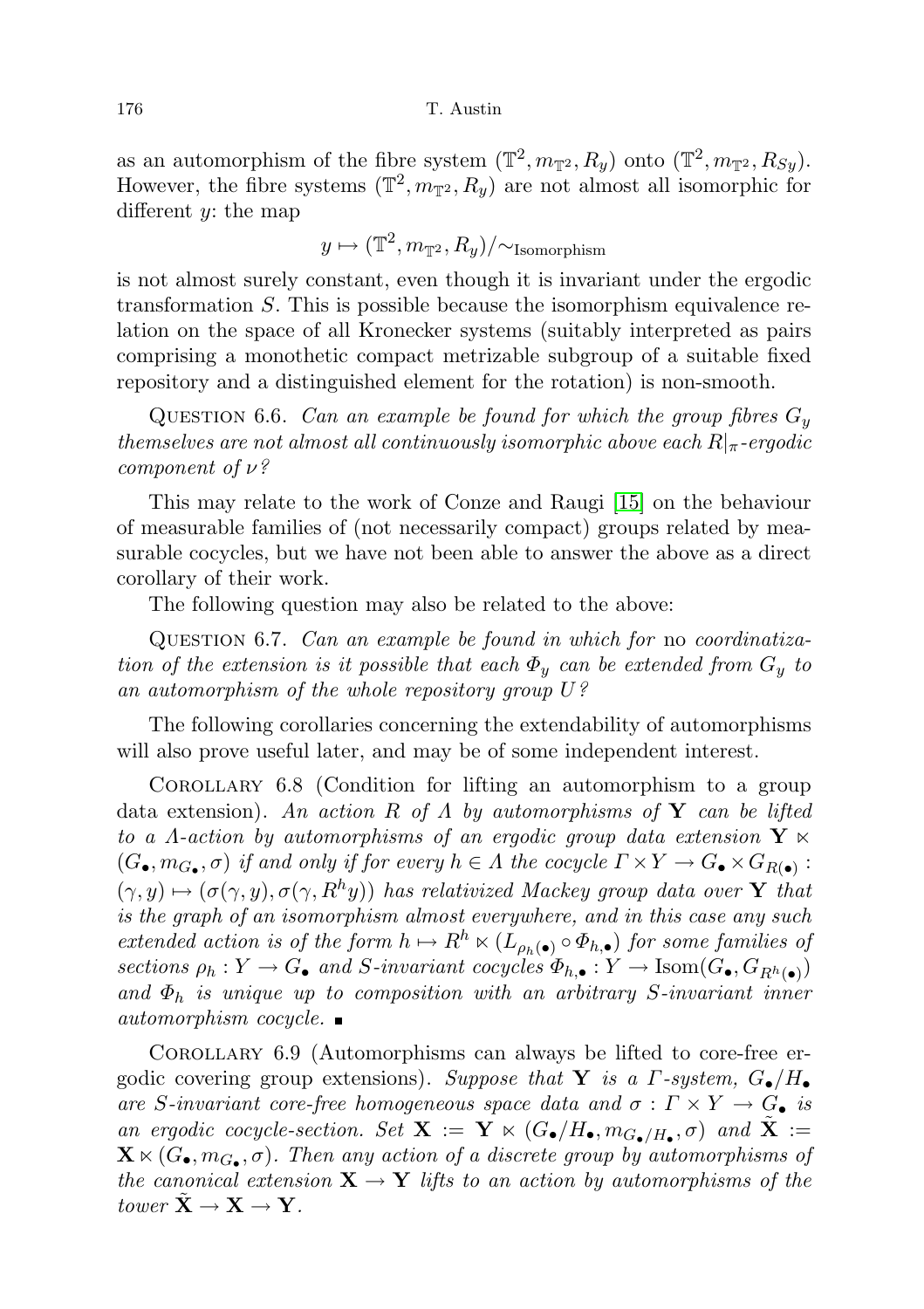as an automorphism of the fibre system  $(\mathbb{T}^2, m_{\mathbb{T}^2}, R_y)$  onto  $(\mathbb{T}^2, m_{\mathbb{T}^2}, R_{Sy})$ . However, the fibre systems  $(\mathbb{T}^2, m_{\mathbb{T}^2}, R_y)$  are not almost all isomorphic for different y: the map

$$
y \mapsto (\mathbb{T}^2, m_{\mathbb{T}^2}, R_y)/\sim \text{Isomorphism}
$$

is not almost surely constant, even though it is invariant under the ergodic transformation S. This is possible because the isomorphism equivalence relation on the space of all Kronecker systems (suitably interpreted as pairs comprising a monothetic compact metrizable subgroup of a suitable fixed repository and a distinguished element for the rotation) is non-smooth.

QUESTION 6.6. Can an example be found for which the group fibres  $G_y$ themselves are not almost all continuously isomorphic above each  $R|_{\pi}$ -ergodic component of ν?

This may relate to the work of Conze and Raugi [\[15\]](#page-71-1) on the behaviour of measurable families of (not necessarily compact) groups related by measurable cocycles, but we have not been able to answer the above as a direct corollary of their work.

The following question may also be related to the above:

Question 6.7. Can an example be found in which for no coordinatization of the extension is it possible that each  $\Phi_y$  can be extended from  $G_y$  to an automorphism of the whole repository group U?

The following corollaries concerning the extendability of automorphisms will also prove useful later, and may be of some independent interest.

Corollary 6.8 (Condition for lifting an automorphism to a group data extension). An action R of  $\Lambda$  by automorphisms of Y can be lifted to a  $\Lambda$ -action by automorphisms of an ergodic group data extension  $\mathbf{Y} \ltimes \mathbf{Y}$  $(G_{\bullet}, m_{G_{\bullet}}, \sigma)$  if and only if for every  $h \in \Lambda$  the cocycle  $\Gamma \times Y \to G_{\bullet} \times G_{R(\bullet)}$ :  $(\gamma, y) \mapsto (\sigma(\gamma, y), \sigma(\gamma, R^h y))$  has relativized Mackey group data over Y that is the graph of an isomorphism almost everywhere, and in this case any such extended action is of the form  $h \mapsto R^h \ltimes (L_{\rho_h(\bullet)} \circ \Phi_{h,\bullet})$  for some families of sections  $\rho_h: Y \to G_{\bullet}$  and S-invariant cocycles  $\Phi_{h,\bullet}: Y \to \text{Isom}(G_{\bullet}, G_{R^h(\bullet)})$ and  $\Phi_h$  is unique up to composition with an arbitrary S-invariant inner automorphism cocycle.  $\blacksquare$ 

<span id="page-43-0"></span>Corollary 6.9 (Automorphisms can always be lifted to core-free ergodic covering group extensions). Suppose that Y is a  $\Gamma$ -system,  $G_{\bullet}/H_{\bullet}$ are S-invariant core-free homogeneous space data and  $\sigma : \Gamma \times Y \to G_{\bullet}$  is an ergodic cocycle-section. Set  $\mathbf{X} := \mathbf{Y} \ltimes (G_{\bullet}/H_{\bullet}, m_{G_{\bullet}/H_{\bullet}}, \sigma)$  and  $\tilde{\mathbf{X}} :=$  $\mathbf{X} \ltimes (G_{\bullet}, m_{G_{\bullet}}, \sigma)$ . Then any action of a discrete group by automorphisms of the canonical extension  $X \to Y$  lifts to an action by automorphisms of the tower  $X \to X \to Y$ .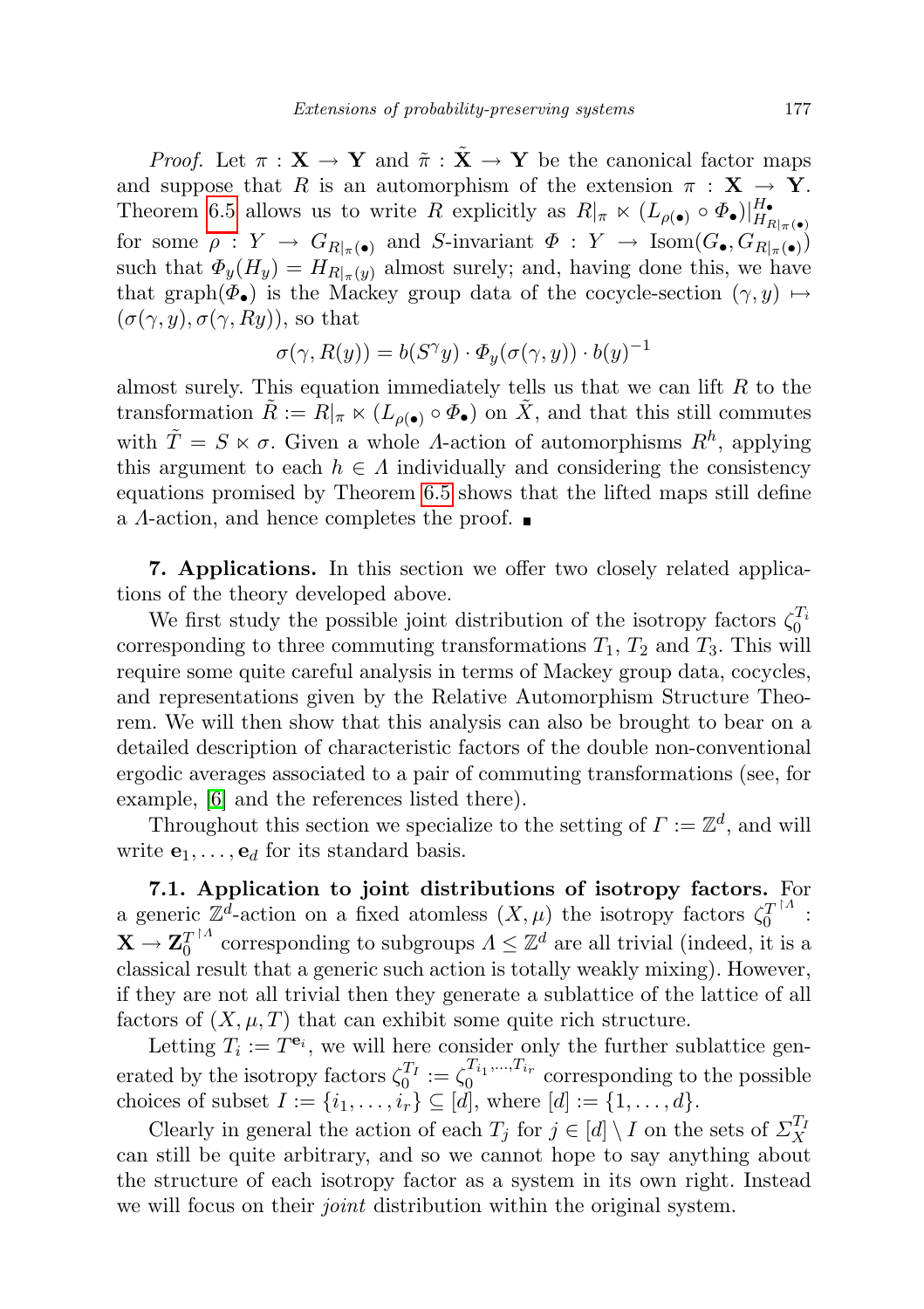*Proof.* Let  $\pi : \mathbf{X} \to \mathbf{Y}$  and  $\tilde{\pi} : \tilde{\mathbf{X}} \to \mathbf{Y}$  be the canonical factor maps and suppose that R is an automorphism of the extension  $\pi : X \to Y$ . Theorem [6.5](#page-41-0) allows us to write R explicitly as  $R|_{\pi} \ltimes (L_{\rho(\bullet)} \circ \Phi_{\bullet})|_{H_{I}}^{H_{\bullet}}$  $H_{R|_\pi(\bullet)}$ for some  $\rho: Y \to G_{R|\pi(\bullet)}$  and S-invariant  $\Phi: Y \to \text{Isom}(G_{\bullet}, G_{R|\pi(\bullet)})$ such that  $\Phi_y(H_y) = H_{R|_{\pi}(y)}$  almost surely; and, having done this, we have that graph $(\Phi_{\bullet})$  is the Mackey group data of the cocycle-section  $(\gamma, y) \mapsto$  $(\sigma(\gamma, y), \sigma(\gamma, Ry))$ , so that

$$
\sigma(\gamma, R(y)) = b(S^{\gamma}y) \cdot \Phi_y(\sigma(\gamma, y)) \cdot b(y)^{-1}
$$

almost surely. This equation immediately tells us that we can lift  $R$  to the transformation  $\tilde{R} := R|_{\pi} \ltimes (L_{\rho(\bullet)} \circ \Phi_{\bullet})$  on  $\tilde{X}$ , and that this still commutes with  $\tilde{T} = S \ltimes \sigma$ . Given a whole *Λ*-action of automorphisms  $R^h$ , applying this argument to each  $h \in \Lambda$  individually and considering the consistency equations promised by Theorem [6.5](#page-41-0) shows that the lifted maps still define a  $\Lambda$ -action, and hence completes the proof.  $\blacksquare$ 

<span id="page-44-0"></span>7. Applications. In this section we offer two closely related applications of the theory developed above.

We first study the possible joint distribution of the isotropy factors  $\zeta_0^{T_i}$ corresponding to three commuting transformations  $T_1$ ,  $T_2$  and  $T_3$ . This will require some quite careful analysis in terms of Mackey group data, cocycles, and representations given by the Relative Automorphism Structure Theorem. We will then show that this analysis can also be brought to bear on a detailed description of characteristic factors of the double non-conventional ergodic averages associated to a pair of commuting transformations (see, for example, [\[6\]](#page-71-2) and the references listed there).

Throughout this section we specialize to the setting of  $\Gamma := \mathbb{Z}^d$ , and will write  $e_1, \ldots, e_d$  for its standard basis.

7.1. Application to joint distributions of isotropy factors. For a generic  $\mathbb{Z}^d$ -action on a fixed atomless  $(X,\mu)$  the isotropy factors  $\zeta_0^T$ <sup>1</sup>  $\stackrel{'}{0}^{\stackrel{\cdot 1}{\circ}\cdots}$  :  $\overline{{\bf X}} \to {\bf Z}_0^{T^{\dagger A}}$  $C_0^{T^{\uparrow A}}$  corresponding to subgroups  $A \leq \mathbb{Z}^d$  are all trivial (indeed, it is a classical result that a generic such action is totally weakly mixing). However, if they are not all trivial then they generate a sublattice of the lattice of all factors of  $(X, \mu, T)$  that can exhibit some quite rich structure.

Letting  $T_i := T^{\mathbf{e}_i}$ , we will here consider only the further sublattice generated by the isotropy factors  $\zeta_0^{T_I} := \zeta_0^{T_{i_1},...,T_{i_r}}$  $\begin{bmatrix} a_1, \ldots, a_{ir} \\ 0 \end{bmatrix}$  corresponding to the possible choices of subset  $I := \{i_1, ..., i_r\} \subseteq [d]$ , where  $[d] := \{1, ..., d\}$ .

Clearly in general the action of each  $T_j$  for  $j \in [d] \setminus I$  on the sets of  $\Sigma_X^{T_l}$ can still be quite arbitrary, and so we cannot hope to say anything about the structure of each isotropy factor as a system in its own right. Instead we will focus on their *joint* distribution within the original system.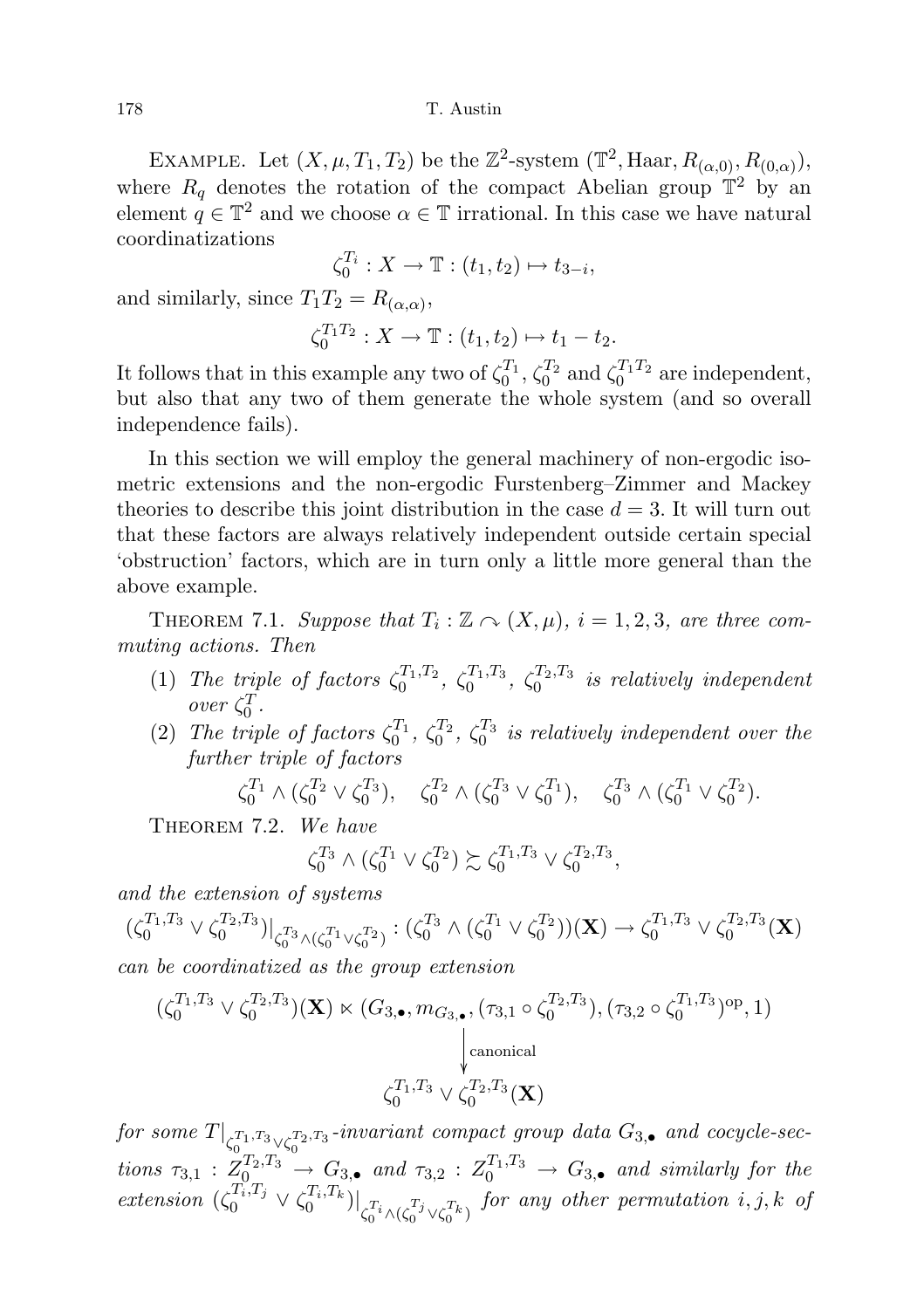EXAMPLE. Let  $(X, \mu, T_1, T_2)$  be the  $\mathbb{Z}^2$ -system  $(\mathbb{T}^2, \text{Haar}, R_{(\alpha,0)}, R_{(0,\alpha)}),$ where  $R_q$  denotes the rotation of the compact Abelian group  $\mathbb{T}^2$  by an element  $q \in \mathbb{T}^2$  and we choose  $\alpha \in \mathbb{T}$  irrational. In this case we have natural coordinatizations

$$
\zeta_0^{T_i}: X \to \mathbb{T}: (t_1, t_2) \mapsto t_{3-i},
$$

and similarly, since  $T_1T_2 = R_{(\alpha,\alpha)}$ ,

$$
\zeta_0^{T_1T_2}: X \to \mathbb{T}: (t_1, t_2) \mapsto t_1 - t_2.
$$

It follows that in this example any two of  $\zeta_0^{T_1}$ ,  $\zeta_0^{T_2}$  and  $\zeta_0^{T_1 T_2}$  are independent, but also that any two of them generate the whole system (and so overall independence fails).

In this section we will employ the general machinery of non-ergodic isometric extensions and the non-ergodic Furstenberg–Zimmer and Mackey theories to describe this joint distribution in the case  $d = 3$ . It will turn out that these factors are always relatively independent outside certain special 'obstruction' factors, which are in turn only a little more general than the above example.

<span id="page-45-1"></span>THEOREM 7.1. Suppose that  $T_i : \mathbb{Z} \curvearrowright (X, \mu)$ ,  $i = 1, 2, 3$ , are three commuting actions. Then

- (1) The triple of factors  $\zeta_0^{T_1,T_2}$ ,  $\zeta_0^{T_1,T_3}$ ,  $\zeta_0^{T_2,T_3}$  is relatively independent  $over \zeta_0^T$ .
- (2) The triple of factors  $\zeta_0^{T_1}$ ,  $\zeta_0^{T_2}$ ,  $\zeta_0^{T_3}$  is relatively independent over the further triple of factors

 $\zeta_0^{T_1} \wedge (\zeta_0^{T_2} \vee \zeta_0^{T_3}), \quad \zeta_0^{T_2} \wedge (\zeta_0^{T_3} \vee \zeta_0^{T_1}), \quad \zeta_0^{T_3} \wedge (\zeta_0^{T_1} \vee \zeta_0^{T_2}).$ 

<span id="page-45-0"></span>THEOREM 7.2. We have

$$
\zeta_0^{T_3} \wedge (\zeta_0^{T_1} \vee \zeta_0^{T_2}) \succsim \zeta_0^{T_1, T_3} \vee \zeta_0^{T_2, T_3},
$$

and the extension of systems

$$
(\zeta_0^{T_1,T_3} \vee \zeta_0^{T_2,T_3})|_{\zeta_0^{T_3} \wedge (\zeta_0^{T_1} \vee \zeta_0^{T_2})} : (\zeta_0^{T_3} \wedge (\zeta_0^{T_1} \vee \zeta_0^{T_2}))(\mathbf{X}) \to \zeta_0^{T_1,T_3} \vee \zeta_0^{T_2,T_3}(\mathbf{X})
$$

can be coordinatized as the group extension

$$
(\zeta_0^{T_1,T_3} \vee \zeta_0^{T_2,T_3})(\mathbf{X}) \ltimes (G_{3,\bullet}, m_{G_{3,\bullet}}, (\tau_{3,1} \circ \zeta_0^{T_2,T_3}), (\tau_{3,2} \circ \zeta_0^{T_1,T_3})^{\text{op}}, 1)
$$
\n
$$
\downarrow^{\text{canonical}}_{\zeta_0^{T_1,T_3} \vee \zeta_0^{T_2,T_3}(\mathbf{X})}
$$

for some  $T|_{\zeta_0^{\overline{T}_1, \overline{T}_3} \vee \zeta_0^{\overline{T}_2, \overline{T}_3}}}$ -invariant compact group data  $G_{3, \bullet}$  and cocycle-sections  $\tau_{3,1} : Z_{0}^{T_2,T_3} \to G_{3,•}$  and  $\tau_{3,2} : Z_{0}^{T_1,T_3} \to G_{3,•}$  and similarly for the extension  $(\zeta_0^{T_i,T_j} \vee \zeta_0^{T_i,T_k})|_{\zeta_0^{T_i} \wedge (\zeta_0^{T_j} \vee \zeta_0^{T_k})}$  for any other permutation  $i, j, k$  of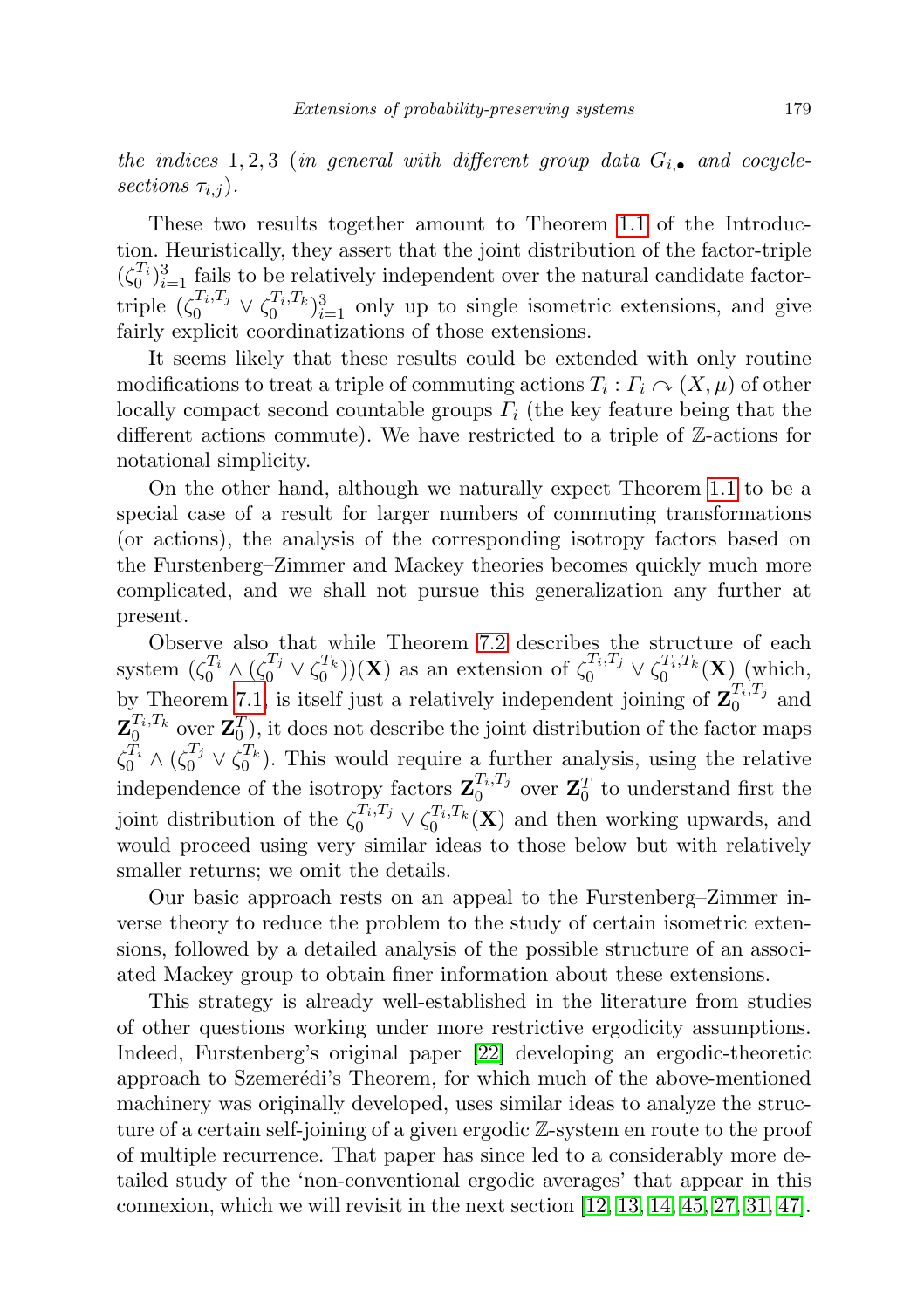the indices 1,2,3 (in general with different group data  $G_{i, \bullet}$  and cocyclesections  $\tau_{i,j}$ ).

These two results together amount to Theorem [1.1](#page-4-0) of the Introduction. Heuristically, they assert that the joint distribution of the factor-triple  $(\zeta_0^{T_i})_{i=1}^3$  fails to be relatively independent over the natural candidate factortriple  $(\zeta_0^{T_i,T_j} \vee \zeta_0^{T_i,T_k})_{i=1}^3$  only up to single isometric extensions, and give fairly explicit coordinatizations of those extensions.

It seems likely that these results could be extended with only routine modifications to treat a triple of commuting actions  $T_i: \Gamma_i \curvearrowright (X, \mu)$  of other locally compact second countable groups  $\Gamma_i$  (the key feature being that the different actions commute). We have restricted to a triple of Z-actions for notational simplicity.

On the other hand, although we naturally expect Theorem [1.1](#page-4-0) to be a special case of a result for larger numbers of commuting transformations (or actions), the analysis of the corresponding isotropy factors based on the Furstenberg–Zimmer and Mackey theories becomes quickly much more complicated, and we shall not pursue this generalization any further at present.

Observe also that while Theorem [7.2](#page-45-0) describes the structure of each system  $(\zeta_0^{T_i} \wedge (\zeta_0^{T_j} \vee \zeta_0^{T_k}))(\mathbf{X})$  as an extension of  $\zeta_0^{T_i,T_j} \vee \zeta_0^{T_i,T_k}(\mathbf{X})$  (which, by Theorem [7.1,](#page-45-1) is itself just a relatively independent joining of  $\mathbf{Z}_0^{T_i,T_j}$  $i^{i,1j}$  and  $\mathbf{Z}_0^{T_i,T_k}$  over  $\mathbf{Z}_0^T$ ), it does not describe the joint distribution of the factor maps  $\zeta_0^{\overline{T}_i} \wedge (\zeta_0^{\overline{T}_j} \vee \zeta_0^{\overline{T}_k})$ . This would require a further analysis, using the relative independence of the isotropy factors  $\mathbf{Z}_0^{T_i,T_j}$  $\mathbf{Z}_0^T$  over  $\mathbf{Z}_0^T$  to understand first the joint distribution of the  $\zeta_0^{T_i, T_j} \vee \zeta_0^{T_i, T_k}(\mathbf{X})$  and then working upwards, and would proceed using very similar ideas to those below but with relatively smaller returns; we omit the details.

Our basic approach rests on an appeal to the Furstenberg–Zimmer inverse theory to reduce the problem to the study of certain isometric extensions, followed by a detailed analysis of the possible structure of an associated Mackey group to obtain finer information about these extensions.

This strategy is already well-established in the literature from studies of other questions working under more restrictive ergodicity assumptions. Indeed, Furstenberg's original paper [\[22\]](#page-72-3) developing an ergodic-theoretic approach to Szemerédi's Theorem, for which much of the above-mentioned machinery was originally developed, uses similar ideas to analyze the structure of a certain self-joining of a given ergodic Z-system en route to the proof of multiple recurrence. That paper has since led to a considerably more detailed study of the 'non-conventional ergodic averages' that appear in this connexion, which we will revisit in the next section  $[12, 13, 14, 45, 27, 31, 47]$  $[12, 13, 14, 45, 27, 31, 47]$  $[12, 13, 14, 45, 27, 31, 47]$  $[12, 13, 14, 45, 27, 31, 47]$  $[12, 13, 14, 45, 27, 31, 47]$  $[12, 13, 14, 45, 27, 31, 47]$  $[12, 13, 14, 45, 27, 31, 47]$ .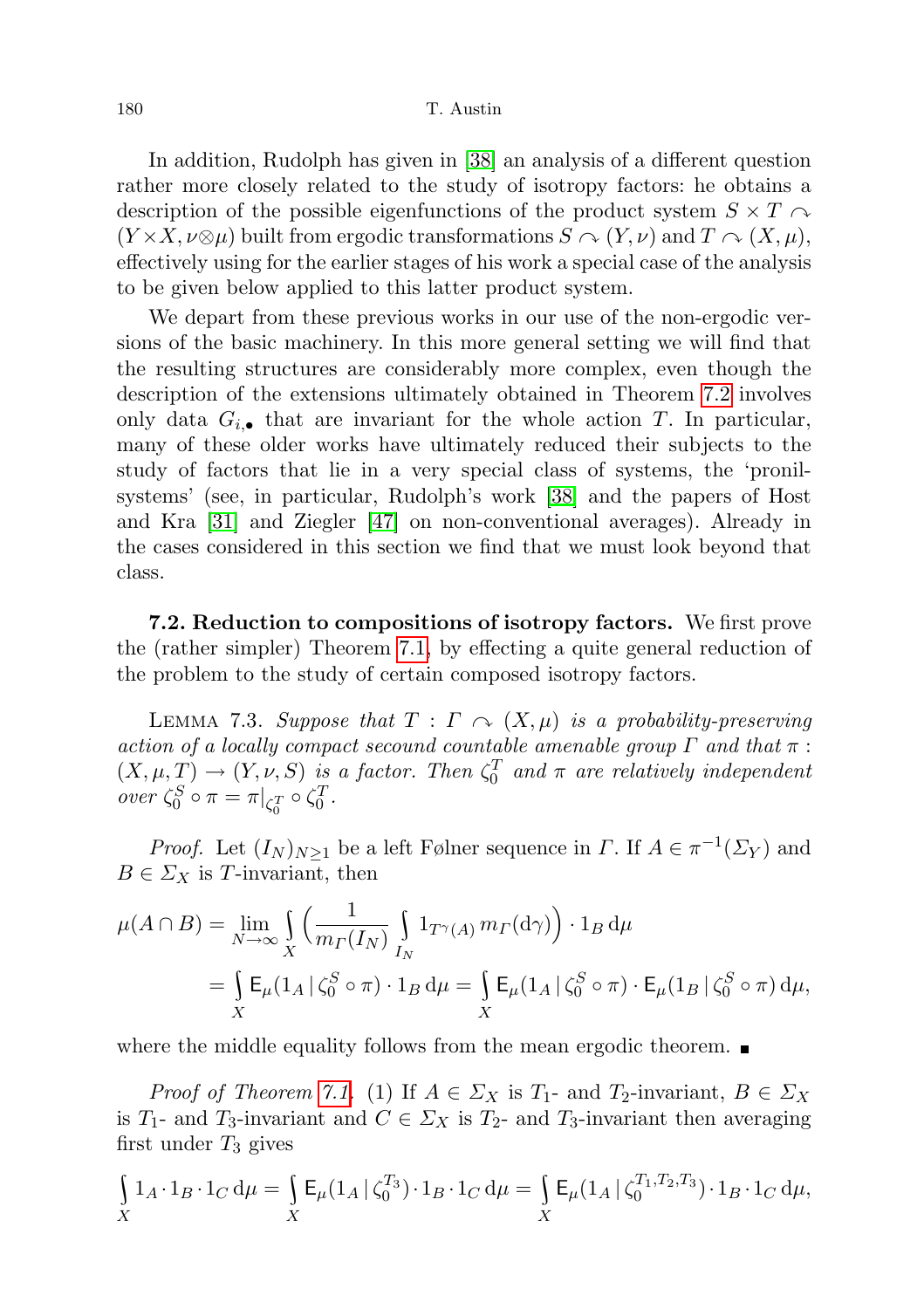In addition, Rudolph has given in [\[38\]](#page-72-6) an analysis of a different question rather more closely related to the study of isotropy factors: he obtains a description of the possible eigenfunctions of the product system  $S \times T \sim$  $(Y \times X, \nu \otimes \mu)$  built from ergodic transformations  $S \cap (Y, \nu)$  and  $T \cap (X, \mu)$ , effectively using for the earlier stages of his work a special case of the analysis to be given below applied to this latter product system.

We depart from these previous works in our use of the non-ergodic versions of the basic machinery. In this more general setting we will find that the resulting structures are considerably more complex, even though the description of the extensions ultimately obtained in Theorem [7.2](#page-45-0) involves only data  $G_{i,\bullet}$  that are invariant for the whole action T. In particular, many of these older works have ultimately reduced their subjects to the study of factors that lie in a very special class of systems, the 'pronilsystems' (see, in particular, Rudolph's work [\[38\]](#page-72-6) and the papers of Host and Kra [\[31\]](#page-72-5) and Ziegler [\[47\]](#page-73-3) on non-conventional averages). Already in the cases considered in this section we find that we must look beyond that class.

7.2. Reduction to compositions of isotropy factors. We first prove the (rather simpler) Theorem [7.1,](#page-45-1) by effecting a quite general reduction of the problem to the study of certain composed isotropy factors.

<span id="page-47-0"></span>LEMMA 7.3. Suppose that  $T : \Gamma \cap (X, \mu)$  is a probability-preserving action of a locally compact secound countable amenable group  $\Gamma$  and that  $\pi$ :  $(X, \mu, T) \rightarrow (Y, \nu, S)$  is a factor. Then  $\zeta_0^T$  and  $\pi$  are relatively independent over  $\zeta_0^S \circ \pi = \pi|_{\zeta_0^T} \circ \zeta_0^T$ .

*Proof.* Let  $(I_N)_{N\geq 1}$  be a left Følner sequence in  $\Gamma$ . If  $A \in \pi^{-1}(\Sigma_Y)$  and  $B \in \Sigma_X$  is T-invariant, then

$$
\mu(A \cap B) = \lim_{N \to \infty} \int_{X} \left( \frac{1}{m_{\Gamma}(I_N)} \int_{I_N} 1_{T^{\gamma}(A)} m_{\Gamma}(\mathrm{d}\gamma) \right) \cdot 1_B \, \mathrm{d}\mu
$$
  
= 
$$
\int_{X} \mathsf{E}_{\mu}(1_A \mid \zeta_0^S \circ \pi) \cdot 1_B \, \mathrm{d}\mu = \int_{X} \mathsf{E}_{\mu}(1_A \mid \zeta_0^S \circ \pi) \cdot \mathsf{E}_{\mu}(1_B \mid \zeta_0^S \circ \pi) \, \mathrm{d}\mu,
$$

where the middle equality follows from the mean ergodic theorem.  $\blacksquare$ 

*Proof of Theorem [7.1.](#page-45-1)* (1) If  $A \in \Sigma_X$  is  $T_1$ - and  $T_2$ -invariant,  $B \in \Sigma_X$ is  $T_1$ - and  $T_3$ -invariant and  $C \in \Sigma_X$  is  $T_2$ - and  $T_3$ -invariant then averaging first under  $T_3$  gives

$$
\int_{X} 1_A \cdot 1_B \cdot 1_C \, d\mu = \int_{X} \mathsf{E}_{\mu}(1_A \, | \, \zeta_0^{T_3}) \cdot 1_B \cdot 1_C \, d\mu = \int_{X} \mathsf{E}_{\mu}(1_A \, | \, \zeta_0^{T_1, T_2, T_3}) \cdot 1_B \cdot 1_C \, d\mu,
$$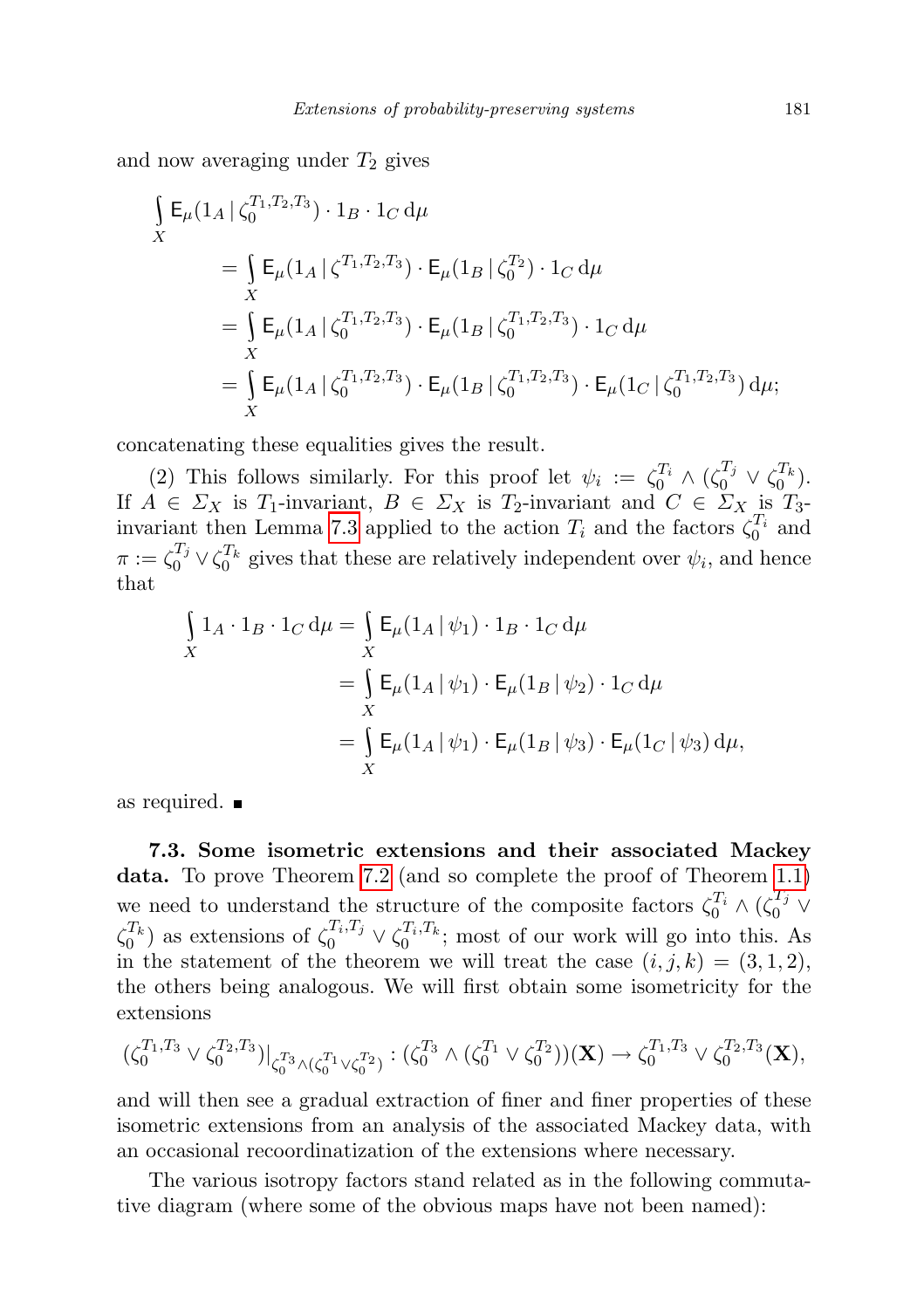and now averaging under  $T_2$  gives

$$
\int_{X} \mathsf{E}_{\mu}(1_{A} | \zeta_{0}^{T_{1},T_{2},T_{3}}) \cdot 1_{B} \cdot 1_{C} d\mu
$$
\n
$$
= \int_{X} \mathsf{E}_{\mu}(1_{A} | \zeta_{0}^{T_{1},T_{2},T_{3}}) \cdot \mathsf{E}_{\mu}(1_{B} | \zeta_{0}^{T_{2}}) \cdot 1_{C} d\mu
$$
\n
$$
= \int_{X} \mathsf{E}_{\mu}(1_{A} | \zeta_{0}^{T_{1},T_{2},T_{3}}) \cdot \mathsf{E}_{\mu}(1_{B} | \zeta_{0}^{T_{1},T_{2},T_{3}}) \cdot 1_{C} d\mu
$$
\n
$$
= \int_{X} \mathsf{E}_{\mu}(1_{A} | \zeta_{0}^{T_{1},T_{2},T_{3}}) \cdot \mathsf{E}_{\mu}(1_{B} | \zeta_{0}^{T_{1},T_{2},T_{3}}) \cdot \mathsf{E}_{\mu}(1_{C} | \zeta_{0}^{T_{1},T_{2},T_{3}}) d\mu;
$$

concatenating these equalities gives the result.

(2) This follows similarly. For this proof let  $\psi_i := \zeta_0^{T_i} \wedge (\zeta_0^{T_j} \vee \zeta_0^{T_k}).$ If  $A \in \Sigma_X$  is  $T_1$ -invariant,  $B \in \Sigma_X$  is  $T_2$ -invariant and  $C \in \Sigma_X$  is  $T_3$ -invariant then Lemma [7.3](#page-47-0) applied to the action  $T_i$  and the factors  $\zeta_0^{T_i}$  and  $\pi := \zeta_0^{T_j} \vee \zeta_0^{T_k}$  gives that these are relatively independent over  $\psi_i$ , and hence that

$$
\int_{X} 1_A \cdot 1_B \cdot 1_C \, d\mu = \int_{X} \mathsf{E}_{\mu}(1_A | \psi_1) \cdot 1_B \cdot 1_C \, d\mu
$$
\n
$$
= \int_{X} \mathsf{E}_{\mu}(1_A | \psi_1) \cdot \mathsf{E}_{\mu}(1_B | \psi_2) \cdot 1_C \, d\mu
$$
\n
$$
= \int_{X} \mathsf{E}_{\mu}(1_A | \psi_1) \cdot \mathsf{E}_{\mu}(1_B | \psi_3) \cdot \mathsf{E}_{\mu}(1_C | \psi_3) \, d\mu,
$$

as required.

7.3. Some isometric extensions and their associated Mackey data. To prove Theorem [7.2](#page-45-0) (and so complete the proof of Theorem [1.1\)](#page-4-0) we need to understand the structure of the composite factors  $\zeta_0^{T_i} \wedge (\zeta_0^{T_j} \vee$  $\zeta_0^{T_k}$ ) as extensions of  $\zeta_0^{T_i,T_j} \vee \zeta_0^{T_i,T_k}$ ; most of our work will go into this. As in the statement of the theorem we will treat the case  $(i, j, k) = (3, 1, 2)$ , the others being analogous. We will first obtain some isometricity for the extensions

$$
(\zeta_0^{T_1,T_3} \vee \zeta_0^{T_2,T_3})|_{\zeta_0^{T_3} \wedge (\zeta_0^{T_1} \vee \zeta_0^{T_2})} : (\zeta_0^{T_3} \wedge (\zeta_0^{T_1} \vee \zeta_0^{T_2}))(\mathbf{X}) \to \zeta_0^{T_1,T_3} \vee \zeta_0^{T_2,T_3}(\mathbf{X}),
$$

and will then see a gradual extraction of finer and finer properties of these isometric extensions from an analysis of the associated Mackey data, with an occasional recoordinatization of the extensions where necessary.

The various isotropy factors stand related as in the following commutative diagram (where some of the obvious maps have not been named):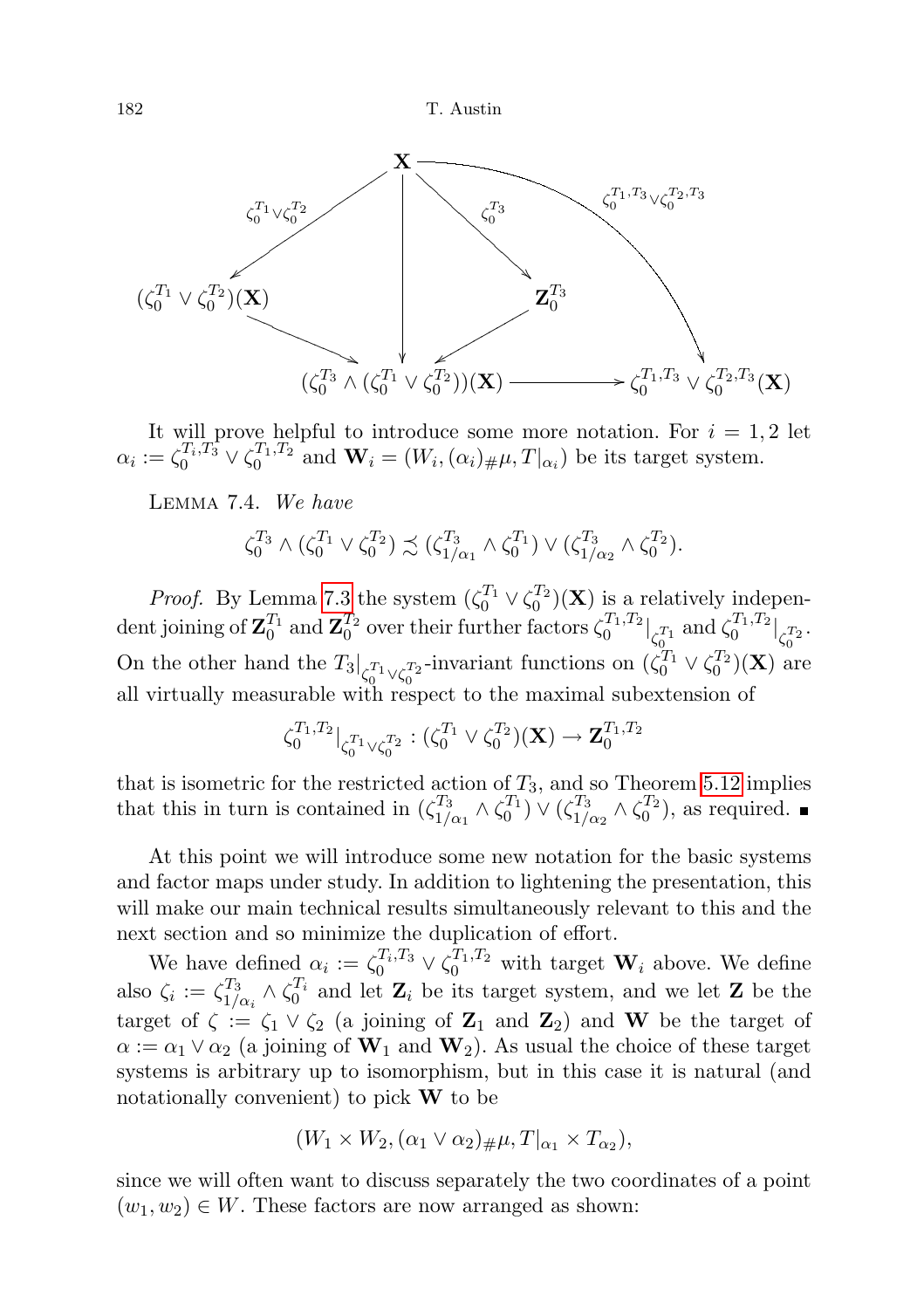

It will prove helpful to introduce some more notation. For  $i = 1, 2$  let  $\alpha_i := \zeta_0^{T_i, T_3} \vee \zeta_0^{T_1, T_2}$  and  $\mathbf{W}_i = (W_i, (\alpha_i)_{\#} \mu, T|_{\alpha_i})$  be its target system.

Lemma 7.4. We have

$$
\zeta_0^{T_3} \wedge (\zeta_0^{T_1} \vee \zeta_0^{T_2}) \precsim (\zeta_{1/\alpha_1}^{T_3} \wedge \zeta_0^{T_1}) \vee (\zeta_{1/\alpha_2}^{T_3} \wedge \zeta_0^{T_2}).
$$

*Proof.* By Lemma [7.3](#page-47-0) the system  $(\zeta_0^{T_1} \vee \zeta_0^{T_2})(\mathbf{X})$  is a relatively independent joining of  $\mathbf{Z}_0^{T_1}$  and  $\mathbf{Z}_0^{T_2}$  over their further factors  $\zeta_0^{T_1,T_2}\big|_{\zeta_0^{T_1}}$  and  $\zeta_0^{T_1,T_2}\big|_{\zeta_0^{T_2}}$ . On the other hand the  $T_3|_{\zeta_0^{T_1}\vee\zeta_0^{T_2}}$ -invariant functions on  $(\zeta_0^{T_1}\vee\zeta_0^{T_2})(\mathbf{X})$  are all virtually measurable with respect to the maximal subextension of

$$
\zeta_0^{T_1,T_2}|_{\zeta_0^{T_1}\vee\zeta_0^{T_2}}:(\zeta_0^{T_1}\vee\zeta_0^{T_2})(\mathbf{X})\to\mathbf{Z}_0^{T_1,T_2}
$$

that is isometric for the restricted action of  $T_3$ , and so Theorem [5.12](#page-35-0) implies that this in turn is contained in  $(\zeta_1^{T_3})$  $\frac{T_3}{1/\alpha_1}\wedge \zeta_0^{T_1})\vee (\zeta_{1/2}^{T_3})$  $T_3^{T_3} \wedge \zeta_0^{T_2}$ , as required.

At this point we will introduce some new notation for the basic systems and factor maps under study. In addition to lightening the presentation, this will make our main technical results simultaneously relevant to this and the next section and so minimize the duplication of effort.

We have defined  $\alpha_i := \zeta_0^{T_i, T_3} \vee \zeta_0^{T_1, T_2}$  with target  $\mathbf{W}_i$  above. We define also  $\zeta_i := \zeta_{1}^{T_3}$  $T_3^T_{1/\alpha_i} \wedge \zeta_0^{T_i}$  and let  $\mathbf{Z}_i$  be its target system, and we let  $\mathbf{Z}$  be the target of  $\zeta := \zeta_1 \vee \zeta_2$  (a joining of  $\mathbb{Z}_1$  and  $\mathbb{Z}_2$ ) and W be the target of  $\alpha := \alpha_1 \vee \alpha_2$  (a joining of  $W_1$  and  $W_2$ ). As usual the choice of these target systems is arbitrary up to isomorphism, but in this case it is natural (and notationally convenient) to pick  $W$  to be

$$
(W_1 \times W_2, (\alpha_1 \vee \alpha_2)_{\#} \mu, T|_{\alpha_1} \times T_{\alpha_2}),
$$

since we will often want to discuss separately the two coordinates of a point  $(w_1, w_2) \in W$ . These factors are now arranged as shown: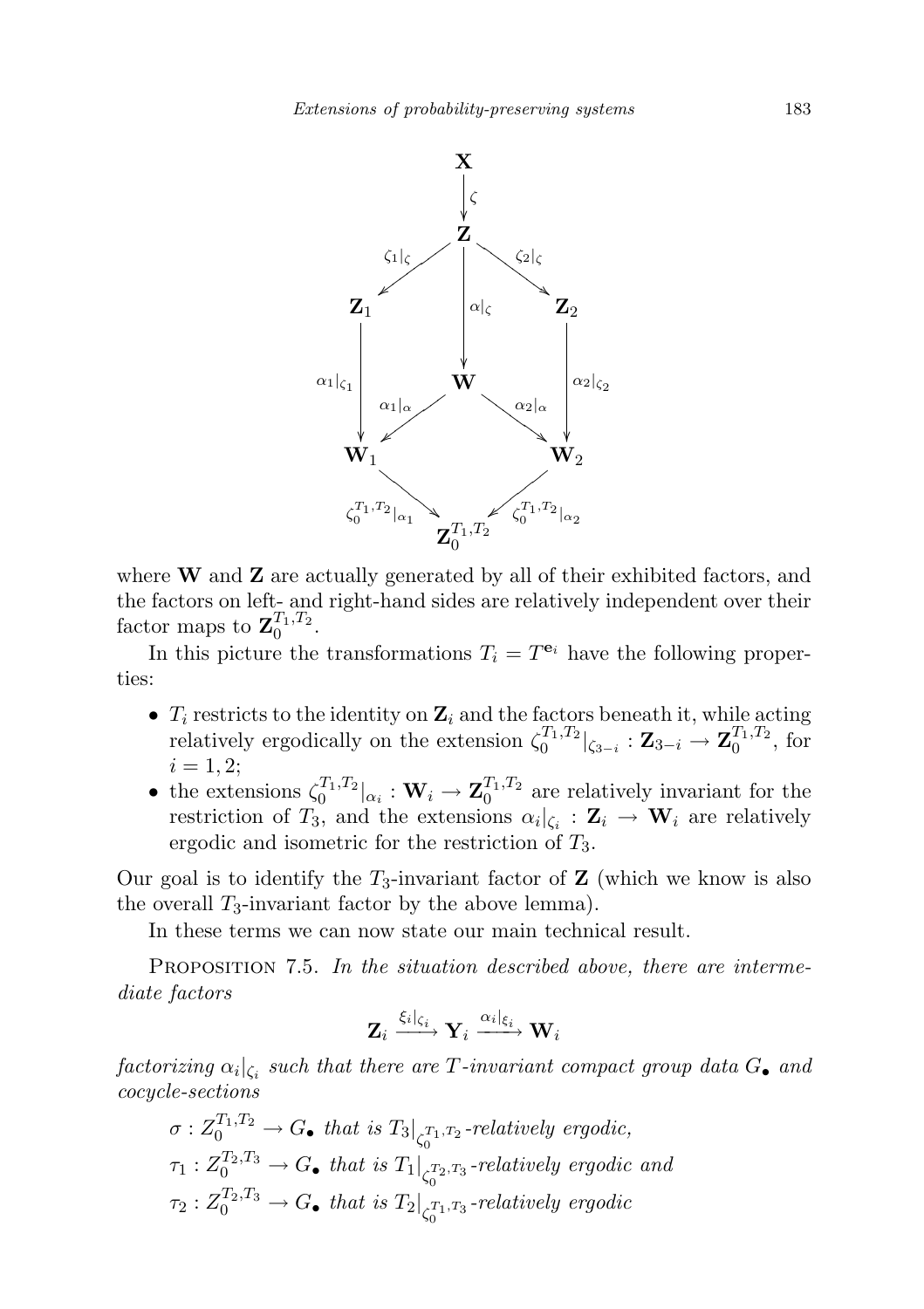

where  $W$  and  $Z$  are actually generated by all of their exhibited factors, and the factors on left- and right-hand sides are relatively independent over their factor maps to  $\mathbf{Z}_0^{T_1,T_2}$ .

In this picture the transformations  $T_i = T^{e_i}$  have the following properties:

- $T_i$  restricts to the identity on  $\mathbf{Z}_i$  and the factors beneath it, while acting relatively ergodically on the extension  $\zeta_0^{T_1,T_2}|_{\zeta_{3-i}} : \mathbf{Z}_{3-i} \to \mathbf{Z}_0^{T_1,T_2}$ , for  $i = 1, 2;$
- the extensions  $\zeta_0^{T_1,T_2}|_{\alpha_i}: \mathbf{W}_i \to \mathbf{Z}_0^{T_1,T_2}$  are relatively invariant for the restriction of  $T_3$ , and the extensions  $\alpha_i|_{\zeta_i} : \mathbf{Z}_i \to \mathbf{W}_i$  are relatively ergodic and isometric for the restriction of  $T_3$ .

Our goal is to identify the  $T_3$ -invariant factor of **Z** (which we know is also the overall  $T_3$ -invariant factor by the above lemma).

In these terms we can now state our main technical result.

<span id="page-50-0"></span>PROPOSITION 7.5. In the situation described above, there are intermediate factors

$$
\mathbf{Z}_i \xrightarrow{\xi_i|_{\zeta_i}} \mathbf{Y}_i \xrightarrow{\alpha_i|_{\xi_i}} \mathbf{W}_i
$$

 $factorizing \ \alpha_i|_{\zeta_i} \ \textit{such that there are $T$-invariant compact group data $G_{\bullet}$ and}$ cocycle-sections

$$
\sigma: Z_0^{T_1, T_2} \to G_{\bullet} \text{ that is } T_3|_{\zeta_0^{T_1, T_2}} \text{-relatively ergodic},
$$
  
\n
$$
\tau_1: Z_0^{T_2, T_3} \to G_{\bullet} \text{ that is } T_1|_{\zeta_0^{T_2, T_3}} \text{-relatively ergodic and}
$$
  
\n
$$
\tau_2: Z_0^{T_2, T_3} \to G_{\bullet} \text{ that is } T_2|_{\zeta_0^{T_1, T_3}} \text{-relatively ergodic}
$$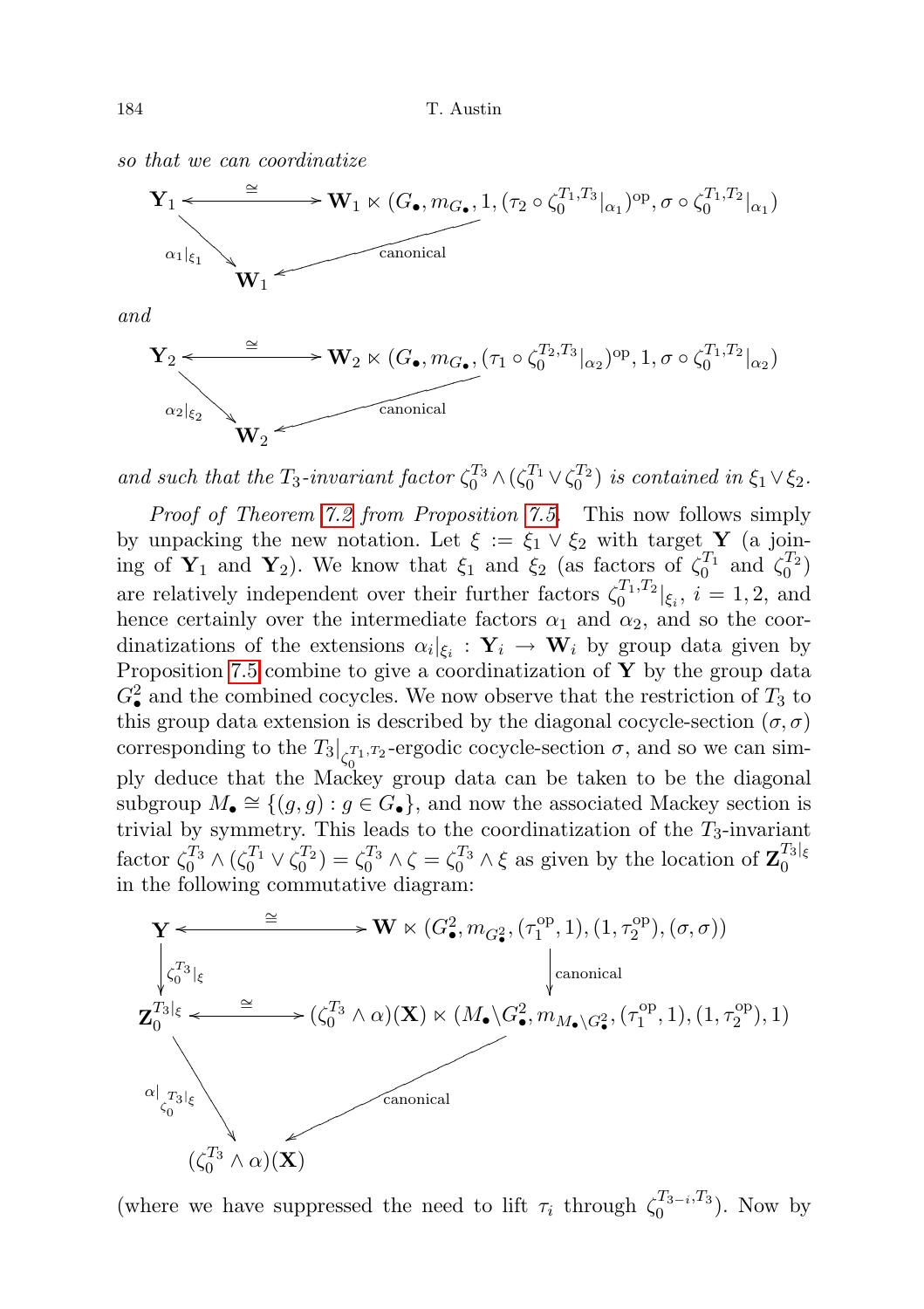so that we can coordinatize



and



and such that the  $T_3$ -invariant factor  $\zeta_0^{T_3} \wedge (\zeta_0^{T_1} \vee \zeta_0^{T_2})$  is contained in  $\xi_1 \vee \xi_2$ .

Proof of Theorem [7.2](#page-45-0) from Proposition [7.5.](#page-50-0) This now follows simply by unpacking the new notation. Let  $\xi := \xi_1 \vee \xi_2$  with target Y (a joining of  $\mathbf{Y}_1$  and  $\mathbf{Y}_2$ ). We know that  $\xi_1$  and  $\xi_2$  (as factors of  $\zeta_0^{T_1}$  and  $\zeta_0^{T_2}$ ) are relatively independent over their further factors  $\zeta_0^{T_1,T_2}|_{\xi_i}$ ,  $i=1,2$ , and hence certainly over the intermediate factors  $\alpha_1$  and  $\alpha_2$ , and so the coordinatizations of the extensions  $\alpha_i |_{\xi_i} : \mathbf{Y}_i \to \mathbf{W}_i$  by group data given by Proposition [7.5](#page-50-0) combine to give a coordinatization of  $\bf{Y}$  by the group data  $G^2_{\bullet}$  and the combined cocycles. We now observe that the restriction of  $T_3$  to this group data extension is described by the diagonal cocycle-section  $(\sigma, \sigma)$ corresponding to the  $T_3|_{\zeta_0^{T_1,T_2}}$ -ergodic cocycle-section  $\sigma$ , and so we can simply deduce that the Mackey group data can be taken to be the diagonal subgroup  $M_{\bullet} \cong \{(g, g) : g \in G_{\bullet}\}\)$ , and now the associated Mackey section is trivial by symmetry. This leads to the coordinatization of the  $T_3$ -invariant factor  $\zeta_0^{T_3} \wedge (\zeta_0^{T_1} \vee \zeta_0^{T_2}) = \zeta_0^{T_3} \wedge \zeta = \zeta_0^{T_3} \wedge \xi$  as given by the location of  $\mathbf{Z}_0^{T_3|_{\xi}}$  $\overline{0}$ in the following commutative diagram:



(where we have suppressed the need to lift  $\tau_i$  through  $\zeta_0^{T_{3-i},T_3}$  $\binom{13-i}{0}$ . Now by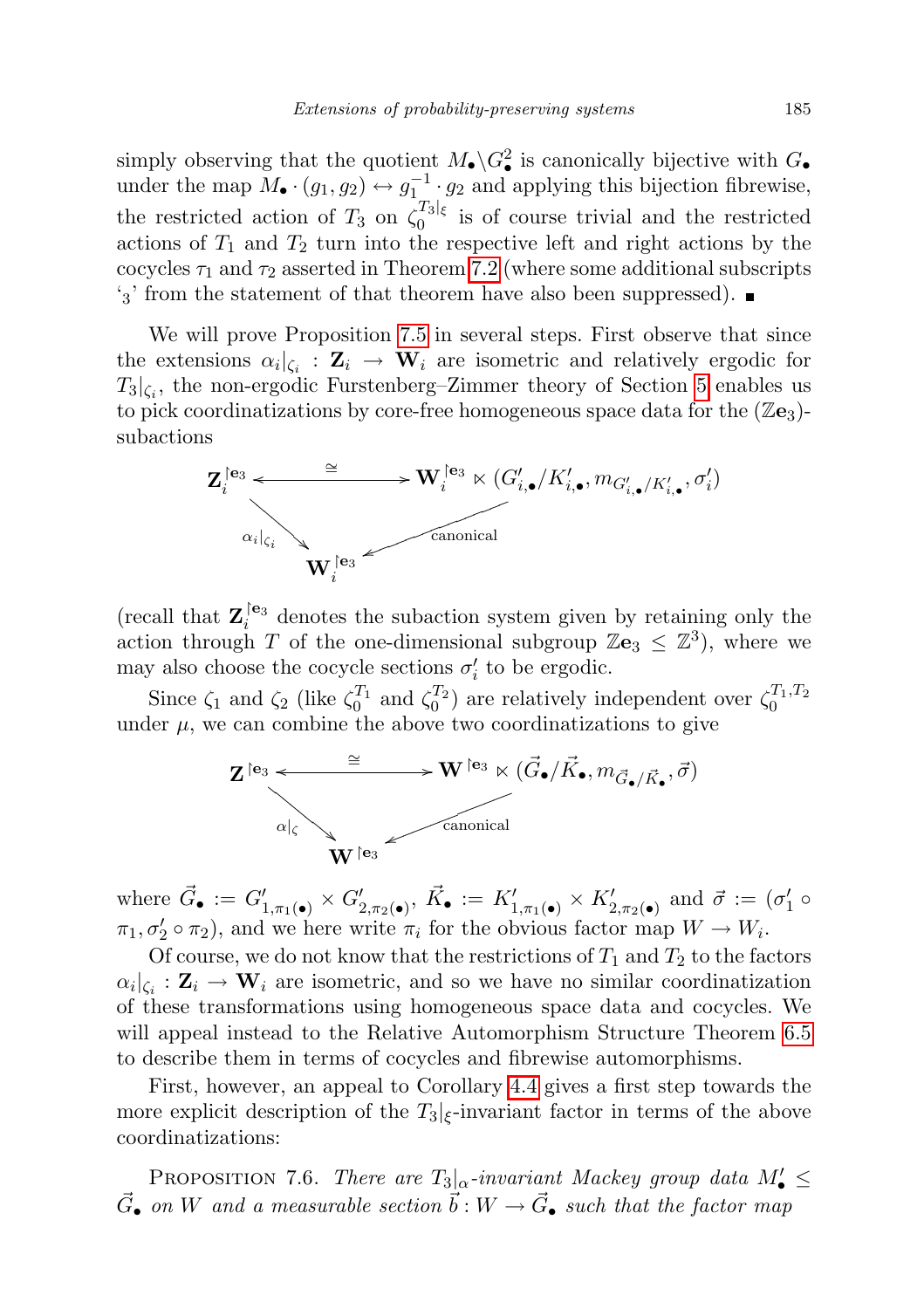simply observing that the quotient  $M_{\bullet} \backslash G^2_{\bullet}$  is canonically bijective with  $G_{\bullet}$ under the map  $M_{\bullet} \cdot (g_1, g_2) \leftrightarrow g_1^{-1} \cdot g_2$  and applying this bijection fibrewise, the restricted action of  $T_3$  on  $\zeta_0^{T_3|\xi}$  $\frac{1}{0}$  is of course trivial and the restricted actions of  $T_1$  and  $T_2$  turn into the respective left and right actions by the cocycles  $\tau_1$  and  $\tau_2$  asserted in Theorem [7.2](#page-45-0) (where some additional subscripts  $\mathcal{L}_3'$  from the statement of that theorem have also been suppressed).

We will prove Proposition [7.5](#page-50-0) in several steps. First observe that since the extensions  $\alpha_i|_{\zeta_i} : \mathbf{Z}_i \to \mathbf{W}_i$  are isometric and relatively ergodic for  $T_3|_{\zeta_i}$ , the non-ergodic Furstenberg–Zimmer theory of Section [5](#page-29-0) enables us to pick coordinatizations by core-free homogeneous space data for the  $(\mathbb{Z}_2)$ subactions



(recall that  $\mathbf{Z}_{i}^{[e_3]}$  denotes the subaction system given by retaining only the action through T of the one-dimensional subgroup  $\mathbb{Z}\mathbf{e}_3 \leq \mathbb{Z}^3$ , where we may also choose the cocycle sections  $\sigma'_i$  to be ergodic.

Since  $\zeta_1$  and  $\zeta_2$  (like  $\zeta_0^{T_1}$  and  $\zeta_0^{T_2}$ ) are relatively independent over  $\zeta_0^{T_1,T_2}$ under  $\mu$ , we can combine the above two coordinatizations to give



where  $\vec{G}_{\bullet} := G'_{1,\pi_1(\bullet)} \times G'_{2,\pi_2(\bullet)}, \ \vec{K}_{\bullet} := K'_{1,\pi_1(\bullet)} \times K'_{2,\pi_2(\bullet)} \text{ and } \vec{\sigma} := (\sigma'_1 \circ$  $\pi_1, \sigma'_2 \circ \pi_2$ , and we here write  $\pi_i$  for the obvious factor map  $W \to W_i$ .

Of course, we do not know that the restrictions of  $T_1$  and  $T_2$  to the factors  $\alpha_i|_{\zeta_i}: \mathbf{Z}_i \to \mathbf{W}_i$  are isometric, and so we have no similar coordinatization of these transformations using homogeneous space data and cocycles. We will appeal instead to the Relative Automorphism Structure Theorem [6.5](#page-41-0) to describe them in terms of cocycles and fibrewise automorphisms.

First, however, an appeal to Corollary [4.4](#page-25-0) gives a first step towards the more explicit description of the  $T_3|_{\xi}$ -invariant factor in terms of the above coordinatizations:

<span id="page-52-0"></span>PROPOSITION 7.6. There are  $T_3|_{\alpha}$ -invariant Mackey group data  $M'_{\bullet} \leq$  $\vec{G}_{\bullet}$  on W and a measurable section  $\vec{b}: W \to \vec{G}_{\bullet}$  such that the factor map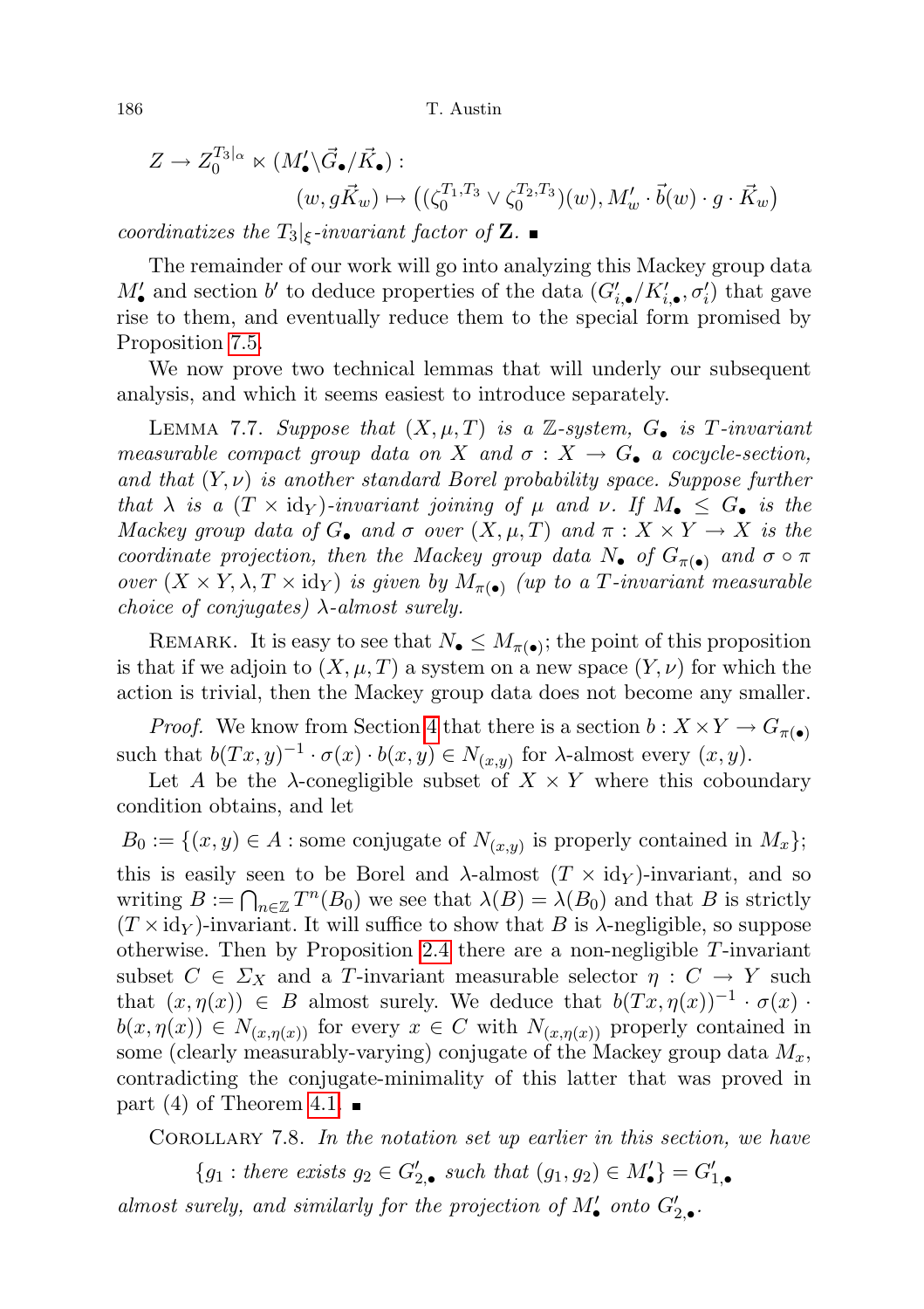$$
Z \to Z_0^{T_3|_{\alpha}} \ltimes (M'_\bullet \backslash \vec{G}_\bullet / \vec{K}_\bullet):
$$
  
\n
$$
(w, g\vec{K}_w) \mapsto ((\zeta_0^{T_1, T_3} \vee \zeta_0^{T_2, T_3})(w), M'_w \cdot \vec{b}(w) \cdot g \cdot \vec{K}_w)
$$

coordinatizes the  $T_3$ <sub> $|\epsilon$ </sub>-invariant factor of **Z**.

The remainder of our work will go into analyzing this Mackey group data  $M'_{\bullet}$  and section b' to deduce properties of the data  $(G'_{i,\bullet}/K'_{i,\bullet}, \sigma'_{i})$  that gave rise to them, and eventually reduce them to the special form promised by Proposition [7.5.](#page-50-0)

We now prove two technical lemmas that will underly our subsequent analysis, and which it seems easiest to introduce separately.

LEMMA 7.7. Suppose that  $(X, \mu, T)$  is a Z-system,  $G_{\bullet}$  is T-invariant measurable compact group data on X and  $\sigma : X \to G_{\bullet}$  a cocycle-section, and that  $(Y, \nu)$  is another standard Borel probability space. Suppose further that  $\lambda$  is a  $(T \times id_Y)$ -invariant joining of  $\mu$  and  $\nu$ . If  $M_{\bullet} \leq G_{\bullet}$  is the Mackey group data of  $G_{\bullet}$  and  $\sigma$  over  $(X, \mu, T)$  and  $\pi : X \times Y \to X$  is the coordinate projection, then the Mackey group data  $N_{\bullet}$  of  $G_{\pi(\bullet)}$  and  $\sigma \circ \pi$ over  $(X \times Y, \lambda, T \times id_Y)$  is given by  $M_{\pi(\bullet)}$  (up to a T-invariant measurable choice of conjugates)  $\lambda$ -almost surely.

REMARK. It is easy to see that  $N_{\bullet} \leq M_{\pi(\bullet)}$ ; the point of this proposition is that if we adjoin to  $(X, \mu, T)$  a system on a new space  $(Y, \nu)$  for which the action is trivial, then the Mackey group data does not become any smaller.

*Proof.* We know from Section [4](#page-19-0) that there is a section  $b: X \times Y \to G_{\pi(\bullet)}$ such that  $b(Tx, y)^{-1} \cdot \sigma(x) \cdot b(x, y) \in N_{(x, y)}$  for  $\lambda$ -almost every  $(x, y)$ .

Let A be the  $\lambda$ -conegligible subset of  $X \times Y$  where this coboundary condition obtains, and let

 $B_0 := \{(x, y) \in A : \text{some conjugate of } N_{(x, y)} \text{ is properly contained in } M_x\};$ this is easily seen to be Borel and  $\lambda$ -almost  $(T \times id_Y)$ -invariant, and so writing  $B := \bigcap_{n \in \mathbb{Z}} T^n(B_0)$  we see that  $\lambda(B) = \lambda(B_0)$  and that B is strictly  $(T \times id_Y)$ -invariant. It will suffice to show that B is  $\lambda$ -negligible, so suppose otherwise. Then by Proposition [2.4](#page-12-0) there are a non-negligible  $T$ -invariant subset  $C \in \Sigma_X$  and a T-invariant measurable selector  $\eta : C \to Y$  such that  $(x, \eta(x)) \in B$  almost surely. We deduce that  $b(Tx, \eta(x))^{-1} \cdot \sigma(x)$ .  $b(x, \eta(x)) \in N_{(x, \eta(x))}$  for every  $x \in C$  with  $N_{(x, \eta(x))}$  properly contained in some (clearly measurably-varying) conjugate of the Mackey group data  $M_x$ , contradicting the conjugate-minimality of this latter that was proved in part (4) of Theorem [4.1.](#page-19-1)  $\blacksquare$ 

<span id="page-53-0"></span>COROLLARY 7.8. In the notation set up earlier in this section, we have

 ${g_1: there exists g_2 \in G'_{2,\bullet} such that (g_1, g_2) \in M'_{\bullet}} = G'_{1,\bullet}$ almost surely, and similarly for the projection of  $M'_{\bullet}$  onto  $G'_{2,\bullet}$ .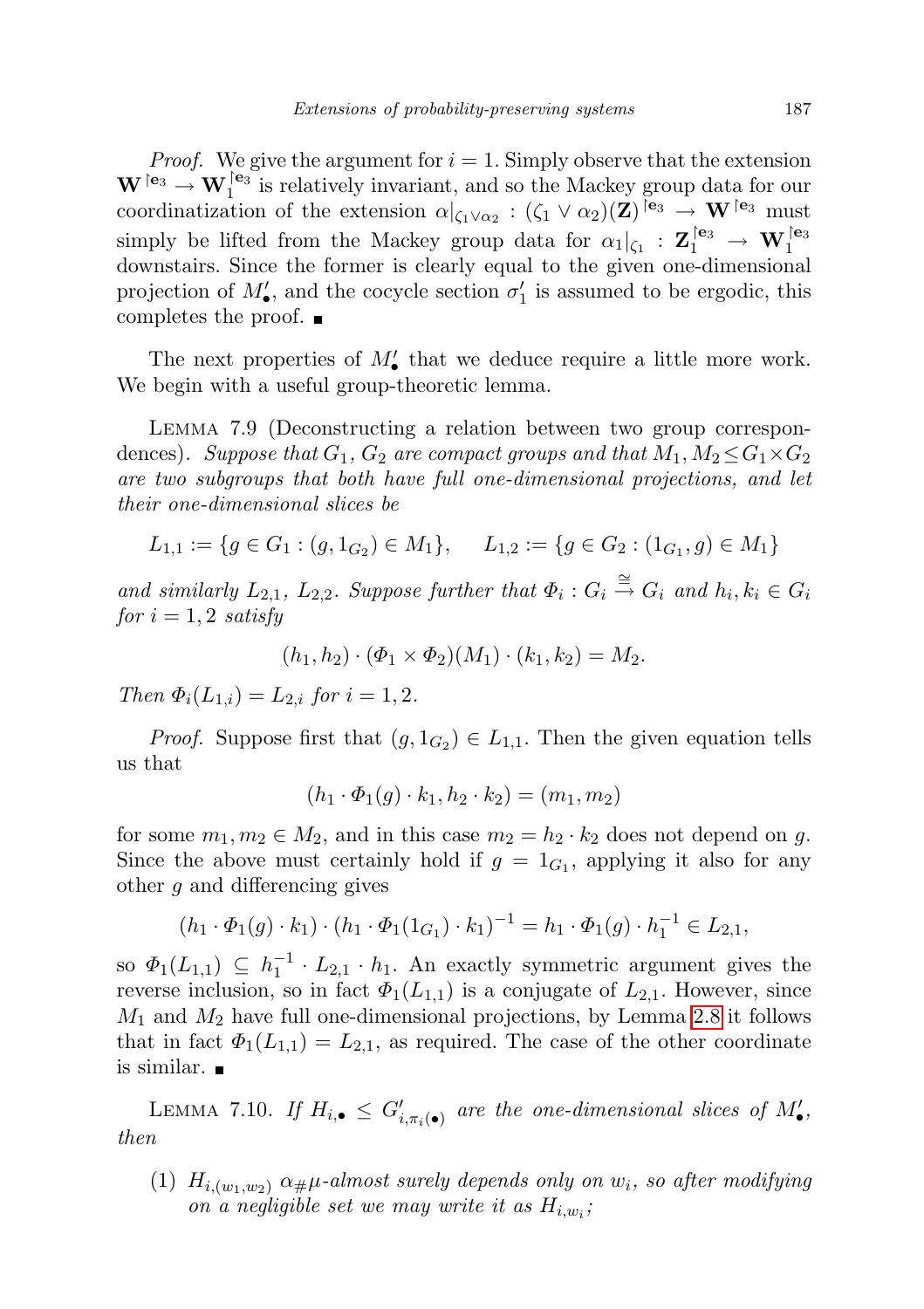*Proof.* We give the argument for  $i = 1$ . Simply observe that the extension  $\mathbf{W}$  le<sub>3</sub>  $\rightarrow \mathbf{W}_1$  le<sub>3</sub> is relatively invariant, and so the Mackey group data for our coordinatization of the extension  $\alpha|_{\zeta_1 \vee \alpha_2} : (\zeta_1 \vee \alpha_2)(\mathbf{Z})^{\mathsf{e}_3} \to \mathbf{W}^{\mathsf{e}_3}$  must simply be lifted from the Mackey group data for  $\alpha_1|_{\zeta_1} : \mathbf{Z}_1^{\{e_3\}} \to \mathbf{W}_1^{\{e_3\}}$ downstairs. Since the former is clearly equal to the given one-dimensional projection of  $M'_{\bullet}$ , and the cocycle section  $\sigma'_{1}$  is assumed to be ergodic, this completes the proof.  $\blacksquare$ 

The next properties of  $M'_{\bullet}$  that we deduce require a little more work. We begin with a useful group-theoretic lemma.

<span id="page-54-0"></span>Lemma 7.9 (Deconstructing a relation between two group correspondences). Suppose that  $G_1$ ,  $G_2$  are compact groups and that  $M_1, M_2 \leq G_1 \times G_2$ are two subgroups that both have full one-dimensional projections, and let their one-dimensional slices be

$$
L_{1,1} := \{ g \in G_1 : (g, 1_{G_2}) \in M_1 \}, \quad L_{1,2} := \{ g \in G_2 : (1_{G_1}, g) \in M_1 \}
$$

and similarly  $L_{2,1}$ ,  $L_{2,2}$ . Suppose further that  $\Phi_i$ :  $G_i \stackrel{\cong}{\to} G_i$  and  $h_i, k_i \in G_i$ for  $i = 1, 2$  satisfy

$$
(h_1, h_2) \cdot (\Phi_1 \times \Phi_2)(M_1) \cdot (k_1, k_2) = M_2
$$

Then  $\Phi_i(L_{1,i}) = L_{2,i}$  for  $i = 1, 2$ .

*Proof.* Suppose first that  $(g, 1_{G_2}) \in L_{1,1}$ . Then the given equation tells us that

$$
(h_1 \cdot \Phi_1(g) \cdot k_1, h_2 \cdot k_2) = (m_1, m_2)
$$

for some  $m_1, m_2 \in M_2$ , and in this case  $m_2 = h_2 \cdot k_2$  does not depend on g. Since the above must certainly hold if  $g = 1_{G_1}$ , applying it also for any other g and differencing gives

$$
(h_1 \cdot \Phi_1(g) \cdot k_1) \cdot (h_1 \cdot \Phi_1(1_{G_1}) \cdot k_1)^{-1} = h_1 \cdot \Phi_1(g) \cdot h_1^{-1} \in L_{2,1},
$$

so  $\Phi_1(L_{1,1}) \subseteq h_1^{-1} \cdot L_{2,1} \cdot h_1$ . An exactly symmetric argument gives the reverse inclusion, so in fact  $\Phi_1(L_{1,1})$  is a conjugate of  $L_{2,1}$ . However, since  $M_1$  and  $M_2$  have full one-dimensional projections, by Lemma [2.8](#page-13-1) it follows that in fact  $\Phi_1(L_{1,1}) = L_{2,1}$ , as required. The case of the other coordinate is similar.

<span id="page-54-1"></span>LEMMA 7.10. If  $H_{i, \bullet} \leq G'_{i, \pi_i(\bullet)}$  are the one-dimensional slices of  $M'_{\bullet}$ , then

(1)  $H_{i,(w_1,w_2)}$   $\alpha_{\#}\mu$ -almost surely depends only on  $w_i$ , so after modifying on a negligible set we may write it as  $H_{i,w_i}$ ;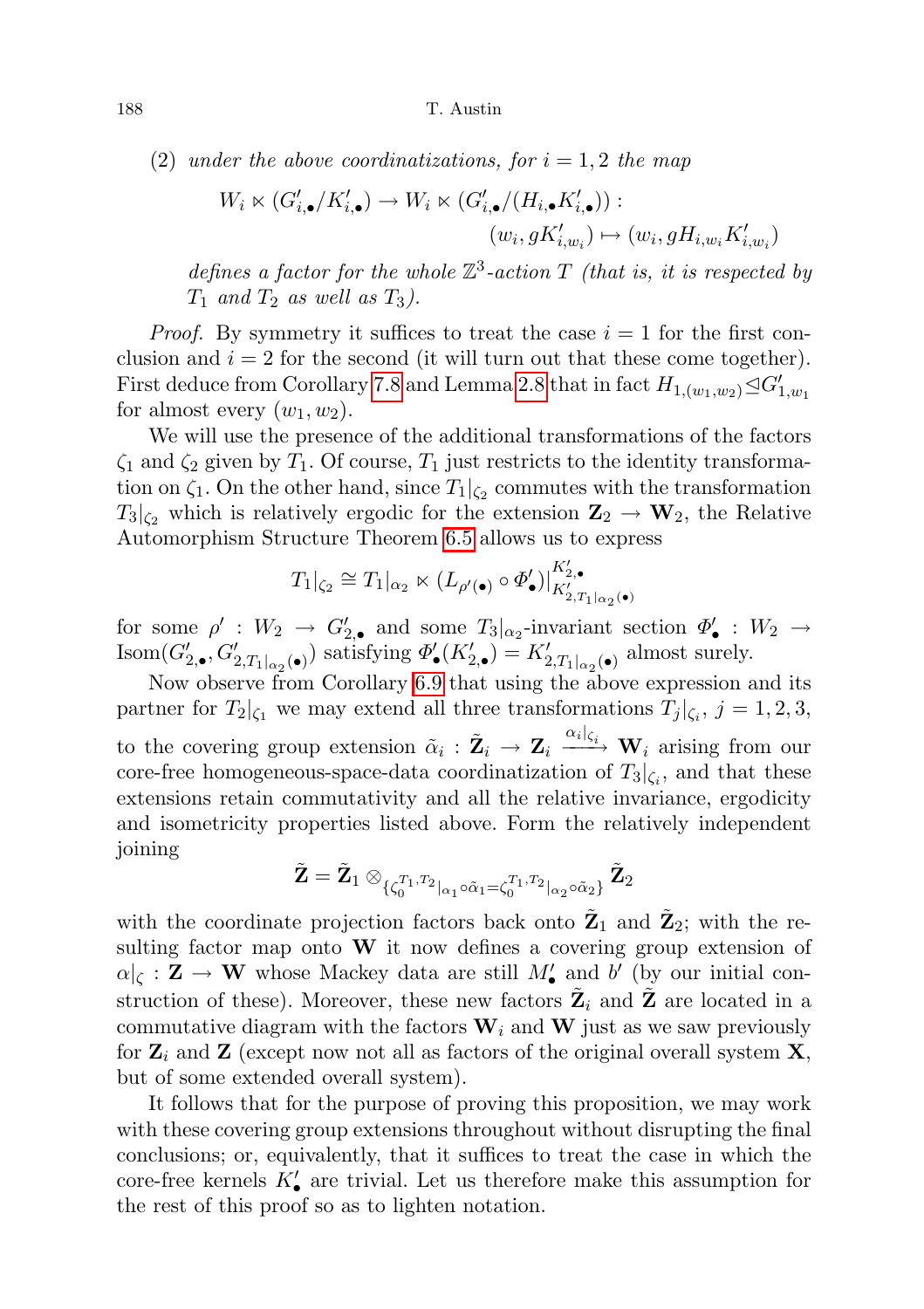(2) under the above coordinatizations, for  $i = 1, 2$  the map

$$
W_i \ltimes (G'_{i,\bullet}/K'_{i,\bullet}) \to W_i \ltimes (G'_{i,\bullet}/(H_{i,\bullet}K'_{i,\bullet})) :(w_i, gK'_{i,w_i}) \mapsto (w_i, gH_{i,w_i}K'_{i,w_i})
$$

defines a factor for the whole  $\mathbb{Z}^3$ -action T (that is, it is respected by  $T_1$  and  $T_2$  as well as  $T_3$ ).

*Proof.* By symmetry it suffices to treat the case  $i = 1$  for the first conclusion and  $i = 2$  for the second (it will turn out that these come together). First deduce from Corollary [7.8](#page-53-0) and Lemma [2.8](#page-13-1) that in fact  $H_{1,(w_1,w_2)} \trianglelefteq G'_{1,w_1}$ for almost every  $(w_1, w_2)$ .

We will use the presence of the additional transformations of the factors  $\zeta_1$  and  $\zeta_2$  given by  $T_1$ . Of course,  $T_1$  just restricts to the identity transformation on  $\zeta_1$ . On the other hand, since  $T_1|_{\zeta_2}$  commutes with the transformation  $T_3|_{\zeta_2}$  which is relatively ergodic for the extension  $\mathbb{Z}_2 \to \mathbb{W}_2$ , the Relative Automorphism Structure Theorem [6.5](#page-41-0) allows us to express

$$
T_1|_{\zeta_2}\cong T_1|_{\alpha_2}\ltimes (L_{\rho'(\bullet)}\circ \varPhi_\bullet')|_{K_{2,T_1|_{\alpha_2}(\bullet)}^{K_2',\bullet}}
$$

for some  $\rho' : W_2 \to G'_{2,0}$  and some  $T_3|_{\alpha_2}$ -invariant section  $\Phi'_{\bullet} : W_2 \to$ Isom $(G'_{2,\bullet}, G'_{2,T_1|_{\alpha_2}(\bullet)})$  satisfying  $\Phi'_{\bullet}(K'_{2,\bullet}) = K'_{2,T_1|_{\alpha_2}(\bullet)}$  almost surely.

Now observe from Corollary [6.9](#page-43-0) that using the above expression and its partner for  $T_2|_{\zeta_1}$  we may extend all three transformations  $T_j|_{\zeta_i}$ ,  $j = 1, 2, 3$ , to the covering group extension  $\tilde{\alpha}_i$  :  $\tilde{\mathbb{Z}}_i \to \mathbb{Z}_i \xrightarrow{\alpha_i|_{\zeta_i}} \mathbf{W}_i$  arising from our core-free homogeneous-space-data coordinatization of  $T_3|_{\zeta_i}$ , and that these extensions retain commutativity and all the relative invariance, ergodicity and isometricity properties listed above. Form the relatively independent joining

$$
\tilde{\mathbf{Z}}=\tilde{\mathbf{Z}}_1\otimes_{\{\zeta_0^{T_1,T_2}|_{\alpha_1}\circ\tilde{\alpha}_1=\zeta_0^{T_1,T_2}|_{\alpha_2}\circ\tilde{\alpha}_2\}}\tilde{\mathbf{Z}}_2
$$

with the coordinate projection factors back onto  $\tilde{\mathbf{Z}}_1$  and  $\tilde{\mathbf{Z}}_2$ ; with the resulting factor map onto  $W$  it now defines a covering group extension of  $\alpha|_{\zeta} : \mathbf{Z} \to \mathbf{W}$  whose Mackey data are still  $M'_{\bullet}$  and b' (by our initial construction of these). Moreover, these new factors  $\tilde{\mathbf{Z}}_i$  and  $\tilde{\mathbf{Z}}$  are located in a commutative diagram with the factors  $W_i$  and  $W$  just as we saw previously for  $\mathbf{Z}_i$  and  $\mathbf{Z}$  (except now not all as factors of the original overall system  $\mathbf{X}$ , but of some extended overall system).

It follows that for the purpose of proving this proposition, we may work with these covering group extensions throughout without disrupting the final conclusions; or, equivalently, that it suffices to treat the case in which the core-free kernels  $K'_{\bullet}$  are trivial. Let us therefore make this assumption for the rest of this proof so as to lighten notation.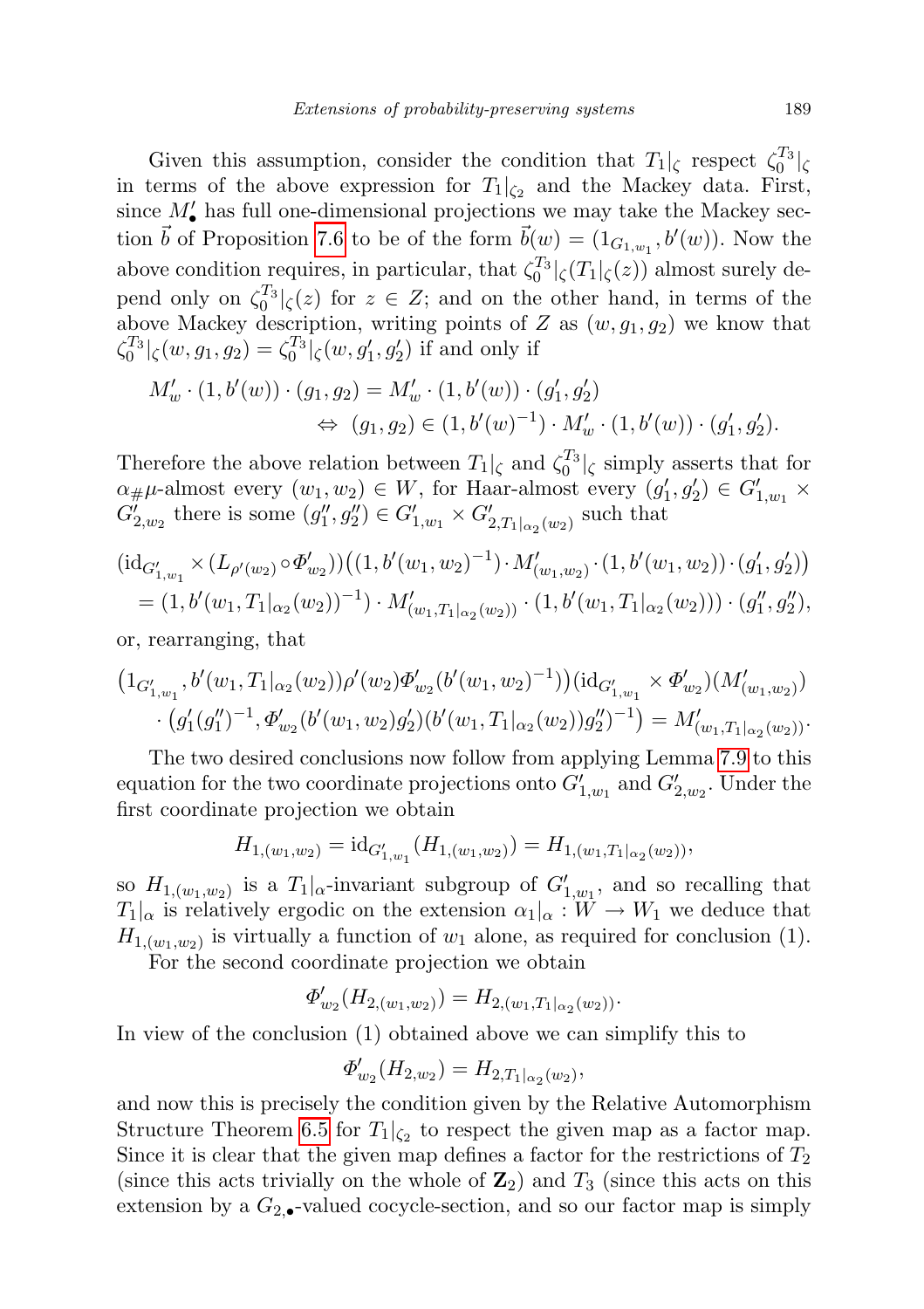Given this assumption, consider the condition that  $T_1|_{\zeta}$  respect  $\zeta_0^{T_3}|_{\zeta}$ in terms of the above expression for  $T_1|_{\zeta_2}$  and the Mackey data. First, since  $M'$  has full one-dimensional projections we may take the Mackey section  $\vec{b}$  of Proposition [7.6](#page-52-0) to be of the form  $\vec{b}(w) = (1_{G_{1,w_1}}, b'(w))$ . Now the above condition requires, in particular, that  $\zeta_0^{T_3}|\zeta(T_1|\zeta(z))$  almost surely depend only on  $\zeta_0^{T_3}$  | $\zeta(z)$  for  $z \in Z$ ; and on the other hand, in terms of the above Mackey description, writing points of Z as  $(w, g_1, g_2)$  we know that  $\zeta_0^{T_3}|_{\zeta}(w,g_1,g_2) = \zeta_0^{T_3}|_{\zeta}(w,g'_1,g'_2)$  if and only if

$$
M'_{w} \cdot (1, b'(w)) \cdot (g_1, g_2) = M'_{w} \cdot (1, b'(w)) \cdot (g'_1, g'_2)
$$
  

$$
\Leftrightarrow (g_1, g_2) \in (1, b'(w)^{-1}) \cdot M'_{w} \cdot (1, b'(w)) \cdot (g'_1, g'_2).
$$

Therefore the above relation between  $T_1|_{\zeta}$  and  $\zeta_0^{T_3}|_{\zeta}$  simply asserts that for  $\alpha_{\#}\mu$ -almost every  $(w_1, w_2) \in W$ , for Haar-almost every  $(g'_1, g'_2) \in G'_{1,w_1}$  ×  $G_{2,w_2}^i$  there is some  $(g''_1, g''_2) \in G'_{1,w_1} \times G'_{2,T_1}|_{\alpha_2}(w_2)$  such that

$$
(\mathrm{id}_{G'_{1,w_{1}}}\times (L_{\rho'(w_{2})}\circ\Phi'_{w_{2}}))((1,b'(w_{1},w_{2})^{-1})\cdot M'_{(w_{1},w_{2})}\cdot(1,b'(w_{1},w_{2}))\cdot(g'_{1},g'_{2}))
$$
  
=  $(1,b'(w_{1},T_{1}|_{\alpha_{2}}(w_{2}))^{-1})\cdot M'_{(w_{1},T_{1}|_{\alpha_{2}}(w_{2}))}\cdot(1,b'(w_{1},T_{1}|_{\alpha_{2}}(w_{2})))\cdot(g''_{1},g''_{2}),$ 

or, rearranging, that

$$
(1_{G'_{1,w_{1}}},b'(w_{1},T_{1}|_{\alpha_{2}}(w_{2}))\rho'(w_{2})\Phi'_{w_{2}}(b'(w_{1},w_{2})^{-1}))(\mathrm{id}_{G'_{1,w_{1}}}\times\Phi'_{w_{2}})(M'_{(w_{1},w_{2})})\cdot(g'_{1}(g''_{1})^{-1},\Phi'_{w_{2}}(b'(w_{1},w_{2})g'_{2})(b'(w_{1},T_{1}|_{\alpha_{2}}(w_{2}))g''_{2})^{-1})=M'_{(w_{1},T_{1}|_{\alpha_{2}}(w_{2}))}.
$$

The two desired conclusions now follow from applying Lemma [7.9](#page-54-0) to this equation for the two coordinate projections onto  $G'_{1,w_1}$  and  $G'_{2,w_2}$ . Under the first coordinate projection we obtain

$$
H_{1,(w_1,w_2)} = \mathrm{id}_{G'_{1,w_1}}(H_{1,(w_1,w_2)}) = H_{1,(w_1,T_1|_{\alpha_2}(w_2))},
$$

so  $H_{1,(w_1,w_2)}$  is a  $T_1|_{\alpha}$ -invariant subgroup of  $G'_{1,w_1}$ , and so recalling that  $T_1|_{\alpha}$  is relatively ergodic on the extension  $\alpha_1|_{\alpha}: W \to W_1$  we deduce that  $H_{1,(w_1,w_2)}$  is virtually a function of  $w_1$  alone, as required for conclusion (1).

For the second coordinate projection we obtain

$$
\Phi'_{w_2}(H_{2,(w_1,w_2)}) = H_{2,(w_1,T_1|_{\alpha_2}(w_2))}.
$$

In view of the conclusion (1) obtained above we can simplify this to

$$
\Phi'_{w_2}(H_{2,w_2}) = H_{2,T_1|_{\alpha_2}(w_2)},
$$

and now this is precisely the condition given by the Relative Automorphism Structure Theorem [6.5](#page-41-0) for  $T_1|_{\zeta_2}$  to respect the given map as a factor map. Since it is clear that the given map defines a factor for the restrictions of  $T_2$ (since this acts trivially on the whole of  $\mathbb{Z}_2$ ) and  $T_3$  (since this acts on this extension by a  $G_{2,\bullet}$ -valued cocycle-section, and so our factor map is simply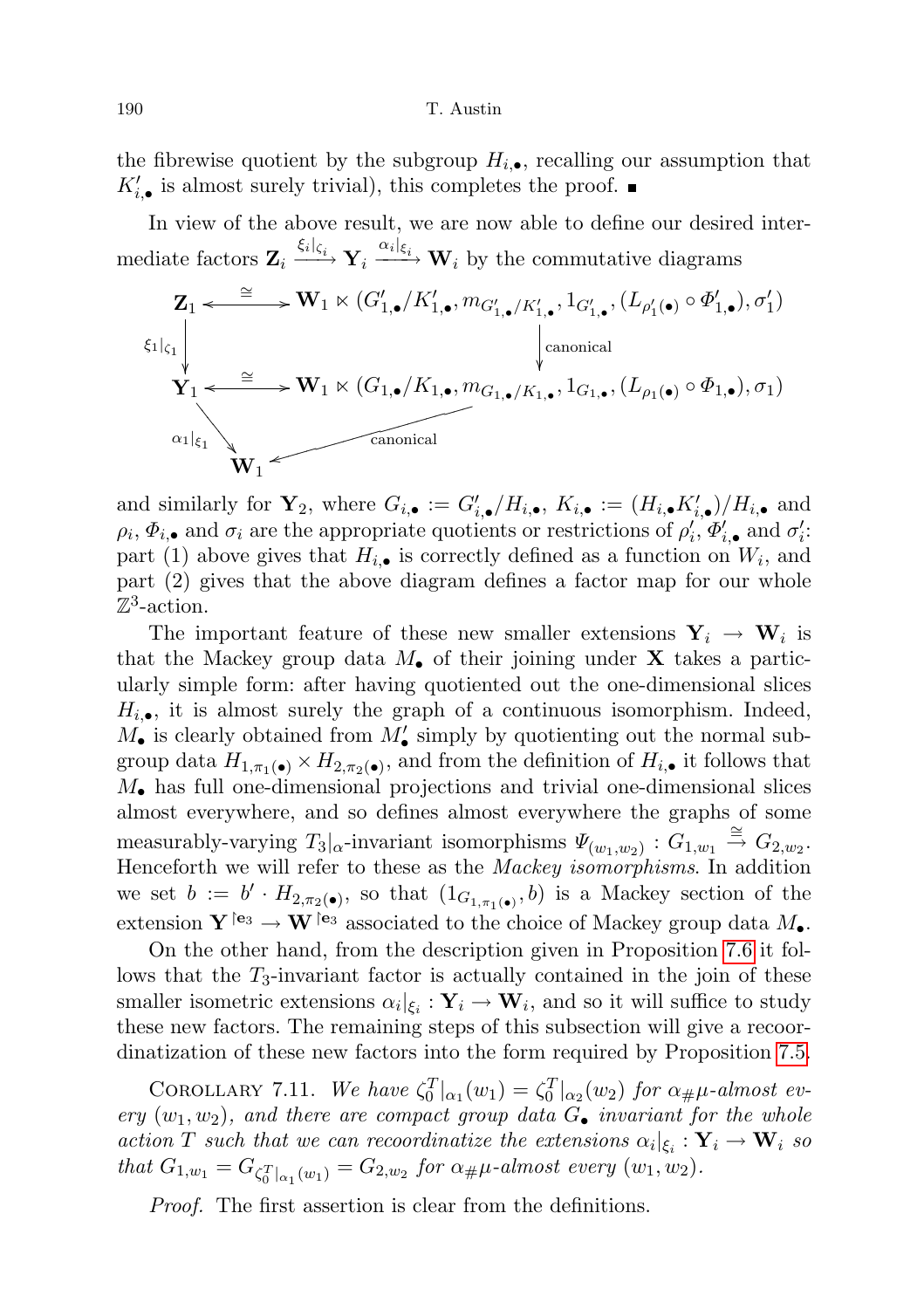the fibrewise quotient by the subgroup  $H_{i,\bullet}$ , recalling our assumption that  $K'_{i, \bullet}$  is almost surely trivial), this completes the proof.

In view of the above result, we are now able to define our desired intermediate factors  $\mathbf{Z}_i \xrightarrow{\xi_i|_{\xi_i}} \mathbf{Y}_i \xrightarrow{\alpha_i|_{\xi_i}} \mathbf{W}_i$  by the commutative diagrams

$$
\mathbf{Z}_{1} \leftarrow \cong \mathbf{W}_{1} \ltimes (G'_{1,\bullet}/K'_{1,\bullet}, m_{G'_{1,\bullet}/K'_{1,\bullet}}, 1_{G'_{1,\bullet}}, (L_{\rho'_{1}(\bullet)} \circ \Phi'_{1,\bullet}), \sigma'_{1})
$$
\n
$$
\begin{array}{c}\n\xi_{1|\zeta_{1}} \\
\downarrow \\
\downarrow \\
\downarrow \\
\chi_{1} \leftarrow \cong \mathbf{W}_{1} \ltimes (G_{1,\bullet}/K_{1,\bullet}, m_{G_{1,\bullet}/K_{1,\bullet}}, 1_{G_{1,\bullet}}, (L_{\rho_{1}(\bullet)} \circ \Phi_{1,\bullet}), \sigma_{1}) \\
\downarrow \\
\chi_{1} \leftarrow \text{canonical} \\
\mathbf{W}_{1} \leftarrow \text{canonical}\n\end{array}
$$

and similarly for  $\mathbf{Y}_2$ , where  $G_{i,\bullet} := G'_{i,\bullet}/H_{i,\bullet}$ ,  $K_{i,\bullet} := (H_{i,\bullet}K'_{i,\bullet})/H_{i,\bullet}$  and  $\rho_i, \Phi_{i,\bullet}$  and  $\sigma_i$  are the appropriate quotients or restrictions of  $\rho'_i, \Phi'_{i,\bullet}$  and  $\sigma'_i$ : part (1) above gives that  $H_{i, \bullet}$  is correctly defined as a function on  $W_i$ , and part (2) gives that the above diagram defines a factor map for our whole  $\mathbb{Z}^3$ -action.

The important feature of these new smaller extensions  $Y_i \rightarrow W_i$  is that the Mackey group data  $M_{\bullet}$  of their joining under **X** takes a particularly simple form: after having quotiented out the one-dimensional slices  $H_{i,\bullet}$ , it is almost surely the graph of a continuous isomorphism. Indeed,  $M_{\bullet}$  is clearly obtained from  $M'_{\bullet}$  simply by quotienting out the normal subgroup data  $H_{1,\pi_1(\bullet)} \times H_{2,\pi_2(\bullet)}$ , and from the definition of  $H_{i,\bullet}$  it follows that  $M_{\bullet}$  has full one-dimensional projections and trivial one-dimensional slices almost everywhere, and so defines almost everywhere the graphs of some measurably-varying  $T_3|_{\alpha}$ -invariant isomorphisms  $\Psi_{(w_1,w_2)} : G_{1,w_1} \stackrel{\cong}{\rightarrow} G_{2,w_2}$ . Henceforth we will refer to these as the Mackey isomorphisms. In addition we set  $b := b' \cdot H_{2,\pi_2(\bullet)}$ , so that  $(1_{G_{1,\pi_1(\bullet)}},b)$  is a Mackey section of the extension  $Y^{\dagger_{e_3}} \to W^{\dagger_{e_3}}$  associated to the choice of Mackey group data  $M_{\bullet}$ .

On the other hand, from the description given in Proposition [7.6](#page-52-0) it follows that the  $T_3$ -invariant factor is actually contained in the join of these smaller isometric extensions  $\alpha_i|_{\xi_i} : \mathbf{Y}_i \to \mathbf{W}_i$ , and so it will suffice to study these new factors. The remaining steps of this subsection will give a recoordinatization of these new factors into the form required by Proposition [7.5.](#page-50-0)

COROLLARY 7.11. We have  $\zeta_0^T|_{\alpha_1}(w_1) = \zeta_0^T|_{\alpha_2}(w_2)$  for  $\alpha_{\#}\mu$ -almost every  $(w_1, w_2)$ , and there are compact group data  $G_{\bullet}$  invariant for the whole action T such that we can recoordinatize the extensions  $\alpha_i|_{\xi_i} : \mathbf{Y}_i \to \mathbf{W}_i$  so that  $G_{1,w_1} = G_{\zeta_0^T|_{\alpha_1}(w_1)} = G_{2,w_2}$  for  $\alpha_{\#}\mu$ -almost every  $(w_1, w_2)$ .

Proof. The first assertion is clear from the definitions.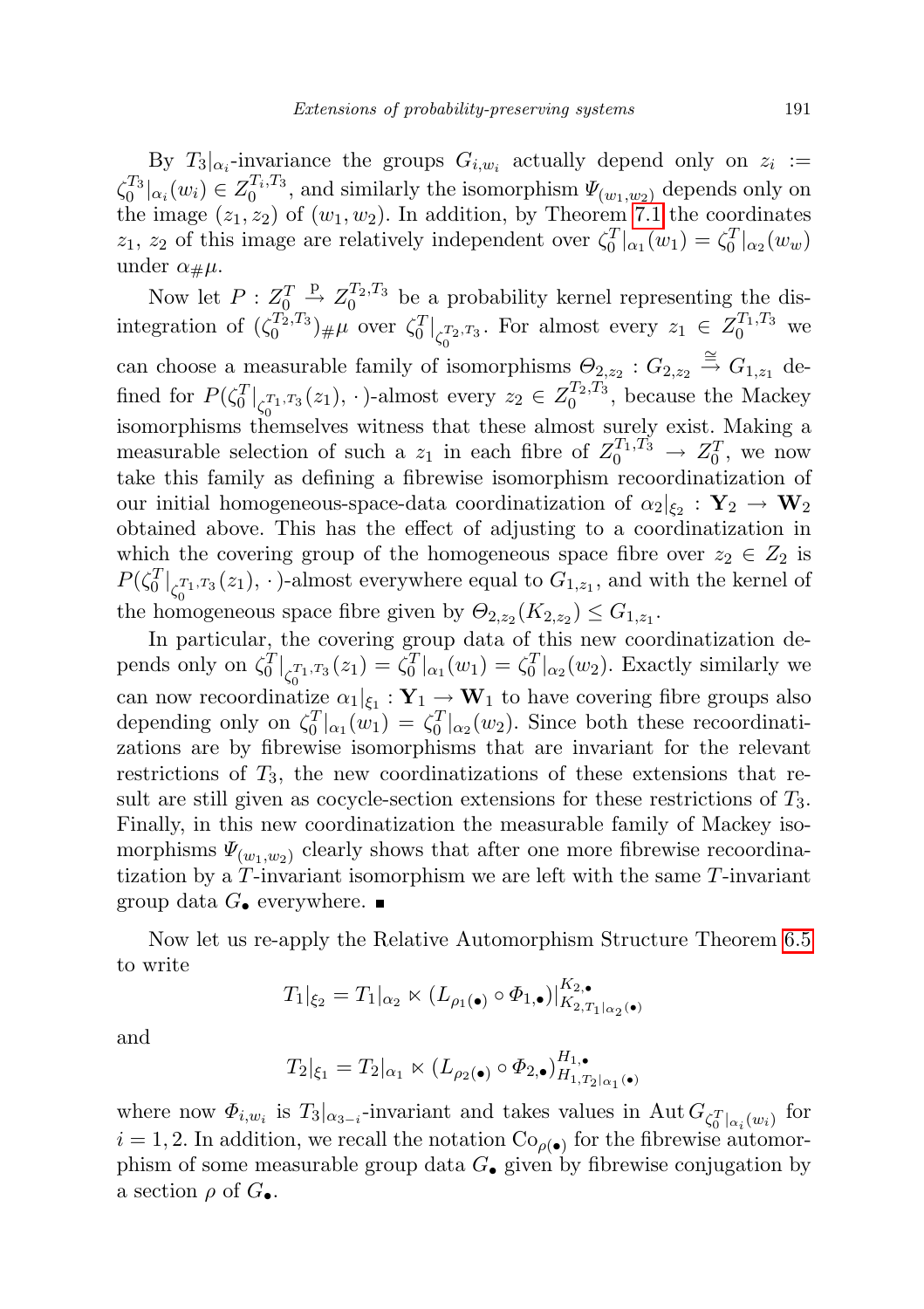By  $T_3|_{\alpha_i}$ -invariance the groups  $G_{i,w_i}$  actually depend only on  $z_i :=$  $\zeta_0^{T_3}|_{\alpha_i}(w_i) \in Z_0^{T_i, T_3}$ , and similarly the isomorphism  $\Psi_{(w_1, w_2)}$  depends only on the image  $(z_1, z_2)$  of  $(w_1, w_2)$ . In addition, by Theorem [7.1](#page-45-1) the coordinates  $z_1$ ,  $z_2$  of this image are relatively independent over  $\zeta_0^T|_{\alpha_1}(w_1) = \zeta_0^T|_{\alpha_2}(w_w)$ under  $\alpha_{\#}\mu$ .

Now let  $P: Z_0^T \overset{P}{\rightarrow} Z_0^{T_2,T_3}$  be a probability kernel representing the disintegration of  $(\zeta_0^{T_2,T_3})_{\#}\mu$  over  $\zeta_0^T|_{\zeta_0^{T_2,T_3}}$ . For almost every  $z_1 \in Z_0^{T_1,T_3}$  we can choose a measurable family of isomorphisms  $\Theta_{2,z_2}: G_{2,z_2} \stackrel{\cong}{\to} G_{1,z_1}$  defined for  $P(\zeta_0^T|_{\zeta_0^{T_1,T_3}}(z_1), \cdot)$ -almost every  $z_2 \in Z_0^{T_2,T_3}$ , because the Mackey isomorphisms themselves witness that these almost surely exist. Making a measurable selection of such a  $z_1$  in each fibre of  $Z_0^{T_1,T_3} \to Z_0^T$ , we now take this family as defining a fibrewise isomorphism recoordinatization of our initial homogeneous-space-data coordinatization of  $\alpha_2|_{\xi_2} : \mathbf{Y}_2 \to \mathbf{W}_2$ obtained above. This has the effect of adjusting to a coordinatization in which the covering group of the homogeneous space fibre over  $z_2 \in Z_2$  is  $P(\zeta_0^T|_{\zeta_0^{T_1,T_3}}(z_1),\cdot)$ -almost everywhere equal to  $G_{1,z_1}$ , and with the kernel of the homogeneous space fibre given by  $\Theta_{2,z_2}(K_{2,z_2}) \leq G_{1,z_1}$ .

In particular, the covering group data of this new coordinatization depends only on  $\zeta_0^T|_{\zeta_0^{T_1,T_3}}(z_1) = \zeta_0^T|_{\alpha_1}(w_1) = \zeta_0^T|_{\alpha_2}(w_2)$ . Exactly similarly we can now recoordinatize  $\alpha_1|_{\xi_1} : \mathbf{Y}_1 \to \mathbf{W}_1$  to have covering fibre groups also depending only on  $\zeta_0^T|_{\alpha_1}(w_1) = \zeta_0^T|_{\alpha_2}(w_2)$ . Since both these recoordinatizations are by fibrewise isomorphisms that are invariant for the relevant restrictions of  $T_3$ , the new coordinatizations of these extensions that result are still given as cocycle-section extensions for these restrictions of T3. Finally, in this new coordinatization the measurable family of Mackey isomorphisms  $\Psi_{(w_1,w_2)}$  clearly shows that after one more fibrewise recoordinatization by a T-invariant isomorphism we are left with the same T-invariant group data  $G_{\bullet}$  everywhere.

Now let us re-apply the Relative Automorphism Structure Theorem [6.5](#page-41-0) to write

$$
T_1|_{\xi_2} = T_1|_{\alpha_2} \ltimes (L_{\rho_1(\bullet)} \circ \Phi_{1,\bullet})|_{K_{2,T_1|_{\alpha_2}(\bullet)}}^{K_{2,\bullet}}
$$

and

$$
T_2|_{\xi_1} = T_2|_{\alpha_1} \ltimes (L_{\rho_2(\bullet)} \circ \Phi_{2,\bullet})_{H_{1,T_2|\alpha_1(\bullet)}}^{H_{1,\bullet}}
$$

<span id="page-58-0"></span>where now  $\Phi_{i,w_i}$  is  $T_3|_{\alpha_{3-i}}$ -invariant and takes values in Aut  $G_{\zeta_0^T|_{\alpha_i}(w_i)}$  for  $i = 1, 2$ . In addition, we recall the notation  $\text{Co}_{\rho(\bullet)}$  for the fibrewise automorphism of some measurable group data  $G_{\bullet}$  given by fibrewise conjugation by a section  $\rho$  of  $G_{\bullet}$ .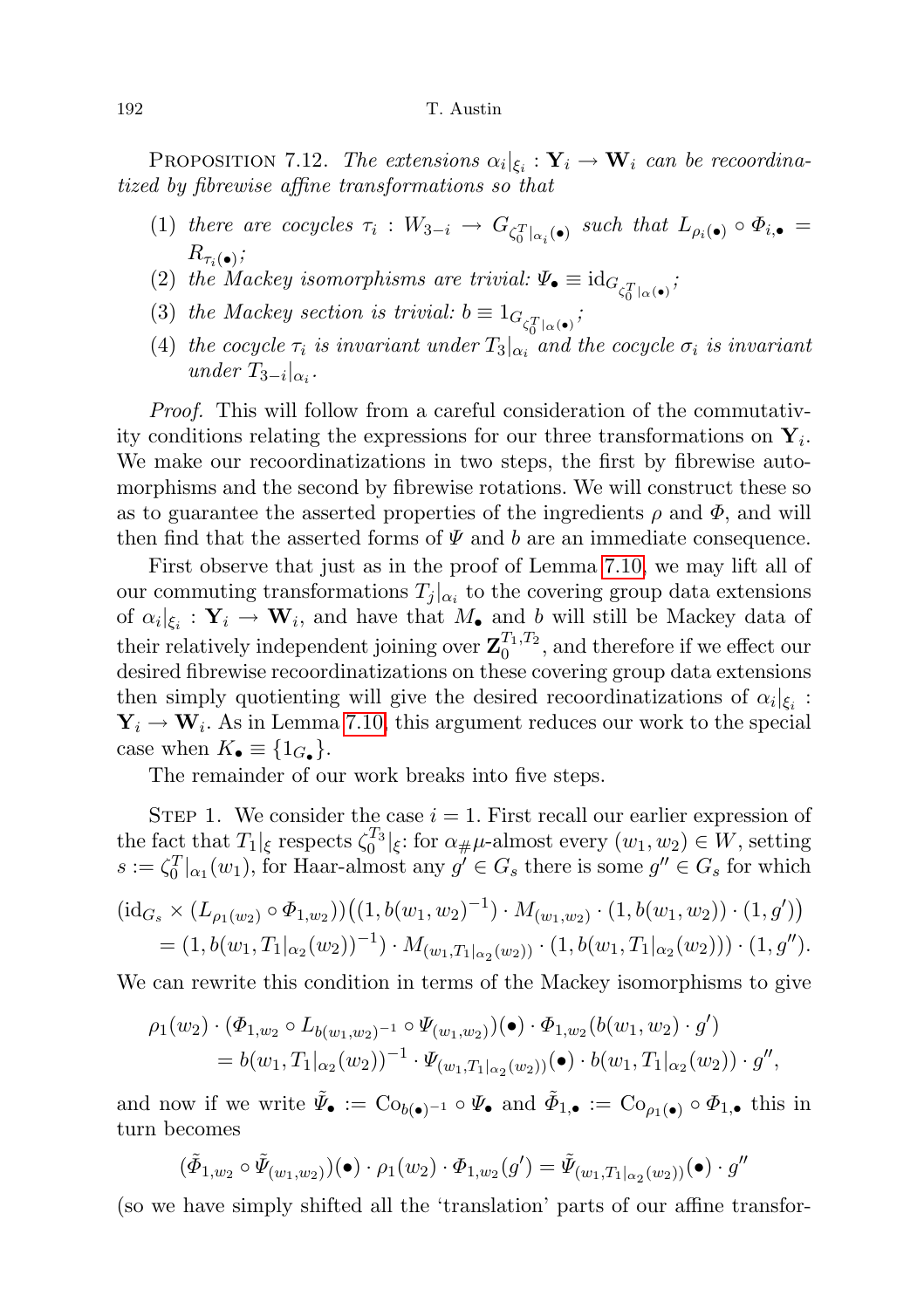PROPOSITION 7.12. The extensions  $\alpha_i|_{\xi_i} : \mathbf{Y}_i \to \mathbf{W}_i$  can be recoordinatized by fibrewise affine transformations so that

- (1) there are cocycles  $\tau_i : W_{3-i} \to G_{\zeta_0^T|_{\alpha_i}(\bullet)}$  such that  $L_{\rho_i(\bullet)} \circ \Phi_{i,\bullet} =$  $R_{\tau_i(\bullet)}$  ;
- (2) the Mackey isomorphisms are trivial:  $\Psi_{\bullet} \equiv \mathrm{id}_{G_{\zeta_0^T}|_{\alpha(\bullet)}}$ ;
- (3) the Mackey section is trivial:  $b \equiv 1_{G_{\zeta_0^T}|_{\alpha}(\bullet)},$
- (4) the cocycle  $\tau_i$  is invariant under  $T_3|_{\alpha_i}$  and the cocycle  $\sigma_i$  is invariant under  $T_{3-i}|_{\alpha_i}$ .

Proof. This will follow from a careful consideration of the commutativity conditions relating the expressions for our three transformations on  $Y_i$ . We make our recoordinatizations in two steps, the first by fibrewise automorphisms and the second by fibrewise rotations. We will construct these so as to guarantee the asserted properties of the ingredients  $\rho$  and  $\Phi$ , and will then find that the asserted forms of  $\Psi$  and b are an immediate consequence.

First observe that just as in the proof of Lemma [7.10,](#page-54-1) we may lift all of our commuting transformations  $T_j |_{\alpha_i}$  to the covering group data extensions of  $\alpha_i|_{\xi_i} : \mathbf{Y}_i \to \mathbf{W}_i$ , and have that  $M_{\bullet}$  and b will still be Mackey data of their relatively independent joining over  $\mathbf{Z}_0^{T_1,T_2}$ , and therefore if we effect our desired fibrewise recoordinatizations on these covering group data extensions then simply quotienting will give the desired recoordinatizations of  $\alpha_i|_{\xi_i}$ :  $\mathbf{Y}_i \to \mathbf{W}_i$ . As in Lemma [7.10,](#page-54-1) this argument reduces our work to the special case when  $K_{\bullet} \equiv \{1_{G_{\bullet}}\}.$ 

The remainder of our work breaks into five steps.

STEP 1. We consider the case  $i = 1$ . First recall our earlier expression of the fact that  $T_1|_{\xi}$  respects  $\zeta_0^{T_3}|_{\xi}$ : for  $\alpha_{\#}\mu$ -almost every  $(w_1, w_2) \in W$ , setting  $s := \zeta_0^T|_{\alpha_1}(w_1)$ , for Haar-almost any  $g' \in G_s$  there is some  $g'' \in G_s$  for which

$$
(\mathrm{id}_{G_s} \times (L_{\rho_1(w_2)} \circ \Phi_{1,w_2})) \big( (1, b(w_1, w_2)^{-1}) \cdot M_{(w_1, w_2)} \cdot (1, b(w_1, w_2)) \cdot (1, g') \big) = (1, b(w_1, T_1|_{\alpha_2}(w_2))^{-1}) \cdot M_{(w_1, T_1|_{\alpha_2}(w_2))} \cdot (1, b(w_1, T_1|_{\alpha_2}(w_2))) \cdot (1, g'').
$$

We can rewrite this condition in terms of the Mackey isomorphisms to give

$$
\rho_1(w_2) \cdot (\Phi_{1,w_2} \circ L_{b(w_1,w_2)^{-1}} \circ \Psi_{(w_1,w_2)})(\bullet) \cdot \Phi_{1,w_2}(b(w_1,w_2) \cdot g')
$$
  
=  $b(w_1, T_1|_{\alpha_2}(w_2))^{-1} \cdot \Psi_{(w_1,T_1|_{\alpha_2}(w_2))}(\bullet) \cdot b(w_1, T_1|_{\alpha_2}(w_2)) \cdot g'',$ 

and now if we write  $\tilde{\Psi}_{\bullet} := \text{Co}_{b(\bullet)^{-1}} \circ \Psi_{\bullet}$  and  $\tilde{\Phi}_{1,\bullet} := \text{Co}_{\rho_1(\bullet)} \circ \Phi_{1,\bullet}$  this in turn becomes

$$
(\tilde{\Phi}_{1,w_2} \circ \tilde{\Psi}_{(w_1,w_2)})(\bullet) \cdot \rho_1(w_2) \cdot \Phi_{1,w_2}(g') = \tilde{\Psi}_{(w_1,T_1|_{\alpha_2}(w_2))}(\bullet) \cdot g''
$$

(so we have simply shifted all the 'translation' parts of our affine transfor-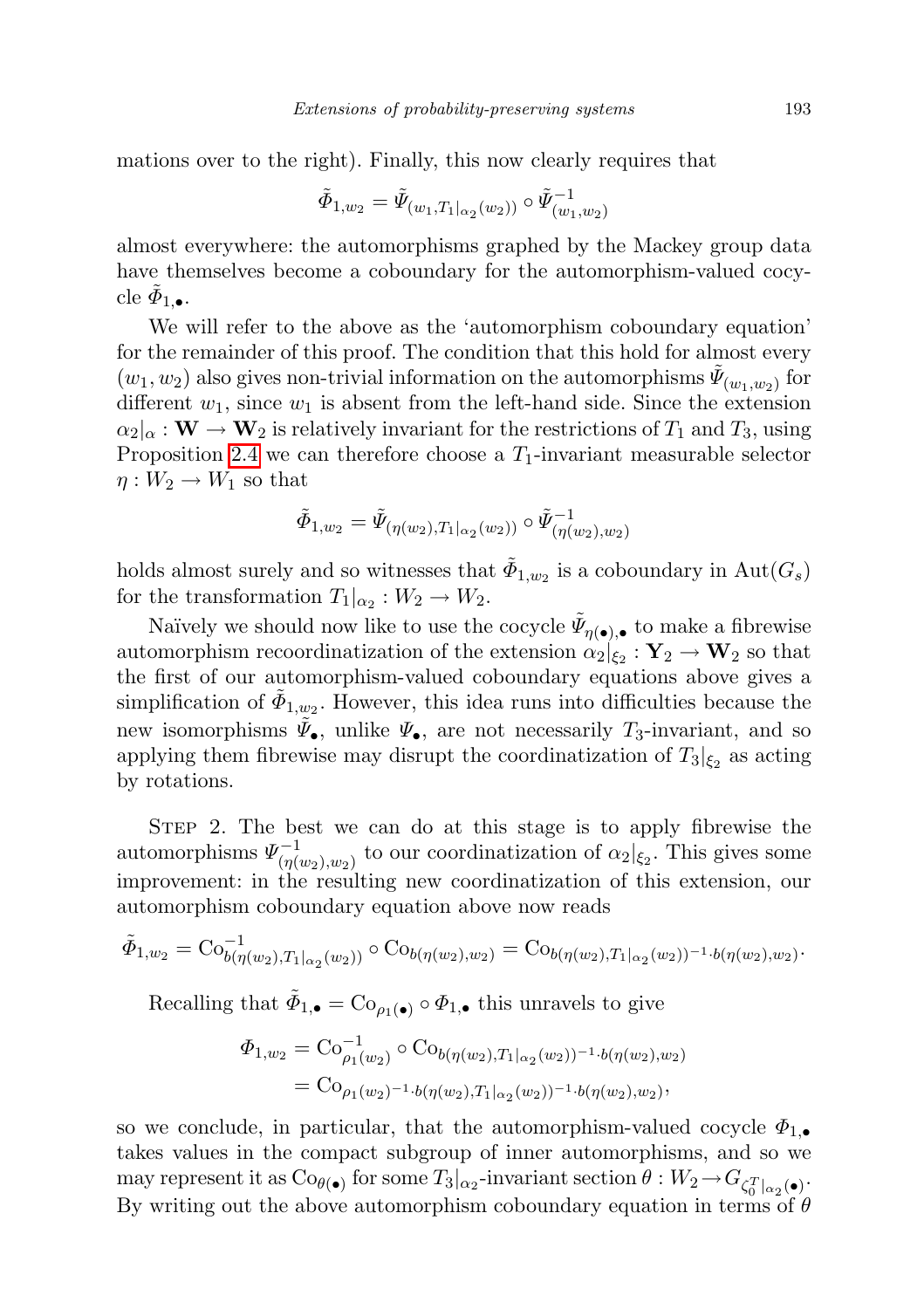mations over to the right). Finally, this now clearly requires that

$$
\tilde{\varPhi}_{1,w_2} = \tilde{\varPsi}_{(w_1,T_1|_{\alpha_2}(w_2))} \circ \tilde{\varPsi}_{(w_1,w_2)}^{-1}
$$

almost everywhere: the automorphisms graphed by the Mackey group data have themselves become a coboundary for the automorphism-valued cocycle  $\tilde{\phi}_{1,\bullet}$ .

We will refer to the above as the 'automorphism coboundary equation' for the remainder of this proof. The condition that this hold for almost every  $(w_1, w_2)$  also gives non-trivial information on the automorphisms  $\tilde{\Psi}_{(w_1, w_2)}$  for different  $w_1$ , since  $w_1$  is absent from the left-hand side. Since the extension  $\alpha_2|_{\alpha} : \mathbf{W} \to \mathbf{W}_2$  is relatively invariant for the restrictions of  $T_1$  and  $T_3$ , using Proposition [2.4](#page-12-0) we can therefore choose a  $T_1$ -invariant measurable selector  $\eta: W_2 \to W_1$  so that

$$
\tilde{\Phi}_{1,w_2} = \tilde{\Psi}_{(\eta(w_2),T_1|_{\alpha_2}(w_2))} \circ \tilde{\Psi}_{(\eta(w_2),w_2)}^{-1}
$$

holds almost surely and so witnesses that  $\tilde{\Phi}_{1,w_2}$  is a coboundary in  $\text{Aut}(G_s)$ for the transformation  $T_1|_{\alpha_2}: W_2 \to W_2$ .

Naïvely we should now like to use the cocycle  $\tilde{\Psi}_{\eta(\bullet),\bullet}$  to make a fibrewise automorphism recoordinatization of the extension  $\alpha_2|_{\xi_2} : \mathbf{Y}_2 \to \mathbf{W}_2$  so that the first of our automorphism-valued coboundary equations above gives a simplification of  $\tilde{\Phi}_{1,w_2}$ . However, this idea runs into difficulties because the new isomorphisms  $\tilde{\Psi}_{\bullet}$ , unlike  $\Psi_{\bullet}$ , are not necessarily  $T_3$ -invariant, and so applying them fibrewise may disrupt the coordinatization of  $T_3|_{\xi_2}$  as acting by rotations.

STEP 2. The best we can do at this stage is to apply fibrewise the automorphisms  $\Psi_{(n)}^{-1}$  $\frac{(-1}{(\eta(w_2), w_2)}$  to our coordinatization of  $\alpha_2|_{\xi_2}$ . This gives some improvement: in the resulting new coordinatization of this extension, our automorphism coboundary equation above now reads

$$
\tilde{\Phi}_{1,w_2} = \mathrm{Co}_{b(\eta(w_2),T_1|_{\alpha_2}(w_2))}^{-1} \circ \mathrm{Co}_{b(\eta(w_2),w_2)} = \mathrm{Co}_{b(\eta(w_2),T_1|_{\alpha_2}(w_2))^{-1} \cdot b(\eta(w_2),w_2)}.
$$

Recalling that  $\tilde{\Phi}_{1,\bullet} = \text{Co}_{\rho_1(\bullet)} \circ \Phi_{1,\bullet}$  this unravels to give

$$
\Phi_{1,w_2} = \text{Co}_{\rho_1(w_2)}^{-1} \circ \text{Co}_{b(\eta(w_2),T_1|_{\alpha_2}(w_2))^{-1} \cdot b(\eta(w_2),w_2)} = \text{Co}_{\rho_1(w_2)^{-1} \cdot b(\eta(w_2),T_1|_{\alpha_2}(w_2))^{-1} \cdot b(\eta(w_2),w_2)},
$$

so we conclude, in particular, that the automorphism-valued cocycle  $\Phi_{1,\bullet}$ takes values in the compact subgroup of inner automorphisms, and so we may represent it as  $Co_{\theta(\bullet)}$  for some  $T_3|_{\alpha_2}$ -invariant section  $\theta:W_2 \to G_{\zeta_0^T|_{\alpha_2}(\bullet)}$ . By writing out the above automorphism coboundary equation in terms of  $\theta$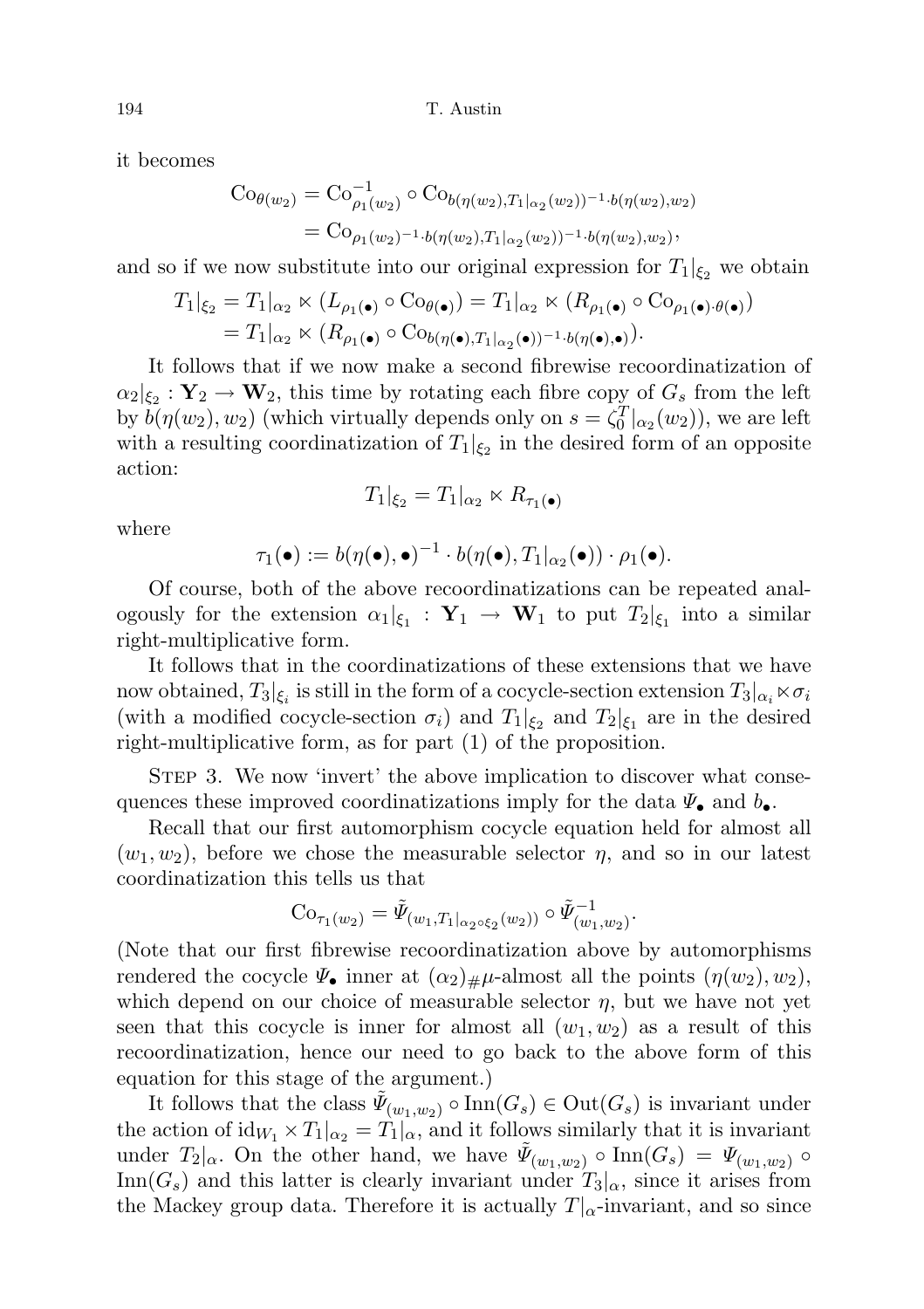it becomes

$$
Co_{\theta(w_2)} = Co_{\rho_1(w_2)}^{-1} \circ Co_{b(\eta(w_2), T_1|_{\alpha_2}(w_2))^{-1} \cdot b(\eta(w_2), w_2)}
$$
  
=  $Co_{\rho_1(w_2)^{-1} \cdot b(\eta(w_2), T_1|_{\alpha_2}(w_2))^{-1} \cdot b(\eta(w_2), w_2)},$ 

and so if we now substitute into our original expression for  $T_1|_{\xi_2}$  we obtain

$$
T_1|_{\xi_2} = T_1|_{\alpha_2} \ltimes (L_{\rho_1(\bullet)} \circ \text{Co}_{\theta(\bullet)}) = T_1|_{\alpha_2} \ltimes (R_{\rho_1(\bullet)} \circ \text{Co}_{\rho_1(\bullet),\theta(\bullet)})
$$
  
=  $T_1|_{\alpha_2} \ltimes (R_{\rho_1(\bullet)} \circ \text{Co}_{b(\eta(\bullet),T_1|_{\alpha_2}(\bullet))^{-1} \cdot b(\eta(\bullet),\bullet)}).$ 

It follows that if we now make a second fibrewise recoordinatization of  $\alpha_2|_{\xi_2} : \mathbf{Y}_2 \to \mathbf{W}_2$ , this time by rotating each fibre copy of  $G_s$  from the left by  $b(\eta(w_2), w_2)$  (which virtually depends only on  $s = \zeta_0^T|_{\alpha_2}(w_2)$ ), we are left with a resulting coordinatization of  $T_1|_{\xi_2}$  in the desired form of an opposite action:

$$
T_1|_{\xi_2} = T_1|_{\alpha_2} \ltimes R_{\tau_1(\bullet)}
$$

where

$$
\tau_1(\bullet) := b(\eta(\bullet),\bullet)^{-1} \cdot b(\eta(\bullet),T_1|_{\alpha_2}(\bullet)) \cdot \rho_1(\bullet).
$$

Of course, both of the above recoordinatizations can be repeated analogously for the extension  $\alpha_1|_{\xi_1} : \mathbf{Y}_1 \to \mathbf{W}_1$  to put  $T_2|_{\xi_1}$  into a similar right-multiplicative form.

It follows that in the coordinatizations of these extensions that we have now obtained,  $T_3|_{\xi_i}$  is still in the form of a cocycle-section extension  $T_3|_{\alpha_i} \ltimes \sigma_i$ (with a modified cocycle-section  $\sigma_i$ ) and  $T_1|_{\xi_2}$  and  $T_2|_{\xi_1}$  are in the desired right-multiplicative form, as for part (1) of the proposition.

STEP 3. We now 'invert' the above implication to discover what consequences these improved coordinatizations imply for the data  $\Psi_{\bullet}$  and  $b_{\bullet}$ .

Recall that our first automorphism cocycle equation held for almost all  $(w_1, w_2)$ , before we chose the measurable selector  $\eta$ , and so in our latest coordinatization this tells us that

$$
Co_{\tau_1(w_2)} = \tilde{\Psi}_{(w_1,T_1|_{\alpha_2 \circ \xi_2}(w_2))} \circ \tilde{\Psi}_{(w_1,w_2)}^{-1}.
$$

(Note that our first fibrewise recoordinatization above by automorphisms rendered the cocycle  $\Psi_{\bullet}$  inner at  $(\alpha_2)_{\#}\mu$ -almost all the points  $(\eta(w_2), w_2)$ , which depend on our choice of measurable selector  $\eta$ , but we have not yet seen that this cocycle is inner for almost all  $(w_1, w_2)$  as a result of this recoordinatization, hence our need to go back to the above form of this equation for this stage of the argument.)

It follows that the class  $\tilde{\Psi}_{(w_1,w_2)} \circ \text{Inn}(G_s) \in \text{Out}(G_s)$  is invariant under the action of  $\mathrm{id}_{W_1} \times T_1|_{\alpha_2} = T_1|_{\alpha}$ , and it follows similarly that it is invariant under  $T_2|_{\alpha}$ . On the other hand, we have  $\tilde{\Psi}_{(w_1,w_2)} \circ \text{Inn}(G_s) = \Psi_{(w_1,w_2)} \circ$ Inn( $G_s$ ) and this latter is clearly invariant under  $T_3|_{\alpha}$ , since it arises from the Mackey group data. Therefore it is actually  $T|_{\alpha}$ -invariant, and so since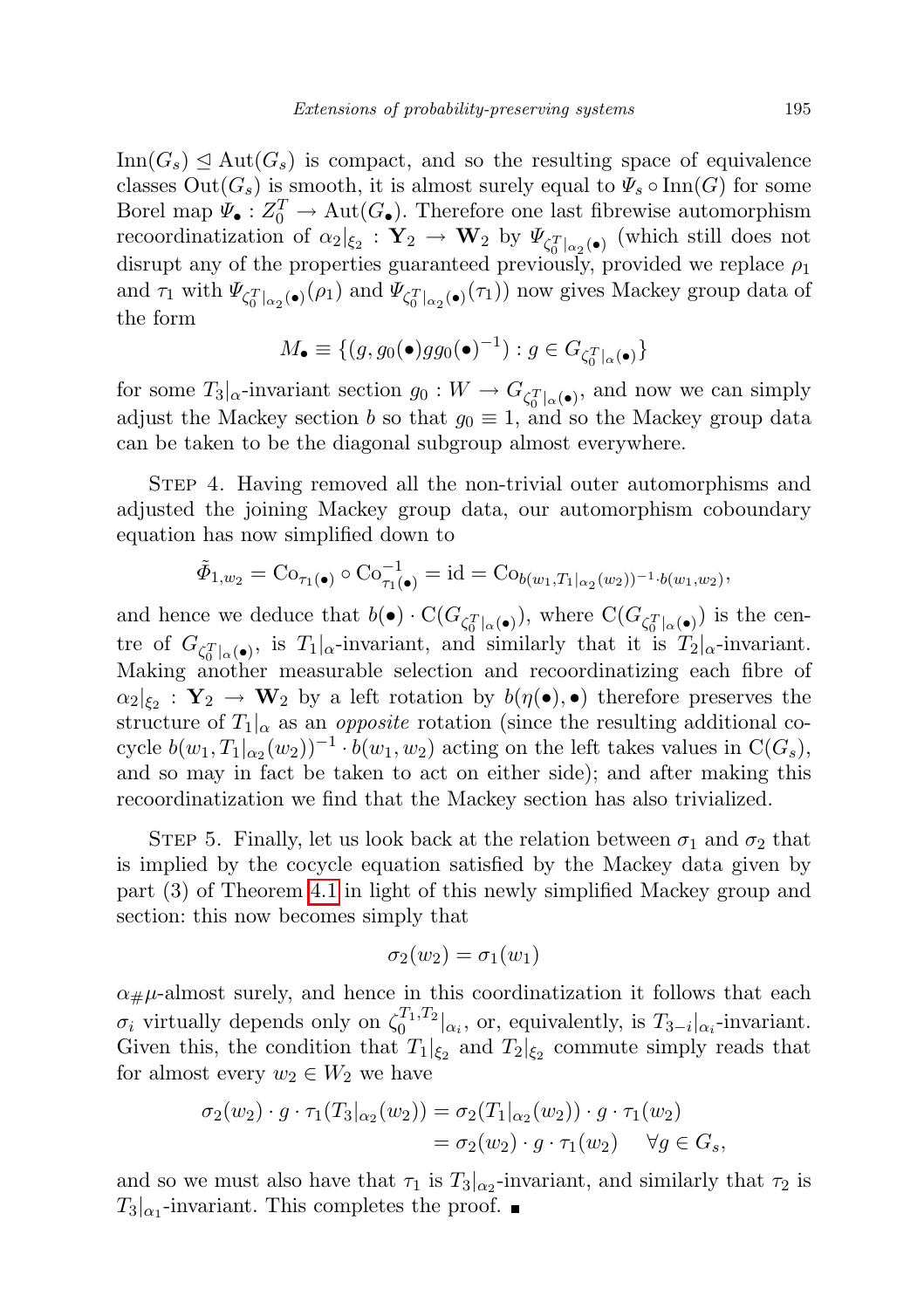$\text{Inn}(G_s) \trianglelefteq \text{Aut}(G_s)$  is compact, and so the resulting space of equivalence classes  $Out(G_s)$  is smooth, it is almost surely equal to  $\Psi_s \circ Inn(G)$  for some Borel map  $\Psi_{\bullet}: Z_0^T \to \text{Aut}(G_{\bullet})$ . Therefore one last fibrewise automorphism recoordinatization of  $\alpha_2|_{\xi_2} : \mathbf{Y}_2 \to \mathbf{W}_2$  by  $\Psi_{\zeta_0^T|_{\alpha_2}(\bullet)}$  (which still does not disrupt any of the properties guaranteed previously, provided we replace  $\rho_1$ and  $\tau_1$  with  $\Psi_{\zeta_0^T|_{\alpha_2}(\bullet)}(\rho_1)$  and  $\Psi_{\zeta_0^T|_{\alpha_2}(\bullet)}(\tau_1)$  now gives Mackey group data of the form

$$
M_{\bullet} \equiv \{ (g, g_0(\bullet)gg_0(\bullet)^{-1}) : g \in G_{\zeta_0^T|_{\alpha}(\bullet)} \}
$$

for some  $T_3|_{\alpha}$ -invariant section  $g_0: W \to G_{\zeta_0^T|_{\alpha}(\bullet)},$  and now we can simply adjust the Mackey section b so that  $g_0 \equiv 1$ , and so the Mackey group data can be taken to be the diagonal subgroup almost everywhere.

STEP 4. Having removed all the non-trivial outer automorphisms and adjusted the joining Mackey group data, our automorphism coboundary equation has now simplified down to

$$
\tilde{\Phi}_{1,w_2} = \text{Co}_{\tau_1(\bullet)} \circ \text{Co}_{\tau_1(\bullet)}^{-1} = \text{id} = \text{Co}_{b(w_1,T_1|_{\alpha_2}(w_2))^{-1} \cdot b(w_1,w_2)},
$$

and hence we deduce that  $b(\bullet) \cdot C(G_{\zeta_0^T|_{\alpha}(\bullet)})$ , where  $C(G_{\zeta_0^T|_{\alpha}(\bullet)})$  is the centre of  $G_{\zeta_0^T|\alpha(\bullet)}$ , is  $T_1|\alpha$ -invariant, and similarly that it is  $T_2|\alpha$ -invariant. Making another measurable selection and recoordinatizing each fibre of  $\alpha_2|_{\xi_2} : Y_2 \to W_2$  by a left rotation by  $b(\eta(\bullet), \bullet)$  therefore preserves the structure of  $T_1|_{\alpha}$  as an *opposite* rotation (since the resulting additional cocycle  $b(w_1, T_1|_{\alpha_2}(w_2))^{-1} \cdot b(w_1, w_2)$  acting on the left takes values in  $C(G_s)$ , and so may in fact be taken to act on either side); and after making this recoordinatization we find that the Mackey section has also trivialized.

STEP 5. Finally, let us look back at the relation between  $\sigma_1$  and  $\sigma_2$  that is implied by the cocycle equation satisfied by the Mackey data given by part (3) of Theorem [4.1](#page-19-1) in light of this newly simplified Mackey group and section: this now becomes simply that

$$
\sigma_2(w_2)=\sigma_1(w_1)
$$

 $\alpha_{\#}\mu$ -almost surely, and hence in this coordinatization it follows that each  $\sigma_i$  virtually depends only on  $\zeta_0^{T_1,T_2}|_{\alpha_i}$ , or, equivalently, is  $T_{3-i}|_{\alpha_i}$ -invariant. Given this, the condition that  $T_1|_{\xi_2}$  and  $T_2|_{\xi_2}$  commute simply reads that for almost every  $w_2 \in W_2$  we have

$$
\sigma_2(w_2) \cdot g \cdot \tau_1(T_3|_{\alpha_2}(w_2)) = \sigma_2(T_1|_{\alpha_2}(w_2)) \cdot g \cdot \tau_1(w_2)
$$
  
= 
$$
\sigma_2(w_2) \cdot g \cdot \tau_1(w_2) \quad \forall g \in G_s,
$$

and so we must also have that  $\tau_1$  is  $T_3|_{\alpha_2}$ -invariant, and similarly that  $\tau_2$  is  $T_3|_{\alpha_1}$ -invariant. This completes the proof.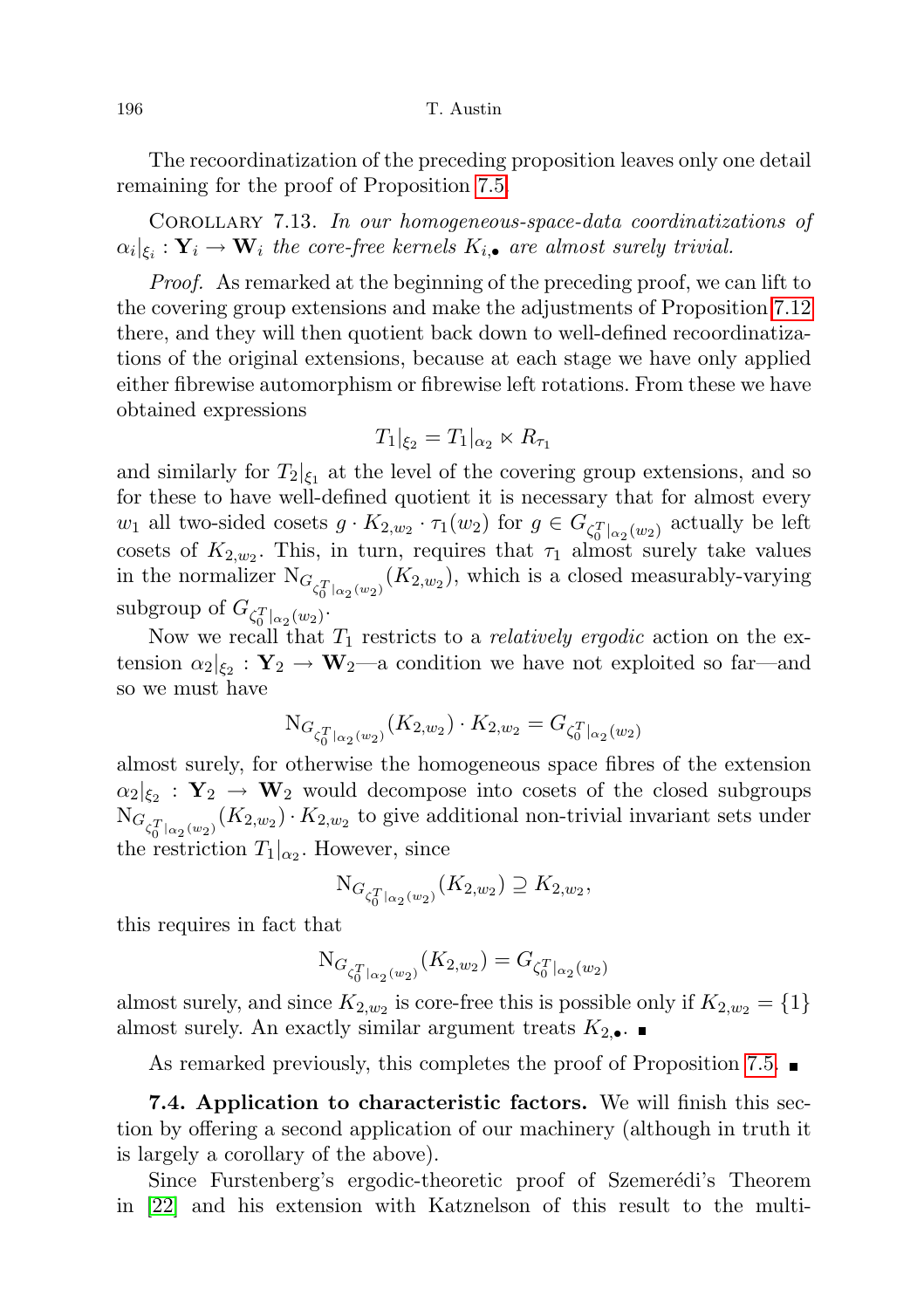The recoordinatization of the preceding proposition leaves only one detail remaining for the proof of Proposition [7.5.](#page-50-0)

Corollary 7.13. In our homogeneous-space-data coordinatizations of  $\alpha_i|_{\xi_i} : \mathbf{Y}_i \to \mathbf{W}_i$  the core-free kernels  $K_{i,\bullet}$  are almost surely trivial.

Proof. As remarked at the beginning of the preceding proof, we can lift to the covering group extensions and make the adjustments of Proposition [7.12](#page-58-0) there, and they will then quotient back down to well-defined recoordinatizations of the original extensions, because at each stage we have only applied either fibrewise automorphism or fibrewise left rotations. From these we have obtained expressions

$$
T_1|_{\xi_2} = T_1|_{\alpha_2} \ltimes R_{\tau_1}
$$

and similarly for  $T_2|_{\xi_1}$  at the level of the covering group extensions, and so for these to have well-defined quotient it is necessary that for almost every  $w_1$  all two-sided cosets  $g \cdot K_{2,w_2} \cdot \tau_1(w_2)$  for  $g \in G_{\zeta_0^T|_{\alpha_2}(w_2)}$  actually be left cosets of  $K_{2,w_2}$ . This, in turn, requires that  $\tau_1$  almost surely take values in the normalizer  $N_{G_{\zeta_0^T}|_{\alpha_2}(w_2)}(K_{2,w_2})$ , which is a closed measurably-varying subgroup of  $G_{\zeta_0^T|_{\alpha_2}(w_2)}$ .

Now we recall that  $T_1$  restricts to a *relatively ergodic* action on the extension  $\alpha_2|_{\xi_2} : \mathbf{Y}_2 \to \mathbf{W}_2$ —a condition we have not exploited so far—and so we must have

$$
\mathrm{N}_{G_{\zeta_0^T|_{\alpha_2}(w_2)}}(K_{2,w_2})\cdot K_{2,w_2}=G_{\zeta_0^T|_{\alpha_2}(w_2)}
$$

almost surely, for otherwise the homogeneous space fibres of the extension  $\alpha_2|_{\xi_2} : Y_2 \to W_2$  would decompose into cosets of the closed subgroups  $N_{G_{\zeta_0^T}|_{\alpha_2}(w_2)}(K_{2,w_2})\cdot K_{2,w_2}$  to give additional non-trivial invariant sets under the restriction  $T_1|_{\alpha_2}$ . However, since

$$
{\rm N}_{G_{\zeta_0^T}|_{\alpha_2}(w_2)}(K_{2,w_2})\supseteq K_{2,w_2},
$$

this requires in fact that

$$
\mathrm{N}_{G_{\zeta_0^T|_{\alpha_2}(w_2)}}(K_{2,w_2}) = G_{\zeta_0^T|_{\alpha_2}(w_2)}
$$

almost surely, and since  $K_{2,w_2}$  is core-free this is possible only if  $K_{2,w_2} = \{1\}$ almost surely. An exactly similar argument treats  $K_{2,\bullet}$ .

As remarked previously, this completes the proof of Proposition [7.5.](#page-50-0)

7.4. Application to characteristic factors. We will finish this section by offering a second application of our machinery (although in truth it is largely a corollary of the above).

Since Furstenberg's ergodic-theoretic proof of Szemerédi's Theorem in [\[22\]](#page-72-3) and his extension with Katznelson of this result to the multi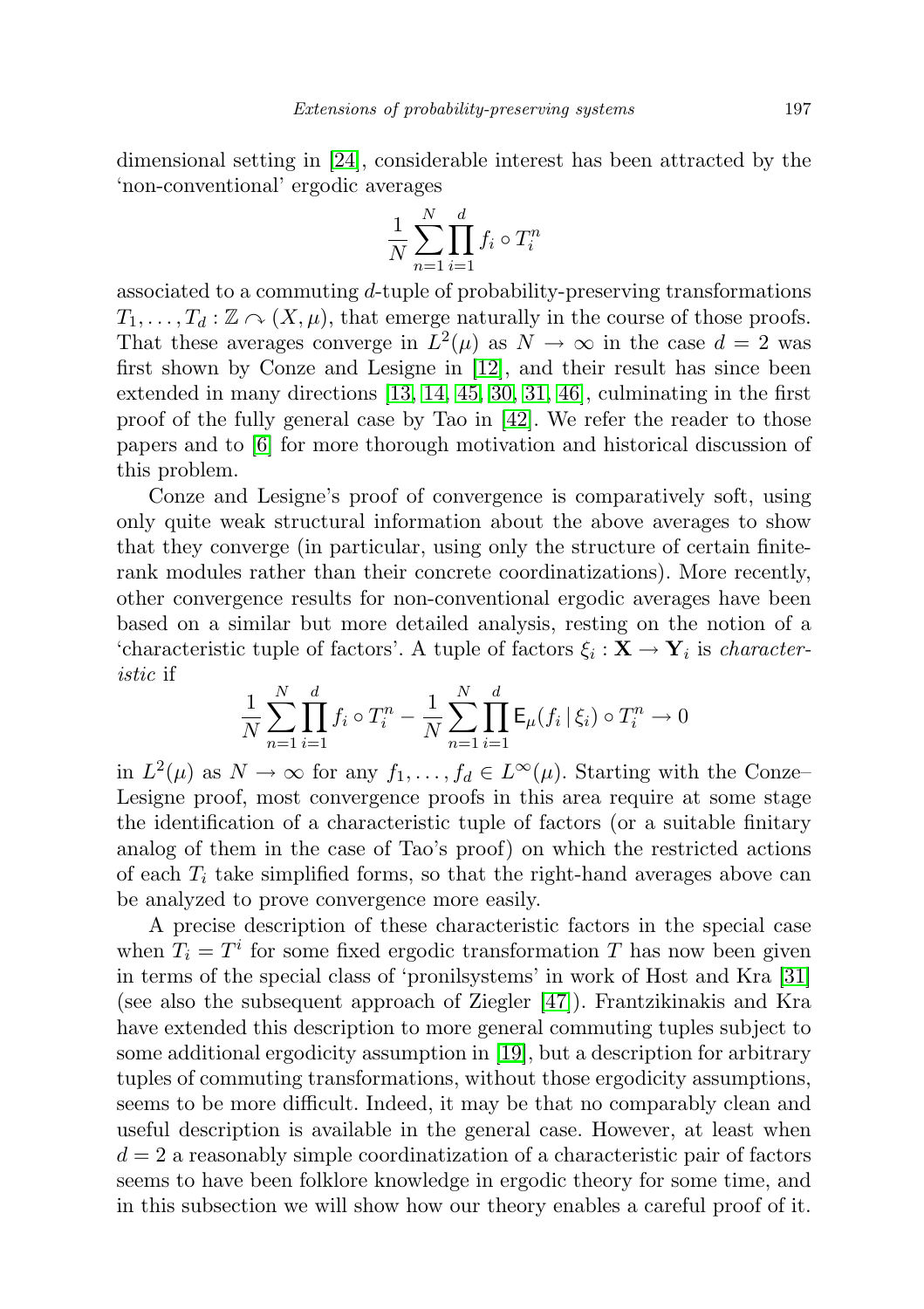dimensional setting in [\[24\]](#page-72-7), considerable interest has been attracted by the 'non-conventional' ergodic averages

$$
\frac{1}{N} \sum_{n=1}^{N} \prod_{i=1}^{d} f_i \circ T_i^n
$$

associated to a commuting d-tuple of probability-preserving transformations  $T_1, \ldots, T_d : \mathbb{Z} \curvearrowright (X, \mu)$ , that emerge naturally in the course of those proofs. That these averages converge in  $L^2(\mu)$  as  $N \to \infty$  in the case  $d = 2$  was first shown by Conze and Lesigne in [\[12\]](#page-71-3), and their result has since been extended in many directions [\[13,](#page-71-4) [14,](#page-71-5) [45,](#page-73-2) [30,](#page-72-8) [31,](#page-72-5) [46\]](#page-73-4), culminating in the first proof of the fully general case by Tao in [\[42\]](#page-73-5). We refer the reader to those papers and to [\[6\]](#page-71-2) for more thorough motivation and historical discussion of this problem.

Conze and Lesigne's proof of convergence is comparatively soft, using only quite weak structural information about the above averages to show that they converge (in particular, using only the structure of certain finiterank modules rather than their concrete coordinatizations). More recently, other convergence results for non-conventional ergodic averages have been based on a similar but more detailed analysis, resting on the notion of a 'characteristic tuple of factors'. A tuple of factors  $\xi_i : \mathbf{X} \to \mathbf{Y}_i$  is *character*istic if

$$
\frac{1}{N} \sum_{n=1}^{N} \prod_{i=1}^{d} f_i \circ T_i^n - \frac{1}{N} \sum_{n=1}^{N} \prod_{i=1}^{d} \mathsf{E}_{\mu}(f_i | \xi_i) \circ T_i^n \to 0
$$

in  $L^2(\mu)$  as  $N \to \infty$  for any  $f_1, \ldots, f_d \in L^{\infty}(\mu)$ . Starting with the Conze-Lesigne proof, most convergence proofs in this area require at some stage the identification of a characteristic tuple of factors (or a suitable finitary analog of them in the case of Tao's proof) on which the restricted actions of each  $T_i$  take simplified forms, so that the right-hand averages above can be analyzed to prove convergence more easily.

<span id="page-64-0"></span>A precise description of these characteristic factors in the special case when  $T_i = T^i$  for some fixed ergodic transformation T has now been given in terms of the special class of 'pronilsystems' in work of Host and Kra [\[31\]](#page-72-5) (see also the subsequent approach of Ziegler [\[47\]](#page-73-3)). Frantzikinakis and Kra have extended this description to more general commuting tuples subject to some additional ergodicity assumption in [\[19\]](#page-72-9), but a description for arbitrary tuples of commuting transformations, without those ergodicity assumptions, seems to be more difficult. Indeed, it may be that no comparably clean and useful description is available in the general case. However, at least when  $d = 2$  a reasonably simple coordinatization of a characteristic pair of factors seems to have been folklore knowledge in ergodic theory for some time, and in this subsection we will show how our theory enables a careful proof of it.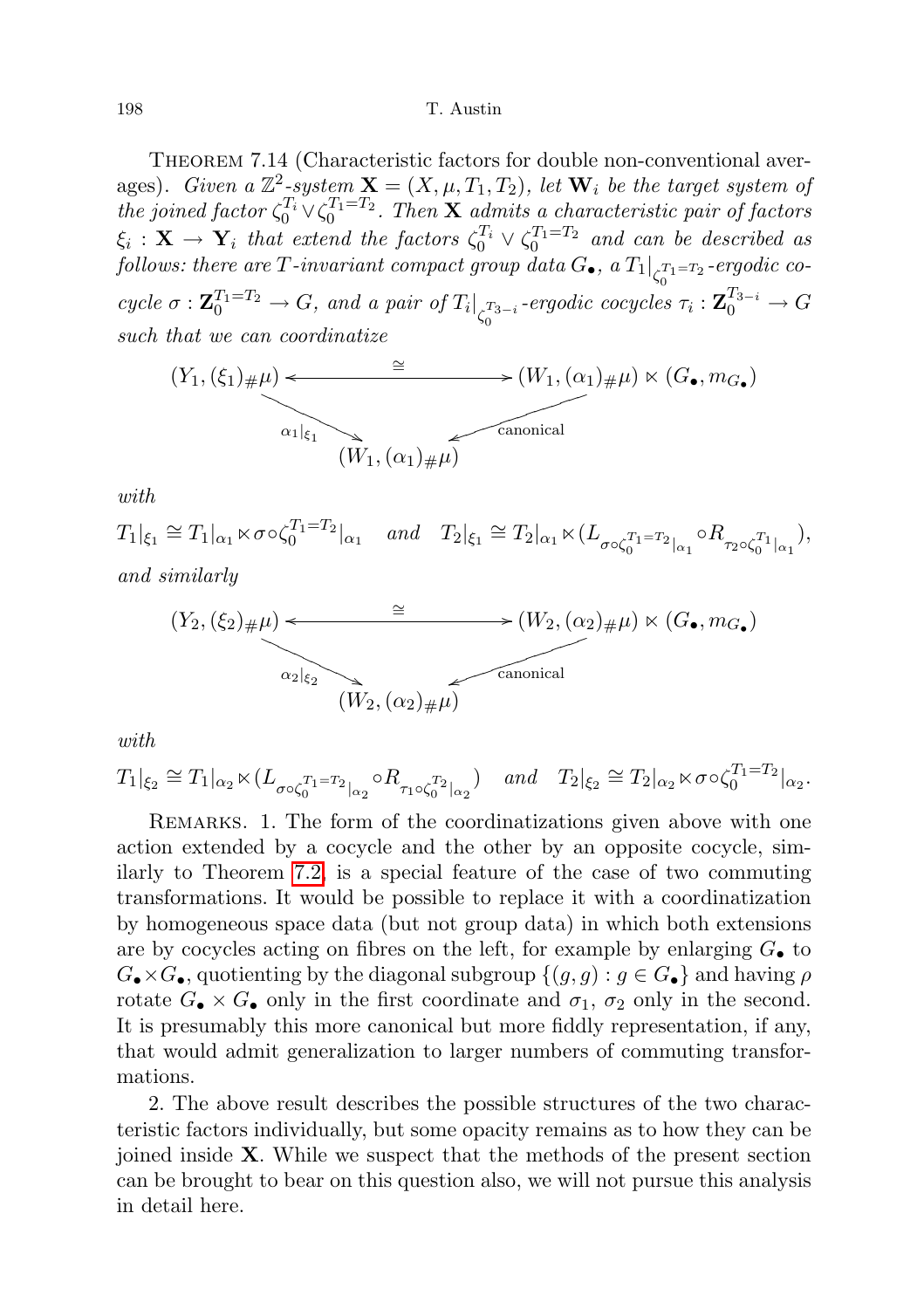THEOREM 7.14 (Characteristic factors for double non-conventional averages). Given a  $\mathbb{Z}^2$ -system  $\mathbf{X} = (X, \mu, T_1, T_2)$ , let  $\mathbf{W}_i$  be the target system of the joined factor  $\zeta_0^{T_1} \vee \zeta_0^{T_1=T_2}$ . Then **X** admits a characteristic pair of factors  $\xi_i$  :  $\mathbf{X} \to \mathbf{Y}_i$  that extend the factors  $\zeta_0^{T_i} \vee \zeta_0^{T_1=T_2}$  and can be described as follows: there are T-invariant compact group data  $G_{\bullet}$ , a  $T_1\big|_{\zeta_0^{T_1=T_2}}$ -ergodic co- $\overline{0}$ cycle  $\sigma : \mathbf{Z}_0^{T_1=T_2} \to G$ , and a pair of  $T_i|_{\zeta_0^{T_3-i}}$ -ergodic cocycles  $\tau_i : \mathbf{Z}_0^{T_3-i} \to G$ such that we can coordinatize

$$
(Y_1, (\xi_1)_{\#}\mu) \leftarrow \longrightarrow (W_1, (\alpha_1)_{\#}\mu) \times (G_{\bullet}, m_{G_{\bullet}})
$$
  
\n
$$
\overbrace{\alpha_1|_{\xi_1} \qquad \qquad \text{canonical}}
$$
  
\n
$$
(W_1, (\alpha_1)_{\#}\mu) \qquad \qquad \text{canonical}
$$

with

 $T_1|_{\xi_1} \cong T_1|_{\alpha_1} \ltimes \sigma \circ \zeta_0^{T_1 = T_2}|_{\alpha_1} \quad \text{and} \quad T_2|_{\xi_1} \cong T_2|_{\alpha_1} \ltimes (L_{\sigma \circ \zeta_0^{T_1 = T_2}|_{\alpha_1}} \circ R_{\tau_2 \circ \zeta_0^{T_1}|_{\alpha_1}}),$ and similarly

$$
(Y_2, (\xi_2)_{\#}\mu) \leftarrow \longrightarrow (W_2, (\alpha_2)_{\#}\mu) \ltimes (G_{\bullet}, m_G)
$$
  
\n
$$
\alpha_2|_{\xi_2}
$$
  
\n
$$
(W_2, (\alpha_2)_{\#}\mu) \longrightarrow \text{canonical}
$$

with

 $T_1|_{\xi_2} \cong T_1|_{\alpha_2} \ltimes (L_{\sigma \circ \zeta_0^{T_1=T_2}|_{\alpha_2}} \circ R_{\tau_1 \circ \zeta_0^{T_2}|_{\alpha_2}})$  and  $T_2|_{\xi_2} \cong T_2|_{\alpha_2} \ltimes \sigma \circ \zeta_0^{T_1=T_2}|_{\alpha_2}$ .

REMARKS. 1. The form of the coordinatizations given above with one action extended by a cocycle and the other by an opposite cocycle, similarly to Theorem [7.2,](#page-45-0) is a special feature of the case of two commuting transformations. It would be possible to replace it with a coordinatization by homogeneous space data (but not group data) in which both extensions are by cocycles acting on fibres on the left, for example by enlarging  $G_{\bullet}$  to  $G_{\bullet}\times G_{\bullet}$ , quotienting by the diagonal subgroup  $\{(g,g): g\in G_{\bullet}\}\$  and having  $\rho$ rotate  $G_{\bullet} \times G_{\bullet}$  only in the first coordinate and  $\sigma_1$ ,  $\sigma_2$  only in the second. It is presumably this more canonical but more fiddly representation, if any, that would admit generalization to larger numbers of commuting transformations.

2. The above result describes the possible structures of the two characteristic factors individually, but some opacity remains as to how they can be joined inside X. While we suspect that the methods of the present section can be brought to bear on this question also, we will not pursue this analysis in detail here.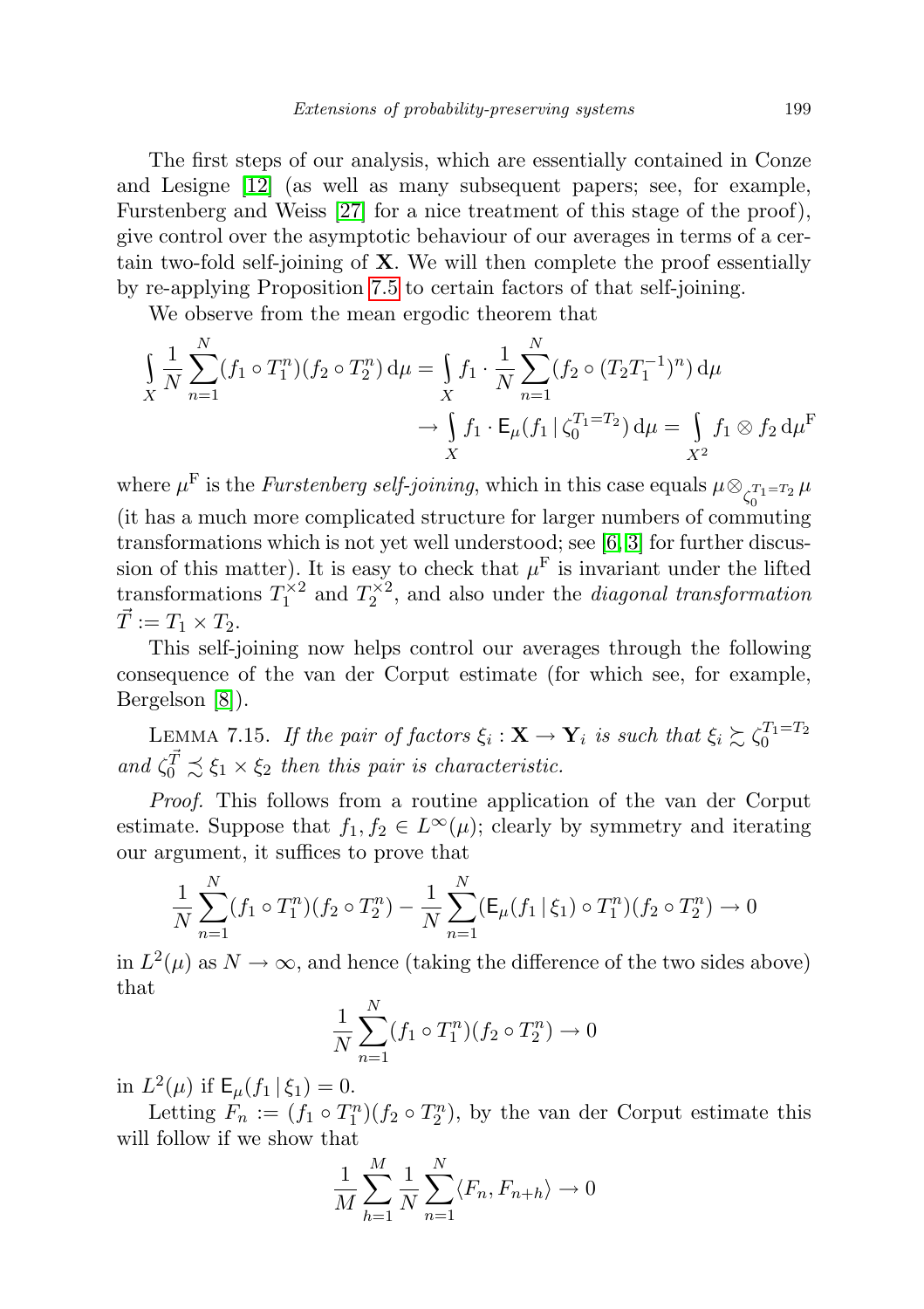The first steps of our analysis, which are essentially contained in Conze and Lesigne [\[12\]](#page-71-3) (as well as many subsequent papers; see, for example, Furstenberg and Weiss [\[27\]](#page-72-4) for a nice treatment of this stage of the proof), give control over the asymptotic behaviour of our averages in terms of a certain two-fold self-joining of  $X$ . We will then complete the proof essentially by re-applying Proposition [7.5](#page-50-0) to certain factors of that self-joining.

We observe from the mean ergodic theorem that

$$
\int_{X} \frac{1}{N} \sum_{n=1}^{N} (f_1 \circ T_1^n)(f_2 \circ T_2^n) d\mu = \int_{X} f_1 \cdot \frac{1}{N} \sum_{n=1}^{N} (f_2 \circ (T_2 T_1^{-1})^n) d\mu
$$
  

$$
\to \int_{X} f_1 \cdot \mathsf{E}_{\mu}(f_1 \mid \zeta_0^{T_1 = T_2}) d\mu = \int_{X^2} f_1 \otimes f_2 d\mu^{\mathsf{F}}
$$

where  $\mu^{\mathrm{F}}$  is the *Furstenberg self-joining*, which in this case equals  $\mu \otimes_{\zeta_{0}^{T_{1}=T_{2}}}\mu$ (it has a much more complicated structure for larger numbers of commuting transformations which is not yet well understood; see [\[6,](#page-71-2) [3\]](#page-71-6) for further discussion of this matter). It is easy to check that  $\mu^{\mathrm{F}}$  is invariant under the lifted transformations  $T_1^{\times 2}$  and  $T_2^{\times 2}$ , and also under the *diagonal transformation*  $\vec{T} := T_1 \times T_2.$ 

This self-joining now helps control our averages through the following consequence of the van der Corput estimate (for which see, for example, Bergelson [\[8\]](#page-71-7)).

LEMMA 7.15. If the pair of factors  $\xi_i : \mathbf{X} \to \mathbf{Y}_i$  is such that  $\xi_i \succsim \zeta_0^{T_1 = T_2}$ and  $\zeta_0^{\vec{T}} \precsim \xi_1 \times \xi_2$  then this pair is characteristic.

Proof. This follows from a routine application of the van der Corput estimate. Suppose that  $f_1, f_2 \in L^{\infty}(\mu)$ ; clearly by symmetry and iterating our argument, it suffices to prove that

$$
\frac{1}{N} \sum_{n=1}^{N} (f_1 \circ T_1^n)(f_2 \circ T_2^n) - \frac{1}{N} \sum_{n=1}^{N} (\mathsf{E}_{\mu}(f_1 | \xi_1) \circ T_1^n)(f_2 \circ T_2^n) \to 0
$$

in  $L^2(\mu)$  as  $N \to \infty$ , and hence (taking the difference of the two sides above) that

$$
\frac{1}{N} \sum_{n=1}^{N} (f_1 \circ T_1^n)(f_2 \circ T_2^n) \to 0
$$

in  $L^2(\mu)$  if  $\mathsf{E}_{\mu}(f_1 | \xi_1) = 0$ .

Letting  $F_n := (f_1 \circ T_1^n)(f_2 \circ T_2^n)$ , by the van der Corput estimate this will follow if we show that

$$
\frac{1}{M}\sum_{h=1}^{M}\frac{1}{N}\sum_{n=1}^{N}\langle F_n, F_{n+h}\rangle \to 0
$$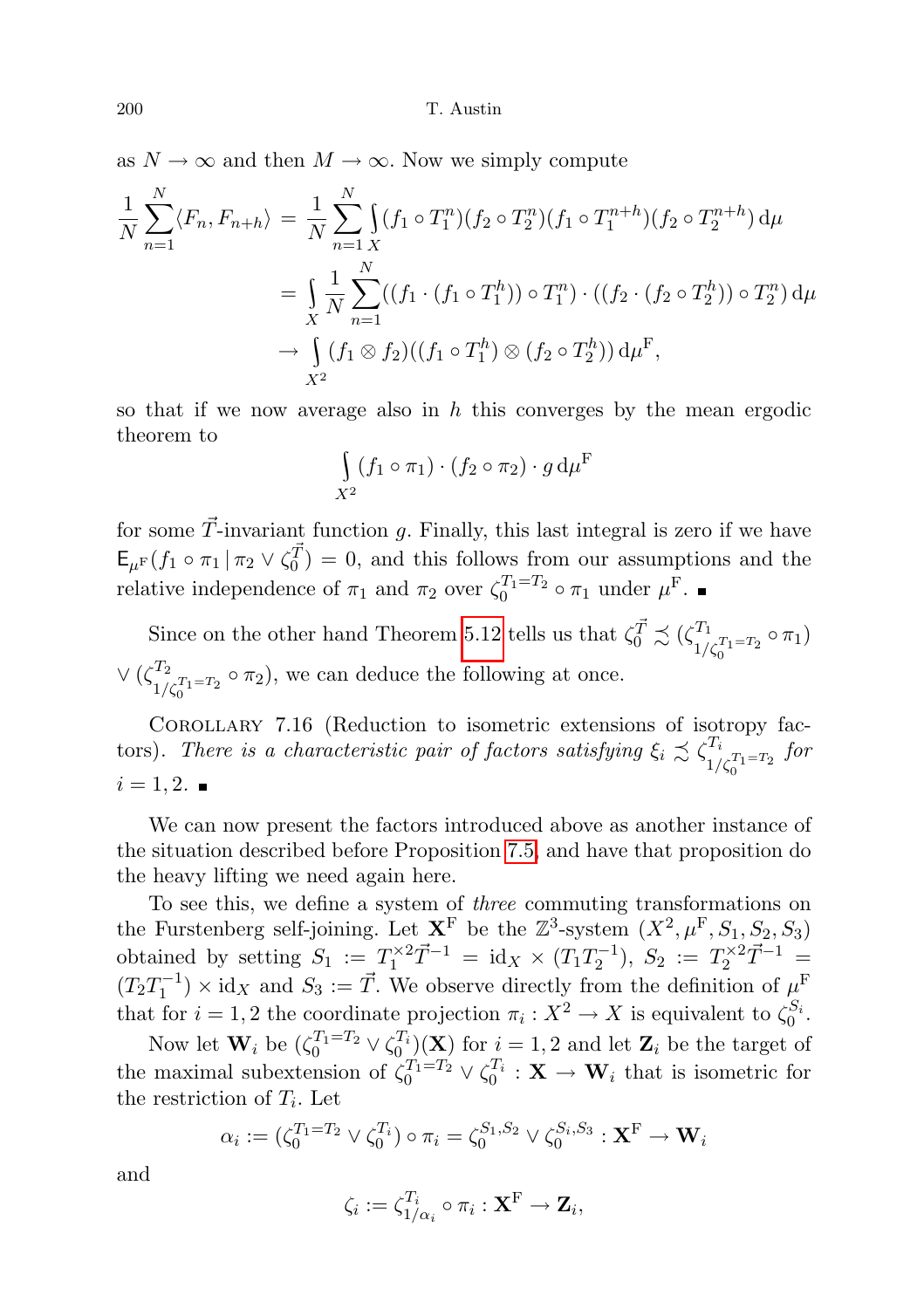as  $N \to \infty$  and then  $M \to \infty$ . Now we simply compute

$$
\frac{1}{N} \sum_{n=1}^{N} \langle F_n, F_{n+h} \rangle = \frac{1}{N} \sum_{n=1}^{N} \int (f_1 \circ T_1^n) (f_2 \circ T_2^n) (f_1 \circ T_1^{n+h}) (f_2 \circ T_2^{n+h}) d\mu
$$
  
\n
$$
= \int_{X} \frac{1}{N} \sum_{n=1}^{N} ((f_1 \cdot (f_1 \circ T_1^h)) \circ T_1^n) \cdot ((f_2 \cdot (f_2 \circ T_2^h)) \circ T_2^n) d\mu
$$
  
\n
$$
\to \int_{X^2} (f_1 \otimes f_2) ((f_1 \circ T_1^h) \otimes (f_2 \circ T_2^h)) d\mu^F,
$$

so that if we now average also in  $h$  this converges by the mean ergodic theorem to

$$
\int_{X^2} (f_1 \circ \pi_1) \cdot (f_2 \circ \pi_2) \cdot g \, d\mu^{\mathrm{F}}
$$

for some  $\vec{T}$ -invariant function g. Finally, this last integral is zero if we have  $\mathsf{E}_{\mu^{\mathrm{F}}}(f_1 \circ \pi_1 \mid \pi_2 \vee \zeta_0^{\vec{T}}) = 0$ , and this follows from our assumptions and the relative independence of  $\pi_1$  and  $\pi_2$  over  $\zeta_0^{T_1=T_2} \circ \pi_1$  under  $\mu^{\text{F}}$ .

Since on the other hand Theorem [5.12](#page-35-0) tells us that  $\zeta_0^{\vec{T}} \precsim (\zeta_{1}^{T_1})$  $\frac{T_1}{1/\zeta_0^{T_1=T_2}} \circ \pi_1$  $\vee$  ( $\zeta^{T_2}$  $\frac{d^{T_2}}{1/\zeta_0^{T_1=T_2}} \circ \pi_2$ , we can deduce the following at once. 0

Corollary 7.16 (Reduction to isometric extensions of isotropy factors). There is a characteristic pair of factors satisfying  $\xi_i \precsim \zeta_i^{T_i}$  $1/\zeta_0^{T_1=T_2}$ for  $i = 1, 2.$ 

We can now present the factors introduced above as another instance of the situation described before Proposition [7.5,](#page-50-0) and have that proposition do the heavy lifting we need again here.

To see this, we define a system of three commuting transformations on the Furstenberg self-joining. Let  $X^F$  be the  $\mathbb{Z}^3$ -system  $(X^2, \mu^F, S_1, S_2, S_3)$ obtained by setting  $S_1 := T_1^{\times 2} \vec{T}^{-1} = \text{id}_X \times (T_1 T_2^{-1}), S_2 := T_2^{\times 2} \vec{T}^{-1} =$  $(T_2 T_1^{-1}) \times id_X$  and  $S_3 := \vec{T}$ . We observe directly from the definition of  $\mu^F$ that for  $i = 1, 2$  the coordinate projection  $\pi_i : X^2 \to X$  is equivalent to  $\zeta_0^{S_i}$ .

Now let  $\mathbf{W}_i$  be  $(\zeta_0^{T_1=T_2} \vee \zeta_0^{T_i})(\mathbf{X})$  for  $i=1,2$  and let  $\mathbf{Z}_i$  be the target of the maximal subextension of  $\zeta_0^{T_1=T_2} \vee \zeta_0^{T_i} : \mathbf{X} \to \mathbf{W}_i$  that is isometric for the restriction of  $T_i$ . Let

$$
\alpha_i := (\zeta_0^{T_1=T_2} \vee \zeta_0^{T_i}) \circ \pi_i = \zeta_0^{S_1, S_2} \vee \zeta_0^{S_i, S_3} : \mathbf{X}^{\mathrm{F}} \to \mathbf{W}_i
$$

and

$$
\zeta_i := \zeta_{1/\alpha_i}^{T_i} \circ \pi_i : \mathbf{X}^{\mathrm{F}} \to \mathbf{Z}_i,
$$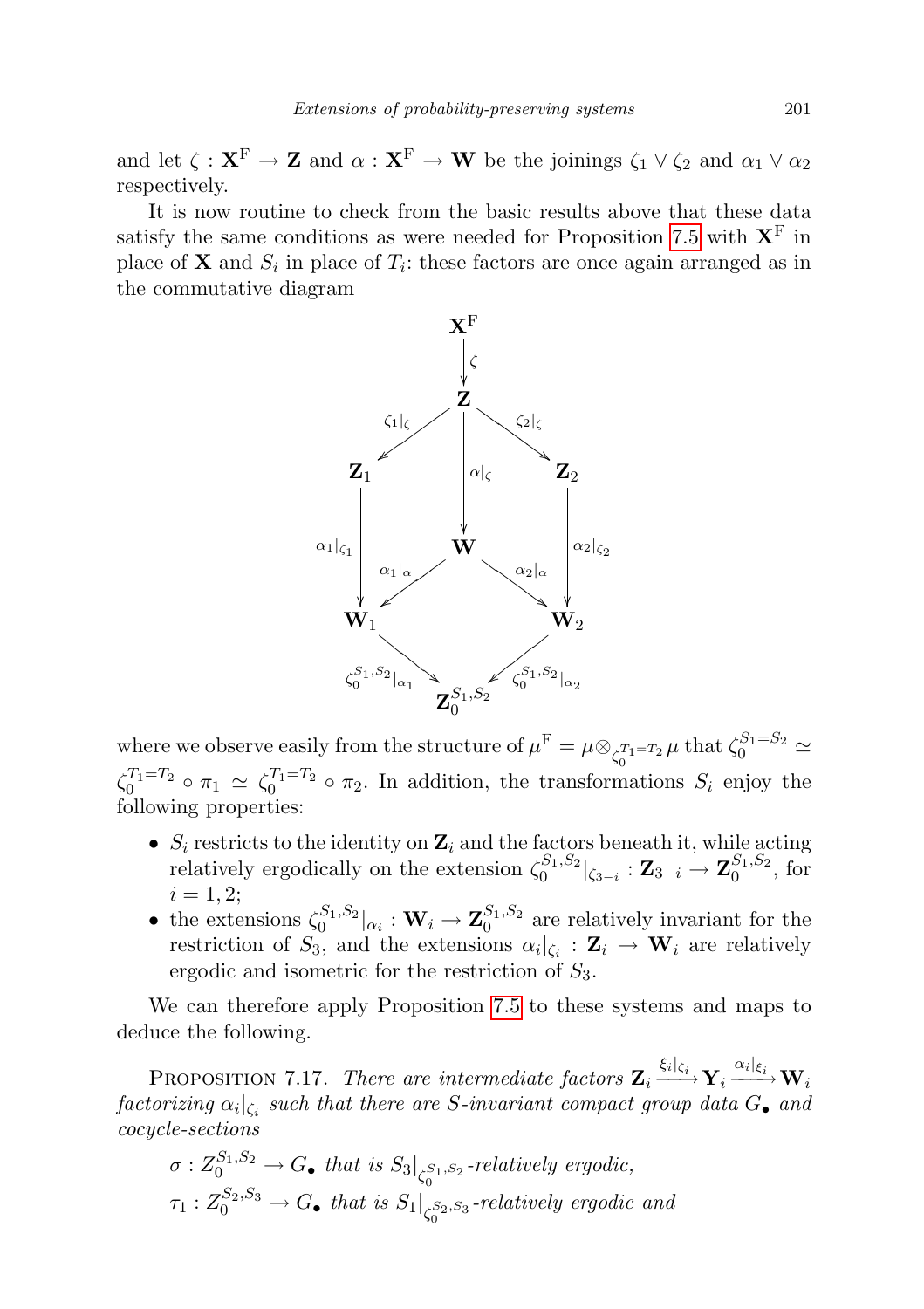and let  $\zeta : \mathbf{X}^{\mathrm{F}} \to \mathbf{Z}$  and  $\alpha : \mathbf{X}^{\mathrm{F}} \to \mathbf{W}$  be the joinings  $\zeta_1 \vee \zeta_2$  and  $\alpha_1 \vee \alpha_2$ respectively.

It is now routine to check from the basic results above that these data satisfy the same conditions as were needed for Proposition [7.5](#page-50-0) with  $X<sup>F</sup>$  in place of **X** and  $S_i$  in place of  $T_i$ : these factors are once again arranged as in the commutative diagram



where we observe easily from the structure of  $\mu^{\text{F}} = \mu \otimes_{\zeta_0^{T_1 = T_2}} \mu$  that  $\zeta_0^{S_1 = S_2} \simeq$  $\zeta_0^{T_1=T_2} \circ \pi_1 \simeq \zeta_0^{T_1=T_2} \circ \pi_2$ . In addition, the transformations  $S_i$  enjoy the following properties:

- $S_i$  restricts to the identity on  $\mathbf{Z}_i$  and the factors beneath it, while acting relatively ergodically on the extension  $\zeta_0^{S_1,S_2}|_{\zeta_{3-i}} : \mathbf{Z}_{3-i} \to \mathbf{Z}_0^{S_1,S_2}$ , for  $i = 1, 2;$
- the extensions  $\zeta_0^{S_1, S_2}|_{\alpha_i}: \mathbf{W}_i \to \mathbf{Z}_0^{S_1, S_2}$  are relatively invariant for the restriction of  $S_3$ , and the extensions  $\alpha_i|_{\zeta_i} : \mathbf{Z}_i \to \mathbf{W}_i$  are relatively ergodic and isometric for the restriction of  $S_3$ .

We can therefore apply Proposition [7.5](#page-50-0) to these systems and maps to deduce the following.

PROPOSITION 7.17. There are intermediate factors  $\mathbf{Z}_i \xrightarrow{\xi_i|_{\xi_i}} \mathbf{Y}_i \xrightarrow{\alpha_i|_{\xi_i}} \mathbf{W}_i$  $factorizing \ \alpha_i|_{\zeta_i} \ \textit{such that there are $S$-invariant compact group data $G_{\bullet}$ and}$ cocycle-sections

$$
\sigma: Z_0^{S_1, S_2} \to G_{\bullet} \text{ that is } S_3|_{\zeta_0^{S_1, S_2}} \text{-relatively ergodic},
$$
  

$$
\tau_1: Z_0^{S_2, S_3} \to G_{\bullet} \text{ that is } S_1|_{\zeta_0^{S_2, S_3}} \text{-relatively ergodic and}
$$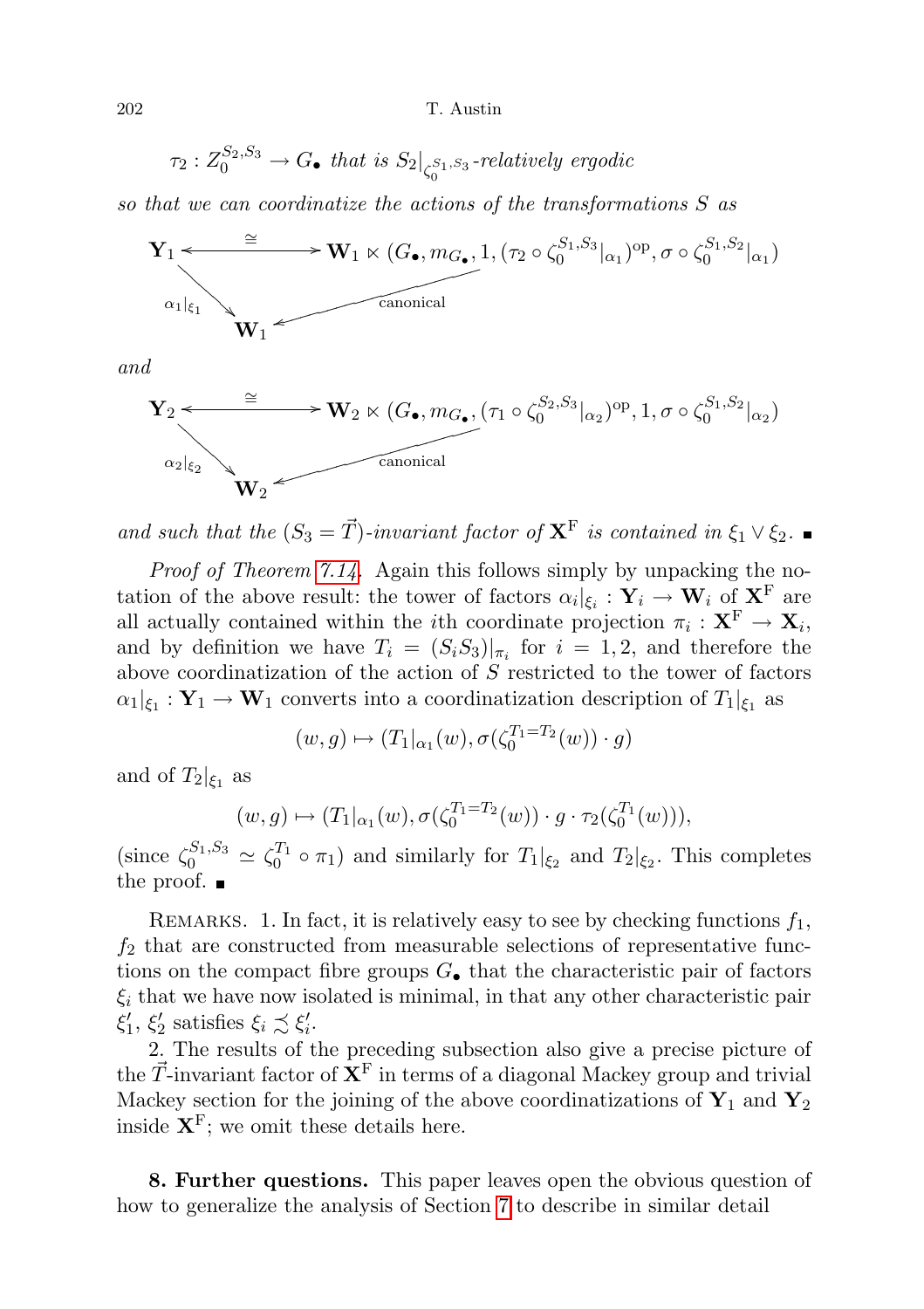$$
\tau_2: Z_0^{S_2, S_3} \to G_{\bullet} \text{ that is } S_2|_{\zeta_0^{S_1, S_3}}\text{-relatively ergodic}
$$

so that we can coordinatize the actions of the transformations S as



and

$$
\mathbf{Y}_{2} \leftarrow \overset{\cong}{\longrightarrow} \mathbf{W}_{2} \ltimes (G_{\bullet}, m_{G_{\bullet}}, (\tau_{1} \circ \zeta_{0}^{S_{2}, S_{3}}|_{\alpha_{2}})^{\text{op}}, 1, \sigma \circ \zeta_{0}^{S_{1}, S_{2}}|_{\alpha_{2}})
$$
  
\n
$$
\mathbf{W}_{2} \leftarrow \text{canonical}
$$

and such that the  $(S_3 = \vec{T})$ -invariant factor of  $X^F$  is contained in  $\xi_1 \vee \xi_2$ .

Proof of Theorem [7.14.](#page-64-0) Again this follows simply by unpacking the notation of the above result: the tower of factors  $\alpha_i|_{\xi_i} : Y_i \to W_i$  of  $X^F$  are all actually contained within the *i*th coordinate projection  $\pi_i: \mathbf{X}^{\mathrm{F}} \to \mathbf{X}_i$ , and by definition we have  $T_i = (S_i S_3)|_{\pi_i}$  for  $i = 1, 2$ , and therefore the above coordinatization of the action of  $S$  restricted to the tower of factors  $\alpha_1|_{\xi_1} : \mathbf{Y}_1 \to \mathbf{W}_1$  converts into a coordinatization description of  $T_1|_{\xi_1}$  as

$$
(w,g)\mapsto (T_1|_{\alpha_1}(w),\sigma(\zeta_0^{T_1=T_2}(w))\cdot g)
$$

and of  $T_2|_{\xi_1}$  as

$$
(w,g) \mapsto (T_1|_{\alpha_1}(w), \sigma(\zeta_0^{T_1=T_2}(w)) \cdot g \cdot \tau_2(\zeta_0^{T_1}(w))),
$$

(since  $\zeta_0^{S_1, S_3} \simeq \zeta_0^{T_1} \circ \pi_1$ ) and similarly for  $T_1|_{\xi_2}$  and  $T_2|_{\xi_2}$ . This completes the proof.  $\blacksquare$ 

REMARKS. 1. In fact, it is relatively easy to see by checking functions  $f_1$ ,  $f_2$  that are constructed from measurable selections of representative functions on the compact fibre groups  $G_{\bullet}$  that the characteristic pair of factors  $\xi_i$  that we have now isolated is minimal, in that any other characteristic pair  $\xi'_1, \xi'_2$  satisfies  $\xi_i \precsim \xi'_i$ .

2. The results of the preceding subsection also give a precise picture of the  $\vec{T}$ -invariant factor of  $X^F$  in terms of a diagonal Mackey group and trivial Mackey section for the joining of the above coordinatizations of  $\mathbf{Y}_1$  and  $\mathbf{Y}_2$ inside  $X^F$ ; we omit these details here.

8. Further questions. This paper leaves open the obvious question of how to generalize the analysis of Section [7](#page-44-0) to describe in similar detail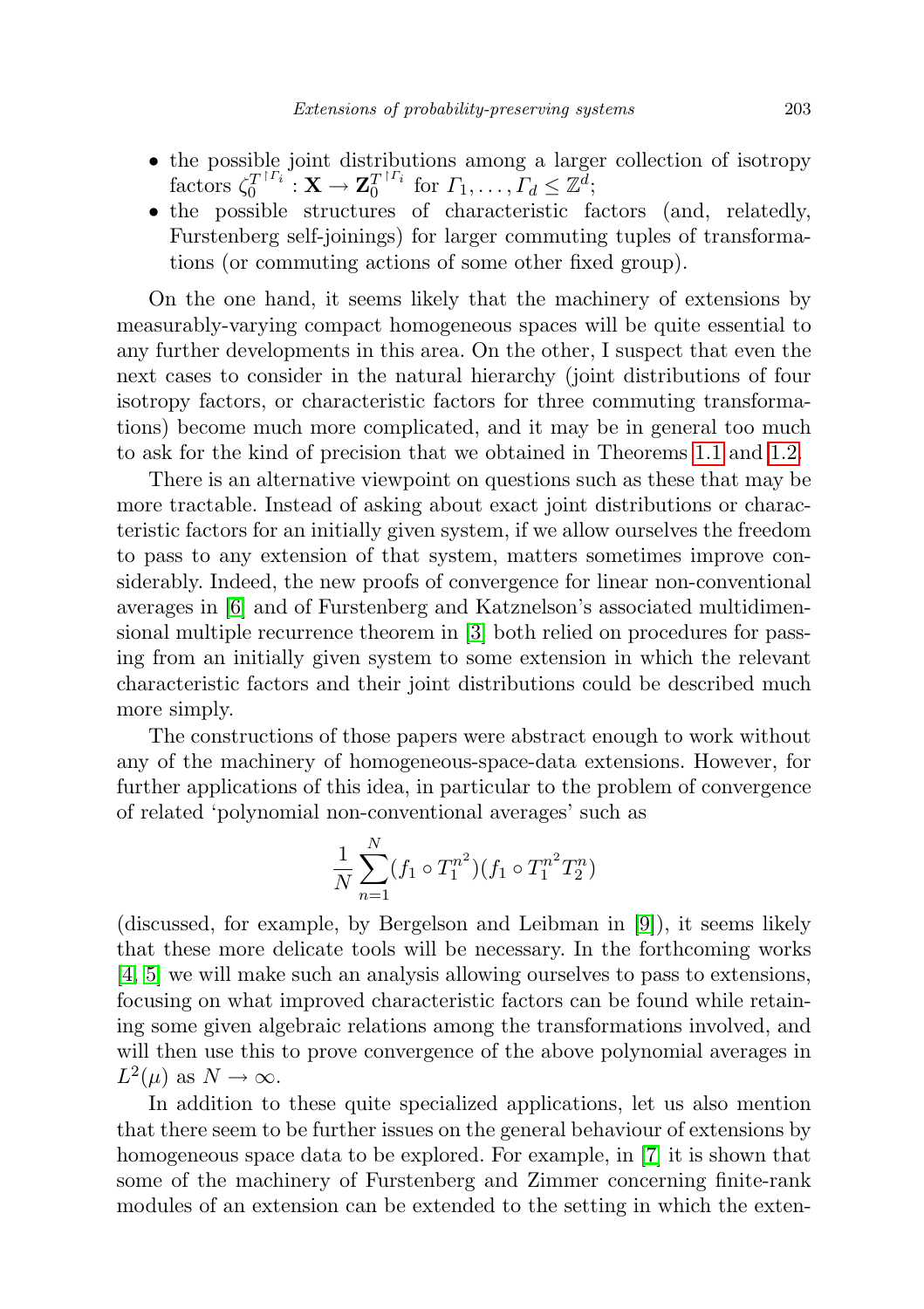- the possible joint distributions among a larger collection of isotropy factors  $\zeta_0^{T^{\dagger \Gamma_i}}$  $\frac{T}{0}^{\restriction{\Gamma_i}^\ast} \colon \mathbf{X} \to \mathbf{Z}_0^{T}{\restriction^{\Gamma_i}^\ast}$  $T_0^{r_1}$  for  $\Gamma_1, \ldots, \Gamma_d \leq \mathbb{Z}^d$ ;
- the possible structures of characteristic factors (and, relatedly, Furstenberg self-joinings) for larger commuting tuples of transformations (or commuting actions of some other fixed group).

On the one hand, it seems likely that the machinery of extensions by measurably-varying compact homogeneous spaces will be quite essential to any further developments in this area. On the other, I suspect that even the next cases to consider in the natural hierarchy (joint distributions of four isotropy factors, or characteristic factors for three commuting transformations) become much more complicated, and it may be in general too much to ask for the kind of precision that we obtained in Theorems [1.1](#page-4-0) and [1.2.](#page-6-0)

There is an alternative viewpoint on questions such as these that may be more tractable. Instead of asking about exact joint distributions or characteristic factors for an initially given system, if we allow ourselves the freedom to pass to any extension of that system, matters sometimes improve considerably. Indeed, the new proofs of convergence for linear non-conventional averages in [\[6\]](#page-71-2) and of Furstenberg and Katznelson's associated multidimensional multiple recurrence theorem in [\[3\]](#page-71-6) both relied on procedures for passing from an initially given system to some extension in which the relevant characteristic factors and their joint distributions could be described much more simply.

The constructions of those papers were abstract enough to work without any of the machinery of homogeneous-space-data extensions. However, for further applications of this idea, in particular to the problem of convergence of related 'polynomial non-conventional averages' such as

$$
\frac{1}{N} \sum_{n=1}^{N} (f_1 \circ T_1^{n^2}) (f_1 \circ T_1^{n^2} T_2^n)
$$

(discussed, for example, by Bergelson and Leibman in [\[9\]](#page-71-8)), it seems likely that these more delicate tools will be necessary. In the forthcoming works [\[4,](#page-71-9) [5\]](#page-71-10) we will make such an analysis allowing ourselves to pass to extensions, focusing on what improved characteristic factors can be found while retaining some given algebraic relations among the transformations involved, and will then use this to prove convergence of the above polynomial averages in  $L^2(\mu)$  as  $N \to \infty$ .

In addition to these quite specialized applications, let us also mention that there seem to be further issues on the general behaviour of extensions by homogeneous space data to be explored. For example, in [\[7\]](#page-71-11) it is shown that some of the machinery of Furstenberg and Zimmer concerning finite-rank modules of an extension can be extended to the setting in which the exten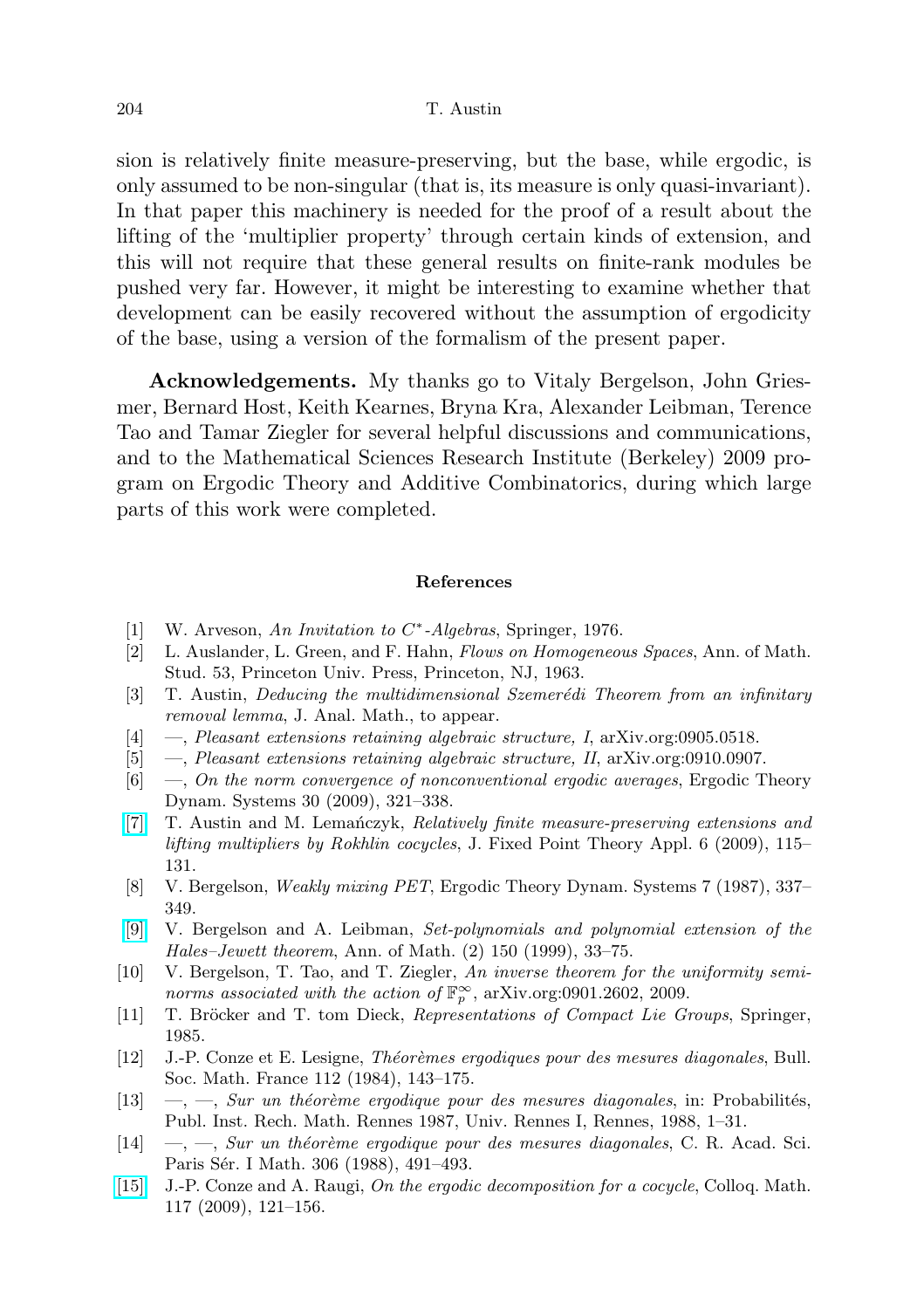sion is relatively finite measure-preserving, but the base, while ergodic, is only assumed to be non-singular (that is, its measure is only quasi-invariant). In that paper this machinery is needed for the proof of a result about the lifting of the 'multiplier property' through certain kinds of extension, and this will not require that these general results on finite-rank modules be pushed very far. However, it might be interesting to examine whether that development can be easily recovered without the assumption of ergodicity of the base, using a version of the formalism of the present paper.

Acknowledgements. My thanks go to Vitaly Bergelson, John Griesmer, Bernard Host, Keith Kearnes, Bryna Kra, Alexander Leibman, Terence Tao and Tamar Ziegler for several helpful discussions and communications, and to the Mathematical Sciences Research Institute (Berkeley) 2009 program on Ergodic Theory and Additive Combinatorics, during which large parts of this work were completed.

# References

- [1] W. Arveson, An Invitation to C\*-Algebras, Springer, 1976.
- <span id="page-71-0"></span>[2] L. Auslander, L. Green, and F. Hahn, Flows on Homogeneous Spaces, Ann. of Math. Stud. 53, Princeton Univ. Press, Princeton, NJ, 1963.
- <span id="page-71-6"></span>[3] T. Austin, Deducing the multidimensional Szemerédi Theorem from an infinitary removal lemma, J. Anal. Math., to appear.
- <span id="page-71-9"></span>[4] —, Pleasant extensions retaining algebraic structure, I, arXiv.org:0905.0518.
- <span id="page-71-10"></span>[5] —, Pleasant extensions retaining algebraic structure, II, arXiv.org:0910.0907.
- <span id="page-71-2"></span>[6] —, On the norm convergence of nonconventional ergodic averages, Ergodic Theory Dynam. Systems 30 (2009), 321–338.
- <span id="page-71-11"></span>[\[7\]](http://dx.doi.org/10.1007/s11784-009-0119-4) T. Austin and M. Lemanczyk, Relatively finite measure-preserving extensions and lifting multipliers by Rokhlin cocycles, J. Fixed Point Theory Appl. 6 (2009), 115– 131.
- <span id="page-71-7"></span>[8] V. Bergelson, Weakly mixing PET, Ergodic Theory Dynam. Systems 7 (1987), 337– 349.
- <span id="page-71-8"></span>[\[9\]](http://dx.doi.org/10.2307/121097) V. Bergelson and A. Leibman, Set-polynomials and polynomial extension of the Hales–Jewett theorem, Ann. of Math. (2) 150 (1999), 33–75.
- [10] V. Bergelson, T. Tao, and T. Ziegler, An inverse theorem for the uniformity seminorms associated with the action of  $\mathbb{F}_p^{\infty}$ , arXiv.org:0901.2602, 2009.
- [11] T. Bröcker and T. tom Dieck, Representations of Compact Lie Groups, Springer, 1985.
- <span id="page-71-3"></span>[12] J.-P. Conze et E. Lesigne, *Théorèmes ergodiques pour des mesures diagonales*, Bull. Soc. Math. France 112 (1984), 143–175.
- <span id="page-71-4"></span>[13]  $\,\, -$ ,  $\,\, -$ ,  $\,\, S\,ur$  un théorème ergodique pour des mesures diagonales, in: Probabilités, Publ. Inst. Rech. Math. Rennes 1987, Univ. Rennes I, Rennes, 1988, 1–31.
- <span id="page-71-5"></span> $[14] \quad -$ ,  $-$ , Sur un théorème ergodique pour des mesures diagonales, C. R. Acad. Sci. Paris Sér. I Math. 306 (1988), 491-493.
- <span id="page-71-1"></span>[\[15\]](http://dx.doi.org/10.4064/cm117-1-8) J.-P. Conze and A. Raugi, On the ergodic decomposition for a cocycle, Colloq. Math. 117 (2009), 121–156.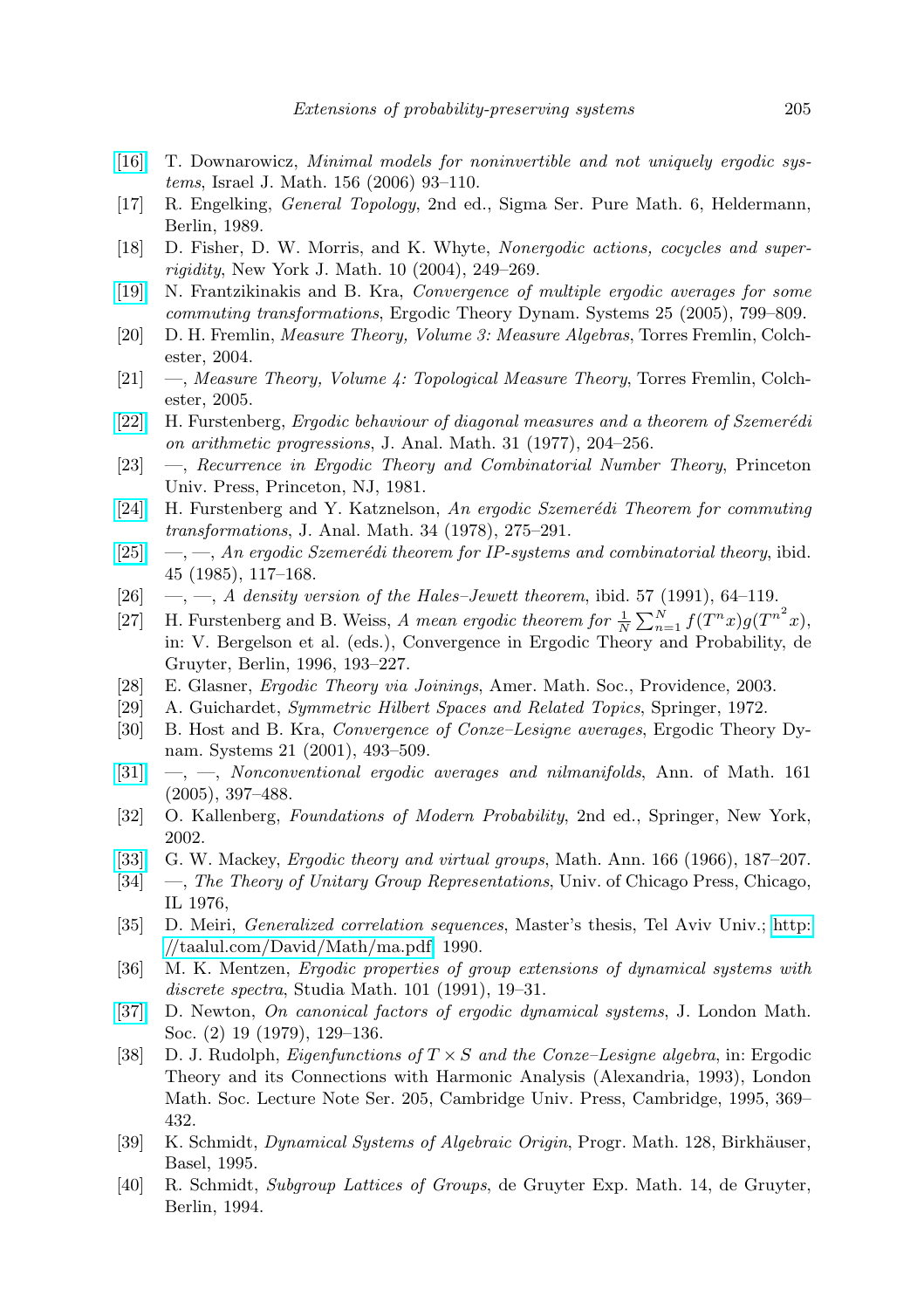- [\[16\]](http://dx.doi.org/10.1007/BF02773826) T. Downarowicz, Minimal models for noninvertible and not uniquely ergodic systems, Israel J. Math. 156 (2006) 93–110.
- [17] R. Engelking, General Topology, 2nd ed., Sigma Ser. Pure Math. 6, Heldermann, Berlin, 1989.
- [18] D. Fisher, D. W. Morris, and K. Whyte, Nonergodic actions, cocycles and superrigidity, New York J. Math. 10 (2004), 249–269.
- [\[19\]](http://dx.doi.org/10.1017/S0143385704000616) N. Frantzikinakis and B. Kra, Convergence of multiple ergodic averages for some commuting transformations, Ergodic Theory Dynam. Systems 25 (2005), 799–809.
- [20] D. H. Fremlin, Measure Theory, Volume 3: Measure Algebras, Torres Fremlin, Colchester, 2004.
- [21]  $\quad$ , Measure Theory, Volume 4: Topological Measure Theory, Torres Fremlin, Colchester, 2005.
- [\[22\]](http://dx.doi.org/10.1007/BF02813304) H. Furstenberg, Ergodic behaviour of diagonal measures and a theorem of Szemerédi on arithmetic progressions, J. Anal. Math. 31 (1977), 204–256.
- [23] —, Recurrence in Ergodic Theory and Combinatorial Number Theory, Princeton Univ. Press, Princeton, NJ, 1981.
- [\[24\]](http://dx.doi.org/10.1007/BF02790016) H. Furstenberg and Y. Katznelson, An ergodic Szemerédi Theorem for commuting transformations, J. Anal. Math. 34 (1978), 275–291.
- [\[25\]](http://dx.doi.org/10.1007/BF02792547)  $\quad$ ,  $\quad$ , An ergodic Szemerédi theorem for IP-systems and combinatorial theory, ibid. 45 (1985), 117–168.
- [26]  $\ldots$ , A density version of the Hales–Jewett theorem, ibid. 57 (1991), 64–119.
- [27] H. Furstenberg and B. Weiss, A mean ergodic theorem for  $\frac{1}{N} \sum_{n=1}^{N} f(T^n x) g(T^{n^2} x)$ , in: V. Bergelson et al. (eds.), Convergence in Ergodic Theory and Probability, de Gruyter, Berlin, 1996, 193–227.
- [28] E. Glasner, Ergodic Theory via Joinings, Amer. Math. Soc., Providence, 2003.
- [29] A. Guichardet, Symmetric Hilbert Spaces and Related Topics, Springer, 1972.
- [30] B. Host and B. Kra, Convergence of Conze–Lesigne averages, Ergodic Theory Dynam. Systems 21 (2001), 493–509.
- $[31] \quad [31] \quad -$ ,  $-$ , Nonconventional ergodic averages and nilmanifolds, Ann. of Math. 161 (2005), 397–488.
- [32] O. Kallenberg, Foundations of Modern Probability, 2nd ed., Springer, New York, 2002.
- [\[33\]](http://dx.doi.org/10.1007/BF01361167) G. W. Mackey, Ergodic theory and virtual groups, Math. Ann. 166 (1966), 187–207.
- [34] —, The Theory of Unitary Group Representations, Univ. of Chicago Press, Chicago, IL 1976,
- [35] D. Meiri, Generalized correlation sequences, Master's thesis, Tel Aviv Univ.; [http:](http://taalul.com/David/Math/ma.pdf) [//taalul.com/David/Math/ma.pdf,](http://taalul.com/David/Math/ma.pdf) 1990.
- [36] M. K. Mentzen, Ergodic properties of group extensions of dynamical systems with discrete spectra, Studia Math. 101 (1991), 19–31.
- [\[37\]](http://dx.doi.org/10.1112/jlms/s2-19.1.129) D. Newton, On canonical factors of ergodic dynamical systems, J. London Math. Soc. (2) 19 (1979), 129–136.
- [38] D. J. Rudolph, *Eigenfunctions of*  $T \times S$  and the Conze–Lesigne algebra, in: Ergodic Theory and its Connections with Harmonic Analysis (Alexandria, 1993), London Math. Soc. Lecture Note Ser. 205, Cambridge Univ. Press, Cambridge, 1995, 369– 432.
- [39] K. Schmidt, *Dynamical Systems of Algebraic Origin*, Progr. Math. 128, Birkhäuser, Basel, 1995.
- [40] R. Schmidt, Subgroup Lattices of Groups, de Gruyter Exp. Math. 14, de Gruyter, Berlin, 1994.